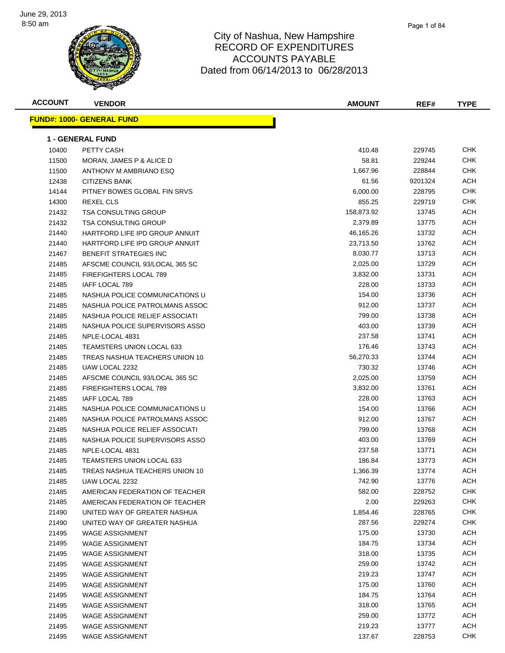

| <b>ACCOUNT</b> | <b>VENDOR</b>                    | <b>AMOUNT</b> | REF#    | <b>TYPE</b> |
|----------------|----------------------------------|---------------|---------|-------------|
|                | <b>FUND#: 1000- GENERAL FUND</b> |               |         |             |
|                | <b>1 - GENERAL FUND</b>          |               |         |             |
| 10400          | PETTY CASH                       | 410.48        | 229745  | <b>CHK</b>  |
| 11500          | MORAN, JAMES P & ALICE D         | 58.81         | 229244  | <b>CHK</b>  |
| 11500          | ANTHONY M AMBRIANO ESQ           | 1,667.96      | 228844  | <b>CHK</b>  |
| 12438          | <b>CITIZENS BANK</b>             | 61.56         | 9201324 | ACH         |
| 14144          | PITNEY BOWES GLOBAL FIN SRVS     | 6,000.00      | 228795  | <b>CHK</b>  |
| 14300          | <b>REXEL CLS</b>                 | 855.25        | 229719  | <b>CHK</b>  |
| 21432          | <b>TSA CONSULTING GROUP</b>      | 158,873.92    | 13745   | ACH         |
| 21432          | TSA CONSULTING GROUP             | 2,379.89      | 13775   | ACH         |
| 21440          | HARTFORD LIFE IPD GROUP ANNUIT   | 46,165.26     | 13732   | ACH         |
| 21440          | HARTFORD LIFE IPD GROUP ANNUIT   | 23,713.50     | 13762   | ACH         |
| 21467          | <b>BENEFIT STRATEGIES INC</b>    | 8,030.77      | 13713   | ACH         |
| 21485          | AFSCME COUNCIL 93/LOCAL 365 SC   | 2,025.00      | 13729   | ACH         |
| 21485          | <b>FIREFIGHTERS LOCAL 789</b>    | 3,832.00      | 13731   | ACH         |
| 21485          | <b>IAFF LOCAL 789</b>            | 228.00        | 13733   | ACH         |
| 21485          | NASHUA POLICE COMMUNICATIONS U   | 154.00        | 13736   | ACH         |
| 21485          | NASHUA POLICE PATROLMANS ASSOC   | 912.00        | 13737   | ACH         |
| 21485          | NASHUA POLICE RELIEF ASSOCIATI   | 799.00        | 13738   | ACH         |
| 21485          | NASHUA POLICE SUPERVISORS ASSO   | 403.00        | 13739   | ACH         |
| 21485          | NPLE-LOCAL 4831                  | 237.58        | 13741   | ACH         |
| 21485          | <b>TEAMSTERS UNION LOCAL 633</b> | 176.46        | 13743   | <b>ACH</b>  |
| 21485          | TREAS NASHUA TEACHERS UNION 10   | 56,270.33     | 13744   | ACH         |
| 21485          | UAW LOCAL 2232                   | 730.32        | 13746   | ACH         |
| 21485          | AFSCME COUNCIL 93/LOCAL 365 SC   | 2,025.00      | 13759   | ACH         |
| 21485          | <b>FIREFIGHTERS LOCAL 789</b>    | 3,832.00      | 13761   | ACH         |
| 21485          | IAFF LOCAL 789                   | 228.00        | 13763   | ACH         |
| 21485          | NASHUA POLICE COMMUNICATIONS U   | 154.00        | 13766   | ACH         |
| 21485          | NASHUA POLICE PATROLMANS ASSOC   | 912.00        | 13767   | ACH         |
| 21485          | NASHUA POLICE RELIEF ASSOCIATI   | 799.00        | 13768   | <b>ACH</b>  |
| 21485          | NASHUA POLICE SUPERVISORS ASSO   | 403.00        | 13769   | <b>ACH</b>  |
| 21485          | NPLE-LOCAL 4831                  | 237.58        | 13771   | ACH         |
| 21485          | <b>TEAMSTERS UNION LOCAL 633</b> | 186.84        | 13773   | <b>ACH</b>  |
| 21485          | TREAS NASHUA TEACHERS UNION 10   | 1,366.39      | 13774   | ACH         |
| 21485          | UAW LOCAL 2232                   | 742.90        | 13776   | <b>ACH</b>  |
| 21485          | AMERICAN FEDERATION OF TEACHER   | 582.00        | 228752  | <b>CHK</b>  |
| 21485          | AMERICAN FEDERATION OF TEACHER   | 2.00          | 229263  | <b>CHK</b>  |
| 21490          | UNITED WAY OF GREATER NASHUA     | 1,854.46      | 228765  | <b>CHK</b>  |
| 21490          | UNITED WAY OF GREATER NASHUA     | 287.56        | 229274  | <b>CHK</b>  |
| 21495          | WAGE ASSIGNMENT                  | 175.00        | 13730   | <b>ACH</b>  |
| 21495          | <b>WAGE ASSIGNMENT</b>           | 184.75        | 13734   | <b>ACH</b>  |
| 21495          | <b>WAGE ASSIGNMENT</b>           | 318.00        | 13735   | <b>ACH</b>  |
| 21495          | <b>WAGE ASSIGNMENT</b>           | 259.00        | 13742   | <b>ACH</b>  |
| 21495          | <b>WAGE ASSIGNMENT</b>           | 219.23        | 13747   | <b>ACH</b>  |
| 21495          | WAGE ASSIGNMENT                  | 175.00        | 13760   | <b>ACH</b>  |
| 21495          | <b>WAGE ASSIGNMENT</b>           | 184.75        | 13764   | <b>ACH</b>  |
| 21495          | <b>WAGE ASSIGNMENT</b>           | 318.00        | 13765   | <b>ACH</b>  |
| 21495          | <b>WAGE ASSIGNMENT</b>           | 259.00        | 13772   | ACH         |
| 21495          | WAGE ASSIGNMENT                  | 219.23        | 13777   | ACH         |
| 21495          | <b>WAGE ASSIGNMENT</b>           | 137.67        | 228753  | <b>CHK</b>  |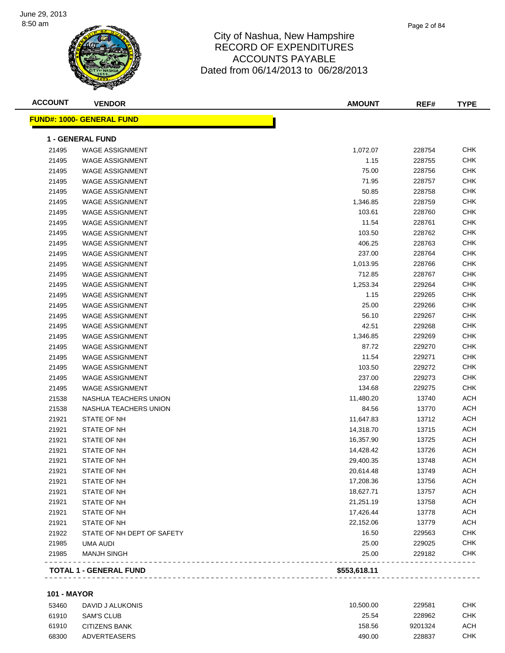

| <b>ACCOUNT</b> | <b>VENDOR</b>                    | <b>AMOUNT</b> | REF#   | <b>TYPE</b> |
|----------------|----------------------------------|---------------|--------|-------------|
|                | <b>FUND#: 1000- GENERAL FUND</b> |               |        |             |
|                | <b>1 - GENERAL FUND</b>          |               |        |             |
| 21495          | <b>WAGE ASSIGNMENT</b>           | 1,072.07      | 228754 | <b>CHK</b>  |
| 21495          | <b>WAGE ASSIGNMENT</b>           | 1.15          | 228755 | <b>CHK</b>  |
| 21495          | <b>WAGE ASSIGNMENT</b>           | 75.00         | 228756 | <b>CHK</b>  |
| 21495          | <b>WAGE ASSIGNMENT</b>           | 71.95         | 228757 | <b>CHK</b>  |
| 21495          | <b>WAGE ASSIGNMENT</b>           | 50.85         | 228758 | <b>CHK</b>  |
| 21495          | <b>WAGE ASSIGNMENT</b>           | 1,346.85      | 228759 | <b>CHK</b>  |
| 21495          | <b>WAGE ASSIGNMENT</b>           | 103.61        | 228760 | <b>CHK</b>  |
| 21495          | <b>WAGE ASSIGNMENT</b>           | 11.54         | 228761 | <b>CHK</b>  |
| 21495          | <b>WAGE ASSIGNMENT</b>           | 103.50        | 228762 | <b>CHK</b>  |
| 21495          | <b>WAGE ASSIGNMENT</b>           | 406.25        | 228763 | <b>CHK</b>  |
| 21495          | <b>WAGE ASSIGNMENT</b>           | 237.00        | 228764 | <b>CHK</b>  |
| 21495          | <b>WAGE ASSIGNMENT</b>           | 1,013.95      | 228766 | <b>CHK</b>  |
| 21495          | <b>WAGE ASSIGNMENT</b>           | 712.85        | 228767 | <b>CHK</b>  |
| 21495          | <b>WAGE ASSIGNMENT</b>           | 1,253.34      | 229264 | <b>CHK</b>  |
| 21495          | <b>WAGE ASSIGNMENT</b>           | 1.15          | 229265 | <b>CHK</b>  |
| 21495          | <b>WAGE ASSIGNMENT</b>           | 25.00         | 229266 | <b>CHK</b>  |
| 21495          | <b>WAGE ASSIGNMENT</b>           | 56.10         | 229267 | <b>CHK</b>  |
| 21495          | <b>WAGE ASSIGNMENT</b>           | 42.51         | 229268 | <b>CHK</b>  |
| 21495          | <b>WAGE ASSIGNMENT</b>           | 1,346.85      | 229269 | <b>CHK</b>  |
| 21495          | <b>WAGE ASSIGNMENT</b>           | 87.72         | 229270 | <b>CHK</b>  |
| 21495          | <b>WAGE ASSIGNMENT</b>           | 11.54         | 229271 | <b>CHK</b>  |
| 21495          | <b>WAGE ASSIGNMENT</b>           | 103.50        | 229272 | <b>CHK</b>  |
| 21495          | <b>WAGE ASSIGNMENT</b>           | 237.00        | 229273 | <b>CHK</b>  |
| 21495          | <b>WAGE ASSIGNMENT</b>           | 134.68        | 229275 | <b>CHK</b>  |
| 21538          | NASHUA TEACHERS UNION            | 11,480.20     | 13740  | <b>ACH</b>  |
| 21538          | NASHUA TEACHERS UNION            | 84.56         | 13770  | <b>ACH</b>  |
| 21921          | STATE OF NH                      | 11,647.83     | 13712  | <b>ACH</b>  |
| 21921          | STATE OF NH                      | 14,318.70     | 13715  | <b>ACH</b>  |
| 21921          | STATE OF NH                      | 16,357.90     | 13725  | <b>ACH</b>  |
| 21921          | STATE OF NH                      | 14,428.42     | 13726  | <b>ACH</b>  |
| 21921          | STATE OF NH                      | 29,400.35     | 13748  | <b>ACH</b>  |
| 21921          | STATE OF NH                      | 20,614.48     | 13749  | <b>ACH</b>  |
| 21921          | STATE OF NH                      | 17,208.36     | 13756  | <b>ACH</b>  |
| 21921          | STATE OF NH                      | 18,627.71     | 13757  | <b>ACH</b>  |
| 21921          | STATE OF NH                      | 21,251.19     | 13758  | <b>ACH</b>  |
| 21921          | STATE OF NH                      | 17,426.44     | 13778  | <b>ACH</b>  |
| 21921          | STATE OF NH                      | 22,152.06     | 13779  | <b>ACH</b>  |
| 21922          | STATE OF NH DEPT OF SAFETY       | 16.50         | 229563 | <b>CHK</b>  |
| 21985          | <b>UMA AUDI</b>                  | 25.00         | 229025 | <b>CHK</b>  |
| 21985          | <b>MANJH SINGH</b>               | 25.00         | 229182 | <b>CHK</b>  |
|                | <b>TOTAL 1 - GENERAL FUND</b>    | \$553,618.11  |        |             |

#### **101 - MAYOR**

| 53460 | DAVID J ALUKONIS     | 10.500.00 | 229581  | СНК |
|-------|----------------------|-----------|---------|-----|
| 61910 | SAM'S CLUB           | 25.54     | 228962  | СНК |
| 61910 | <b>CITIZENS BANK</b> | 158.56    | 9201324 | ACH |
| 68300 | ADVERTEASERS         | 490.00    | 228837  | CHK |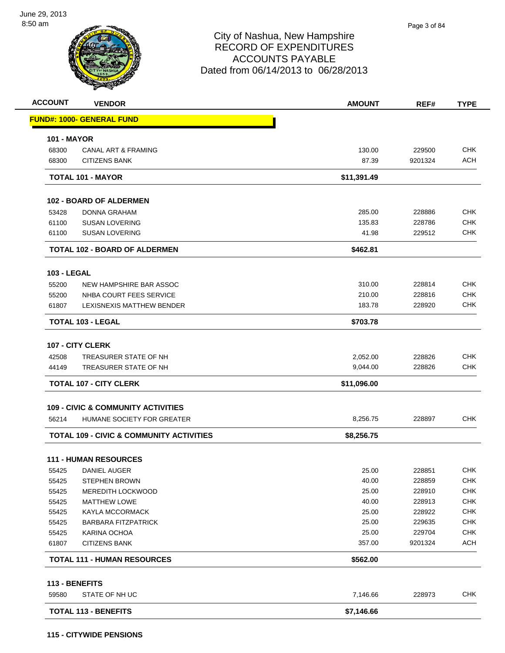| <b>ACCOUNT</b>     | <b>VENDOR</b>                                       | <b>AMOUNT</b> | REF#    | <b>TYPE</b> |
|--------------------|-----------------------------------------------------|---------------|---------|-------------|
|                    | <b>FUND#: 1000- GENERAL FUND</b>                    |               |         |             |
| <b>101 - MAYOR</b> |                                                     |               |         |             |
| 68300              | <b>CANAL ART &amp; FRAMING</b>                      | 130.00        | 229500  | <b>CHK</b>  |
| 68300              | <b>CITIZENS BANK</b>                                | 87.39         | 9201324 | <b>ACH</b>  |
|                    | <b>TOTAL 101 - MAYOR</b>                            | \$11,391.49   |         |             |
|                    | <b>102 - BOARD OF ALDERMEN</b>                      |               |         |             |
| 53428              | <b>DONNA GRAHAM</b>                                 | 285.00        | 228886  | <b>CHK</b>  |
| 61100              | <b>SUSAN LOVERING</b>                               | 135.83        | 228786  | <b>CHK</b>  |
| 61100              | <b>SUSAN LOVERING</b>                               | 41.98         | 229512  | <b>CHK</b>  |
|                    | <b>TOTAL 102 - BOARD OF ALDERMEN</b>                | \$462.81      |         |             |
| <b>103 - LEGAL</b> |                                                     |               |         |             |
| 55200              | NEW HAMPSHIRE BAR ASSOC                             | 310.00        | 228814  | <b>CHK</b>  |
| 55200              | NHBA COURT FEES SERVICE                             | 210.00        | 228816  | <b>CHK</b>  |
| 61807              | LEXISNEXIS MATTHEW BENDER                           | 183.78        | 228920  | <b>CHK</b>  |
|                    | <b>TOTAL 103 - LEGAL</b>                            | \$703.78      |         |             |
|                    | 107 - CITY CLERK                                    |               |         |             |
| 42508              | TREASURER STATE OF NH                               | 2,052.00      | 228826  | <b>CHK</b>  |
| 44149              | TREASURER STATE OF NH                               | 9,044.00      | 228826  | <b>CHK</b>  |
|                    | <b>TOTAL 107 - CITY CLERK</b>                       | \$11,096.00   |         |             |
|                    | <b>109 - CIVIC &amp; COMMUNITY ACTIVITIES</b>       |               |         |             |
| 56214              | HUMANE SOCIETY FOR GREATER                          | 8,256.75      | 228897  | <b>CHK</b>  |
|                    | <b>TOTAL 109 - CIVIC &amp; COMMUNITY ACTIVITIES</b> | \$8,256.75    |         |             |
|                    |                                                     |               |         |             |
|                    | <b>111 - HUMAN RESOURCES</b>                        |               |         |             |
| 55425              | DANIEL AUGER                                        | 25.00         | 228851  | <b>CHK</b>  |
| 55425              | <b>STEPHEN BROWN</b>                                | 40.00         | 228859  | <b>CHK</b>  |
| 55425              | <b>MEREDITH LOCKWOOD</b>                            | 25.00         | 228910  | <b>CHK</b>  |
| 55425              | <b>MATTHEW LOWE</b>                                 | 40.00         | 228913  | <b>CHK</b>  |
| 55425              | <b>KAYLA MCCORMACK</b>                              | 25.00         | 228922  | <b>CHK</b>  |
| 55425              | <b>BARBARA FITZPATRICK</b>                          | 25.00         | 229635  | <b>CHK</b>  |
| 55425              | KARINA OCHOA                                        | 25.00         | 229704  | <b>CHK</b>  |
| 61807              | <b>CITIZENS BANK</b>                                | 357.00        | 9201324 | <b>ACH</b>  |
|                    | <b>TOTAL 111 - HUMAN RESOURCES</b>                  | \$562.00      |         |             |
|                    | 113 - BENEFITS                                      |               |         |             |
| 59580              | STATE OF NH UC                                      | 7,146.66      | 228973  | <b>CHK</b>  |
|                    | <b>TOTAL 113 - BENEFITS</b>                         | \$7,146.66    |         |             |
|                    |                                                     |               |         |             |

#### **115 - CITYWIDE PENSIONS**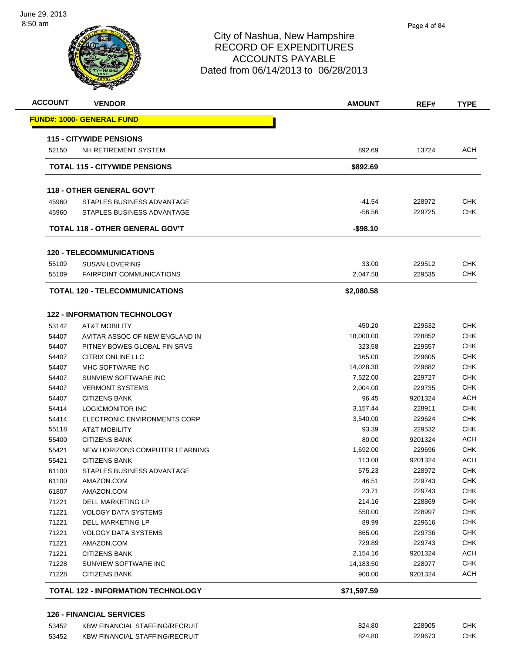

| <b>ACCOUNT</b> | <b>VENDOR</b>                                                   | <b>AMOUNT</b> | REF#    | <b>TYPE</b> |
|----------------|-----------------------------------------------------------------|---------------|---------|-------------|
|                | <b>FUND#: 1000- GENERAL FUND</b>                                |               |         |             |
|                | <b>115 - CITYWIDE PENSIONS</b>                                  |               |         |             |
| 52150          | NH RETIREMENT SYSTEM                                            | 892.69        | 13724   | <b>ACH</b>  |
|                | <b>TOTAL 115 - CITYWIDE PENSIONS</b>                            | \$892.69      |         |             |
|                | <b>118 - OTHER GENERAL GOV'T</b>                                |               |         |             |
| 45960          | STAPLES BUSINESS ADVANTAGE                                      | $-41.54$      | 228972  | <b>CHK</b>  |
| 45960          | STAPLES BUSINESS ADVANTAGE                                      | $-56.56$      | 229725  | <b>CHK</b>  |
|                | <b>TOTAL 118 - OTHER GENERAL GOV'T</b>                          | $-$98.10$     |         |             |
|                | <b>120 - TELECOMMUNICATIONS</b>                                 |               |         |             |
| 55109          | <b>SUSAN LOVERING</b>                                           | 33.00         | 229512  | <b>CHK</b>  |
| 55109          | <b>FAIRPOINT COMMUNICATIONS</b>                                 | 2.047.58      | 229535  | <b>CHK</b>  |
|                | <b>TOTAL 120 - TELECOMMUNICATIONS</b>                           | \$2,080.58    |         |             |
|                |                                                                 |               |         |             |
| 53142          | <b>122 - INFORMATION TECHNOLOGY</b><br><b>AT&amp;T MOBILITY</b> | 450.20        | 229532  | <b>CHK</b>  |
| 54407          | AVITAR ASSOC OF NEW ENGLAND IN                                  | 18,000.00     | 228852  | <b>CHK</b>  |
| 54407          | PITNEY BOWES GLOBAL FIN SRVS                                    | 323.58        | 229557  | <b>CHK</b>  |
| 54407          | CITRIX ONLINE LLC                                               | 165.00        | 229605  | <b>CHK</b>  |
| 54407          | MHC SOFTWARE INC                                                | 14,028.30     | 229682  | <b>CHK</b>  |
| 54407          | SUNVIEW SOFTWARE INC                                            | 7,522.00      | 229727  | <b>CHK</b>  |
| 54407          | <b>VERMONT SYSTEMS</b>                                          | 2,004.00      | 229735  | <b>CHK</b>  |
| 54407          | <b>CITIZENS BANK</b>                                            | 96.45         | 9201324 | <b>ACH</b>  |
| 54414          | LOGICMONITOR INC                                                | 3,157.44      | 228911  | <b>CHK</b>  |
| 54414          | ELECTRONIC ENVIRONMENTS CORP                                    | 3,540.00      | 229624  | <b>CHK</b>  |
| 55118          | <b>AT&amp;T MOBILITY</b>                                        | 93.39         | 229532  | <b>CHK</b>  |
| 55400          | <b>CITIZENS BANK</b>                                            | 80.00         | 9201324 | <b>ACH</b>  |
| 55421          | NEW HORIZONS COMPUTER LEARNING                                  | 1,692.00      | 229696  | <b>CHK</b>  |
| 55421          | <b>CITIZENS BANK</b>                                            | 113.08        | 9201324 | <b>ACH</b>  |
| 61100          | STAPLES BUSINESS ADVANTAGE                                      | 575.23        | 228972  | <b>CHK</b>  |
| 61100          | AMAZON.COM                                                      | 46.51         | 229743  | <b>CHK</b>  |
| 61807          | AMAZON.COM                                                      | 23.71         | 229743  | <b>CHK</b>  |
| 71221          | DELL MARKETING LP                                               | 214.16        | 228869  | <b>CHK</b>  |
| 71221          | VOLOGY DATA SYSTEMS                                             | 550.00        | 228997  | <b>CHK</b>  |
| 71221          | DELL MARKETING LP                                               | 89.99         | 229616  | <b>CHK</b>  |
| 71221          | <b>VOLOGY DATA SYSTEMS</b>                                      | 865.00        | 229736  | <b>CHK</b>  |
| 71221          | AMAZON.COM                                                      | 729.89        | 229743  | <b>CHK</b>  |
| 71221          | <b>CITIZENS BANK</b>                                            | 2,154.16      | 9201324 | <b>ACH</b>  |
| 71228          | SUNVIEW SOFTWARE INC                                            | 14,183.50     | 228977  | <b>CHK</b>  |
| 71228          | <b>CITIZENS BANK</b>                                            | 900.00        | 9201324 | <b>ACH</b>  |
|                | <b>TOTAL 122 - INFORMATION TECHNOLOGY</b>                       | \$71,597.59   |         |             |

 KBW FINANCIAL STAFFING/RECRUIT 824.80 228905 CHK KBW FINANCIAL STAFFING/RECRUIT 824.80 229673 CHK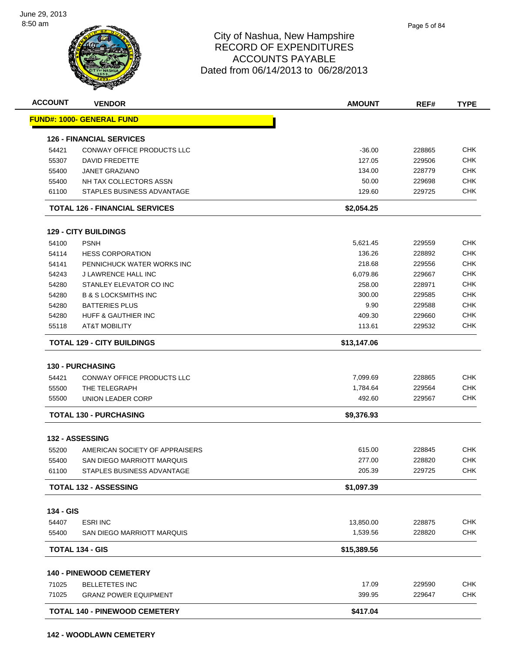

| <b>ACCOUNT</b> | <b>VENDOR</b>                         | <b>AMOUNT</b> | REF#   | <b>TYPE</b> |
|----------------|---------------------------------------|---------------|--------|-------------|
|                | <b>FUND#: 1000- GENERAL FUND</b>      |               |        |             |
|                | <b>126 - FINANCIAL SERVICES</b>       |               |        |             |
| 54421          | CONWAY OFFICE PRODUCTS LLC            | $-36.00$      | 228865 | <b>CHK</b>  |
| 55307          | <b>DAVID FREDETTE</b>                 | 127.05        | 229506 | <b>CHK</b>  |
| 55400          | <b>JANET GRAZIANO</b>                 | 134.00        | 228779 | <b>CHK</b>  |
| 55400          | NH TAX COLLECTORS ASSN                | 50.00         | 229698 | <b>CHK</b>  |
| 61100          | STAPLES BUSINESS ADVANTAGE            | 129.60        | 229725 | <b>CHK</b>  |
|                | <b>TOTAL 126 - FINANCIAL SERVICES</b> | \$2,054.25    |        |             |
|                | <b>129 - CITY BUILDINGS</b>           |               |        |             |
| 54100          | <b>PSNH</b>                           | 5,621.45      | 229559 | <b>CHK</b>  |
| 54114          | <b>HESS CORPORATION</b>               | 136.26        | 228892 | <b>CHK</b>  |
| 54141          | PENNICHUCK WATER WORKS INC            | 218.68        | 229556 | <b>CHK</b>  |
| 54243          | J LAWRENCE HALL INC                   | 6,079.86      | 229667 | <b>CHK</b>  |
| 54280          | STANLEY ELEVATOR CO INC               | 258.00        | 228971 | <b>CHK</b>  |
| 54280          | <b>B &amp; S LOCKSMITHS INC</b>       | 300.00        | 229585 | <b>CHK</b>  |
| 54280          | <b>BATTERIES PLUS</b>                 | 9.90          | 229588 | <b>CHK</b>  |
| 54280          | <b>HUFF &amp; GAUTHIER INC</b>        | 409.30        | 229660 | <b>CHK</b>  |
| 55118          | AT&T MOBILITY                         | 113.61        | 229532 | <b>CHK</b>  |
|                | TOTAL 129 - CITY BUILDINGS            | \$13,147.06   |        |             |
|                | <b>130 - PURCHASING</b>               |               |        |             |
| 54421          | CONWAY OFFICE PRODUCTS LLC            | 7,099.69      | 228865 | <b>CHK</b>  |
| 55500          | THE TELEGRAPH                         | 1,784.64      | 229564 | <b>CHK</b>  |
| 55500          | UNION LEADER CORP                     | 492.60        | 229567 | <b>CHK</b>  |
|                | <b>TOTAL 130 - PURCHASING</b>         | \$9,376.93    |        |             |
|                | 132 - ASSESSING                       |               |        |             |
| 55200          | AMERICAN SOCIETY OF APPRAISERS        | 615.00        | 228845 | <b>CHK</b>  |
| 55400          | SAN DIEGO MARRIOTT MARQUIS            | 277.00        | 228820 | <b>CHK</b>  |
| 61100          | STAPLES BUSINESS ADVANTAGE            | 205.39        | 229725 | CHK         |
|                | <b>TOTAL 132 - ASSESSING</b>          | \$1,097.39    |        |             |
| 134 - GIS      |                                       |               |        |             |
| 54407          | <b>ESRI INC</b>                       | 13,850.00     | 228875 | <b>CHK</b>  |
| 55400          | SAN DIEGO MARRIOTT MARQUIS            | 1,539.56      | 228820 | <b>CHK</b>  |
|                | <b>TOTAL 134 - GIS</b>                | \$15,389.56   |        |             |
|                |                                       |               |        |             |
|                | <b>140 - PINEWOOD CEMETERY</b>        |               |        |             |
| 71025          | <b>BELLETETES INC</b>                 | 17.09         | 229590 | <b>CHK</b>  |
| 71025          | <b>GRANZ POWER EQUIPMENT</b>          | 399.95        | 229647 | CHK         |
|                | <b>TOTAL 140 - PINEWOOD CEMETERY</b>  | \$417.04      |        |             |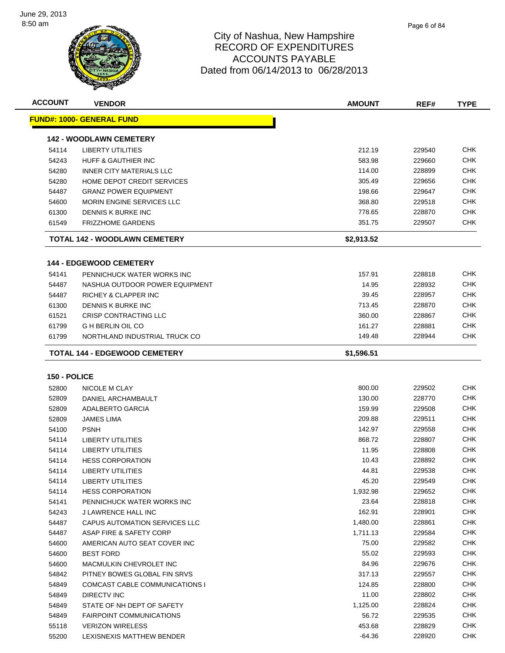

| <b>ACCOUNT</b> | <b>VENDOR</b>                        | <b>AMOUNT</b> | REF#   | <b>TYPE</b> |
|----------------|--------------------------------------|---------------|--------|-------------|
|                | <u> FUND#: 1000- GENERAL FUND</u>    |               |        |             |
|                | <b>142 - WOODLAWN CEMETERY</b>       |               |        |             |
| 54114          | <b>LIBERTY UTILITIES</b>             | 212.19        | 229540 | CHK         |
| 54243          | HUFF & GAUTHIER INC                  | 583.98        | 229660 | CHK         |
| 54280          | <b>INNER CITY MATERIALS LLC</b>      | 114.00        | 228899 | CHK         |
| 54280          | <b>HOME DEPOT CREDIT SERVICES</b>    | 305.49        | 229656 | CHK         |
| 54487          | <b>GRANZ POWER EQUIPMENT</b>         | 198.66        | 229647 | CHK         |
| 54600          | MORIN ENGINE SERVICES LLC            | 368.80        | 229518 | CHK         |
| 61300          | DENNIS K BURKE INC                   | 778.65        | 228870 | <b>CHK</b>  |
| 61549          | <b>FRIZZHOME GARDENS</b>             | 351.75        | 229507 | CHK         |
|                | TOTAL 142 - WOODLAWN CEMETERY        | \$2,913.52    |        |             |
|                | <b>144 - EDGEWOOD CEMETERY</b>       |               |        |             |
| 54141          | PENNICHUCK WATER WORKS INC           | 157.91        | 228818 | CHK         |
| 54487          | NASHUA OUTDOOR POWER EQUIPMENT       | 14.95         | 228932 | CHK         |
| 54487          | RICHEY & CLAPPER INC                 | 39.45         | 228957 | CHK         |
| 61300          | DENNIS K BURKE INC                   | 713.45        | 228870 | CHK         |
| 61521          | CRISP CONTRACTING LLC                | 360.00        | 228867 | CHK         |
| 61799          | <b>G H BERLIN OIL CO</b>             | 161.27        | 228881 | <b>CHK</b>  |
| 61799          | NORTHLAND INDUSTRIAL TRUCK CO        | 149.48        | 228944 | CHK         |
|                | TOTAL 144 - EDGEWOOD CEMETERY        | \$1,596.51    |        |             |
|                |                                      |               |        |             |
| 150 - POLICE   |                                      |               |        |             |
| 52800          | NICOLE M CLAY                        | 800.00        | 229502 | CHK         |
| 52809          | DANIEL ARCHAMBAULT                   | 130.00        | 228770 | CHK         |
| 52809          | ADALBERTO GARCIA                     | 159.99        | 229508 | CHK         |
| 52809          | <b>JAMES LIMA</b>                    | 209.88        | 229511 | CHK         |
| 54100          | <b>PSNH</b>                          | 142.97        | 229558 | CHK         |
| 54114          | <b>LIBERTY UTILITIES</b>             | 868.72        | 228807 | <b>CHK</b>  |
| 54114          | <b>LIBERTY UTILITIES</b>             | 11.95         | 228808 | CHK         |
| 54114          | <b>HESS CORPORATION</b>              | 10.43         | 228892 | CHK         |
| 54114          | <b>LIBERTY UTILITIES</b>             | 44.81         | 229538 | <b>CHK</b>  |
| 54114          | LIBERTY UTILITIES                    | 45.20         | 229549 | CHK         |
| 54114          | <b>HESS CORPORATION</b>              | 1,932.98      | 229652 | <b>CHK</b>  |
| 54141          | PENNICHUCK WATER WORKS INC           | 23.64         | 228818 | <b>CHK</b>  |
| 54243          | <b>J LAWRENCE HALL INC</b>           | 162.91        | 228901 | <b>CHK</b>  |
| 54487          | <b>CAPUS AUTOMATION SERVICES LLC</b> | 1,480.00      | 228861 | <b>CHK</b>  |
| 54487          | ASAP FIRE & SAFETY CORP              | 1,711.13      | 229584 | <b>CHK</b>  |
| 54600          | AMERICAN AUTO SEAT COVER INC         | 75.00         | 229582 | <b>CHK</b>  |
| 54600          | <b>BEST FORD</b>                     | 55.02         | 229593 | <b>CHK</b>  |
| 54600          | MACMULKIN CHEVROLET INC              | 84.96         | 229676 | <b>CHK</b>  |
| 54842          | PITNEY BOWES GLOBAL FIN SRVS         | 317.13        | 229557 | <b>CHK</b>  |
| 54849          | COMCAST CABLE COMMUNICATIONS I       | 124.85        | 228800 | <b>CHK</b>  |
| 54849          | DIRECTV INC                          | 11.00         | 228802 | <b>CHK</b>  |
| 54849          | STATE OF NH DEPT OF SAFETY           | 1,125.00      | 228824 | <b>CHK</b>  |
| 54849          | <b>FAIRPOINT COMMUNICATIONS</b>      | 56.72         | 229535 | <b>CHK</b>  |
|                |                                      | 453.68        |        | <b>CHK</b>  |
| 55118          | <b>VERIZON WIRELESS</b>              |               | 228829 |             |
| 55200          | LEXISNEXIS MATTHEW BENDER            | $-64.36$      | 228920 | <b>CHK</b>  |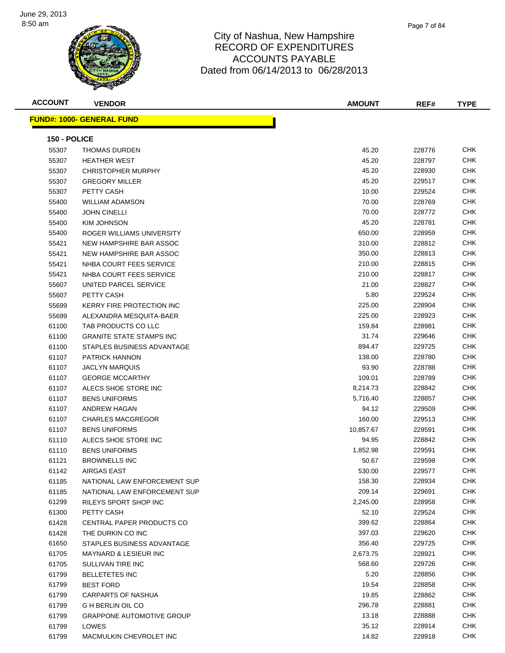

| <b>ACCOUNT</b> | <b>VENDOR</b>                     | <b>AMOUNT</b> | REF#   | <b>TYPE</b> |
|----------------|-----------------------------------|---------------|--------|-------------|
|                | <u> FUND#: 1000- GENERAL FUND</u> |               |        |             |
|                |                                   |               |        |             |
| 150 - POLICE   |                                   |               |        |             |
| 55307          | <b>THOMAS DURDEN</b>              | 45.20         | 228776 | CHK         |
| 55307          | <b>HEATHER WEST</b>               | 45.20         | 228797 | <b>CHK</b>  |
| 55307          | <b>CHRISTOPHER MURPHY</b>         | 45.20         | 228930 | CHK         |
| 55307          | <b>GREGORY MILLER</b>             | 45.20         | 229517 | <b>CHK</b>  |
| 55307          | PETTY CASH                        | 10.00         | 229524 | <b>CHK</b>  |
| 55400          | <b>WILLIAM ADAMSON</b>            | 70.00         | 228769 | CHK         |
| 55400          | <b>JOHN CINELLI</b>               | 70.00         | 228772 | <b>CHK</b>  |
| 55400          | <b>KIM JOHNSON</b>                | 45.20         | 228781 | <b>CHK</b>  |
| 55400          | ROGER WILLIAMS UNIVERSITY         | 650.00        | 228959 | <b>CHK</b>  |
| 55421          | NEW HAMPSHIRE BAR ASSOC           | 310.00        | 228812 | <b>CHK</b>  |
| 55421          | NEW HAMPSHIRE BAR ASSOC           | 350.00        | 228813 | CHK         |
| 55421          | NHBA COURT FEES SERVICE           | 210.00        | 228815 | <b>CHK</b>  |
| 55421          | NHBA COURT FEES SERVICE           | 210.00        | 228817 | <b>CHK</b>  |
| 55607          | UNITED PARCEL SERVICE             | 21.00         | 228827 | CHK         |
| 55607          | PETTY CASH                        | 5.80          | 229524 | <b>CHK</b>  |
| 55699          | KERRY FIRE PROTECTION INC         | 225.00        | 228904 | СНК         |
| 55699          | ALEXANDRA MESQUITA-BAER           | 225.00        | 228923 | CHK         |
| 61100          | TAB PRODUCTS CO LLC               | 159.84        | 228981 | <b>CHK</b>  |
| 61100          | <b>GRANITE STATE STAMPS INC</b>   | 31.74         | 229646 | <b>CHK</b>  |
| 61100          | STAPLES BUSINESS ADVANTAGE        | 894.47        | 229725 | <b>CHK</b>  |
| 61107          | <b>PATRICK HANNON</b>             | 138.00        | 228780 | <b>CHK</b>  |
| 61107          | <b>JACLYN MARQUIS</b>             | 93.90         | 228788 | <b>CHK</b>  |
| 61107          | <b>GEORGE MCCARTHY</b>            | 109.01        | 228789 | <b>CHK</b>  |
| 61107          | ALECS SHOE STORE INC              | 8,214.73      | 228842 | <b>CHK</b>  |
| 61107          | <b>BENS UNIFORMS</b>              | 5,716.40      | 228857 | СНК         |
| 61107          | ANDREW HAGAN                      | 94.12         | 229509 | <b>CHK</b>  |
| 61107          | <b>CHARLES MACGREGOR</b>          | 160.00        | 229513 | CHK         |
| 61107          | <b>BENS UNIFORMS</b>              | 10,857.67     | 229591 | CHK         |
| 61110          | ALECS SHOE STORE INC              | 94.95         | 228842 | <b>CHK</b>  |
| 61110          | <b>BENS UNIFORMS</b>              | 1,852.98      | 229591 | <b>CHK</b>  |
| 61121          | <b>BROWNELLS INC</b>              | 50.67         | 229598 | <b>CHK</b>  |
| 61142          | AIRGAS EAST                       | 530.00        | 229577 | CHK.        |
| 61185          | NATIONAL LAW ENFORCEMENT SUP      | 158.30        | 228934 | <b>CHK</b>  |
| 61185          | NATIONAL LAW ENFORCEMENT SUP      | 209.14        | 229691 | <b>CHK</b>  |
| 61299          | RILEYS SPORT SHOP INC             | 2,245.00      | 228958 | <b>CHK</b>  |
| 61300          | PETTY CASH                        | 52.10         | 229524 | <b>CHK</b>  |
| 61428          | CENTRAL PAPER PRODUCTS CO         | 399.62        | 228864 | <b>CHK</b>  |
| 61428          | THE DURKIN CO INC                 | 397.03        | 229620 | <b>CHK</b>  |
| 61650          | STAPLES BUSINESS ADVANTAGE        | 356.40        | 229725 | <b>CHK</b>  |
| 61705          | MAYNARD & LESIEUR INC             | 2,673.75      | 228921 | <b>CHK</b>  |
| 61705          | SULLIVAN TIRE INC                 | 568.60        | 229726 | <b>CHK</b>  |
| 61799          | <b>BELLETETES INC</b>             | 5.20          | 228856 | <b>CHK</b>  |
| 61799          | <b>BEST FORD</b>                  | 19.54         | 228858 | <b>CHK</b>  |
| 61799          | <b>CARPARTS OF NASHUA</b>         | 19.85         | 228862 | <b>CHK</b>  |
| 61799          | G H BERLIN OIL CO                 | 296.78        | 228881 | <b>CHK</b>  |
| 61799          | <b>GRAPPONE AUTOMOTIVE GROUP</b>  | 13.18         | 228888 | <b>CHK</b>  |
| 61799          | LOWES                             | 35.12         | 228914 | <b>CHK</b>  |
| 61799          | MACMULKIN CHEVROLET INC           | 14.82         | 228918 | <b>CHK</b>  |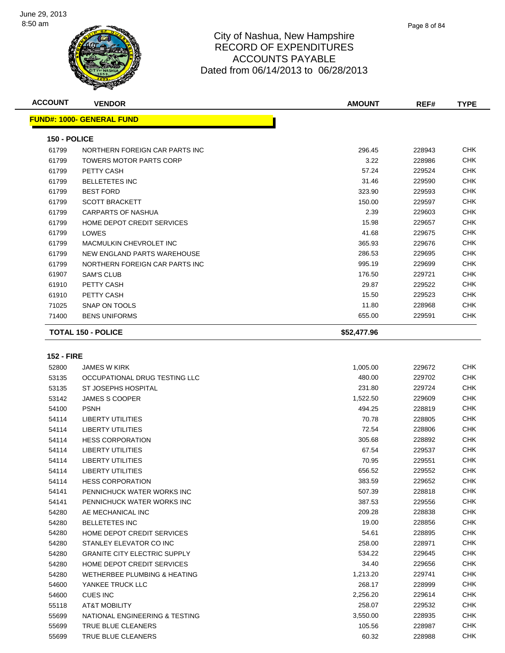

| <b>ACCOUNT</b> | <b>VENDOR</b>                     | <b>AMOUNT</b> | REF#   | <b>TYPE</b> |
|----------------|-----------------------------------|---------------|--------|-------------|
|                | <b>FUND#: 1000- GENERAL FUND</b>  |               |        |             |
| 150 - POLICE   |                                   |               |        |             |
| 61799          | NORTHERN FOREIGN CAR PARTS INC    | 296.45        | 228943 | <b>CHK</b>  |
| 61799          | <b>TOWERS MOTOR PARTS CORP</b>    | 3.22          | 228986 | <b>CHK</b>  |
| 61799          | PETTY CASH                        | 57.24         | 229524 | <b>CHK</b>  |
| 61799          | <b>BELLETETES INC</b>             | 31.46         | 229590 | <b>CHK</b>  |
| 61799          | <b>BEST FORD</b>                  | 323.90        | 229593 | <b>CHK</b>  |
| 61799          | <b>SCOTT BRACKETT</b>             | 150.00        | 229597 | <b>CHK</b>  |
| 61799          | CARPARTS OF NASHUA                | 2.39          | 229603 | <b>CHK</b>  |
| 61799          | <b>HOME DEPOT CREDIT SERVICES</b> | 15.98         | 229657 | <b>CHK</b>  |
| 61799          | LOWES                             | 41.68         | 229675 | <b>CHK</b>  |
| 61799          | MACMULKIN CHEVROLET INC           | 365.93        | 229676 | <b>CHK</b>  |
| 61799          | NEW ENGLAND PARTS WAREHOUSE       | 286.53        | 229695 | <b>CHK</b>  |
| 61799          | NORTHERN FOREIGN CAR PARTS INC    | 995.19        | 229699 | <b>CHK</b>  |
| 61907          | <b>SAM'S CLUB</b>                 | 176.50        | 229721 | <b>CHK</b>  |
| 61910          | PETTY CASH                        | 29.87         | 229522 | <b>CHK</b>  |
| 61910          | PETTY CASH                        | 15.50         | 229523 | <b>CHK</b>  |
| 71025          | <b>SNAP ON TOOLS</b>              | 11.80         | 228968 | <b>CHK</b>  |
| 71400          | <b>BENS UNIFORMS</b>              | 655.00        | 229591 | <b>CHK</b>  |
|                | <b>TOTAL 150 - POLICE</b>         | \$52,477.96   |        |             |

#### **152 - FIRE**

| 52800 | <b>JAMES W KIRK</b>                     | 1,005.00 | 229672 | <b>CHK</b> |
|-------|-----------------------------------------|----------|--------|------------|
| 53135 | OCCUPATIONAL DRUG TESTING LLC           | 480.00   | 229702 | <b>CHK</b> |
| 53135 | ST JOSEPHS HOSPITAL                     | 231.80   | 229724 | <b>CHK</b> |
| 53142 | <b>JAMES S COOPER</b>                   | 1,522.50 | 229609 | <b>CHK</b> |
| 54100 | <b>PSNH</b>                             | 494.25   | 228819 | <b>CHK</b> |
| 54114 | <b>LIBERTY UTILITIES</b>                | 70.78    | 228805 | <b>CHK</b> |
| 54114 | LIBERTY UTILITIES                       | 72.54    | 228806 | <b>CHK</b> |
| 54114 | <b>HESS CORPORATION</b>                 | 305.68   | 228892 | <b>CHK</b> |
| 54114 | <b>LIBERTY UTILITIES</b>                | 67.54    | 229537 | <b>CHK</b> |
| 54114 | <b>LIBERTY UTILITIES</b>                | 70.95    | 229551 | <b>CHK</b> |
| 54114 | <b>LIBERTY UTILITIES</b>                | 656.52   | 229552 | <b>CHK</b> |
| 54114 | <b>HESS CORPORATION</b>                 | 383.59   | 229652 | <b>CHK</b> |
| 54141 | PENNICHUCK WATER WORKS INC              | 507.39   | 228818 | <b>CHK</b> |
| 54141 | PENNICHUCK WATER WORKS INC              | 387.53   | 229556 | <b>CHK</b> |
| 54280 | AE MECHANICAL INC                       | 209.28   | 228838 | <b>CHK</b> |
| 54280 | <b>BELLETETES INC</b>                   | 19.00    | 228856 | <b>CHK</b> |
| 54280 | HOME DEPOT CREDIT SERVICES              | 54.61    | 228895 | <b>CHK</b> |
| 54280 | STANLEY ELEVATOR CO INC                 | 258.00   | 228971 | <b>CHK</b> |
| 54280 | <b>GRANITE CITY ELECTRIC SUPPLY</b>     | 534.22   | 229645 | <b>CHK</b> |
| 54280 | HOME DEPOT CREDIT SERVICES              | 34.40    | 229656 | <b>CHK</b> |
| 54280 | <b>WETHERBEE PLUMBING &amp; HEATING</b> | 1,213.20 | 229741 | <b>CHK</b> |
| 54600 | YANKEE TRUCK LLC                        | 268.17   | 228999 | <b>CHK</b> |
| 54600 | <b>CUES INC</b>                         | 2,256.20 | 229614 | <b>CHK</b> |
| 55118 | <b>AT&amp;T MOBILITY</b>                | 258.07   | 229532 | <b>CHK</b> |
| 55699 | NATIONAL ENGINEERING & TESTING          | 3,550.00 | 228935 | <b>CHK</b> |
| 55699 | TRUE BLUE CLEANERS                      | 105.56   | 228987 | CHK        |
| 55699 | <b>TRUE BLUE CLEANERS</b>               | 60.32    | 228988 | <b>CHK</b> |
|       |                                         |          |        |            |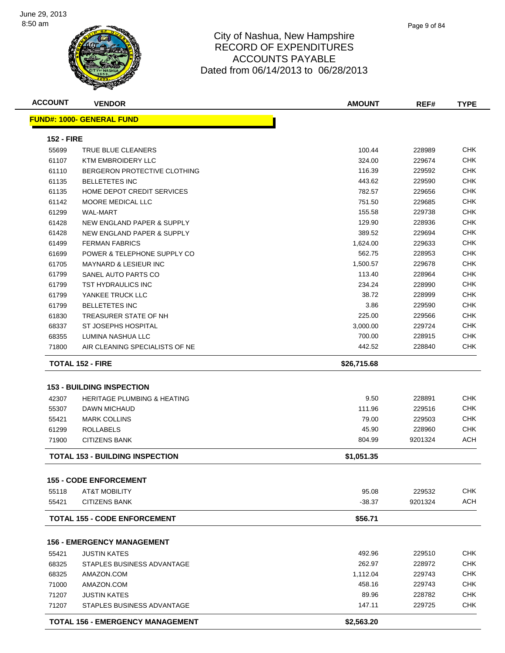

| <b>ACCOUNT</b>    | <b>VENDOR</b>                                                              | <b>AMOUNT</b> | REF#    | <b>TYPE</b> |
|-------------------|----------------------------------------------------------------------------|---------------|---------|-------------|
|                   | <b>FUND#: 1000- GENERAL FUND</b>                                           |               |         |             |
| <b>152 - FIRE</b> |                                                                            |               |         |             |
| 55699             | TRUE BLUE CLEANERS                                                         | 100.44        | 228989  | <b>CHK</b>  |
| 61107             | <b>KTM EMBROIDERY LLC</b>                                                  | 324.00        | 229674  | <b>CHK</b>  |
| 61110             | BERGERON PROTECTIVE CLOTHING                                               | 116.39        | 229592  | <b>CHK</b>  |
| 61135             | <b>BELLETETES INC</b>                                                      | 443.62        | 229590  | <b>CHK</b>  |
| 61135             | HOME DEPOT CREDIT SERVICES                                                 | 782.57        | 229656  | <b>CHK</b>  |
| 61142             | MOORE MEDICAL LLC                                                          | 751.50        | 229685  | <b>CHK</b>  |
| 61299             | <b>WAL-MART</b>                                                            | 155.58        | 229738  | CHK         |
| 61428             | NEW ENGLAND PAPER & SUPPLY                                                 | 129.90        | 228936  | <b>CHK</b>  |
| 61428             | NEW ENGLAND PAPER & SUPPLY                                                 | 389.52        | 229694  | CHK         |
| 61499             | <b>FERMAN FABRICS</b>                                                      | 1,624.00      | 229633  | CHK         |
| 61699             | POWER & TELEPHONE SUPPLY CO                                                | 562.75        | 228953  | CHK         |
| 61705             | <b>MAYNARD &amp; LESIEUR INC</b>                                           | 1,500.57      | 229678  | <b>CHK</b>  |
| 61799             | SANEL AUTO PARTS CO                                                        | 113.40        | 228964  | <b>CHK</b>  |
| 61799             | TST HYDRAULICS INC                                                         | 234.24        | 228990  | CHK         |
| 61799             | YANKEE TRUCK LLC                                                           | 38.72         | 228999  | CHK         |
| 61799             | <b>BELLETETES INC</b>                                                      | 3.86          | 229590  | CHK         |
| 61830             | TREASURER STATE OF NH                                                      | 225.00        | 229566  | CHK         |
| 68337             | <b>ST JOSEPHS HOSPITAL</b>                                                 | 3,000.00      | 229724  | <b>CHK</b>  |
| 68355             | LUMINA NASHUA LLC                                                          | 700.00        | 228915  | CHK         |
| 71800             | AIR CLEANING SPECIALISTS OF NE                                             | 442.52        | 228840  | CHK         |
|                   | <b>TOTAL 152 - FIRE</b>                                                    | \$26,715.68   |         |             |
|                   |                                                                            |               |         |             |
| 42307             | <b>153 - BUILDING INSPECTION</b><br><b>HERITAGE PLUMBING &amp; HEATING</b> | 9.50          | 228891  | CHK         |
| 55307             |                                                                            | 111.96        | 229516  | <b>CHK</b>  |
|                   | DAWN MICHAUD<br><b>MARK COLLINS</b>                                        | 79.00         | 229503  | <b>CHK</b>  |
| 55421             | <b>ROLLABELS</b>                                                           | 45.90         | 228960  | <b>CHK</b>  |
| 61299<br>71900    | <b>CITIZENS BANK</b>                                                       | 804.99        | 9201324 | <b>ACH</b>  |
|                   |                                                                            |               |         |             |
|                   | <b>TOTAL 153 - BUILDING INSPECTION</b>                                     | \$1,051.35    |         |             |
|                   | <b>155 - CODE ENFORCEMENT</b>                                              |               |         |             |
| 55118             | <b>AT&amp;T MOBILITY</b>                                                   | 95.08         | 229532  | <b>CHK</b>  |
| 55421             | <b>CITIZENS BANK</b>                                                       | $-38.37$      | 9201324 | ACH         |
|                   | <b>TOTAL 155 - CODE ENFORCEMENT</b>                                        | \$56.71       |         |             |
|                   | <b>156 - EMERGENCY MANAGEMENT</b>                                          |               |         |             |
| 55421             | <b>JUSTIN KATES</b>                                                        | 492.96        | 229510  | <b>CHK</b>  |
| 68325             | STAPLES BUSINESS ADVANTAGE                                                 | 262.97        | 228972  | <b>CHK</b>  |
| 68325             | AMAZON.COM                                                                 | 1,112.04      | 229743  | <b>CHK</b>  |
| 71000             | AMAZON.COM                                                                 | 458.16        | 229743  | CHK         |
| 71207             | <b>JUSTIN KATES</b>                                                        | 89.96         | 228782  | <b>CHK</b>  |
| 71207             | STAPLES BUSINESS ADVANTAGE                                                 | 147.11        | 229725  | <b>CHK</b>  |
|                   |                                                                            |               |         |             |
|                   | <b>TOTAL 156 - EMERGENCY MANAGEMENT</b>                                    | \$2,563.20    |         |             |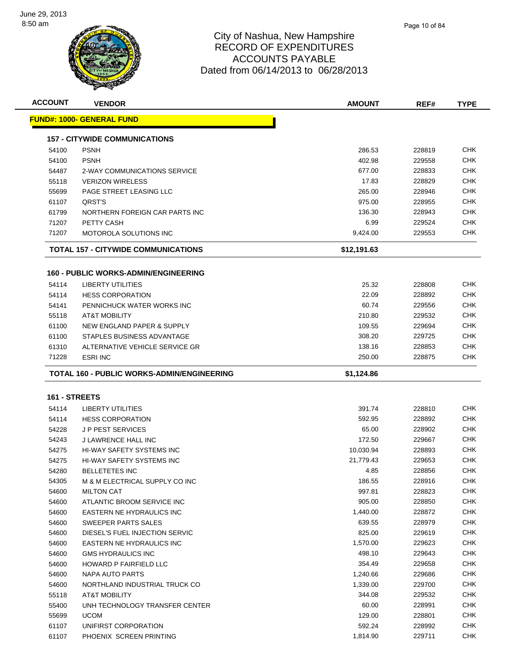

| <b>ACCOUNT</b> | <b>VENDOR</b>                               | <b>AMOUNT</b> | REF#   | <b>TYPE</b>                                                                                                                                                                                                                                                                   |
|----------------|---------------------------------------------|---------------|--------|-------------------------------------------------------------------------------------------------------------------------------------------------------------------------------------------------------------------------------------------------------------------------------|
|                | <u> FUND#: 1000- GENERAL FUND</u>           |               |        |                                                                                                                                                                                                                                                                               |
|                | <b>157 - CITYWIDE COMMUNICATIONS</b>        |               |        |                                                                                                                                                                                                                                                                               |
| 54100          | <b>PSNH</b>                                 | 286.53        | 228819 | CHK                                                                                                                                                                                                                                                                           |
| 54100          | <b>PSNH</b>                                 | 402.98        | 229558 | CHK                                                                                                                                                                                                                                                                           |
| 54487          | 2-WAY COMMUNICATIONS SERVICE                | 677.00        | 228833 | CHK                                                                                                                                                                                                                                                                           |
| 55118          | <b>VERIZON WIRELESS</b>                     | 17.83         | 228829 | CHK                                                                                                                                                                                                                                                                           |
| 55699          | PAGE STREET LEASING LLC                     | 265.00        | 228946 | CHK                                                                                                                                                                                                                                                                           |
| 61107          | QRST'S                                      | 975.00        | 228955 | CHK                                                                                                                                                                                                                                                                           |
| 61799          | NORTHERN FOREIGN CAR PARTS INC              | 136.30        | 228943 | CHK                                                                                                                                                                                                                                                                           |
| 71207          | PETTY CASH                                  | 6.99          | 229524 | CHK                                                                                                                                                                                                                                                                           |
| 71207          | <b>MOTOROLA SOLUTIONS INC</b>               | 9,424.00      | 229553 | CHK                                                                                                                                                                                                                                                                           |
|                | TOTAL 157 - CITYWIDE COMMUNICATIONS         | \$12,191.63   |        |                                                                                                                                                                                                                                                                               |
|                | <b>160 - PUBLIC WORKS-ADMIN/ENGINEERING</b> |               |        |                                                                                                                                                                                                                                                                               |
| 54114          | <b>LIBERTY UTILITIES</b>                    | 25.32         | 228808 | CHK                                                                                                                                                                                                                                                                           |
| 54114          | <b>HESS CORPORATION</b>                     | 22.09         | 228892 | <b>CHK</b>                                                                                                                                                                                                                                                                    |
| 54141          | PENNICHUCK WATER WORKS INC                  | 60.74         | 229556 | CHK                                                                                                                                                                                                                                                                           |
| 55118          | <b>AT&amp;T MOBILITY</b>                    | 210.80        | 229532 | CHK                                                                                                                                                                                                                                                                           |
| 61100          | NEW ENGLAND PAPER & SUPPLY                  | 109.55        | 229694 | CHK                                                                                                                                                                                                                                                                           |
| 61100          | STAPLES BUSINESS ADVANTAGE                  | 308.20        | 229725 | CHK                                                                                                                                                                                                                                                                           |
|                | ALTERNATIVE VEHICLE SERVICE GR              | 138.16        | 228853 | CHK                                                                                                                                                                                                                                                                           |
| 61310          |                                             |               |        |                                                                                                                                                                                                                                                                               |
| 71228          | <b>ESRI INC</b>                             | 250.00        | 228875 |                                                                                                                                                                                                                                                                               |
|                |                                             |               |        | CHK                                                                                                                                                                                                                                                                           |
|                | TOTAL 160 - PUBLIC WORKS-ADMIN/ENGINEERING  | \$1,124.86    |        |                                                                                                                                                                                                                                                                               |
| 161 - STREETS  |                                             |               |        |                                                                                                                                                                                                                                                                               |
| 54114          | <b>LIBERTY UTILITIES</b>                    | 391.74        | 228810 |                                                                                                                                                                                                                                                                               |
| 54114          | <b>HESS CORPORATION</b>                     | 592.95        | 228892 |                                                                                                                                                                                                                                                                               |
| 54228          | <b>JP PEST SERVICES</b>                     | 65.00         | 228902 |                                                                                                                                                                                                                                                                               |
| 54243          | J LAWRENCE HALL INC                         | 172.50        | 229667 |                                                                                                                                                                                                                                                                               |
| 54275          | HI-WAY SAFETY SYSTEMS INC                   | 10,030.94     | 228893 |                                                                                                                                                                                                                                                                               |
| 54275          | HI-WAY SAFETY SYSTEMS INC                   | 21,779.43     | 229653 |                                                                                                                                                                                                                                                                               |
| 54280          | BELLETETES INC                              | 4.85          | 228856 |                                                                                                                                                                                                                                                                               |
| 54305          | M & M ELECTRICAL SUPPLY CO INC              | 186.55        | 228916 |                                                                                                                                                                                                                                                                               |
| 54600          | <b>MILTON CAT</b>                           | 997.81        | 228823 |                                                                                                                                                                                                                                                                               |
| 54600          | ATLANTIC BROOM SERVICE INC                  | 905.00        | 228850 |                                                                                                                                                                                                                                                                               |
| 54600          | EASTERN NE HYDRAULICS INC                   | 1,440.00      | 228872 |                                                                                                                                                                                                                                                                               |
| 54600          | SWEEPER PARTS SALES                         | 639.55        | 228979 |                                                                                                                                                                                                                                                                               |
| 54600          | DIESEL'S FUEL INJECTION SERVIC              | 825.00        | 229619 |                                                                                                                                                                                                                                                                               |
| 54600          | EASTERN NE HYDRAULICS INC                   | 1,570.00      | 229623 |                                                                                                                                                                                                                                                                               |
| 54600          | <b>GMS HYDRAULICS INC</b>                   | 498.10        | 229643 |                                                                                                                                                                                                                                                                               |
| 54600          | HOWARD P FAIRFIELD LLC                      | 354.49        | 229658 |                                                                                                                                                                                                                                                                               |
| 54600          | NAPA AUTO PARTS                             | 1,240.66      | 229686 |                                                                                                                                                                                                                                                                               |
| 54600          | NORTHLAND INDUSTRIAL TRUCK CO               | 1,339.00      | 229700 |                                                                                                                                                                                                                                                                               |
| 55118          | AT&T MOBILITY                               | 344.08        | 229532 |                                                                                                                                                                                                                                                                               |
| 55400          | UNH TECHNOLOGY TRANSFER CENTER              | 60.00         | 228991 |                                                                                                                                                                                                                                                                               |
| 55699          | <b>UCOM</b>                                 | 129.00        | 228801 |                                                                                                                                                                                                                                                                               |
| 61107          | UNIFIRST CORPORATION                        | 592.24        | 228992 | <b>CHK</b><br>CHK<br>CHK<br><b>CHK</b><br>CHK<br>CHK<br>CHK<br><b>CHK</b><br><b>CHK</b><br><b>CHK</b><br><b>CHK</b><br><b>CHK</b><br><b>CHK</b><br><b>CHK</b><br><b>CHK</b><br><b>CHK</b><br><b>CHK</b><br><b>CHK</b><br><b>CHK</b><br><b>CHK</b><br><b>CHK</b><br><b>CHK</b> |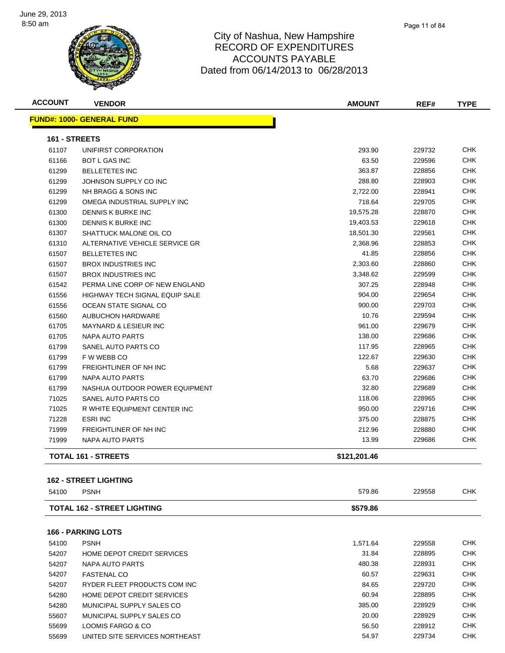

| <b>ACCOUNT</b> | <b>VENDOR</b>                         | <b>AMOUNT</b> | REF#   | <b>TYPE</b> |
|----------------|---------------------------------------|---------------|--------|-------------|
|                | <b>FUND#: 1000- GENERAL FUND</b>      |               |        |             |
| 161 - STREETS  |                                       |               |        |             |
| 61107          | UNIFIRST CORPORATION                  | 293.90        | 229732 | CHK         |
| 61166          | <b>BOT L GAS INC</b>                  | 63.50         | 229596 | <b>CHK</b>  |
| 61299          | <b>BELLETETES INC</b>                 | 363.87        | 228856 | CHK         |
| 61299          | JOHNSON SUPPLY CO INC                 | 288.80        | 228903 | CHK         |
| 61299          | NH BRAGG & SONS INC                   | 2,722.00      | 228941 | <b>CHK</b>  |
| 61299          | OMEGA INDUSTRIAL SUPPLY INC           | 718.64        | 229705 | CHK         |
| 61300          | DENNIS K BURKE INC                    | 19,575.28     | 228870 | CHK         |
| 61300          | DENNIS K BURKE INC                    | 19,403.53     | 229618 | <b>CHK</b>  |
| 61307          | SHATTUCK MALONE OIL CO                | 18,501.30     | 229561 | CHK         |
| 61310          | ALTERNATIVE VEHICLE SERVICE GR        | 2,368.96      | 228853 | <b>CHK</b>  |
| 61507          | <b>BELLETETES INC</b>                 | 41.85         | 228856 | CHK         |
| 61507          | <b>BROX INDUSTRIES INC</b>            | 2,303.60      | 228860 | CHK         |
| 61507          | <b>BROX INDUSTRIES INC</b>            | 3,348.62      | 229599 | <b>CHK</b>  |
| 61542          | PERMA LINE CORP OF NEW ENGLAND        | 307.25        | 228948 | CHK         |
| 61556          | <b>HIGHWAY TECH SIGNAL EQUIP SALE</b> | 904.00        | 229654 | CHK         |
| 61556          | OCEAN STATE SIGNAL CO                 | 900.00        | 229703 | <b>CHK</b>  |
| 61560          | <b>AUBUCHON HARDWARE</b>              | 10.76         | 229594 | <b>CHK</b>  |
| 61705          | <b>MAYNARD &amp; LESIEUR INC</b>      | 961.00        | 229679 | CHK         |
| 61705          | <b>NAPA AUTO PARTS</b>                | 138.00        | 229686 | <b>CHK</b>  |
| 61799          | SANEL AUTO PARTS CO                   | 117.95        | 228965 | CHK         |
| 61799          | F W WEBB CO                           | 122.67        | 229630 | <b>CHK</b>  |
| 61799          | FREIGHTLINER OF NH INC                | 5.68          | 229637 | CHK         |
| 61799          | NAPA AUTO PARTS                       | 63.70         | 229686 | CHK         |
| 61799          | NASHUA OUTDOOR POWER EQUIPMENT        | 32.80         | 229689 | CHK         |
| 71025          | SANEL AUTO PARTS CO                   | 118.06        | 228965 | <b>CHK</b>  |
| 71025          | R WHITE EQUIPMENT CENTER INC          | 950.00        | 229716 | <b>CHK</b>  |
| 71228          | <b>ESRI INC</b>                       | 375.00        | 228875 | <b>CHK</b>  |
| 71999          | FREIGHTLINER OF NH INC                | 212.96        | 228880 | <b>CHK</b>  |
| 71999          | <b>NAPA AUTO PARTS</b>                | 13.99         | 229686 | <b>CHK</b>  |
|                | <b>TOTAL 161 - STREETS</b>            | \$121,201.46  |        |             |

#### **162 - STREET LIGHTING**

| \$579.86<br><b>TOTAL 162 - STREET LIGHTING</b>                |            |
|---------------------------------------------------------------|------------|
| <b>166 - PARKING LOTS</b>                                     |            |
| 1,571.64<br>229558<br><b>PSNH</b><br>54100                    | CHK.       |
| <b>HOME DEPOT CREDIT SERVICES</b><br>31.84<br>228895<br>54207 | <b>CHK</b> |
| 480.38<br>228931<br>54207<br>NAPA AUTO PARTS                  | <b>CHK</b> |
| 60.57<br>229631<br>54207<br><b>FASTENAL CO</b>                | <b>CHK</b> |
| 84.65<br>229720<br>RYDER FLEET PRODUCTS COM INC<br>54207      | <b>CHK</b> |
| 54280<br><b>HOME DEPOT CREDIT SERVICES</b><br>60.94<br>228895 | <b>CHK</b> |
| 385.00<br>228929<br>54280<br>MUNICIPAL SUPPLY SALES CO        | <b>CHK</b> |
| MUNICIPAL SUPPLY SALES CO<br>55607<br>20.00<br>228929         | <b>CHK</b> |
| 56.50<br>228912<br>LOOMIS FARGO & CO<br>55699                 | <b>CHK</b> |
| 54.97<br>UNITED SITE SERVICES NORTHEAST<br>229734<br>55699    | <b>CHK</b> |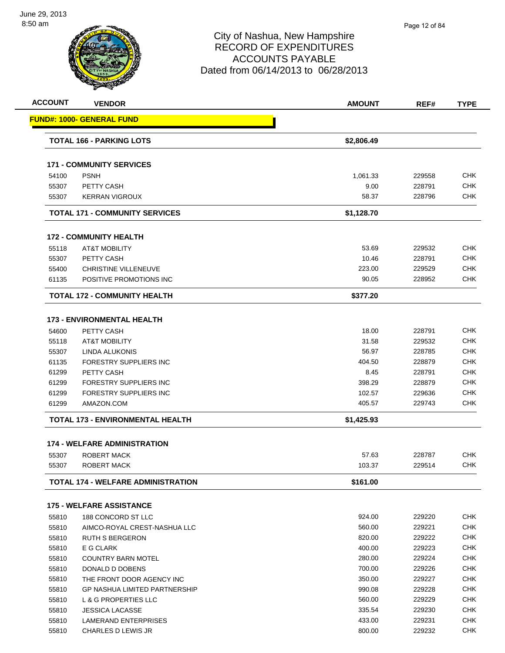| <b>ACCOUNT</b> | <b>VENDOR</b>                                   | <b>AMOUNT</b> | REF#   | <b>TYPE</b>              |
|----------------|-------------------------------------------------|---------------|--------|--------------------------|
|                | <b>FUND#: 1000- GENERAL FUND</b>                |               |        |                          |
|                | <b>TOTAL 166 - PARKING LOTS</b>                 | \$2,806.49    |        |                          |
|                | <b>171 - COMMUNITY SERVICES</b>                 |               |        |                          |
| 54100          | <b>PSNH</b>                                     | 1,061.33      | 229558 | <b>CHK</b>               |
| 55307          | PETTY CASH                                      | 9.00          | 228791 | CHK                      |
| 55307          | <b>KERRAN VIGROUX</b>                           | 58.37         | 228796 | <b>CHK</b>               |
|                | <b>TOTAL 171 - COMMUNITY SERVICES</b>           | \$1,128.70    |        |                          |
|                | <b>172 - COMMUNITY HEALTH</b>                   |               |        |                          |
| 55118          | <b>AT&amp;T MOBILITY</b>                        | 53.69         | 229532 | <b>CHK</b>               |
| 55307          | PETTY CASH                                      | 10.46         | 228791 | <b>CHK</b>               |
| 55400          | <b>CHRISTINE VILLENEUVE</b>                     | 223.00        | 229529 | CHK                      |
| 61135          | POSITIVE PROMOTIONS INC                         | 90.05         | 228952 | <b>CHK</b>               |
|                | <b>TOTAL 172 - COMMUNITY HEALTH</b>             | \$377.20      |        |                          |
|                |                                                 |               |        |                          |
|                | <b>173 - ENVIRONMENTAL HEALTH</b><br>PETTY CASH |               |        | <b>CHK</b>               |
| 54600          |                                                 | 18.00         | 228791 | <b>CHK</b>               |
| 55118          | <b>AT&amp;T MOBILITY</b>                        | 31.58         | 229532 |                          |
| 55307          | LINDA ALUKONIS                                  | 56.97         | 228785 | <b>CHK</b>               |
| 61135          | FORESTRY SUPPLIERS INC                          | 404.50        | 228879 | CHK                      |
| 61299          | <b>PETTY CASH</b>                               | 8.45          | 228791 | <b>CHK</b>               |
| 61299          | FORESTRY SUPPLIERS INC                          | 398.29        | 228879 | <b>CHK</b>               |
| 61299          | FORESTRY SUPPLIERS INC                          | 102.57        | 229636 | <b>CHK</b><br><b>CHK</b> |
| 61299          | AMAZON.COM                                      | 405.57        | 229743 |                          |
|                | <b>TOTAL 173 - ENVIRONMENTAL HEALTH</b>         | \$1,425.93    |        |                          |
|                | <b>174 - WELFARE ADMINISTRATION</b>             |               |        |                          |
| 55307          | ROBERT MACK                                     | 57.63         | 228787 | <b>CHK</b>               |
| 55307          | <b>ROBERT MACK</b>                              | 103.37        | 229514 | <b>CHK</b>               |
|                | <b>TOTAL 174 - WELFARE ADMINISTRATION</b>       | \$161.00      |        |                          |
|                | <b>175 - WELFARE ASSISTANCE</b>                 |               |        |                          |
| 55810          | 188 CONCORD ST LLC                              | 924.00        | 229220 | <b>CHK</b>               |
| 55810          | AIMCO-ROYAL CREST-NASHUA LLC                    | 560.00        | 229221 | <b>CHK</b>               |
| 55810          | <b>RUTH S BERGERON</b>                          | 820.00        | 229222 | <b>CHK</b>               |
| 55810          | E G CLARK                                       | 400.00        | 229223 | <b>CHK</b>               |
| 55810          | <b>COUNTRY BARN MOTEL</b>                       | 280.00        | 229224 | <b>CHK</b>               |
| 55810          | DONALD D DOBENS                                 | 700.00        | 229226 | <b>CHK</b>               |
| 55810          | THE FRONT DOOR AGENCY INC                       | 350.00        | 229227 | <b>CHK</b>               |
| 55810          | <b>GP NASHUA LIMITED PARTNERSHIP</b>            | 990.08        | 229228 | <b>CHK</b>               |
| 55810          | L & G PROPERTIES LLC                            | 560.00        | 229229 | <b>CHK</b>               |
| 55810          | <b>JESSICA LACASSE</b>                          | 335.54        | 229230 | <b>CHK</b>               |
| 55810          | LAMERAND ENTERPRISES                            | 433.00        | 229231 | <b>CHK</b>               |

55810 CHARLES D LEWIS JR 800.00 229232 CHK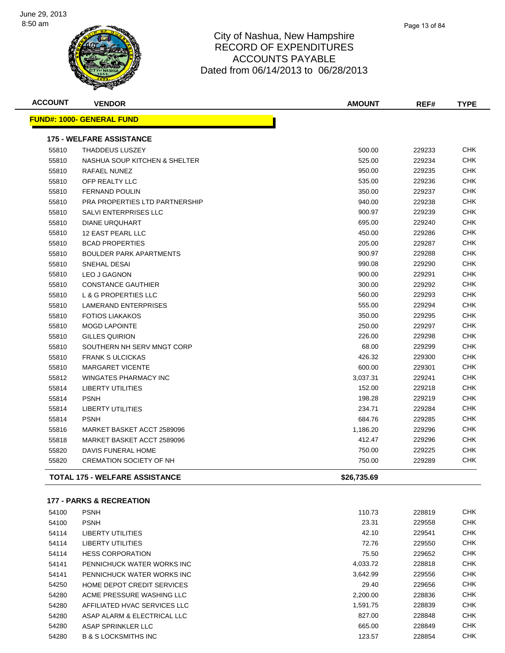

| <b>ACCOUNT</b> | <b>VENDOR</b>                     | AMOUNT      | REF#   | <b>TYPE</b> |
|----------------|-----------------------------------|-------------|--------|-------------|
|                | <u> FUND#: 1000- GENERAL FUND</u> |             |        |             |
|                | <b>175 - WELFARE ASSISTANCE</b>   |             |        |             |
| 55810          | <b>THADDEUS LUSZEY</b>            | 500.00      | 229233 | <b>CHK</b>  |
| 55810          | NASHUA SOUP KITCHEN & SHELTER     | 525.00      | 229234 | <b>CHK</b>  |
| 55810          | RAFAEL NUNEZ                      | 950.00      | 229235 | CHK         |
| 55810          | OFP REALTY LLC                    | 535.00      | 229236 | CHK         |
| 55810          | <b>FERNAND POULIN</b>             | 350.00      | 229237 | CHK         |
| 55810          | PRA PROPERTIES LTD PARTNERSHIP    | 940.00      | 229238 | CHK         |
| 55810          | <b>SALVI ENTERPRISES LLC</b>      | 900.97      | 229239 | CHK         |
| 55810          | <b>DIANE URQUHART</b>             | 695.00      | 229240 | CHK         |
| 55810          | 12 EAST PEARL LLC                 | 450.00      | 229286 | CHK         |
| 55810          | <b>BCAD PROPERTIES</b>            | 205.00      | 229287 | <b>CHK</b>  |
| 55810          | <b>BOULDER PARK APARTMENTS</b>    | 900.97      | 229288 | <b>CHK</b>  |
| 55810          | SNEHAL DESAI                      | 990.08      | 229290 | <b>CHK</b>  |
| 55810          | <b>LEO J GAGNON</b>               | 900.00      | 229291 | <b>CHK</b>  |
| 55810          | <b>CONSTANCE GAUTHIER</b>         | 300.00      | 229292 | <b>CHK</b>  |
| 55810          | <b>L &amp; G PROPERTIES LLC</b>   | 560.00      | 229293 | <b>CHK</b>  |
| 55810          | <b>LAMERAND ENTERPRISES</b>       | 555.00      | 229294 | <b>CHK</b>  |
| 55810          | <b>FOTIOS LIAKAKOS</b>            | 350.00      | 229295 | <b>CHK</b>  |
| 55810          | <b>MOGD LAPOINTE</b>              | 250.00      | 229297 | <b>CHK</b>  |
| 55810          | <b>GILLES QUIRION</b>             | 226.00      | 229298 | <b>CHK</b>  |
| 55810          | SOUTHERN NH SERV MNGT CORP        | 68.00       | 229299 | <b>CHK</b>  |
| 55810          | <b>FRANK S ULCICKAS</b>           | 426.32      | 229300 | CHK         |
| 55810          | <b>MARGARET VICENTE</b>           | 600.00      | 229301 | CHK         |
| 55812          | <b>WINGATES PHARMACY INC</b>      | 3,037.31    | 229241 | <b>CHK</b>  |
| 55814          | <b>LIBERTY UTILITIES</b>          | 152.00      | 229218 | <b>CHK</b>  |
| 55814          | <b>PSNH</b>                       | 198.28      | 229219 | <b>CHK</b>  |
| 55814          | <b>LIBERTY UTILITIES</b>          | 234.71      | 229284 | <b>CHK</b>  |
| 55814          | <b>PSNH</b>                       | 684.76      | 229285 | <b>CHK</b>  |
| 55816          | MARKET BASKET ACCT 2589096        | 1,186.20    | 229296 | <b>CHK</b>  |
| 55818          | MARKET BASKET ACCT 2589096        | 412.47      | 229296 | <b>CHK</b>  |
| 55820          | DAVIS FUNERAL HOME                | 750.00      | 229225 | <b>CHK</b>  |
| 55820          | <b>CREMATION SOCIETY OF NH</b>    | 750.00      | 229289 | <b>CHK</b>  |
|                | TOTAL 175 - WELFARE ASSISTANCE    | \$26.735.69 |        |             |

#### **177 - PARKS & RECREATION**

| 54100 | <b>PSNH</b>                       | 110.73   | 228819 | <b>CHK</b> |
|-------|-----------------------------------|----------|--------|------------|
| 54100 | <b>PSNH</b>                       | 23.31    | 229558 | <b>CHK</b> |
| 54114 | LIBERTY UTILITIES                 | 42.10    | 229541 | <b>CHK</b> |
| 54114 | LIBERTY UTILITIES                 | 72.76    | 229550 | <b>CHK</b> |
| 54114 | <b>HESS CORPORATION</b>           | 75.50    | 229652 | <b>CHK</b> |
| 54141 | PENNICHUCK WATER WORKS INC        | 4,033.72 | 228818 | <b>CHK</b> |
| 54141 | PENNICHUCK WATER WORKS INC        | 3,642.99 | 229556 | <b>CHK</b> |
| 54250 | <b>HOME DEPOT CREDIT SERVICES</b> | 29.40    | 229656 | <b>CHK</b> |
| 54280 | ACME PRESSURE WASHING LLC         | 2.200.00 | 228836 | <b>CHK</b> |
| 54280 | AFFILIATED HVAC SERVICES LLC      | 1.591.75 | 228839 | <b>CHK</b> |
| 54280 | ASAP ALARM & ELECTRICAL LLC       | 827.00   | 228848 | <b>CHK</b> |
| 54280 | ASAP SPRINKLER LLC                | 665.00   | 228849 | <b>CHK</b> |
| 54280 | <b>B &amp; S LOCKSMITHS INC</b>   | 123.57   | 228854 | <b>CHK</b> |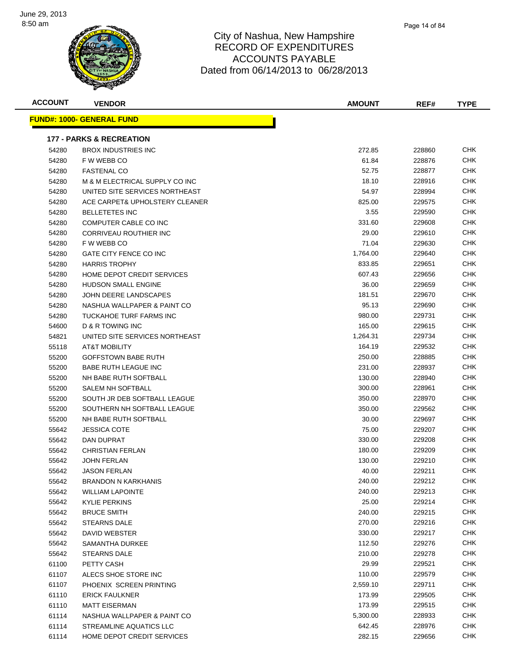

| <b>ACCOUNT</b> | <b>VENDOR</b>                       | <b>AMOUNT</b> | REF#   | <b>TYPE</b> |
|----------------|-------------------------------------|---------------|--------|-------------|
|                | <u> FUND#: 1000- GENERAL FUND</u>   |               |        |             |
|                |                                     |               |        |             |
|                | <b>177 - PARKS &amp; RECREATION</b> |               |        |             |
| 54280          | <b>BROX INDUSTRIES INC</b>          | 272.85        | 228860 | CHK         |
| 54280          | F W WEBB CO                         | 61.84         | 228876 | CHK         |
| 54280          | <b>FASTENAL CO</b>                  | 52.75         | 228877 | <b>CHK</b>  |
| 54280          | M & M ELECTRICAL SUPPLY CO INC      | 18.10         | 228916 | CHK         |
| 54280          | UNITED SITE SERVICES NORTHEAST      | 54.97         | 228994 | CHK         |
| 54280          | ACE CARPET& UPHOLSTERY CLEANER      | 825.00        | 229575 | CHK         |
| 54280          | <b>BELLETETES INC</b>               | 3.55          | 229590 | CHK         |
| 54280          | COMPUTER CABLE CO INC               | 331.60        | 229608 | CHK         |
| 54280          | CORRIVEAU ROUTHIER INC              | 29.00         | 229610 | CHK         |
| 54280          | F W WEBB CO                         | 71.04         | 229630 | <b>CHK</b>  |
| 54280          | GATE CITY FENCE CO INC              | 1,764.00      | 229640 | <b>CHK</b>  |
| 54280          | <b>HARRIS TROPHY</b>                | 833.85        | 229651 | CHK         |
| 54280          | HOME DEPOT CREDIT SERVICES          | 607.43        | 229656 | CHK         |
| 54280          | <b>HUDSON SMALL ENGINE</b>          | 36.00         | 229659 | CHK         |
| 54280          | JOHN DEERE LANDSCAPES               | 181.51        | 229670 | CHK         |
| 54280          | NASHUA WALLPAPER & PAINT CO         | 95.13         | 229690 | CHK         |
| 54280          | TUCKAHOE TURF FARMS INC             | 980.00        | 229731 | CHK         |
| 54600          | D & R TOWING INC                    | 165.00        | 229615 | CHK         |
| 54821          | UNITED SITE SERVICES NORTHEAST      | 1,264.31      | 229734 | CHK         |
| 55118          | <b>AT&amp;T MOBILITY</b>            | 164.19        | 229532 | <b>CHK</b>  |
| 55200          | <b>GOFFSTOWN BABE RUTH</b>          | 250.00        | 228885 | CHK         |
| 55200          | <b>BABE RUTH LEAGUE INC</b>         | 231.00        | 228937 | <b>CHK</b>  |
| 55200          | NH BABE RUTH SOFTBALL               | 130.00        | 228940 | CHK         |
| 55200          | SALEM NH SOFTBALL                   | 300.00        | 228961 | CHK         |
| 55200          | SOUTH JR DEB SOFTBALL LEAGUE        | 350.00        | 228970 | CHK         |
| 55200          | SOUTHERN NH SOFTBALL LEAGUE         | 350.00        | 229562 | CHK         |
| 55200          | NH BABE RUTH SOFTBALL               | 30.00         | 229697 | <b>CHK</b>  |
| 55642          | <b>JESSICA COTE</b>                 | 75.00         | 229207 | CHK         |
| 55642          | DAN DUPRAT                          | 330.00        | 229208 | CHK         |
| 55642          | <b>CHRISTIAN FERLAN</b>             | 180.00        | 229209 | <b>CHK</b>  |
| 55642          | JOHN FERLAN                         | 130.00        | 229210 | CHK         |
| 55642          | <b>JASON FERLAN</b>                 | 40.00         | 229211 | CHK         |
| 55642          | <b>BRANDON N KARKHANIS</b>          | 240.00        | 229212 | <b>CHK</b>  |
| 55642          | <b>WILLIAM LAPOINTE</b>             | 240.00        | 229213 | <b>CHK</b>  |
| 55642          | <b>KYLIE PERKINS</b>                | 25.00         | 229214 | <b>CHK</b>  |
| 55642          | <b>BRUCE SMITH</b>                  | 240.00        | 229215 | <b>CHK</b>  |
| 55642          | <b>STEARNS DALE</b>                 | 270.00        | 229216 | <b>CHK</b>  |
| 55642          | DAVID WEBSTER                       | 330.00        | 229217 | <b>CHK</b>  |
| 55642          | SAMANTHA DURKEE                     | 112.50        | 229276 | <b>CHK</b>  |
| 55642          | <b>STEARNS DALE</b>                 | 210.00        | 229278 | <b>CHK</b>  |
| 61100          | PETTY CASH                          | 29.99         | 229521 | <b>CHK</b>  |
| 61107          | ALECS SHOE STORE INC                | 110.00        | 229579 | CHK         |
| 61107          | PHOENIX SCREEN PRINTING             | 2,559.10      | 229711 | <b>CHK</b>  |
| 61110          | <b>ERICK FAULKNER</b>               | 173.99        | 229505 | <b>CHK</b>  |
| 61110          | <b>MATT EISERMAN</b>                | 173.99        | 229515 | <b>CHK</b>  |
| 61114          | NASHUA WALLPAPER & PAINT CO         | 5,300.00      | 228933 | <b>CHK</b>  |
| 61114          | STREAMLINE AQUATICS LLC             | 642.45        | 228976 | <b>CHK</b>  |
| 61114          | HOME DEPOT CREDIT SERVICES          | 282.15        | 229656 | <b>CHK</b>  |
|                |                                     |               |        |             |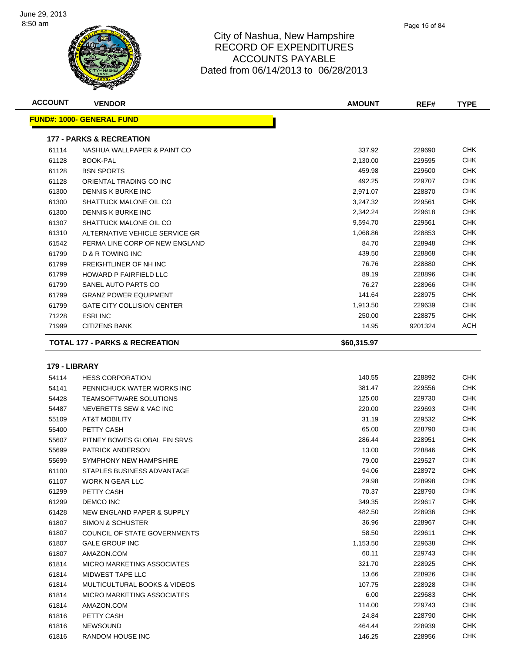

| <b>ACCOUNT</b> | <b>VENDOR</b>                             | <b>AMOUNT</b> | REF#    | <b>TYPE</b> |
|----------------|-------------------------------------------|---------------|---------|-------------|
|                | <b>FUND#: 1000- GENERAL FUND</b>          |               |         |             |
|                | <b>177 - PARKS &amp; RECREATION</b>       |               |         |             |
| 61114          | NASHUA WALLPAPER & PAINT CO               | 337.92        | 229690  | <b>CHK</b>  |
| 61128          | <b>BOOK-PAL</b>                           | 2,130.00      | 229595  | <b>CHK</b>  |
| 61128          | <b>BSN SPORTS</b>                         | 459.98        | 229600  | <b>CHK</b>  |
| 61128          | ORIENTAL TRADING CO INC                   | 492.25        | 229707  | <b>CHK</b>  |
| 61300          | DENNIS K BURKE INC                        | 2,971.07      | 228870  | <b>CHK</b>  |
| 61300          | SHATTUCK MALONE OIL CO                    | 3,247.32      | 229561  | <b>CHK</b>  |
| 61300          | DENNIS K BURKE INC                        | 2,342.24      | 229618  | <b>CHK</b>  |
| 61307          | SHATTUCK MALONE OIL CO                    | 9,594.70      | 229561  | <b>CHK</b>  |
| 61310          | ALTERNATIVE VEHICLE SERVICE GR            | 1,068.86      | 228853  | <b>CHK</b>  |
| 61542          | PERMA LINE CORP OF NEW ENGLAND            | 84.70         | 228948  | <b>CHK</b>  |
| 61799          | D & R TOWING INC                          | 439.50        | 228868  | <b>CHK</b>  |
| 61799          | <b>FREIGHTLINER OF NH INC</b>             | 76.76         | 228880  | <b>CHK</b>  |
| 61799          | <b>HOWARD P FAIRFIELD LLC</b>             | 89.19         | 228896  | <b>CHK</b>  |
| 61799          | SANEL AUTO PARTS CO                       | 76.27         | 228966  | <b>CHK</b>  |
| 61799          | <b>GRANZ POWER EQUIPMENT</b>              | 141.64        | 228975  | <b>CHK</b>  |
| 61799          | <b>GATE CITY COLLISION CENTER</b>         | 1,913.50      | 229639  | <b>CHK</b>  |
| 71228          | <b>ESRI INC</b>                           | 250.00        | 228875  | <b>CHK</b>  |
| 71999          | <b>CITIZENS BANK</b>                      | 14.95         | 9201324 | ACH         |
|                | <b>TOTAL 177 - PARKS &amp; RECREATION</b> | \$60,315.97   |         |             |
| 179 - LIBRARY  |                                           |               |         |             |
| 54114          | <b>HESS CORPORATION</b>                   | 140.55        | 228892  | <b>CHK</b>  |

| 54114 | <b>HESS CORPORATION</b>                 | 140.55   | 228892 | <b>CHK</b> |
|-------|-----------------------------------------|----------|--------|------------|
| 54141 | PENNICHUCK WATER WORKS INC              | 381.47   | 229556 | <b>CHK</b> |
| 54428 | <b>TEAMSOFTWARE SOLUTIONS</b>           | 125.00   | 229730 | CHK        |
| 54487 | NEVERETTS SEW & VAC INC                 | 220.00   | 229693 | CHK        |
| 55109 | <b>AT&amp;T MOBILITY</b>                | 31.19    | 229532 | CHK        |
| 55400 | PETTY CASH                              | 65.00    | 228790 | <b>CHK</b> |
| 55607 | PITNEY BOWES GLOBAL FIN SRVS            | 286.44   | 228951 | CHK        |
| 55699 | <b>PATRICK ANDERSON</b>                 | 13.00    | 228846 | CHK        |
| 55699 | SYMPHONY NEW HAMPSHIRE                  | 79.00    | 229527 | CHK        |
| 61100 | STAPLES BUSINESS ADVANTAGE              | 94.06    | 228972 | <b>CHK</b> |
| 61107 | <b>WORK N GEAR LLC</b>                  | 29.98    | 228998 | <b>CHK</b> |
| 61299 | PETTY CASH                              | 70.37    | 228790 | CHK        |
| 61299 | <b>DEMCO INC</b>                        | 349.35   | 229617 | <b>CHK</b> |
| 61428 | NEW ENGLAND PAPER & SUPPLY              | 482.50   | 228936 | CHK        |
| 61807 | <b>SIMON &amp; SCHUSTER</b>             | 36.96    | 228967 | CHK        |
| 61807 | COUNCIL OF STATE GOVERNMENTS            | 58.50    | 229611 | CHK        |
| 61807 | <b>GALE GROUP INC</b>                   | 1,153.50 | 229638 | CHK        |
| 61807 | AMAZON.COM                              | 60.11    | 229743 | CHK        |
| 61814 | <b>MICRO MARKETING ASSOCIATES</b>       | 321.70   | 228925 | CHK        |
| 61814 | <b>MIDWEST TAPE LLC</b>                 | 13.66    | 228926 | CHK        |
| 61814 | <b>MULTICULTURAL BOOKS &amp; VIDEOS</b> | 107.75   | 228928 | CHK        |
| 61814 | MICRO MARKETING ASSOCIATES              | 6.00     | 229683 | CHK        |
| 61814 | AMAZON.COM                              | 114.00   | 229743 | <b>CHK</b> |
| 61816 | PETTY CASH                              | 24.84    | 228790 | <b>CHK</b> |
| 61816 | <b>NEWSOUND</b>                         | 464.44   | 228939 | CHK        |
| 61816 | <b>RANDOM HOUSE INC</b>                 | 146.25   | 228956 | CHK        |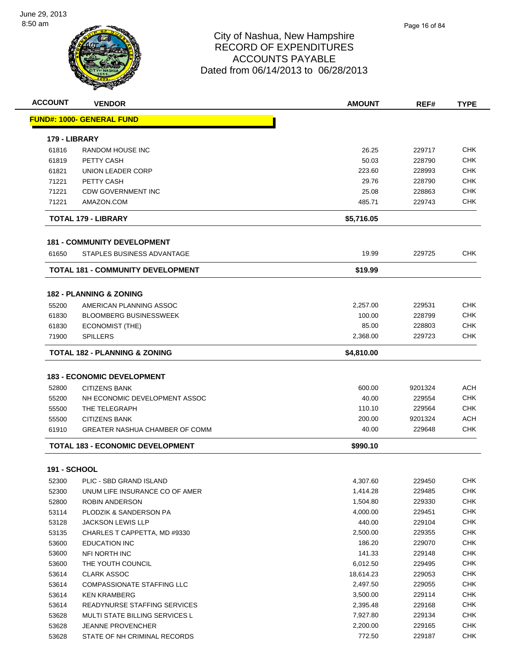

|                | <b>VENDOR</b>                                                     | <b>AMOUNT</b>        | REF#             |                                                                                                                                                                                                         |
|----------------|-------------------------------------------------------------------|----------------------|------------------|---------------------------------------------------------------------------------------------------------------------------------------------------------------------------------------------------------|
|                | <b>FUND#: 1000- GENERAL FUND</b>                                  |                      |                  |                                                                                                                                                                                                         |
| 179 - LIBRARY  |                                                                   |                      |                  |                                                                                                                                                                                                         |
| 61816          | RANDOM HOUSE INC                                                  | 26.25                | 229717           | <b>CHK</b>                                                                                                                                                                                              |
| 61819          | PETTY CASH                                                        | 50.03                | 228790           | CHK                                                                                                                                                                                                     |
| 61821          | UNION LEADER CORP                                                 | 223.60               | 228993           | CHK                                                                                                                                                                                                     |
| 71221          | PETTY CASH                                                        | 29.76                | 228790           | CHK                                                                                                                                                                                                     |
| 71221          | <b>CDW GOVERNMENT INC</b>                                         | 25.08                | 228863           | <b>CHK</b>                                                                                                                                                                                              |
| 71221          | AMAZON.COM                                                        | 485.71               | 229743           | CHK                                                                                                                                                                                                     |
|                | <b>TOTAL 179 - LIBRARY</b>                                        | \$5,716.05           |                  |                                                                                                                                                                                                         |
|                | <b>181 - COMMUNITY DEVELOPMENT</b>                                |                      |                  |                                                                                                                                                                                                         |
| 61650          | STAPLES BUSINESS ADVANTAGE                                        | 19.99                | 229725           | <b>CHK</b>                                                                                                                                                                                              |
|                | <b>TOTAL 181 - COMMUNITY DEVELOPMENT</b>                          | \$19.99              |                  |                                                                                                                                                                                                         |
|                | <b>182 - PLANNING &amp; ZONING</b>                                |                      |                  |                                                                                                                                                                                                         |
| 55200          | AMERICAN PLANNING ASSOC                                           | 2,257.00             | 229531           | CHK                                                                                                                                                                                                     |
| 61830          | <b>BLOOMBERG BUSINESSWEEK</b>                                     | 100.00               | 228799           | CHK                                                                                                                                                                                                     |
| 61830          | <b>ECONOMIST (THE)</b>                                            | 85.00                | 228803           | CHK                                                                                                                                                                                                     |
| 71900          | <b>SPILLERS</b>                                                   | 2,368.00             | 229723           | CHK                                                                                                                                                                                                     |
|                |                                                                   |                      |                  |                                                                                                                                                                                                         |
|                | TOTAL 182 - PLANNING & ZONING                                     |                      |                  |                                                                                                                                                                                                         |
|                |                                                                   | \$4,810.00           |                  |                                                                                                                                                                                                         |
|                | <b>183 - ECONOMIC DEVELOPMENT</b>                                 |                      |                  |                                                                                                                                                                                                         |
| 52800          | <b>CITIZENS BANK</b>                                              | 600.00               | 9201324          |                                                                                                                                                                                                         |
| 55200          | NH ECONOMIC DEVELOPMENT ASSOC                                     | 40.00                | 229554           |                                                                                                                                                                                                         |
| 55500          | THE TELEGRAPH                                                     | 110.10               | 229564           |                                                                                                                                                                                                         |
| 55500          | <b>CITIZENS BANK</b>                                              | 200.00               | 9201324          |                                                                                                                                                                                                         |
| 61910          | <b>GREATER NASHUA CHAMBER OF COMM</b>                             | 40.00                | 229648           | <b>ACH</b><br>CHK<br>CHK<br><b>ACH</b><br>CHK                                                                                                                                                           |
|                | <b>TOTAL 183 - ECONOMIC DEVELOPMENT</b>                           | \$990.10             |                  |                                                                                                                                                                                                         |
| 191 - SCHOOL   |                                                                   |                      |                  |                                                                                                                                                                                                         |
| 52300          | PLIC - SBD GRAND ISLAND                                           | 4,307.60             | 229450           |                                                                                                                                                                                                         |
| 52300          | UNUM LIFE INSURANCE CO OF AMER                                    | 1,414.28             | 229485           |                                                                                                                                                                                                         |
| 52800          | ROBIN ANDERSON                                                    | 1,504.80             | 229330           |                                                                                                                                                                                                         |
| 53114          | PLODZIK & SANDERSON PA                                            | 4,000.00             | 229451           |                                                                                                                                                                                                         |
| 53128          | <b>JACKSON LEWIS LLP</b>                                          | 440.00               | 229104           |                                                                                                                                                                                                         |
| 53135          | CHARLES T CAPPETTA, MD #9330                                      | 2,500.00             | 229355           |                                                                                                                                                                                                         |
| 53600          | <b>EDUCATION INC</b>                                              | 186.20               | 229070           |                                                                                                                                                                                                         |
| 53600          | NFI NORTH INC                                                     | 141.33               | 229148           |                                                                                                                                                                                                         |
| 53600          | THE YOUTH COUNCIL                                                 | 6,012.50             | 229495           |                                                                                                                                                                                                         |
| 53614          | <b>CLARK ASSOC</b>                                                | 18,614.23            | 229053           |                                                                                                                                                                                                         |
| 53614          | COMPASSIONATE STAFFING LLC                                        | 2,497.50             | 229055           |                                                                                                                                                                                                         |
|                | <b>KEN KRAMBERG</b>                                               | 3,500.00             | 229114           |                                                                                                                                                                                                         |
| 53614          |                                                                   | 2,395.48             | 229168           |                                                                                                                                                                                                         |
| 53614          | READYNURSE STAFFING SERVICES                                      |                      |                  |                                                                                                                                                                                                         |
| 53628<br>53628 | <b>MULTI STATE BILLING SERVICES L</b><br><b>JEANNE PROVENCHER</b> | 7,927.80<br>2,200.00 | 229134<br>229165 | <b>CHK</b><br><b>CHK</b><br><b>CHK</b><br><b>CHK</b><br><b>CHK</b><br><b>CHK</b><br><b>CHK</b><br><b>CHK</b><br><b>CHK</b><br><b>CHK</b><br><b>CHK</b><br><b>CHK</b><br><b>CHK</b><br><b>CHK</b><br>CHK |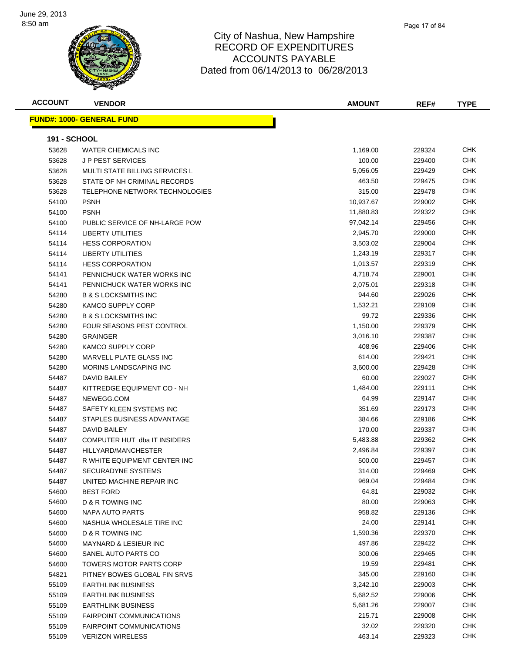

| <b>ACCOUNT</b>      | <b>VENDOR</b>                    | <b>AMOUNT</b> | REF#   | <b>TYPE</b> |
|---------------------|----------------------------------|---------------|--------|-------------|
|                     | <b>FUND#: 1000- GENERAL FUND</b> |               |        |             |
|                     |                                  |               |        |             |
| <b>191 - SCHOOL</b> |                                  |               |        |             |
| 53628               | <b>WATER CHEMICALS INC</b>       | 1,169.00      | 229324 | CHK         |
| 53628               | <b>JP PEST SERVICES</b>          | 100.00        | 229400 | <b>CHK</b>  |
| 53628               | MULTI STATE BILLING SERVICES L   | 5,056.05      | 229429 | <b>CHK</b>  |
| 53628               | STATE OF NH CRIMINAL RECORDS     | 463.50        | 229475 | <b>CHK</b>  |
| 53628               | TELEPHONE NETWORK TECHNOLOGIES   | 315.00        | 229478 | <b>CHK</b>  |
| 54100               | <b>PSNH</b>                      | 10,937.67     | 229002 | CHK         |
| 54100               | <b>PSNH</b>                      | 11,880.83     | 229322 | CHK         |
| 54100               | PUBLIC SERVICE OF NH-LARGE POW   | 97,042.14     | 229456 | <b>CHK</b>  |
| 54114               | <b>LIBERTY UTILITIES</b>         | 2,945.70      | 229000 | <b>CHK</b>  |
| 54114               | <b>HESS CORPORATION</b>          | 3,503.02      | 229004 | <b>CHK</b>  |
| 54114               | <b>LIBERTY UTILITIES</b>         | 1,243.19      | 229317 | <b>CHK</b>  |
| 54114               | <b>HESS CORPORATION</b>          | 1,013.57      | 229319 | <b>CHK</b>  |
| 54141               | PENNICHUCK WATER WORKS INC       | 4,718.74      | 229001 | <b>CHK</b>  |
| 54141               | PENNICHUCK WATER WORKS INC       | 2,075.01      | 229318 | <b>CHK</b>  |
| 54280               | <b>B &amp; S LOCKSMITHS INC</b>  | 944.60        | 229026 | <b>CHK</b>  |
| 54280               | <b>KAMCO SUPPLY CORP</b>         | 1,532.21      | 229109 | <b>CHK</b>  |
| 54280               | <b>B &amp; S LOCKSMITHS INC</b>  | 99.72         | 229336 | CHK         |
| 54280               | <b>FOUR SEASONS PEST CONTROL</b> | 1,150.00      | 229379 | <b>CHK</b>  |
| 54280               | <b>GRAINGER</b>                  | 3,016.10      | 229387 | <b>CHK</b>  |
| 54280               | <b>KAMCO SUPPLY CORP</b>         | 408.96        | 229406 | CHK         |
| 54280               | MARVELL PLATE GLASS INC          | 614.00        | 229421 | CHK         |
| 54280               | MORINS LANDSCAPING INC           | 3,600.00      | 229428 | <b>CHK</b>  |
| 54487               | DAVID BAILEY                     | 60.00         | 229027 | <b>CHK</b>  |
| 54487               | KITTREDGE EQUIPMENT CO - NH      | 1,484.00      | 229111 | <b>CHK</b>  |
| 54487               | NEWEGG.COM                       | 64.99         | 229147 | <b>CHK</b>  |
| 54487               | SAFETY KLEEN SYSTEMS INC         | 351.69        | 229173 | <b>CHK</b>  |
| 54487               | STAPLES BUSINESS ADVANTAGE       | 384.66        | 229186 | <b>CHK</b>  |
| 54487               | DAVID BAILEY                     | 170.00        | 229337 | CHK         |
| 54487               | COMPUTER HUT dba IT INSIDERS     | 5,483.88      | 229362 | <b>CHK</b>  |
| 54487               | HILLYARD/MANCHESTER              | 2,496.84      | 229397 | <b>CHK</b>  |
| 54487               | R WHITE EQUIPMENT CENTER INC     | 500.00        | 229457 | CHK         |
| 54487               | SECURADYNE SYSTEMS               | 314.00        | 229469 | <b>CHK</b>  |
| 54487               | UNITED MACHINE REPAIR INC        | 969.04        | 229484 | CHK         |
| 54600               | <b>BEST FORD</b>                 | 64.81         | 229032 | <b>CHK</b>  |
| 54600               | D & R TOWING INC                 | 80.00         | 229063 | <b>CHK</b>  |
| 54600               | NAPA AUTO PARTS                  | 958.82        | 229136 | <b>CHK</b>  |
| 54600               | NASHUA WHOLESALE TIRE INC        | 24.00         | 229141 | <b>CHK</b>  |
| 54600               | D & R TOWING INC                 | 1,590.36      | 229370 | <b>CHK</b>  |
| 54600               | MAYNARD & LESIEUR INC            | 497.86        | 229422 | <b>CHK</b>  |
| 54600               | SANEL AUTO PARTS CO              | 300.06        | 229465 | <b>CHK</b>  |
| 54600               | TOWERS MOTOR PARTS CORP          | 19.59         | 229481 | <b>CHK</b>  |
| 54821               | PITNEY BOWES GLOBAL FIN SRVS     | 345.00        | 229160 | <b>CHK</b>  |
| 55109               | <b>EARTHLINK BUSINESS</b>        | 3,242.10      | 229003 | <b>CHK</b>  |
| 55109               | <b>EARTHLINK BUSINESS</b>        | 5,682.52      | 229006 | <b>CHK</b>  |
| 55109               | <b>EARTHLINK BUSINESS</b>        | 5,681.26      | 229007 | <b>CHK</b>  |
| 55109               | <b>FAIRPOINT COMMUNICATIONS</b>  | 215.71        | 229008 | CHK         |
| 55109               | <b>FAIRPOINT COMMUNICATIONS</b>  | 32.02         | 229320 | <b>CHK</b>  |
| 55109               | <b>VERIZON WIRELESS</b>          | 463.14        | 229323 | <b>CHK</b>  |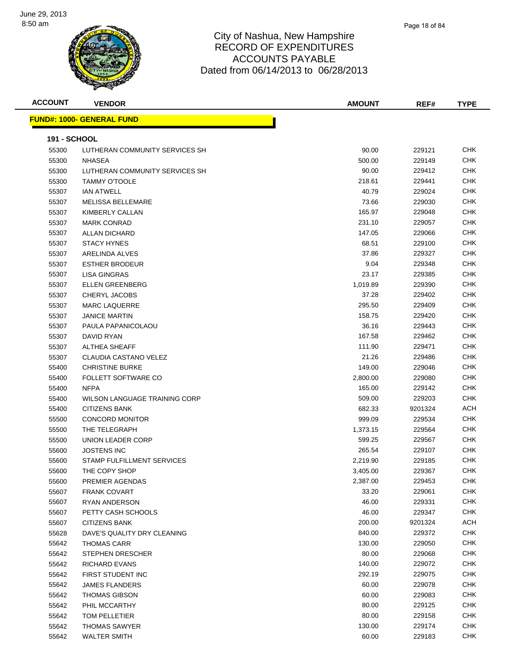

#### City of Nashua, New Hampshire RECORD OF EXPENDITURES ACCOUNTS PAYABLE Dated from 06/14/2013 to 06/28/2013

| <b>ACCOUNT</b>      | <b>VENDOR</b>                     | <b>AMOUNT</b> | REF#    | <b>TYPE</b> |
|---------------------|-----------------------------------|---------------|---------|-------------|
|                     | <u> FUND#: 1000- GENERAL FUND</u> |               |         |             |
| <b>191 - SCHOOL</b> |                                   |               |         |             |
| 55300               | LUTHERAN COMMUNITY SERVICES SH    | 90.00         | 229121  | <b>CHK</b>  |
| 55300               | <b>NHASEA</b>                     | 500.00        | 229149  | <b>CHK</b>  |
| 55300               | LUTHERAN COMMUNITY SERVICES SH    | 90.00         | 229412  | <b>CHK</b>  |
| 55300               | <b>TAMMY O'TOOLE</b>              | 218.61        | 229441  | <b>CHK</b>  |
| 55307               | <b>IAN ATWELL</b>                 | 40.79         | 229024  | <b>CHK</b>  |
| 55307               | <b>MELISSA BELLEMARE</b>          | 73.66         | 229030  | <b>CHK</b>  |
| 55307               | KIMBERLY CALLAN                   | 165.97        | 229048  | <b>CHK</b>  |
| 55307               | <b>MARK CONRAD</b>                | 231.10        | 229057  | <b>CHK</b>  |
| 55307               | <b>ALLAN DICHARD</b>              | 147.05        | 229066  | <b>CHK</b>  |
| 55307               | <b>STACY HYNES</b>                | 68.51         | 229100  | <b>CHK</b>  |
| 55307               | ARELINDA ALVES                    | 37.86         | 229327  | <b>CHK</b>  |
| 55307               | <b>ESTHER BRODEUR</b>             | 9.04          | 229348  | <b>CHK</b>  |
| 55307               | <b>LISA GINGRAS</b>               | 23.17         | 229385  | <b>CHK</b>  |
| 55307               | <b>ELLEN GREENBERG</b>            | 1,019.89      | 229390  | <b>CHK</b>  |
| 55307               | CHERYL JACOBS                     | 37.28         | 229402  | <b>CHK</b>  |
| 55307               | <b>MARC LAQUERRE</b>              | 295.50        | 229409  | <b>CHK</b>  |
| 55307               | <b>JANICE MARTIN</b>              | 158.75        | 229420  | <b>CHK</b>  |
| 55307               | PAULA PAPANICOLAOU                | 36.16         | 229443  | <b>CHK</b>  |
| 55307               | <b>DAVID RYAN</b>                 | 167.58        | 229462  | <b>CHK</b>  |
| 55307               | <b>ALTHEA SHEAFF</b>              | 111.90        | 229471  | <b>CHK</b>  |
| 55307               | CLAUDIA CASTANO VELEZ             | 21.26         | 229486  | <b>CHK</b>  |
| 55400               | <b>CHRISTINE BURKE</b>            | 149.00        | 229046  | <b>CHK</b>  |
| 55400               | FOLLETT SOFTWARE CO               | 2,800.00      | 229080  | <b>CHK</b>  |
| 55400               | <b>NFPA</b>                       | 165.00        | 229142  | <b>CHK</b>  |
| 55400               | WILSON LANGUAGE TRAINING CORP     | 509.00        | 229203  | <b>CHK</b>  |
| 55400               | <b>CITIZENS BANK</b>              | 682.33        | 9201324 | <b>ACH</b>  |
| 55500               | <b>CONCORD MONITOR</b>            | 999.09        | 229534  | <b>CHK</b>  |
| 55500               | THE TELEGRAPH                     | 1,373.15      | 229564  | <b>CHK</b>  |
| 55500               | UNION LEADER CORP                 | 599.25        | 229567  | <b>CHK</b>  |
| 55600               | <b>JOSTENS INC</b>                | 265.54        | 229107  | <b>CHK</b>  |
| 55600               | STAMP FULFILLMENT SERVICES        | 2,219.90      | 229185  | <b>CHK</b>  |
| 55600               | THE COPY SHOP                     | 3,405.00      | 229367  | <b>CHK</b>  |
| 55600               | PREMIER AGENDAS                   | 2,387.00      | 229453  | <b>CHK</b>  |
| 55607               | FRANK COVART                      | 33.20         | 229061  | <b>CHK</b>  |
| 55607               | <b>RYAN ANDERSON</b>              | 46.00         | 229331  | <b>CHK</b>  |
| 55607               | PETTY CASH SCHOOLS                | 46.00         | 229347  | <b>CHK</b>  |
| 55607               | <b>CITIZENS BANK</b>              | 200.00        | 9201324 | <b>ACH</b>  |
| 55628               | DAVE'S QUALITY DRY CLEANING       | 840.00        | 229372  | <b>CHK</b>  |
| 55642               | <b>THOMAS CARR</b>                | 130.00        | 229050  | <b>CHK</b>  |
| 55642               | <b>STEPHEN DRESCHER</b>           | 80.00         | 229068  | CHK         |
| 55642               | <b>RICHARD EVANS</b>              | 140.00        | 229072  | <b>CHK</b>  |
| 55642               | FIRST STUDENT INC                 | 292.19        | 229075  | <b>CHK</b>  |
| 55642               | <b>JAMES FLANDERS</b>             | 60.00         | 229078  | CHK         |
|                     |                                   | 60.00         | 229083  | <b>CHK</b>  |
| 55642               | THOMAS GIBSON                     |               |         |             |

 PHIL MCCARTHY 80.00 229125 CHK TOM PELLETIER 80.00 229158 CHK 55642 THOMAS SAWYER **130.00** 229174 CHK WALTER SMITH 60.00 229183 CHK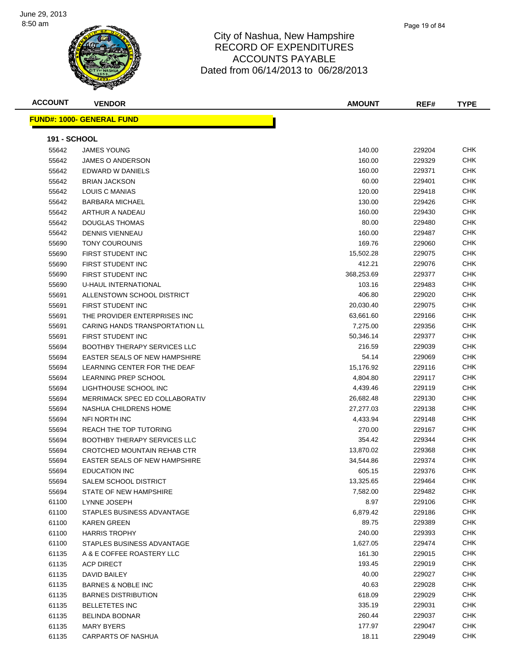

| <b>ACCOUNT</b>      | <b>VENDOR</b>                         | <b>AMOUNT</b> | REF#   | <b>TYPE</b> |
|---------------------|---------------------------------------|---------------|--------|-------------|
|                     | <b>FUND#: 1000- GENERAL FUND</b>      |               |        |             |
|                     |                                       |               |        |             |
| <b>191 - SCHOOL</b> |                                       |               |        |             |
| 55642               | <b>JAMES YOUNG</b>                    | 140.00        | 229204 | <b>CHK</b>  |
| 55642               | <b>JAMES O ANDERSON</b>               | 160.00        | 229329 | <b>CHK</b>  |
| 55642               | EDWARD W DANIELS                      | 160.00        | 229371 | CHK         |
| 55642               | <b>BRIAN JACKSON</b>                  | 60.00         | 229401 | CHK         |
| 55642               | LOUIS C MANIAS                        | 120.00        | 229418 | CHK         |
| 55642               | <b>BARBARA MICHAEL</b>                | 130.00        | 229426 | CHK         |
| 55642               | ARTHUR A NADEAU                       | 160.00        | 229430 | <b>CHK</b>  |
| 55642               | <b>DOUGLAS THOMAS</b>                 | 80.00         | 229480 | CHK         |
| 55642               | <b>DENNIS VIENNEAU</b>                | 160.00        | 229487 | CHK         |
| 55690               | <b>TONY COUROUNIS</b>                 | 169.76        | 229060 | CHK         |
| 55690               | FIRST STUDENT INC                     | 15,502.28     | 229075 | CHK         |
| 55690               | FIRST STUDENT INC                     | 412.21        | 229076 | <b>CHK</b>  |
| 55690               | FIRST STUDENT INC                     | 368,253.69    | 229377 | CHK         |
| 55690               | U-HAUL INTERNATIONAL                  | 103.16        | 229483 | CHK         |
| 55691               | ALLENSTOWN SCHOOL DISTRICT            | 406.80        | 229020 | CHK         |
| 55691               | FIRST STUDENT INC                     | 20,030.40     | 229075 | CHK         |
| 55691               | THE PROVIDER ENTERPRISES INC          | 63,661.60     | 229166 | <b>CHK</b>  |
| 55691               | <b>CARING HANDS TRANSPORTATION LL</b> | 7,275.00      | 229356 | <b>CHK</b>  |
| 55691               | FIRST STUDENT INC                     | 50,346.14     | 229377 | CHK         |
| 55694               | <b>BOOTHBY THERAPY SERVICES LLC</b>   | 216.59        | 229039 | <b>CHK</b>  |
| 55694               | EASTER SEALS OF NEW HAMPSHIRE         | 54.14         | 229069 | CHK         |
| 55694               | LEARNING CENTER FOR THE DEAF          | 15,176.92     | 229116 | CHK         |
| 55694               | <b>LEARNING PREP SCHOOL</b>           | 4,804.80      | 229117 | <b>CHK</b>  |
| 55694               | LIGHTHOUSE SCHOOL INC                 | 4,439.46      | 229119 | <b>CHK</b>  |
| 55694               | MERRIMACK SPEC ED COLLABORATIV        | 26,682.48     | 229130 | CHK         |
| 55694               | NASHUA CHILDRENS HOME                 | 27,277.03     | 229138 | CHK         |
| 55694               | NFI NORTH INC                         | 4,433.94      | 229148 | CHK         |
| 55694               | REACH THE TOP TUTORING                | 270.00        | 229167 | CHK         |
| 55694               | <b>BOOTHBY THERAPY SERVICES LLC</b>   | 354.42        | 229344 | CHK         |
| 55694               | CROTCHED MOUNTAIN REHAB CTR           | 13,870.02     | 229368 | CHK         |
| 55694               | EASTER SEALS OF NEW HAMPSHIRE         | 34,544.86     | 229374 | <b>CHK</b>  |
| 55694               | <b>EDUCATION INC</b>                  | 605.15        | 229376 | CHK         |
| 55694               | SALEM SCHOOL DISTRICT                 | 13,325.65     | 229464 | СНК         |
| 55694               | STATE OF NEW HAMPSHIRE                | 7,582.00      | 229482 | <b>CHK</b>  |
| 61100               | LYNNE JOSEPH                          | 8.97          | 229106 | <b>CHK</b>  |
| 61100               | STAPLES BUSINESS ADVANTAGE            | 6,879.42      | 229186 | <b>CHK</b>  |
| 61100               | <b>KAREN GREEN</b>                    | 89.75         | 229389 | <b>CHK</b>  |
| 61100               | <b>HARRIS TROPHY</b>                  | 240.00        | 229393 | CHK         |
| 61100               | STAPLES BUSINESS ADVANTAGE            | 1,627.05      | 229474 | <b>CHK</b>  |
| 61135               | A & E COFFEE ROASTERY LLC             | 161.30        | 229015 | <b>CHK</b>  |
| 61135               | <b>ACP DIRECT</b>                     | 193.45        | 229019 | <b>CHK</b>  |
| 61135               | DAVID BAILEY                          | 40.00         | 229027 | <b>CHK</b>  |
| 61135               | <b>BARNES &amp; NOBLE INC</b>         | 40.63         | 229028 | <b>CHK</b>  |
| 61135               | <b>BARNES DISTRIBUTION</b>            | 618.09        | 229029 | <b>CHK</b>  |
| 61135               | <b>BELLETETES INC</b>                 | 335.19        | 229031 | <b>CHK</b>  |
| 61135               | <b>BELINDA BODNAR</b>                 | 260.44        | 229037 | <b>CHK</b>  |
| 61135               | MARY BYERS                            | 177.97        | 229047 | <b>CHK</b>  |
| 61135               | <b>CARPARTS OF NASHUA</b>             | 18.11         | 229049 | <b>CHK</b>  |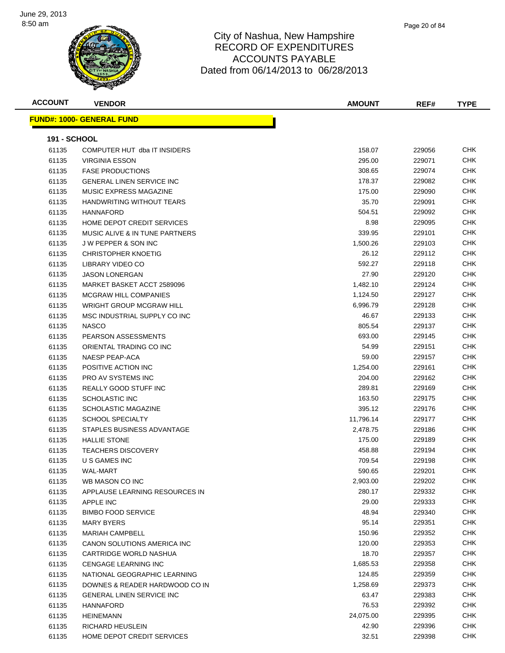

| <b>ACCOUNT</b>      | <b>VENDOR</b>                     | <b>AMOUNT</b> | REF#   | <b>TYPE</b> |
|---------------------|-----------------------------------|---------------|--------|-------------|
|                     | <u> FUND#: 1000- GENERAL FUND</u> |               |        |             |
|                     |                                   |               |        |             |
| <b>191 - SCHOOL</b> |                                   |               |        |             |
| 61135               | COMPUTER HUT dba IT INSIDERS      | 158.07        | 229056 | <b>CHK</b>  |
| 61135               | <b>VIRGINIA ESSON</b>             | 295.00        | 229071 | CHK         |
| 61135               | <b>FASE PRODUCTIONS</b>           | 308.65        | 229074 | CHK         |
| 61135               | <b>GENERAL LINEN SERVICE INC</b>  | 178.37        | 229082 | <b>CHK</b>  |
| 61135               | MUSIC EXPRESS MAGAZINE            | 175.00        | 229090 | CHK         |
| 61135               | HANDWRITING WITHOUT TEARS         | 35.70         | 229091 | CHK         |
| 61135               | <b>HANNAFORD</b>                  | 504.51        | 229092 | CHK         |
| 61135               | HOME DEPOT CREDIT SERVICES        | 8.98          | 229095 | CHK         |
| 61135               | MUSIC ALIVE & IN TUNE PARTNERS    | 339.95        | 229101 | <b>CHK</b>  |
| 61135               | <b>JW PEPPER &amp; SON INC</b>    | 1,500.26      | 229103 | <b>CHK</b>  |
| 61135               | <b>CHRISTOPHER KNOETIG</b>        | 26.12         | 229112 | <b>CHK</b>  |
| 61135               | LIBRARY VIDEO CO                  | 592.27        | 229118 | <b>CHK</b>  |
| 61135               | <b>JASON LONERGAN</b>             | 27.90         | 229120 | CHK         |
| 61135               | MARKET BASKET ACCT 2589096        | 1,482.10      | 229124 | <b>CHK</b>  |
| 61135               | <b>MCGRAW HILL COMPANIES</b>      | 1,124.50      | 229127 | <b>CHK</b>  |
| 61135               | <b>WRIGHT GROUP MCGRAW HILL</b>   | 6,996.79      | 229128 | CHK         |
| 61135               | MSC INDUSTRIAL SUPPLY CO INC      | 46.67         | 229133 | CHK         |
| 61135               | <b>NASCO</b>                      | 805.54        | 229137 | CHK         |
| 61135               | <b>PEARSON ASSESSMENTS</b>        | 693.00        | 229145 | CHK         |
| 61135               | ORIENTAL TRADING CO INC           | 54.99         | 229151 | <b>CHK</b>  |
| 61135               | <b>NAESP PEAP-ACA</b>             | 59.00         | 229157 | <b>CHK</b>  |
| 61135               | POSITIVE ACTION INC               | 1,254.00      | 229161 | <b>CHK</b>  |
| 61135               | PRO AV SYSTEMS INC                | 204.00        | 229162 | <b>CHK</b>  |
| 61135               | <b>REALLY GOOD STUFF INC</b>      | 289.81        | 229169 | CHK         |
| 61135               | SCHOLASTIC INC                    | 163.50        | 229175 | <b>CHK</b>  |
| 61135               | <b>SCHOLASTIC MAGAZINE</b>        | 395.12        | 229176 | <b>CHK</b>  |
| 61135               | <b>SCHOOL SPECIALTY</b>           | 11,796.14     | 229177 | CHK         |
| 61135               | STAPLES BUSINESS ADVANTAGE        | 2,478.75      | 229186 | CHK         |
| 61135               | <b>HALLIE STONE</b>               | 175.00        | 229189 | CHK         |
| 61135               | <b>TEACHERS DISCOVERY</b>         | 458.88        | 229194 | CHK         |
| 61135               | U S GAMES INC                     | 709.54        | 229198 | <b>CHK</b>  |
| 61135               | <b>WAL-MART</b>                   | 590.65        | 229201 | <b>CHK</b>  |
| 61135               | WB MASON CO INC                   | 2,903.00      | 229202 | <b>CHK</b>  |
| 61135               | APPLAUSE LEARNING RESOURCES IN    | 280.17        | 229332 | <b>CHK</b>  |
| 61135               | APPLE INC                         | 29.00         | 229333 | <b>CHK</b>  |
| 61135               | <b>BIMBO FOOD SERVICE</b>         | 48.94         | 229340 | <b>CHK</b>  |
| 61135               | <b>MARY BYERS</b>                 | 95.14         | 229351 | <b>CHK</b>  |
| 61135               | <b>MARIAH CAMPBELL</b>            | 150.96        | 229352 | CHK         |
| 61135               | CANON SOLUTIONS AMERICA INC       | 120.00        | 229353 | <b>CHK</b>  |
| 61135               | CARTRIDGE WORLD NASHUA            | 18.70         | 229357 | CHK         |
| 61135               | <b>CENGAGE LEARNING INC</b>       | 1,685.53      | 229358 | <b>CHK</b>  |
| 61135               | NATIONAL GEOGRAPHIC LEARNING      | 124.85        | 229359 | <b>CHK</b>  |
| 61135               | DOWNES & READER HARDWOOD CO IN    | 1,258.69      | 229373 | <b>CHK</b>  |
| 61135               | <b>GENERAL LINEN SERVICE INC</b>  | 63.47         | 229383 | <b>CHK</b>  |
| 61135               | <b>HANNAFORD</b>                  | 76.53         | 229392 | <b>CHK</b>  |
| 61135               | <b>HEINEMANN</b>                  | 24,075.00     | 229395 | CHK         |
| 61135               | RICHARD HEUSLEIN                  | 42.90         | 229396 | <b>CHK</b>  |
| 61135               | HOME DEPOT CREDIT SERVICES        | 32.51         | 229398 | <b>CHK</b>  |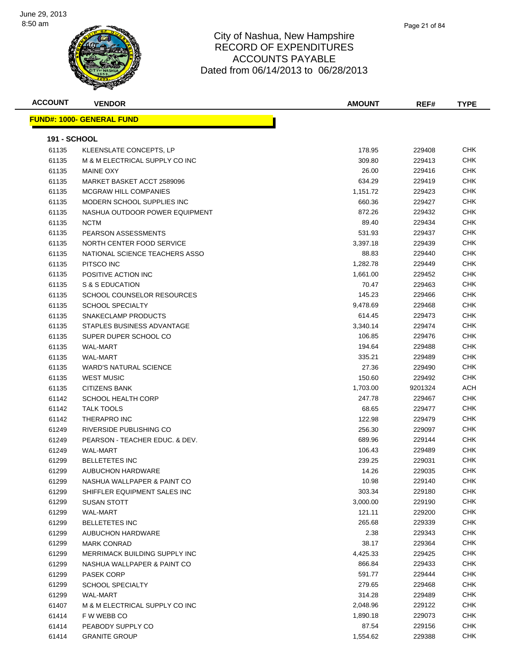

| <b>ACCOUNT</b>      | <b>VENDOR</b>                     | <b>AMOUNT</b> | REF#    | <b>TYPE</b> |
|---------------------|-----------------------------------|---------------|---------|-------------|
|                     | <u> FUND#: 1000- GENERAL FUND</u> |               |         |             |
|                     |                                   |               |         |             |
| <b>191 - SCHOOL</b> |                                   |               |         |             |
| 61135               | KLEENSLATE CONCEPTS, LP           | 178.95        | 229408  | <b>CHK</b>  |
| 61135               | M & M ELECTRICAL SUPPLY CO INC    | 309.80        | 229413  | <b>CHK</b>  |
| 61135               | <b>MAINE OXY</b>                  | 26.00         | 229416  | CHK         |
| 61135               | MARKET BASKET ACCT 2589096        | 634.29        | 229419  | CHK         |
| 61135               | <b>MCGRAW HILL COMPANIES</b>      | 1,151.72      | 229423  | <b>CHK</b>  |
| 61135               | MODERN SCHOOL SUPPLIES INC        | 660.36        | 229427  | CHK         |
| 61135               | NASHUA OUTDOOR POWER EQUIPMENT    | 872.26        | 229432  | CHK         |
| 61135               | <b>NCTM</b>                       | 89.40         | 229434  | <b>CHK</b>  |
| 61135               | PEARSON ASSESSMENTS               | 531.93        | 229437  | <b>CHK</b>  |
| 61135               | NORTH CENTER FOOD SERVICE         | 3,397.18      | 229439  | <b>CHK</b>  |
| 61135               | NATIONAL SCIENCE TEACHERS ASSO    | 88.83         | 229440  | <b>CHK</b>  |
| 61135               | PITSCO INC                        | 1,282.78      | 229449  | CHK         |
| 61135               | POSITIVE ACTION INC               | 1,661.00      | 229452  | CHK         |
| 61135               | S & S EDUCATION                   | 70.47         | 229463  | CHK         |
| 61135               | SCHOOL COUNSELOR RESOURCES        | 145.23        | 229466  | <b>CHK</b>  |
| 61135               | <b>SCHOOL SPECIALTY</b>           | 9,478.69      | 229468  | <b>CHK</b>  |
| 61135               | SNAKECLAMP PRODUCTS               | 614.45        | 229473  | CHK         |
| 61135               | STAPLES BUSINESS ADVANTAGE        | 3,340.14      | 229474  | CHK         |
| 61135               | SUPER DUPER SCHOOL CO             | 106.85        | 229476  | <b>CHK</b>  |
| 61135               | WAL-MART                          | 194.64        | 229488  | CHK         |
| 61135               | WAL-MART                          | 335.21        | 229489  | <b>CHK</b>  |
| 61135               | <b>WARD'S NATURAL SCIENCE</b>     | 27.36         | 229490  | <b>CHK</b>  |
| 61135               | <b>WEST MUSIC</b>                 | 150.60        | 229492  | CHK         |
| 61135               | <b>CITIZENS BANK</b>              | 1,703.00      | 9201324 | ACH         |
| 61142               | <b>SCHOOL HEALTH CORP</b>         | 247.78        | 229467  | CHK         |
| 61142               | <b>TALK TOOLS</b>                 | 68.65         | 229477  | <b>CHK</b>  |
| 61142               | THERAPRO INC                      | 122.98        | 229479  | <b>CHK</b>  |
| 61249               | RIVERSIDE PUBLISHING CO           | 256.30        | 229097  | <b>CHK</b>  |
| 61249               | PEARSON - TEACHER EDUC. & DEV.    | 689.96        | 229144  | <b>CHK</b>  |
| 61249               | <b>WAL-MART</b>                   | 106.43        | 229489  | <b>CHK</b>  |
| 61299               | <b>BELLETETES INC</b>             | 239.25        | 229031  | <b>CHK</b>  |
| 61299               | AUBUCHON HARDWARE                 | 14.26         | 229035  | CHK         |
| 61299               | NASHUA WALLPAPER & PAINT CO       | 10.98         | 229140  | <b>CHK</b>  |
| 61299               | SHIFFLER EQUIPMENT SALES INC      | 303.34        | 229180  | <b>CHK</b>  |
| 61299               | <b>SUSAN STOTT</b>                | 3,000.00      | 229190  | <b>CHK</b>  |
| 61299               | WAL-MART                          | 121.11        | 229200  | <b>CHK</b>  |
| 61299               | <b>BELLETETES INC</b>             | 265.68        | 229339  | <b>CHK</b>  |
| 61299               | AUBUCHON HARDWARE                 | 2.38          | 229343  | <b>CHK</b>  |
| 61299               | <b>MARK CONRAD</b>                | 38.17         | 229364  | <b>CHK</b>  |
| 61299               | MERRIMACK BUILDING SUPPLY INC     | 4,425.33      | 229425  | <b>CHK</b>  |
| 61299               | NASHUA WALLPAPER & PAINT CO       | 866.84        | 229433  | <b>CHK</b>  |
| 61299               | <b>PASEK CORP</b>                 | 591.77        | 229444  | <b>CHK</b>  |
| 61299               | <b>SCHOOL SPECIALTY</b>           | 279.65        | 229468  | <b>CHK</b>  |
| 61299               | WAL-MART                          | 314.28        | 229489  | <b>CHK</b>  |
| 61407               | M & M ELECTRICAL SUPPLY CO INC    | 2,048.96      | 229122  | <b>CHK</b>  |
| 61414               | F W WEBB CO                       | 1,890.18      | 229073  | <b>CHK</b>  |
| 61414               | PEABODY SUPPLY CO                 | 87.54         | 229156  | CHK         |
| 61414               | <b>GRANITE GROUP</b>              | 1,554.62      | 229388  | <b>CHK</b>  |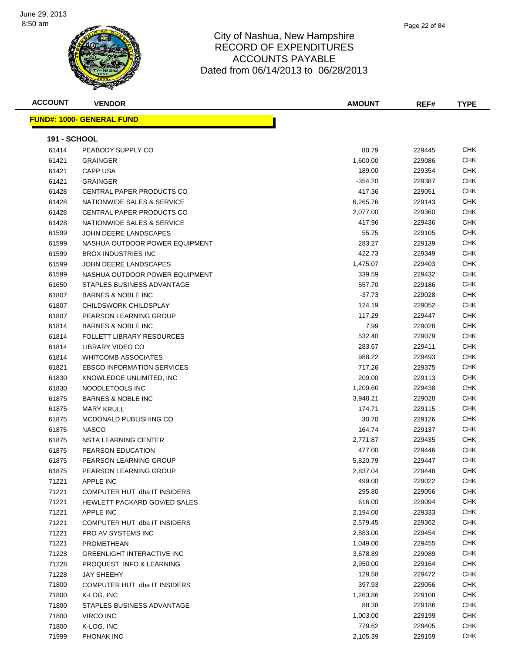

| <b>ACCOUNT</b>      | <b>VENDOR</b>                       | <b>AMOUNT</b> | REF#   | <b>TYPE</b> |
|---------------------|-------------------------------------|---------------|--------|-------------|
|                     | <u> FUND#: 1000- GENERAL FUND</u>   |               |        |             |
|                     |                                     |               |        |             |
| <b>191 - SCHOOL</b> |                                     |               |        |             |
| 61414               | PEABODY SUPPLY CO                   | 80.79         | 229445 | <b>CHK</b>  |
| 61421               | <b>GRAINGER</b>                     | 1,600.00      | 229086 | <b>CHK</b>  |
| 61421               | <b>CAPP USA</b>                     | 189.00        | 229354 | <b>CHK</b>  |
| 61421               | <b>GRAINGER</b>                     | -354.20       | 229387 | <b>CHK</b>  |
| 61428               | CENTRAL PAPER PRODUCTS CO           | 417.36        | 229051 | <b>CHK</b>  |
| 61428               | NATIONWIDE SALES & SERVICE          | 6,265.76      | 229143 | <b>CHK</b>  |
| 61428               | CENTRAL PAPER PRODUCTS CO           | 2,077.00      | 229360 | <b>CHK</b>  |
| 61428               | NATIONWIDE SALES & SERVICE          | 417.96        | 229436 | CHK         |
| 61599               | JOHN DEERE LANDSCAPES               | 55.75         | 229105 | CHK         |
| 61599               | NASHUA OUTDOOR POWER EQUIPMENT      | 283.27        | 229139 | <b>CHK</b>  |
| 61599               | <b>BROX INDUSTRIES INC</b>          | 422.73        | 229349 | <b>CHK</b>  |
| 61599               | JOHN DEERE LANDSCAPES               | 1,475.07      | 229403 | <b>CHK</b>  |
| 61599               | NASHUA OUTDOOR POWER EQUIPMENT      | 339.59        | 229432 | <b>CHK</b>  |
| 61650               | STAPLES BUSINESS ADVANTAGE          | 557.70        | 229186 | <b>CHK</b>  |
| 61807               | <b>BARNES &amp; NOBLE INC</b>       | $-37.73$      | 229028 | <b>CHK</b>  |
| 61807               | CHILDSWORK CHILDSPLAY               | 124.19        | 229052 | <b>CHK</b>  |
| 61807               | PEARSON LEARNING GROUP              | 117.29        | 229447 | CHK         |
| 61814               | <b>BARNES &amp; NOBLE INC</b>       | 7.99          | 229028 | <b>CHK</b>  |
| 61814               | <b>FOLLETT LIBRARY RESOURCES</b>    | 532.40        | 229079 | <b>CHK</b>  |
| 61814               | LIBRARY VIDEO CO                    | 283.67        | 229411 | CHK         |
| 61814               | <b>WHITCOMB ASSOCIATES</b>          | 988.22        | 229493 | <b>CHK</b>  |
| 61821               | <b>EBSCO INFORMATION SERVICES</b>   | 717.26        | 229375 | <b>CHK</b>  |
| 61830               | KNOWLEDGE UNLIMITED, INC            | 209.00        | 229113 | <b>CHK</b>  |
| 61830               | NOODLETOOLS INC                     | 1,209.60      | 229438 | <b>CHK</b>  |
| 61875               | <b>BARNES &amp; NOBLE INC</b>       | 3,948.21      | 229028 | <b>CHK</b>  |
| 61875               | <b>MARY KRULL</b>                   | 174.71        | 229115 | <b>CHK</b>  |
| 61875               | <b>MCDONALD PUBLISHING CO</b>       | 30.70         | 229126 | <b>CHK</b>  |
| 61875               | <b>NASCO</b>                        | 164.74        | 229137 | <b>CHK</b>  |
| 61875               | NSTA LEARNING CENTER                | 2,771.87      | 229435 | <b>CHK</b>  |
| 61875               | PEARSON EDUCATION                   | 477.00        | 229446 | <b>CHK</b>  |
| 61875               | PEARSON LEARNING GROUP              | 5,820.79      | 229447 | <b>CHK</b>  |
| 61875               | PEARSON LEARNING GROUP              | 2,837.04      | 229448 | CHK         |
| 71221               | APPLE INC                           | 499.00        | 229022 | <b>CHK</b>  |
| 71221               | COMPUTER HUT dba IT INSIDERS        | 295.80        | 229056 | <b>CHK</b>  |
| 71221               | <b>HEWLETT PACKARD GOV/ED SALES</b> | 616.00        | 229094 | <b>CHK</b>  |
| 71221               | APPLE INC                           | 2,194.00      | 229333 | <b>CHK</b>  |
| 71221               | COMPUTER HUT dba IT INSIDERS        | 2,579.45      | 229362 | <b>CHK</b>  |
| 71221               | PRO AV SYSTEMS INC                  | 2,883.00      | 229454 | <b>CHK</b>  |
| 71221               | PROMETHEAN                          | 1,049.00      | 229455 | <b>CHK</b>  |
| 71228               | <b>GREENLIGHT INTERACTIVE INC</b>   | 3,678.89      | 229089 | <b>CHK</b>  |
| 71228               | PROQUEST INFO & LEARNING            | 2,950.00      | 229164 | <b>CHK</b>  |
| 71228               | <b>JAY SHEEHY</b>                   | 129.58        | 229472 | <b>CHK</b>  |
| 71800               | COMPUTER HUT dba IT INSIDERS        | 397.93        | 229056 | <b>CHK</b>  |
| 71800               | K-LOG, INC                          | 1,263.86      | 229108 | <b>CHK</b>  |
| 71800               | STAPLES BUSINESS ADVANTAGE          | 88.38         | 229186 | <b>CHK</b>  |
| 71800               | VIRCO INC                           | 1,003.00      | 229199 | <b>CHK</b>  |
| 71800               | K-LOG, INC                          | 779.62        | 229405 | <b>CHK</b>  |
| 71999               | PHONAK INC                          | 2,105.39      | 229159 | CHK         |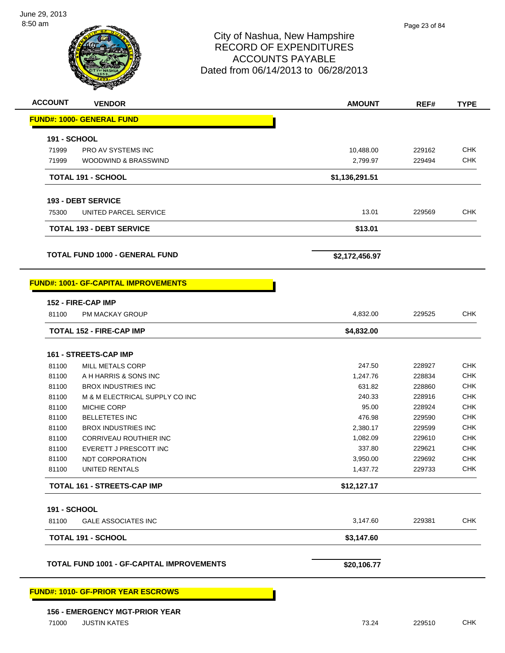

| <b>ACCOUNT</b><br><b>VENDOR</b>                  | <b>AMOUNT</b>  | REF#   | <b>TYPE</b> |
|--------------------------------------------------|----------------|--------|-------------|
| <b>FUND#: 1000- GENERAL FUND</b>                 |                |        |             |
| <b>191 - SCHOOL</b>                              |                |        |             |
| 71999<br>PRO AV SYSTEMS INC                      | 10,488.00      | 229162 | <b>CHK</b>  |
| 71999<br>WOODWIND & BRASSWIND                    | 2,799.97       | 229494 | <b>CHK</b>  |
| <b>TOTAL 191 - SCHOOL</b>                        | \$1,136,291.51 |        |             |
|                                                  |                |        |             |
| 193 - DEBT SERVICE                               |                |        |             |
| 75300<br>UNITED PARCEL SERVICE                   | 13.01          | 229569 | <b>CHK</b>  |
| <b>TOTAL 193 - DEBT SERVICE</b>                  | \$13.01        |        |             |
| <b>TOTAL FUND 1000 - GENERAL FUND</b>            | \$2,172,456.97 |        |             |
| <b>FUND#: 1001- GF-CAPITAL IMPROVEMENTS</b>      |                |        |             |
| 152 - FIRE-CAP IMP                               |                |        |             |
| 81100<br><b>PM MACKAY GROUP</b>                  | 4,832.00       | 229525 | <b>CHK</b>  |
| <b>TOTAL 152 - FIRE-CAP IMP</b>                  | \$4,832.00     |        |             |
| 161 - STREETS-CAP IMP                            |                |        |             |
| 81100<br>MILL METALS CORP                        | 247.50         | 228927 | <b>CHK</b>  |
| 81100<br>A H HARRIS & SONS INC                   | 1,247.76       | 228834 | <b>CHK</b>  |
| 81100<br><b>BROX INDUSTRIES INC</b>              | 631.82         | 228860 | <b>CHK</b>  |
| 81100<br>M & M ELECTRICAL SUPPLY CO INC          | 240.33         | 228916 | <b>CHK</b>  |
| 81100<br><b>MICHIE CORP</b>                      | 95.00          | 228924 | <b>CHK</b>  |
| 81100<br><b>BELLETETES INC</b>                   | 476.98         | 229590 | <b>CHK</b>  |
| 81100<br><b>BROX INDUSTRIES INC</b>              | 2,380.17       | 229599 | <b>CHK</b>  |
| 81100<br>CORRIVEAU ROUTHIER INC                  | 1,082.09       | 229610 | <b>CHK</b>  |
| EVERETT J PRESCOTT INC<br>81100                  | 337.80         | 229621 | <b>CHK</b>  |
| 81100<br><b>NDT CORPORATION</b>                  | 3,950.00       | 229692 | CHK         |
| 81100<br>UNITED RENTALS                          | 1,437.72       | 229733 | CHK         |
| TOTAL 161 - STREETS-CAP IMP                      | \$12,127.17    |        |             |
| <b>191 - SCHOOL</b>                              |                |        |             |
| 81100<br><b>GALE ASSOCIATES INC</b>              | 3,147.60       | 229381 | <b>CHK</b>  |
| <b>TOTAL 191 - SCHOOL</b>                        | \$3,147.60     |        |             |
| <b>TOTAL FUND 1001 - GF-CAPITAL IMPROVEMENTS</b> | \$20,106.77    |        |             |
| <b>FUND#: 1010- GF-PRIOR YEAR ESCROWS</b>        |                |        |             |
| <b>156 - EMERGENCY MGT-PRIOR YEAR</b>            |                |        |             |
| <b>JUSTIN KATES</b><br>71000                     | 73.24          | 229510 | <b>CHK</b>  |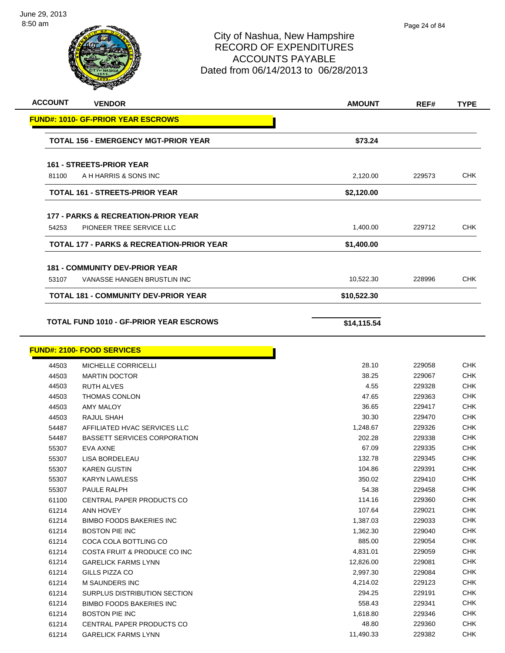

**ACCOUNT VENDOR AMOUNT REF# TYPE**

|       | <u> FUND#: 1010- GF-PRIOR YEAR ESCROWS</u>                           |             |        |            |
|-------|----------------------------------------------------------------------|-------------|--------|------------|
|       | <b>TOTAL 156 - EMERGENCY MGT-PRIOR YEAR</b>                          | \$73.24     |        |            |
|       | <b>161 - STREETS-PRIOR YEAR</b>                                      |             |        |            |
| 81100 | A H HARRIS & SONS INC                                                | 2,120.00    | 229573 | <b>CHK</b> |
|       |                                                                      |             |        |            |
|       | <b>TOTAL 161 - STREETS-PRIOR YEAR</b>                                | \$2,120.00  |        |            |
|       | <b>177 - PARKS &amp; RECREATION-PRIOR YEAR</b>                       |             |        |            |
| 54253 | PIONEER TREE SERVICE LLC                                             | 1,400.00    | 229712 | <b>CHK</b> |
|       | TOTAL 177 - PARKS & RECREATION-PRIOR YEAR                            | \$1,400.00  |        |            |
|       |                                                                      |             |        |            |
| 53107 | <b>181 - COMMUNITY DEV-PRIOR YEAR</b><br>VANASSE HANGEN BRUSTLIN INC | 10,522.30   | 228996 | CHK        |
|       |                                                                      |             |        |            |
|       | <b>TOTAL 181 - COMMUNITY DEV-PRIOR YEAR</b>                          | \$10,522.30 |        |            |
|       | <b>TOTAL FUND 1010 - GF-PRIOR YEAR ESCROWS</b>                       | \$14,115.54 |        |            |
|       |                                                                      |             |        |            |
|       | <b>FUND#: 2100- FOOD SERVICES</b>                                    |             |        |            |
| 44503 | <b>MICHELLE CORRICELLI</b>                                           | 28.10       | 229058 | <b>CHK</b> |
| 44503 | <b>MARTIN DOCTOR</b>                                                 | 38.25       | 229067 | <b>CHK</b> |
| 44503 | <b>RUTH ALVES</b>                                                    | 4.55        | 229328 | <b>CHK</b> |
| 44503 | <b>THOMAS CONLON</b>                                                 | 47.65       | 229363 | <b>CHK</b> |
| 44503 | <b>AMY MALOY</b>                                                     | 36.65       | 229417 | <b>CHK</b> |
| 44503 | RAJUL SHAH                                                           | 30.30       | 229470 | CHK        |
| 54487 | AFFILIATED HVAC SERVICES LLC                                         | 1,248.67    | 229326 | <b>CHK</b> |
| 54487 | <b>BASSETT SERVICES CORPORATION</b>                                  | 202.28      | 229338 | <b>CHK</b> |
| 55307 | EVA AXNE                                                             | 67.09       | 229335 | <b>CHK</b> |
| 55307 | LISA BORDELEAU                                                       | 132.78      | 229345 | CHK        |
| 55307 | <b>KAREN GUSTIN</b>                                                  | 104.86      | 229391 | CHK        |
| 55307 | <b>KARYN LAWLESS</b>                                                 | 350.02      | 229410 | CHK        |
| 55307 | PAULE RALPH                                                          | 54.38       | 229458 | <b>CHK</b> |
| 61100 | CENTRAL PAPER PRODUCTS CO                                            | 114.16      | 229360 | CHK        |
| 61214 | ANN HOVEY                                                            | 107.64      | 229021 | CHK        |
| 61214 | <b>BIMBO FOODS BAKERIES INC</b>                                      | 1,387.03    | 229033 | <b>CHK</b> |
| 61214 | <b>BOSTON PIE INC</b>                                                | 1,362.30    | 229040 | <b>CHK</b> |
| 61214 | COCA COLA BOTTLING CO                                                | 885.00      | 229054 | <b>CHK</b> |
| 61214 | COSTA FRUIT & PRODUCE CO INC                                         | 4,831.01    | 229059 | <b>CHK</b> |
| 61214 | <b>GARELICK FARMS LYNN</b>                                           | 12,826.00   | 229081 | <b>CHK</b> |
| 61214 | GILLS PIZZA CO                                                       | 2,997.30    | 229084 | <b>CHK</b> |
| 61214 | M SAUNDERS INC                                                       | 4,214.02    | 229123 | <b>CHK</b> |
| 61214 | SURPLUS DISTRIBUTION SECTION                                         | 294.25      | 229191 | <b>CHK</b> |
| 61214 | <b>BIMBO FOODS BAKERIES INC</b>                                      | 558.43      | 229341 | CHK        |
| 61214 | <b>BOSTON PIE INC</b>                                                | 1,618.80    | 229346 | CHK        |
| 61214 | CENTRAL PAPER PRODUCTS CO                                            | 48.80       | 229360 | CHK        |
| 61214 | <b>GARELICK FARMS LYNN</b>                                           | 11,490.33   | 229382 | CHK        |
|       |                                                                      |             |        |            |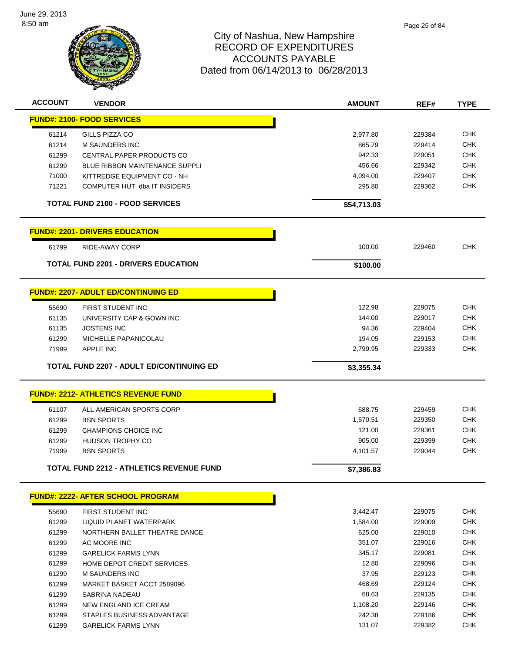

| <b>ACCOUNT</b> | <b>VENDOR</b>                                   | <b>AMOUNT</b> | REF#   | <b>TYPE</b> |
|----------------|-------------------------------------------------|---------------|--------|-------------|
|                | <b>FUND#: 2100- FOOD SERVICES</b>               |               |        |             |
| 61214          | GILLS PIZZA CO                                  | 2,977.80      | 229384 | <b>CHK</b>  |
| 61214          | <b>M SAUNDERS INC</b>                           | 865.79        | 229414 | <b>CHK</b>  |
| 61299          | CENTRAL PAPER PRODUCTS CO                       | 942.33        | 229051 | <b>CHK</b>  |
| 61299          | <b>BLUE RIBBON MAINTENANCE SUPPLI</b>           | 456.66        | 229342 | <b>CHK</b>  |
| 71000          | KITTREDGE EQUIPMENT CO - NH                     | 4,094.00      | 229407 | <b>CHK</b>  |
| 71221          | COMPUTER HUT dba IT INSIDERS                    | 295.80        | 229362 | <b>CHK</b>  |
|                | <b>TOTAL FUND 2100 - FOOD SERVICES</b>          | \$54,713.03   |        |             |
|                | <b>FUND#: 2201- DRIVERS EDUCATION</b>           |               |        |             |
| 61799          | RIDE-AWAY CORP                                  | 100.00        | 229460 | <b>CHK</b>  |
|                | <b>TOTAL FUND 2201 - DRIVERS EDUCATION</b>      | \$100.00      |        |             |
|                | <b>FUND#: 2207- ADULT ED/CONTINUING ED</b>      |               |        |             |
| 55690          | FIRST STUDENT INC                               | 122.98        | 229075 | <b>CHK</b>  |
| 61135          | UNIVERSITY CAP & GOWN INC                       | 144.00        | 229017 | <b>CHK</b>  |
| 61135          | <b>JOSTENS INC</b>                              | 94.36         | 229404 | <b>CHK</b>  |
| 61299          | MICHELLE PAPANICOLAU                            | 194.05        | 229153 | <b>CHK</b>  |
| 71999          | <b>APPLE INC</b>                                | 2,799.95      | 229333 | <b>CHK</b>  |
|                |                                                 |               |        |             |
|                | <b>TOTAL FUND 2207 - ADULT ED/CONTINUING ED</b> | \$3,355.34    |        |             |
|                | <b>FUND#: 2212- ATHLETICS REVENUE FUND</b>      |               |        |             |
| 61107          | ALL AMERICAN SPORTS CORP                        | 688.75        | 229459 | <b>CHK</b>  |
| 61299          | <b>BSN SPORTS</b>                               | 1,570.51      | 229350 | <b>CHK</b>  |
| 61299          | <b>CHAMPIONS CHOICE INC</b>                     | 121.00        | 229361 | <b>CHK</b>  |
| 61299          | <b>HUDSON TROPHY CO</b>                         | 905.00        | 229399 | <b>CHK</b>  |
| 71999          | <b>BSN SPORTS</b>                               | 4,101.57      | 229044 | <b>CHK</b>  |
|                | TOTAL FUND 2212 - ATHLETICS REVENUE FUND        | \$7,386.83    |        |             |
|                | <b>FUND#: 2222- AFTER SCHOOL PROGRAM</b>        |               |        |             |
| 55690          | FIRST STUDENT INC                               | 3,442.47      | 229075 | <b>CHK</b>  |
| 61299          | LIQUID PLANET WATERPARK                         | 1,584.00      | 229009 | <b>CHK</b>  |
| 61299          | NORTHERN BALLET THEATRE DANCE                   | 625.00        | 229010 | <b>CHK</b>  |
| 61299          | AC MOORE INC                                    | 351.07        | 229016 | <b>CHK</b>  |
| 61299          | <b>GARELICK FARMS LYNN</b>                      | 345.17        | 229081 | <b>CHK</b>  |
| 61299          | HOME DEPOT CREDIT SERVICES                      | 12.80         | 229096 | <b>CHK</b>  |
| 61299          | <b>M SAUNDERS INC</b>                           | 37.95         | 229123 | <b>CHK</b>  |
| 61299          | MARKET BASKET ACCT 2589096                      | 468.69        | 229124 | <b>CHK</b>  |
| 61299          | SABRINA NADEAU                                  | 68.63         | 229135 | <b>CHK</b>  |
| 61299          | NEW ENGLAND ICE CREAM                           | 1,108.20      | 229146 | <b>CHK</b>  |
| 61299          | STAPLES BUSINESS ADVANTAGE                      | 242.38        | 229186 | <b>CHK</b>  |
| 61299          | <b>GARELICK FARMS LYNN</b>                      | 131.07        | 229382 | <b>CHK</b>  |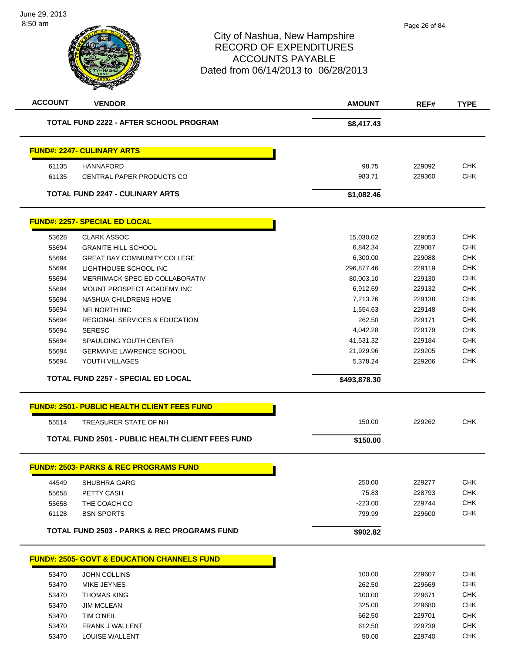| <b>ACCOUNT</b> | <b>VENDOR</b>                                           | <b>AMOUNT</b> | REF#   | <b>TYPE</b>              |
|----------------|---------------------------------------------------------|---------------|--------|--------------------------|
|                | <b>TOTAL FUND 2222 - AFTER SCHOOL PROGRAM</b>           | \$8,417.43    |        |                          |
|                | <b>FUND#: 2247- CULINARY ARTS</b>                       |               |        |                          |
| 61135          | <b>HANNAFORD</b>                                        | 98.75         | 229092 | <b>CHK</b>               |
| 61135          | CENTRAL PAPER PRODUCTS CO                               | 983.71        | 229360 | <b>CHK</b>               |
|                | <b>TOTAL FUND 2247 - CULINARY ARTS</b>                  | \$1,082.46    |        |                          |
|                | <b>FUND#: 2257- SPECIAL ED LOCAL</b>                    |               |        |                          |
| 53628          | <b>CLARK ASSOC</b>                                      | 15,030.02     | 229053 | <b>CHK</b>               |
| 55694          | <b>GRANITE HILL SCHOOL</b>                              | 6,842.34      | 229087 | <b>CHK</b>               |
| 55694          | <b>GREAT BAY COMMUNITY COLLEGE</b>                      | 6,300.00      | 229088 | <b>CHK</b>               |
| 55694          | LIGHTHOUSE SCHOOL INC                                   | 296,877.46    | 229119 | <b>CHK</b>               |
| 55694          | MERRIMACK SPEC ED COLLABORATIV                          | 80,003.10     | 229130 | <b>CHK</b>               |
| 55694          | MOUNT PROSPECT ACADEMY INC                              | 6,912.69      | 229132 | <b>CHK</b>               |
| 55694          | NASHUA CHILDRENS HOME                                   | 7,213.76      | 229138 | <b>CHK</b>               |
| 55694          | <b>NFI NORTH INC</b>                                    | 1,554.63      | 229148 | <b>CHK</b>               |
| 55694          | <b>REGIONAL SERVICES &amp; EDUCATION</b>                | 262.50        | 229171 | <b>CHK</b>               |
| 55694          | <b>SERESC</b>                                           | 4,042.28      | 229179 | <b>CHK</b>               |
| 55694          | SPAULDING YOUTH CENTER                                  | 41,531.32     | 229184 | <b>CHK</b>               |
| 55694          | <b>GERMAINE LAWRENCE SCHOOL</b>                         | 21,929.96     | 229205 | <b>CHK</b>               |
| 55694          | YOUTH VILLAGES                                          | 5,378.24      | 229206 | <b>CHK</b>               |
|                | <b>TOTAL FUND 2257 - SPECIAL ED LOCAL</b>               | \$493,878.30  |        |                          |
|                |                                                         |               |        |                          |
|                | <b>FUND#: 2501- PUBLIC HEALTH CLIENT FEES FUND</b>      |               |        |                          |
| 55514          | TREASURER STATE OF NH                                   | 150.00        | 229262 | <b>CHK</b>               |
|                | <b>TOTAL FUND 2501 - PUBLIC HEALTH CLIENT FEES FUND</b> | \$150.00      |        |                          |
|                | <b>FUND#: 2503- PARKS &amp; RFC PROGRAMS FUND</b>       |               |        |                          |
| 44549          | SHUBHRA GARG                                            | 250.00        | 229277 | <b>CHK</b>               |
| 55658          | PETTY CASH                                              | 75.83         | 228793 | <b>CHK</b>               |
| 55658          | THE COACH CO                                            | $-223.00$     | 229744 | <b>CHK</b>               |
| 61128          | <b>BSN SPORTS</b>                                       | 799.99        | 229600 | <b>CHK</b>               |
|                | <b>TOTAL FUND 2503 - PARKS &amp; REC PROGRAMS FUND</b>  | \$902.82      |        |                          |
|                |                                                         |               |        |                          |
|                | <b>FUND#: 2505- GOVT &amp; EDUCATION CHANNELS FUND</b>  |               |        |                          |
| 53470          | <b>JOHN COLLINS</b>                                     | 100.00        | 229607 | <b>CHK</b>               |
| 53470          | MIKE JEYNES                                             | 262.50        | 229669 | <b>CHK</b>               |
| 53470          | <b>THOMAS KING</b>                                      | 100.00        | 229671 | <b>CHK</b>               |
| 53470          | <b>JIM MCLEAN</b>                                       | 325.00        | 229680 | <b>CHK</b>               |
| 53470          |                                                         |               |        |                          |
|                | <b>TIM O'NEIL</b>                                       | 662.50        | 229701 | <b>CHK</b>               |
| 53470          | FRANK J WALLENT                                         | 612.50        | 229739 | <b>CHK</b><br><b>CHK</b> |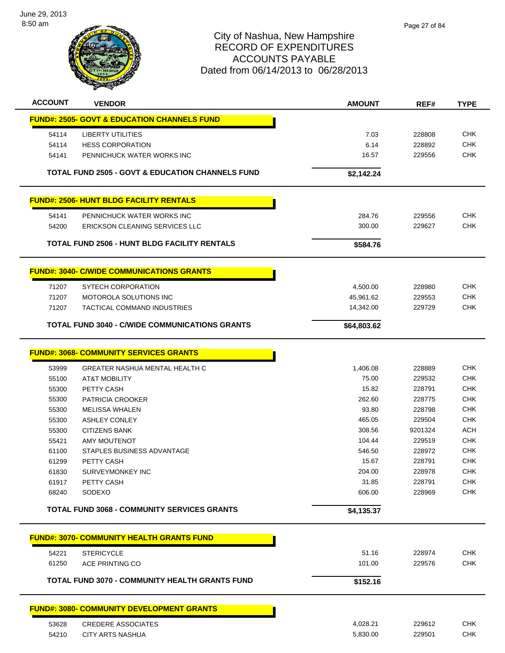

| <b>ACCOUNT</b> | <b>VENDOR</b>                                               | <b>AMOUNT</b> | REF#    | <b>TYPE</b>              |
|----------------|-------------------------------------------------------------|---------------|---------|--------------------------|
|                | <b>FUND#: 2505- GOVT &amp; EDUCATION CHANNELS FUND</b>      |               |         |                          |
| 54114          | <b>LIBERTY UTILITIES</b>                                    | 7.03          | 228808  | <b>CHK</b>               |
| 54114          | <b>HESS CORPORATION</b>                                     | 6.14          | 228892  | <b>CHK</b>               |
| 54141          | PENNICHUCK WATER WORKS INC                                  | 16.57         | 229556  | <b>CHK</b>               |
|                | <b>TOTAL FUND 2505 - GOVT &amp; EDUCATION CHANNELS FUND</b> | \$2,142.24    |         |                          |
|                | <b>FUND#: 2506- HUNT BLDG FACILITY RENTALS</b>              |               |         |                          |
| 54141          | PENNICHUCK WATER WORKS INC                                  | 284.76        | 229556  | <b>CHK</b>               |
| 54200          | ERICKSON CLEANING SERVICES LLC                              | 300.00        | 229627  | <b>CHK</b>               |
|                |                                                             |               |         |                          |
|                | <b>TOTAL FUND 2506 - HUNT BLDG FACILITY RENTALS</b>         | \$584.76      |         |                          |
|                | <b>FUND#: 3040- C/WIDE COMMUNICATIONS GRANTS</b>            |               |         |                          |
| 71207          | <b>SYTECH CORPORATION</b>                                   | 4,500.00      | 228980  | <b>CHK</b>               |
| 71207          | MOTOROLA SOLUTIONS INC                                      | 45,961.62     | 229553  | <b>CHK</b>               |
| 71207          | <b>TACTICAL COMMAND INDUSTRIES</b>                          | 14,342.00     | 229729  | <b>CHK</b>               |
|                | <b>TOTAL FUND 3040 - C/WIDE COMMUNICATIONS GRANTS</b>       | \$64,803.62   |         |                          |
|                |                                                             |               |         |                          |
|                | <b>FUND#: 3068- COMMUNITY SERVICES GRANTS</b>               |               |         |                          |
| 53999          | <b>GREATER NASHUA MENTAL HEALTH C</b>                       | 1,406.08      | 228889  | <b>CHK</b>               |
| 55100          | <b>AT&amp;T MOBILITY</b>                                    | 75.00         | 229532  | <b>CHK</b>               |
| 55300          | PETTY CASH                                                  | 15.82         | 228791  | <b>CHK</b>               |
| 55300          | PATRICIA CROOKER                                            | 262.60        | 228775  | <b>CHK</b>               |
| 55300          | <b>MELISSA WHALEN</b>                                       | 93.80         | 228798  | <b>CHK</b>               |
| 55300          | <b>ASHLEY CONLEY</b>                                        | 465.05        | 229504  | <b>CHK</b>               |
| 55300          | <b>CITIZENS BANK</b>                                        | 308.56        | 9201324 | <b>ACH</b>               |
| 55421          | <b>AMY MOUTENOT</b>                                         | 104.44        | 229519  | <b>CHK</b>               |
| 61100          | STAPLES BUSINESS ADVANTAGE                                  | 546.50        | 228972  | <b>CHK</b>               |
| 61299          | PETTY CASH                                                  | 15.67         | 228791  | <b>CHK</b>               |
| 61830          | SURVEYMONKEY INC                                            | 204.00        | 228978  | <b>CHK</b>               |
| 61917          | <b>PETTY CASH</b>                                           | 31.85         | 228791  | <b>CHK</b><br><b>CHK</b> |
| 68240          | SODEXO                                                      | 606.00        | 228969  |                          |
|                | <b>TOTAL FUND 3068 - COMMUNITY SERVICES GRANTS</b>          | \$4,135.37    |         |                          |
|                | <b>FUND#: 3070- COMMUNITY HEALTH GRANTS FUND</b>            |               |         |                          |
| 54221          | <b>STERICYCLE</b>                                           | 51.16         | 228974  | <b>CHK</b>               |
| 61250          | ACE PRINTING CO                                             | 101.00        | 229576  | <b>CHK</b>               |
|                | <b>TOTAL FUND 3070 - COMMUNITY HEALTH GRANTS FUND</b>       | \$152.16      |         |                          |
|                |                                                             |               |         |                          |
|                | <b>FUND#: 3080- COMMUNITY DEVELOPMENT GRANTS</b>            |               |         |                          |
| 53628          | <b>CREDERE ASSOCIATES</b>                                   | 4,028.21      | 229612  | <b>CHK</b>               |
| 54210          | <b>CITY ARTS NASHUA</b>                                     | 5,830.00      | 229501  | <b>CHK</b>               |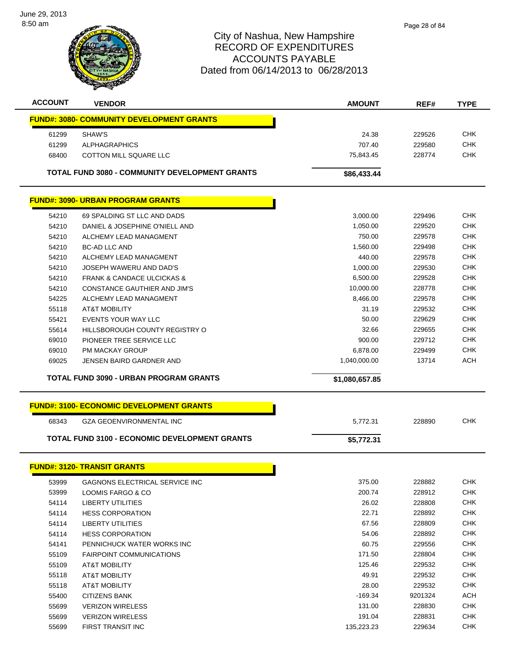

| <b>ACCOUNT</b> | <b>VENDOR</b>                                         | <b>AMOUNT</b>  | REF#    | <b>TYPE</b> |
|----------------|-------------------------------------------------------|----------------|---------|-------------|
|                | <b>FUND#: 3080- COMMUNITY DEVELOPMENT GRANTS</b>      |                |         |             |
| 61299          | SHAW'S                                                | 24.38          | 229526  | <b>CHK</b>  |
| 61299          | <b>ALPHAGRAPHICS</b>                                  | 707.40         | 229580  | <b>CHK</b>  |
| 68400          | <b>COTTON MILL SQUARE LLC</b>                         | 75,843.45      | 228774  | <b>CHK</b>  |
|                |                                                       |                |         |             |
|                | <b>TOTAL FUND 3080 - COMMUNITY DEVELOPMENT GRANTS</b> | \$86,433.44    |         |             |
|                | <b>FUND#: 3090- URBAN PROGRAM GRANTS</b>              |                |         |             |
| 54210          | 69 SPALDING ST LLC AND DADS                           | 3,000.00       | 229496  | <b>CHK</b>  |
| 54210          | DANIEL & JOSEPHINE O'NIELL AND                        | 1,050.00       | 229520  | <b>CHK</b>  |
| 54210          | ALCHEMY LEAD MANAGMENT                                | 750.00         | 229578  | <b>CHK</b>  |
| 54210          | <b>BC-AD LLC AND</b>                                  | 1,560.00       | 229498  | <b>CHK</b>  |
| 54210          | ALCHEMY LEAD MANAGMENT                                | 440.00         | 229578  | <b>CHK</b>  |
| 54210          | JOSEPH WAWERU AND DAD'S                               | 1,000.00       | 229530  | <b>CHK</b>  |
| 54210          | <b>FRANK &amp; CANDACE ULCICKAS &amp;</b>             | 6,500.00       | 229528  | <b>CHK</b>  |
| 54210          | CONSTANCE GAUTHIER AND JIM'S                          | 10,000.00      | 228778  | <b>CHK</b>  |
| 54225          | ALCHEMY LEAD MANAGMENT                                | 8,466.00       | 229578  | <b>CHK</b>  |
| 55118          | <b>AT&amp;T MOBILITY</b>                              | 31.19          | 229532  | <b>CHK</b>  |
| 55421          | <b>EVENTS YOUR WAY LLC</b>                            | 50.00          | 229629  | <b>CHK</b>  |
| 55614          | HILLSBOROUGH COUNTY REGISTRY O                        | 32.66          | 229655  | <b>CHK</b>  |
| 69010          | PIONEER TREE SERVICE LLC                              | 900.00         | 229712  | <b>CHK</b>  |
| 69010          | <b>PM MACKAY GROUP</b>                                | 6,878.00       | 229499  | <b>CHK</b>  |
| 69025          | JENSEN BAIRD GARDNER AND                              | 1,040,000.00   | 13714   | <b>ACH</b>  |
|                | <b>TOTAL FUND 3090 - URBAN PROGRAM GRANTS</b>         | \$1,080,657.85 |         |             |
|                |                                                       |                |         |             |
|                | <b>FUND#: 3100- ECONOMIC DEVELOPMENT GRANTS</b>       |                |         |             |
| 68343          | <b>GZA GEOENVIRONMENTAL INC</b>                       | 5,772.31       | 228890  | <b>CHK</b>  |
|                | <b>TOTAL FUND 3100 - ECONOMIC DEVELOPMENT GRANTS</b>  | \$5,772.31     |         |             |
|                |                                                       |                |         |             |
|                | <b>FUND#: 3120- TRANSIT GRANTS</b>                    |                |         |             |
| 53999          | GAGNONS ELECTRICAL SERVICE INC                        | 375.00         | 228882  | <b>CHK</b>  |
| 53999          | LOOMIS FARGO & CO                                     | 200.74         | 228912  | <b>CHK</b>  |
| 54114          | LIBERTY UTILITIES                                     | 26.02          | 228808  | <b>CHK</b>  |
| 54114          | <b>HESS CORPORATION</b>                               | 22.71          | 228892  | <b>CHK</b>  |
| 54114          | <b>LIBERTY UTILITIES</b>                              | 67.56          | 228809  | <b>CHK</b>  |
| 54114          | <b>HESS CORPORATION</b>                               | 54.06          | 228892  | <b>CHK</b>  |
| 54141          | PENNICHUCK WATER WORKS INC                            | 60.75          | 229556  | <b>CHK</b>  |
| 55109          | <b>FAIRPOINT COMMUNICATIONS</b>                       | 171.50         | 228804  | <b>CHK</b>  |
| 55109          | AT&T MOBILITY                                         | 125.46         | 229532  | <b>CHK</b>  |
| 55118          | AT&T MOBILITY                                         | 49.91          | 229532  | <b>CHK</b>  |
| 55118          | AT&T MOBILITY                                         | 28.00          | 229532  | <b>CHK</b>  |
| 55400          | CITIZENS BANK                                         | $-169.34$      | 9201324 | <b>ACH</b>  |
| 55699          | <b>VERIZON WIRELESS</b>                               | 131.00         | 228830  | <b>CHK</b>  |
| 55699          | <b>VERIZON WIRELESS</b>                               | 191.04         | 228831  | <b>CHK</b>  |

FIRST TRANSIT INC 135,223.23 229634 CHK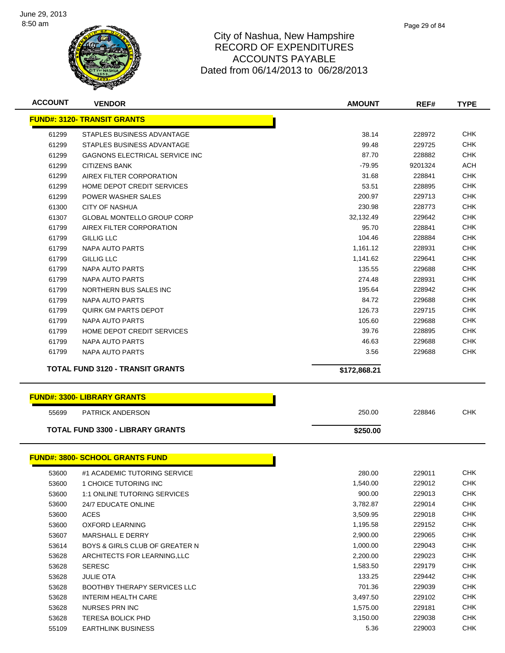

| <b>ACCOUNT</b> | <b>VENDOR</b>                                 | <b>AMOUNT</b> | REF#    | <b>TYPE</b> |
|----------------|-----------------------------------------------|---------------|---------|-------------|
|                | <b>FUND#: 3120- TRANSIT GRANTS</b>            |               |         |             |
| 61299          | STAPLES BUSINESS ADVANTAGE                    | 38.14         | 228972  | <b>CHK</b>  |
| 61299          | STAPLES BUSINESS ADVANTAGE                    | 99.48         | 229725  | <b>CHK</b>  |
| 61299          | GAGNONS ELECTRICAL SERVICE INC                | 87.70         | 228882  | <b>CHK</b>  |
| 61299          | <b>CITIZENS BANK</b>                          | $-79.95$      | 9201324 | ACH         |
| 61299          | AIREX FILTER CORPORATION                      | 31.68         | 228841  | <b>CHK</b>  |
| 61299          | <b>HOME DEPOT CREDIT SERVICES</b>             | 53.51         | 228895  | <b>CHK</b>  |
| 61299          | POWER WASHER SALES                            | 200.97        | 229713  | <b>CHK</b>  |
| 61300          | <b>CITY OF NASHUA</b>                         | 230.98        | 228773  | <b>CHK</b>  |
| 61307          | <b>GLOBAL MONTELLO GROUP CORP</b>             | 32,132.49     | 229642  | <b>CHK</b>  |
| 61799          | AIREX FILTER CORPORATION                      | 95.70         | 228841  | <b>CHK</b>  |
| 61799          | GILLIG LLC                                    | 104.46        | 228884  | <b>CHK</b>  |
| 61799          | NAPA AUTO PARTS                               | 1,161.12      | 228931  | <b>CHK</b>  |
| 61799          | GILLIG LLC                                    | 1,141.62      | 229641  | <b>CHK</b>  |
| 61799          | NAPA AUTO PARTS                               | 135.55        | 229688  | <b>CHK</b>  |
| 61799          | NAPA AUTO PARTS                               | 274.48        | 228931  | <b>CHK</b>  |
| 61799          | NORTHERN BUS SALES INC                        | 195.64        | 228942  | <b>CHK</b>  |
| 61799          | NAPA AUTO PARTS                               | 84.72         | 229688  | <b>CHK</b>  |
| 61799          | <b>QUIRK GM PARTS DEPOT</b>                   | 126.73        | 229715  | <b>CHK</b>  |
|                |                                               | 105.60        | 229688  | <b>CHK</b>  |
| 61799          | NAPA AUTO PARTS<br>HOME DEPOT CREDIT SERVICES |               |         | <b>CHK</b>  |
| 61799          |                                               | 39.76         | 228895  | <b>CHK</b>  |
| 61799          | NAPA AUTO PARTS                               | 46.63         | 229688  |             |
| 61799          | <b>NAPA AUTO PARTS</b>                        | 3.56          | 229688  | <b>CHK</b>  |
|                | <b>TOTAL FUND 3120 - TRANSIT GRANTS</b>       |               |         |             |
|                |                                               | \$172,868.21  |         |             |
|                |                                               |               |         |             |
|                | <b>FUND#: 3300- LIBRARY GRANTS</b>            |               |         |             |
| 55699          | <b>PATRICK ANDERSON</b>                       | 250.00        | 228846  | <b>CHK</b>  |
|                | <b>TOTAL FUND 3300 - LIBRARY GRANTS</b>       | \$250.00      |         |             |
|                |                                               |               |         |             |
|                | <b>FUND#: 3800- SCHOOL GRANTS FUND</b>        |               |         |             |
| 53600          | #1 ACADEMIC TUTORING SERVICE                  | 280.00        | 229011  | <b>CHK</b>  |
| 53600          | 1 CHOICE TUTORING INC                         | 1,540.00      | 229012  | <b>CHK</b>  |
| 53600          | <b>1:1 ONLINE TUTORING SERVICES</b>           | 900.00        | 229013  | <b>CHK</b>  |
| 53600          | 24/7 EDUCATE ONLINE                           | 3,782.87      | 229014  | <b>CHK</b>  |
| 53600          | <b>ACES</b>                                   | 3,509.95      | 229018  | <b>CHK</b>  |
| 53600          | <b>OXFORD LEARNING</b>                        | 1,195.58      | 229152  | <b>CHK</b>  |
| 53607          | <b>MARSHALL E DERRY</b>                       | 2,900.00      | 229065  | <b>CHK</b>  |
| 53614          | BOYS & GIRLS CLUB OF GREATER N                | 1,000.00      | 229043  | <b>CHK</b>  |
| 53628          | ARCHITECTS FOR LEARNING,LLC                   | 2,200.00      | 229023  | <b>CHK</b>  |
| 53628          | <b>SERESC</b>                                 | 1,583.50      | 229179  | <b>CHK</b>  |
| 53628          | <b>JULIE OTA</b>                              | 133.25        | 229442  | <b>CHK</b>  |
| 53628          | <b>BOOTHBY THERAPY SERVICES LLC</b>           | 701.36        | 229039  | <b>CHK</b>  |
| 53628          | INTERIM HEALTH CARE                           | 3,497.50      | 229102  | <b>CHK</b>  |
| 53628          | NURSES PRN INC                                | 1,575.00      | 229181  | <b>CHK</b>  |
| 53628          | <b>TERESA BOLICK PHD</b>                      | 3,150.00      | 229038  | <b>CHK</b>  |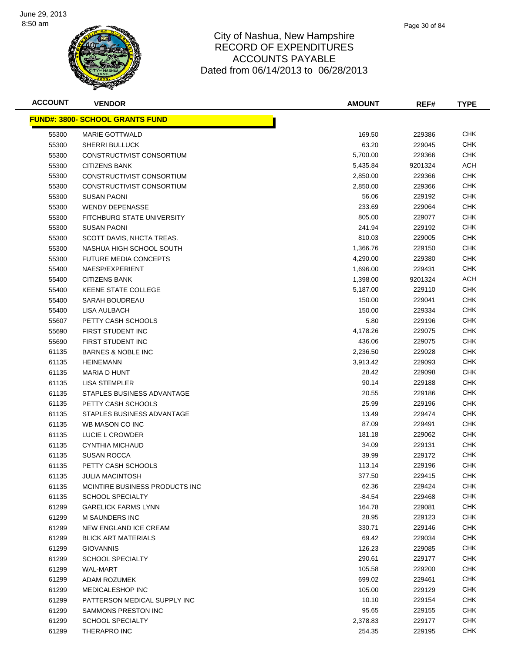

| <b>ACCOUNT</b> | <b>VENDOR</b>                           | <b>AMOUNT</b> | REF#    | <b>TYPE</b> |
|----------------|-----------------------------------------|---------------|---------|-------------|
|                | <u> FUND#: 3800- SCHOOL GRANTS FUND</u> |               |         |             |
| 55300          | <b>MARIE GOTTWALD</b>                   | 169.50        | 229386  | <b>CHK</b>  |
| 55300          | <b>SHERRI BULLUCK</b>                   | 63.20         | 229045  | <b>CHK</b>  |
| 55300          | CONSTRUCTIVIST CONSORTIUM               | 5,700.00      | 229366  | <b>CHK</b>  |
| 55300          | <b>CITIZENS BANK</b>                    | 5,435.84      | 9201324 | ACH         |
| 55300          | CONSTRUCTIVIST CONSORTIUM               | 2,850.00      | 229366  | <b>CHK</b>  |
| 55300          | CONSTRUCTIVIST CONSORTIUM               | 2,850.00      | 229366  | <b>CHK</b>  |
| 55300          | <b>SUSAN PAONI</b>                      | 56.06         | 229192  | CHK         |
| 55300          | <b>WENDY DEPENASSE</b>                  | 233.69        | 229064  | CHK         |
| 55300          | FITCHBURG STATE UNIVERSITY              | 805.00        | 229077  | <b>CHK</b>  |
| 55300          | SUSAN PAONI                             | 241.94        | 229192  | <b>CHK</b>  |
| 55300          | SCOTT DAVIS, NHCTA TREAS.               | 810.03        | 229005  | <b>CHK</b>  |
| 55300          | NASHUA HIGH SCHOOL SOUTH                | 1,366.76      | 229150  | <b>CHK</b>  |
| 55300          | <b>FUTURE MEDIA CONCEPTS</b>            | 4,290.00      | 229380  | <b>CHK</b>  |
| 55400          | NAESP/EXPERIENT                         | 1,696.00      | 229431  | <b>CHK</b>  |
| 55400          | <b>CITIZENS BANK</b>                    | 1,398.00      | 9201324 | ACH         |
| 55400          | KEENE STATE COLLEGE                     | 5,187.00      | 229110  | <b>CHK</b>  |
| 55400          | SARAH BOUDREAU                          | 150.00        | 229041  | <b>CHK</b>  |
| 55400          | LISA AULBACH                            | 150.00        | 229334  | <b>CHK</b>  |
| 55607          | PETTY CASH SCHOOLS                      | 5.80          | 229196  | <b>CHK</b>  |
| 55690          | FIRST STUDENT INC                       | 4,178.26      | 229075  | <b>CHK</b>  |
| 55690          | FIRST STUDENT INC                       | 436.06        | 229075  | <b>CHK</b>  |
| 61135          | <b>BARNES &amp; NOBLE INC</b>           | 2,236.50      | 229028  | <b>CHK</b>  |
| 61135          | <b>HEINEMANN</b>                        | 3,913.42      | 229093  | <b>CHK</b>  |
| 61135          | MARIA D HUNT                            | 28.42         | 229098  | <b>CHK</b>  |
| 61135          | LISA STEMPLER                           | 90.14         | 229188  | <b>CHK</b>  |
| 61135          | STAPLES BUSINESS ADVANTAGE              | 20.55         | 229186  | <b>CHK</b>  |
| 61135          | PETTY CASH SCHOOLS                      | 25.99         | 229196  | <b>CHK</b>  |
| 61135          | STAPLES BUSINESS ADVANTAGE              | 13.49         | 229474  | <b>CHK</b>  |
| 61135          | WB MASON CO INC                         | 87.09         | 229491  | CHK         |
| 61135          | LUCIE L CROWDER                         | 181.18        | 229062  | CHK.        |
| 61135          | CYNTHIA MICHAUD                         | 34.09         | 229131  | CHK         |
| 61135          | <b>SUSAN ROCCA</b>                      | 39.99         | 229172  | <b>CHK</b>  |
| 61135          | PETTY CASH SCHOOLS                      | 113.14        | 229196  | CHK         |
| 61135          | <b>JULIA MACINTOSH</b>                  | 377.50        | 229415  | <b>CHK</b>  |
| 61135          | MCINTIRE BUSINESS PRODUCTS INC          | 62.36         | 229424  | <b>CHK</b>  |
| 61135          | <b>SCHOOL SPECIALTY</b>                 | $-84.54$      | 229468  | <b>CHK</b>  |
| 61299          | <b>GARELICK FARMS LYNN</b>              | 164.78        | 229081  | <b>CHK</b>  |
| 61299          | M SAUNDERS INC                          | 28.95         | 229123  | <b>CHK</b>  |
| 61299          | NEW ENGLAND ICE CREAM                   | 330.71        | 229146  | <b>CHK</b>  |
| 61299          | <b>BLICK ART MATERIALS</b>              | 69.42         | 229034  | CHK         |
| 61299          | <b>GIOVANNIS</b>                        | 126.23        | 229085  | CHK         |
| 61299          | <b>SCHOOL SPECIALTY</b>                 | 290.61        | 229177  | CHK         |
| 61299          | WAL-MART                                | 105.58        | 229200  | <b>CHK</b>  |
| 61299          | ADAM ROZUMEK                            | 699.02        | 229461  | <b>CHK</b>  |
| 61299          | MEDICALESHOP INC                        | 105.00        | 229129  | <b>CHK</b>  |
| 61299          | PATTERSON MEDICAL SUPPLY INC            | 10.10         | 229154  | <b>CHK</b>  |
| 61299          | SAMMONS PRESTON INC                     | 95.65         | 229155  | <b>CHK</b>  |
| 61299          | <b>SCHOOL SPECIALTY</b>                 | 2,378.83      | 229177  | <b>CHK</b>  |
| 61299          | THERAPRO INC                            | 254.35        | 229195  | <b>CHK</b>  |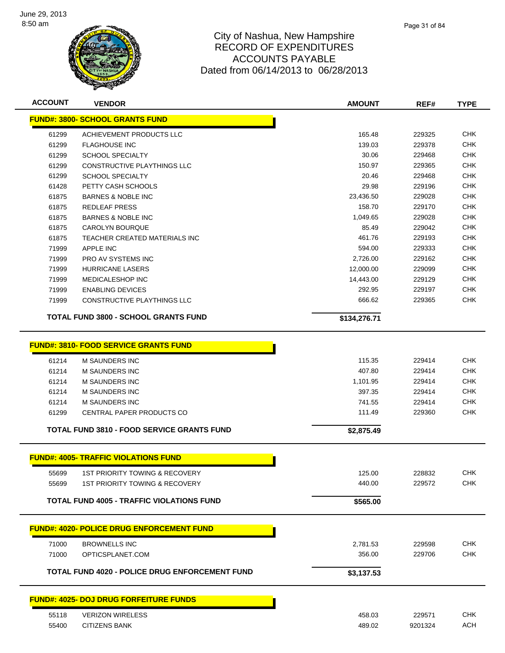

| <b>ACCOUNT</b> | <b>VENDOR</b>                                    | AMOUNT       | REF#    | <b>TYPE</b> |
|----------------|--------------------------------------------------|--------------|---------|-------------|
|                | <b>FUND#: 3800- SCHOOL GRANTS FUND</b>           |              |         |             |
| 61299          | ACHIEVEMENT PRODUCTS LLC                         | 165.48       | 229325  | <b>CHK</b>  |
| 61299          | <b>FLAGHOUSE INC</b>                             | 139.03       | 229378  | <b>CHK</b>  |
| 61299          | <b>SCHOOL SPECIALTY</b>                          | 30.06        | 229468  | <b>CHK</b>  |
| 61299          | <b>CONSTRUCTIVE PLAYTHINGS LLC</b>               | 150.97       | 229365  | <b>CHK</b>  |
| 61299          | <b>SCHOOL SPECIALTY</b>                          | 20.46        | 229468  | <b>CHK</b>  |
| 61428          | PETTY CASH SCHOOLS                               | 29.98        | 229196  | <b>CHK</b>  |
| 61875          | <b>BARNES &amp; NOBLE INC</b>                    | 23,436.50    | 229028  | <b>CHK</b>  |
| 61875          | <b>REDLEAF PRESS</b>                             | 158.70       | 229170  | <b>CHK</b>  |
| 61875          | <b>BARNES &amp; NOBLE INC</b>                    | 1,049.65     | 229028  | <b>CHK</b>  |
| 61875          | <b>CAROLYN BOURQUE</b>                           | 85.49        | 229042  | <b>CHK</b>  |
| 61875          | TEACHER CREATED MATERIALS INC                    | 461.76       | 229193  | <b>CHK</b>  |
| 71999          | <b>APPLE INC</b>                                 | 594.00       | 229333  | <b>CHK</b>  |
| 71999          | PRO AV SYSTEMS INC                               | 2,726.00     | 229162  | <b>CHK</b>  |
| 71999          | <b>HURRICANE LASERS</b>                          | 12,000.00    | 229099  | <b>CHK</b>  |
| 71999          | MEDICALESHOP INC                                 | 14,443.00    | 229129  | <b>CHK</b>  |
| 71999          | <b>ENABLING DEVICES</b>                          | 292.95       | 229197  | <b>CHK</b>  |
| 71999          | CONSTRUCTIVE PLAYTHINGS LLC                      | 666.62       | 229365  | <b>CHK</b>  |
|                | <b>TOTAL FUND 3800 - SCHOOL GRANTS FUND</b>      | \$134,276.71 |         |             |
|                | <b>FUND#: 3810- FOOD SERVICE GRANTS FUND</b>     |              |         |             |
| 61214          | <b>M SAUNDERS INC</b>                            | 115.35       | 229414  | <b>CHK</b>  |
| 61214          | <b>M SAUNDERS INC</b>                            | 407.80       | 229414  | <b>CHK</b>  |
| 61214          | M SAUNDERS INC                                   | 1,101.95     | 229414  | <b>CHK</b>  |
| 61214          | <b>M SAUNDERS INC</b>                            | 397.35       | 229414  | <b>CHK</b>  |
| 61214          | M SAUNDERS INC                                   | 741.55       | 229414  | <b>CHK</b>  |
| 61299          | CENTRAL PAPER PRODUCTS CO                        | 111.49       | 229360  | <b>CHK</b>  |
|                | TOTAL FUND 3810 - FOOD SERVICE GRANTS FUND       | \$2,875.49   |         |             |
|                | <b>FUND#: 4005- TRAFFIC VIOLATIONS FUND</b>      |              |         |             |
| 55699          | <b>1ST PRIORITY TOWING &amp; RECOVERY</b>        | 125.00       | 228832  | <b>CHK</b>  |
| 55699          | <b>1ST PRIORITY TOWING &amp; RECOVERY</b>        | 440.00       | 229572  | <b>CHK</b>  |
|                | <b>TOTAL FUND 4005 - TRAFFIC VIOLATIONS FUND</b> | \$565.00     |         |             |
|                | <b>FUND#: 4020- POLICE DRUG ENFORCEMENT FUND</b> |              |         |             |
| 71000          | <b>BROWNELLS INC</b>                             | 2,781.53     | 229598  | <b>CHK</b>  |
| 71000          | OPTICSPLANET.COM                                 | 356.00       | 229706  | <b>CHK</b>  |
|                |                                                  |              |         |             |
|                | TOTAL FUND 4020 - POLICE DRUG ENFORCEMENT FUND   | \$3,137.53   |         |             |
|                | <b>FUND#: 4025- DOJ DRUG FORFEITURE FUNDS</b>    |              |         |             |
| 55118          | <b>VERIZON WIRELESS</b>                          | 458.03       | 229571  | <b>CHK</b>  |
| 55400          | <b>CITIZENS BANK</b>                             | 489.02       | 9201324 | <b>ACH</b>  |
|                |                                                  |              |         |             |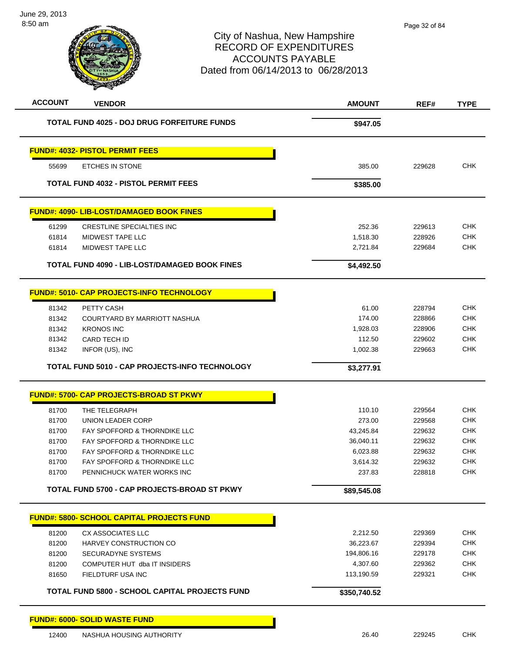| <b>ACCOUNT</b> | <b>VENDOR</b>                                         | <b>AMOUNT</b> | REF#   | <b>TYPE</b> |
|----------------|-------------------------------------------------------|---------------|--------|-------------|
|                | <b>TOTAL FUND 4025 - DOJ DRUG FORFEITURE FUNDS</b>    | \$947.05      |        |             |
|                | <b>FUND#: 4032- PISTOL PERMIT FEES</b>                |               |        |             |
| 55699          | <b>ETCHES IN STONE</b>                                | 385.00        | 229628 | <b>CHK</b>  |
|                | <b>TOTAL FUND 4032 - PISTOL PERMIT FEES</b>           | \$385.00      |        |             |
|                | <b>FUND#: 4090- LIB-LOST/DAMAGED BOOK FINES</b>       |               |        |             |
| 61299          | CRESTLINE SPECIALTIES INC                             | 252.36        | 229613 | <b>CHK</b>  |
| 61814          | MIDWEST TAPE LLC                                      | 1,518.30      | 228926 | <b>CHK</b>  |
| 61814          | <b>MIDWEST TAPE LLC</b>                               | 2,721.84      | 229684 | <b>CHK</b>  |
|                | TOTAL FUND 4090 - LIB-LOST/DAMAGED BOOK FINES         | \$4,492.50    |        |             |
|                | <b>FUND#: 5010- CAP PROJECTS-INFO TECHNOLOGY</b>      |               |        |             |
| 81342          | PETTY CASH                                            | 61.00         | 228794 | <b>CHK</b>  |
| 81342          | COURTYARD BY MARRIOTT NASHUA                          | 174.00        | 228866 | <b>CHK</b>  |
| 81342          | <b>KRONOS INC</b>                                     | 1,928.03      | 228906 | <b>CHK</b>  |
| 81342          | CARD TECH ID                                          | 112.50        | 229602 | <b>CHK</b>  |
| 81342          | INFOR (US), INC                                       | 1,002.38      | 229663 | <b>CHK</b>  |
|                | <b>TOTAL FUND 5010 - CAP PROJECTS-INFO TECHNOLOGY</b> | \$3,277.91    |        |             |
|                | <b>FUND#: 5700- CAP PROJECTS-BROAD ST PKWY</b>        |               |        |             |
| 81700          | THE TELEGRAPH                                         | 110.10        | 229564 | <b>CHK</b>  |
| 81700          | <b>UNION LEADER CORP</b>                              | 273.00        | 229568 | <b>CHK</b>  |
| 81700          | FAY SPOFFORD & THORNDIKE LLC                          | 43,245.84     | 229632 | <b>CHK</b>  |
| 81700          | FAY SPOFFORD & THORNDIKE LLC                          | 36,040.11     | 229632 | <b>CHK</b>  |
| 81700          | <b>FAY SPOFFORD &amp; THORNDIKE LLC</b>               | 6,023.88      | 229632 | <b>CHK</b>  |
| 81700          | FAY SPOFFORD & THORNDIKE LLC                          | 3,614.32      | 229632 | <b>CHK</b>  |
| 81700          | PENNICHUCK WATER WORKS INC                            | 237.83        | 228818 | <b>CHK</b>  |
|                | TOTAL FUND 5700 - CAP PROJECTS-BROAD ST PKWY          | \$89,545.08   |        |             |
|                | <b>FUND#: 5800- SCHOOL CAPITAL PROJECTS FUND</b>      |               |        |             |
| 81200          | <b>CX ASSOCIATES LLC</b>                              | 2,212.50      | 229369 | <b>CHK</b>  |
| 81200          | HARVEY CONSTRUCTION CO                                | 36,223.67     | 229394 | <b>CHK</b>  |
| 81200          | SECURADYNE SYSTEMS                                    | 194,806.16    | 229178 | <b>CHK</b>  |
| 81200          | COMPUTER HUT dba IT INSIDERS                          | 4,307.60      | 229362 | <b>CHK</b>  |
| 81650          | FIELDTURF USA INC                                     | 113,190.59    | 229321 | <b>CHK</b>  |
|                | TOTAL FUND 5800 - SCHOOL CAPITAL PROJECTS FUND        | \$350,740.52  |        |             |
|                | <b>FUND#: 6000- SOLID WASTE FUND</b>                  |               |        |             |
| 12400          | NASHUA HOUSING AUTHORITY                              | 26.40         | 229245 | <b>CHK</b>  |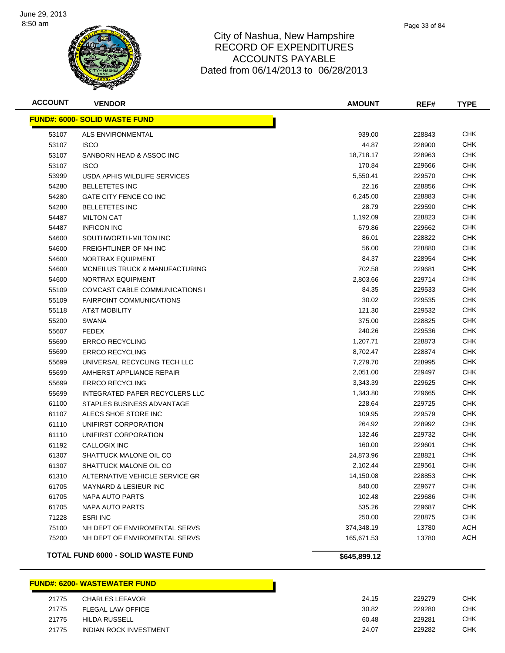

| <b>ACCOUNT</b> | <b>VENDOR</b>                         | <b>AMOUNT</b> | REF#   | <b>TYPE</b> |
|----------------|---------------------------------------|---------------|--------|-------------|
|                | <b>FUND#: 6000- SOLID WASTE FUND</b>  |               |        |             |
| 53107          | ALS ENVIRONMENTAL                     | 939.00        | 228843 | CHK         |
| 53107          | <b>ISCO</b>                           | 44.87         | 228900 | <b>CHK</b>  |
| 53107          | SANBORN HEAD & ASSOC INC              | 18,718.17     | 228963 | <b>CHK</b>  |
| 53107          | <b>ISCO</b>                           | 170.84        | 229666 | <b>CHK</b>  |
| 53999          | USDA APHIS WILDLIFE SERVICES          | 5,550.41      | 229570 | <b>CHK</b>  |
| 54280          | <b>BELLETETES INC</b>                 | 22.16         | 228856 | <b>CHK</b>  |
| 54280          | GATE CITY FENCE CO INC                | 6,245.00      | 228883 | <b>CHK</b>  |
| 54280          | <b>BELLETETES INC</b>                 | 28.79         | 229590 | <b>CHK</b>  |
| 54487          | <b>MILTON CAT</b>                     | 1,192.09      | 228823 | <b>CHK</b>  |
| 54487          | <b>INFICON INC</b>                    | 679.86        | 229662 | <b>CHK</b>  |
| 54600          | SOUTHWORTH-MILTON INC                 | 86.01         | 228822 | <b>CHK</b>  |
| 54600          | FREIGHTLINER OF NH INC                | 56.00         | 228880 | CHK         |
| 54600          | NORTRAX EQUIPMENT                     | 84.37         | 228954 | <b>CHK</b>  |
| 54600          | MCNEILUS TRUCK & MANUFACTURING        | 702.58        | 229681 | <b>CHK</b>  |
| 54600          | NORTRAX EQUIPMENT                     | 2,803.66      | 229714 | <b>CHK</b>  |
| 55109          | <b>COMCAST CABLE COMMUNICATIONS I</b> | 84.35         | 229533 | <b>CHK</b>  |
| 55109          | <b>FAIRPOINT COMMUNICATIONS</b>       | 30.02         | 229535 | <b>CHK</b>  |
| 55118          | <b>AT&amp;T MOBILITY</b>              | 121.30        | 229532 | <b>CHK</b>  |
| 55200          | <b>SWANA</b>                          | 375.00        | 228825 | <b>CHK</b>  |
| 55607          | <b>FEDEX</b>                          | 240.26        | 229536 | <b>CHK</b>  |
| 55699          | <b>ERRCO RECYCLING</b>                | 1,207.71      | 228873 | CHK         |
| 55699          | <b>ERRCO RECYCLING</b>                | 8,702.47      | 228874 | <b>CHK</b>  |
| 55699          | UNIVERSAL RECYCLING TECH LLC          | 7,279.70      | 228995 | <b>CHK</b>  |
| 55699          | AMHERST APPLIANCE REPAIR              | 2,051.00      | 229497 | <b>CHK</b>  |
| 55699          | <b>ERRCO RECYCLING</b>                | 3,343.39      | 229625 | <b>CHK</b>  |
| 55699          | INTEGRATED PAPER RECYCLERS LLC        | 1,343.80      | 229665 | <b>CHK</b>  |
| 61100          | STAPLES BUSINESS ADVANTAGE            | 228.64        | 229725 | <b>CHK</b>  |
| 61107          | ALECS SHOE STORE INC                  | 109.95        | 229579 | CHK         |
| 61110          | UNIFIRST CORPORATION                  | 264.92        | 228992 | <b>CHK</b>  |
| 61110          | UNIFIRST CORPORATION                  | 132.46        | 229732 | <b>CHK</b>  |
| 61192          | CALLOGIX INC                          | 160.00        | 229601 | CHK         |
| 61307          | SHATTUCK MALONE OIL CO                | 24,873.96     | 228821 | <b>CHK</b>  |
| 61307          | SHATTUCK MALONE OIL CO                | 2.102.44      | 229561 | <b>CHK</b>  |
| 61310          | ALTERNATIVE VEHICLE SERVICE GR        | 14,150.08     | 228853 | <b>CHK</b>  |
| 61705          | <b>MAYNARD &amp; LESIEUR INC</b>      | 840.00        | 229677 | <b>CHK</b>  |
| 61705          | NAPA AUTO PARTS                       | 102.48        | 229686 | <b>CHK</b>  |
| 61705          | NAPA AUTO PARTS                       | 535.26        | 229687 | <b>CHK</b>  |
| 71228          | <b>ESRI INC</b>                       | 250.00        | 228875 | <b>CHK</b>  |
| 75100          | NH DEPT OF ENVIROMENTAL SERVS         | 374,348.19    | 13780  | ACH         |
| 75200          | NH DEPT OF ENVIROMENTAL SERVS         | 165,671.53    | 13780  | <b>ACH</b>  |
|                | TOTAL FUND 6000 - SOLID WASTE FUND    | \$645,899.12  |        |             |

# **FUND#: 6200- WASTEWATER FUND**

h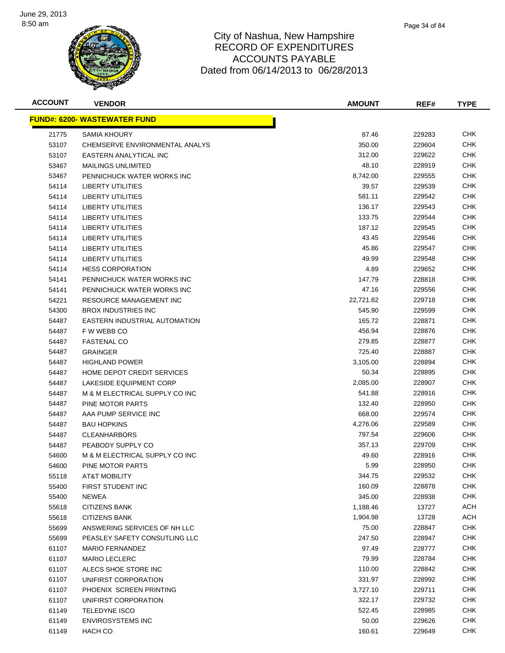

| <b>ACCOUNT</b> | <b>VENDOR</b>                        | <b>AMOUNT</b> | REF#   | <b>TYPE</b> |
|----------------|--------------------------------------|---------------|--------|-------------|
|                | <u> FUND#: 6200- WASTEWATER FUND</u> |               |        |             |
| 21775          | <b>SAMIA KHOURY</b>                  | 87.46         | 229283 | CHK         |
| 53107          | CHEMSERVE ENVIRONMENTAL ANALYS       | 350.00        | 229604 | <b>CHK</b>  |
| 53107          | EASTERN ANALYTICAL INC               | 312.00        | 229622 | <b>CHK</b>  |
| 53467          | <b>MAILINGS UNLIMITED</b>            | 48.10         | 228919 | CHK         |
| 53467          | PENNICHUCK WATER WORKS INC           | 8,742.00      | 229555 | CHK         |
| 54114          | LIBERTY UTILITIES                    | 39.57         | 229539 | CHK         |
| 54114          | LIBERTY UTILITIES                    | 581.11        | 229542 | CHK         |
| 54114          | LIBERTY UTILITIES                    | 136.17        | 229543 | CHK         |
| 54114          | LIBERTY UTILITIES                    | 133.75        | 229544 | CHK         |
| 54114          | LIBERTY UTILITIES                    | 187.12        | 229545 | CHK         |
| 54114          | <b>LIBERTY UTILITIES</b>             | 43.45         | 229546 | CHK         |
| 54114          | <b>LIBERTY UTILITIES</b>             | 45.86         | 229547 | CHK         |
| 54114          | <b>LIBERTY UTILITIES</b>             | 49.99         | 229548 | <b>CHK</b>  |
| 54114          | <b>HESS CORPORATION</b>              | 4.89          | 229652 | <b>CHK</b>  |
| 54141          | PENNICHUCK WATER WORKS INC           | 147.79        | 228818 | CHK         |
| 54141          | PENNICHUCK WATER WORKS INC           | 47.16         | 229556 | CHK         |
| 54221          | <b>RESOURCE MANAGEMENT INC</b>       | 22,721.82     | 229718 | CHK         |
| 54300          | <b>BROX INDUSTRIES INC</b>           | 545.90        | 229599 | CHK         |
| 54487          | EASTERN INDUSTRIAL AUTOMATION        | 165.72        | 228871 | <b>CHK</b>  |
| 54487          | F W WEBB CO                          | 456.94        | 228876 | CHK         |
| 54487          | <b>FASTENAL CO</b>                   | 279.85        | 228877 | CHK         |
| 54487          | <b>GRAINGER</b>                      | 725.40        | 228887 | CHK         |
| 54487          | <b>HIGHLAND POWER</b>                | 3,105.00      | 228894 | CHK         |
| 54487          | HOME DEPOT CREDIT SERVICES           | 50.34         | 228895 | <b>CHK</b>  |
| 54487          | LAKESIDE EQUIPMENT CORP              | 2,085.00      | 228907 | <b>CHK</b>  |
| 54487          | M & M ELECTRICAL SUPPLY CO INC       | 541.88        | 228916 | CHK         |
| 54487          | PINE MOTOR PARTS                     | 132.40        | 228950 | CHK         |
| 54487          | AAA PUMP SERVICE INC                 | 668.00        | 229574 | CHK         |
| 54487          | <b>BAU HOPKINS</b>                   | 4,276.06      | 229589 | CHK         |
| 54487          | <b>CLEANHARBORS</b>                  | 797.54        | 229606 | CHK         |
| 54487          | PEABODY SUPPLY CO                    | 357.13        | 229709 | CHK         |
| 54600          | M & M ELECTRICAL SUPPLY CO INC       | 49.60         | 228916 | CHK         |
| 54600          | PINE MOTOR PARTS                     | 5.99          | 228950 | CHK         |
| 55118          | <b>AT&amp;T MOBILITY</b>             | 344.75        | 229532 | CHK         |
| 55400          | FIRST STUDENT INC                    | 160.09        | 228878 | <b>CHK</b>  |
| 55400          | <b>NEWEA</b>                         | 345.00        | 228938 | <b>CHK</b>  |
| 55618          | <b>CITIZENS BANK</b>                 | 1,188.46      | 13727  | <b>ACH</b>  |
| 55618          | <b>CITIZENS BANK</b>                 | 1,904.98      | 13728  | <b>ACH</b>  |
| 55699          | ANSWERING SERVICES OF NH LLC         | 75.00         | 228847 | <b>CHK</b>  |
| 55699          | PEASLEY SAFETY CONSUTLING LLC        | 247.50        | 228947 | <b>CHK</b>  |
| 61107          | <b>MARIO FERNANDEZ</b>               | 97.49         | 228777 | <b>CHK</b>  |
| 61107          | <b>MARIO LECLERC</b>                 | 79.99         | 228784 | CHK         |
| 61107          | ALECS SHOE STORE INC                 | 110.00        | 228842 | <b>CHK</b>  |
| 61107          | UNIFIRST CORPORATION                 | 331.97        | 228992 | CHK         |
| 61107          | PHOENIX SCREEN PRINTING              | 3,727.10      | 229711 | <b>CHK</b>  |
| 61107          | UNIFIRST CORPORATION                 | 322.17        | 229732 | <b>CHK</b>  |
| 61149          | <b>TELEDYNE ISCO</b>                 | 522.45        | 228985 | <b>CHK</b>  |
| 61149          | <b>ENVIROSYSTEMS INC</b>             | 50.00         | 229626 | <b>CHK</b>  |
| 61149          | HACH CO                              | 160.61        | 229649 | <b>CHK</b>  |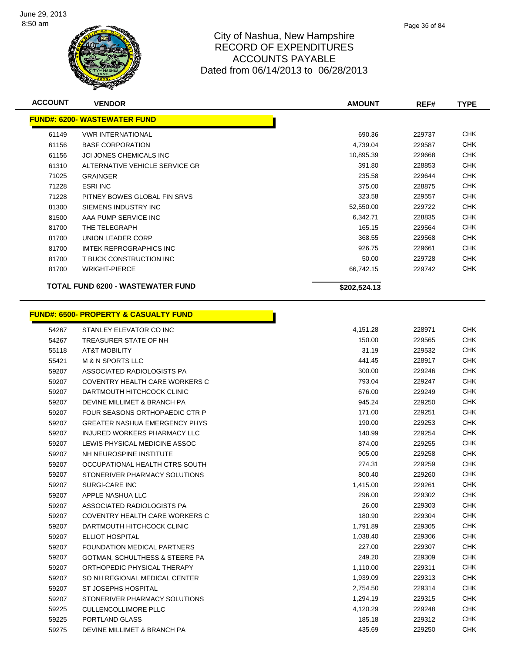

**ACCOUNT VENDOR AMOUNT REF# TYPE**

<u> 1999 - Jan Barat, politik eta pro</u>

|       | <u> FUND#: 6200- WASTEWATER FUND</u>             |              |        |            |
|-------|--------------------------------------------------|--------------|--------|------------|
| 61149 | <b><i>VWR INTERNATIONAL</i></b>                  | 690.36       | 229737 | <b>CHK</b> |
| 61156 | <b>BASF CORPORATION</b>                          | 4,739.04     | 229587 | <b>CHK</b> |
| 61156 | <b>JCI JONES CHEMICALS INC</b>                   | 10,895.39    | 229668 | <b>CHK</b> |
| 61310 | ALTERNATIVE VEHICLE SERVICE GR                   | 391.80       | 228853 | <b>CHK</b> |
| 71025 | <b>GRAINGER</b>                                  | 235.58       | 229644 | <b>CHK</b> |
| 71228 | <b>ESRI INC</b>                                  | 375.00       | 228875 | <b>CHK</b> |
| 71228 | PITNEY BOWES GLOBAL FIN SRVS                     | 323.58       | 229557 | <b>CHK</b> |
| 81300 | SIEMENS INDUSTRY INC                             | 52,550.00    | 229722 | <b>CHK</b> |
| 81500 | AAA PUMP SERVICE INC                             | 6,342.71     | 228835 | <b>CHK</b> |
| 81700 | THE TELEGRAPH                                    | 165.15       | 229564 | <b>CHK</b> |
| 81700 | UNION LEADER CORP                                | 368.55       | 229568 | <b>CHK</b> |
| 81700 | <b>IMTEK REPROGRAPHICS INC</b>                   | 926.75       | 229661 | <b>CHK</b> |
| 81700 | T BUCK CONSTRUCTION INC                          | 50.00        | 229728 | <b>CHK</b> |
| 81700 | <b>WRIGHT-PIERCE</b>                             | 66,742.15    | 229742 | <b>CHK</b> |
|       |                                                  |              |        |            |
|       | TOTAL FUND 6200 - WASTEWATER FUND                | \$202,524.13 |        |            |
|       |                                                  |              |        |            |
|       | <b>FUND#: 6500- PROPERTY &amp; CASUALTY FUND</b> |              |        |            |
| 54267 | STANLEY ELEVATOR CO INC                          | 4,151.28     | 228971 | <b>CHK</b> |
| 54267 | TREASURER STATE OF NH                            | 150.00       | 229565 | <b>CHK</b> |
| 55118 | AT&T MOBILITY                                    | 31.19        | 229532 | <b>CHK</b> |
| 55421 | <b>M &amp; N SPORTS LLC</b>                      | 441.45       | 228917 | <b>CHK</b> |
| 59207 | ASSOCIATED RADIOLOGISTS PA                       | 300.00       | 229246 | <b>CHK</b> |
| 59207 | COVENTRY HEALTH CARE WORKERS C                   | 793.04       | 229247 | <b>CHK</b> |
| 59207 | DARTMOUTH HITCHCOCK CLINIC                       | 676.00       | 229249 | <b>CHK</b> |
| 59207 | DEVINE MILLIMET & BRANCH PA                      | 945.24       | 229250 | <b>CHK</b> |
| 59207 | FOUR SEASONS ORTHOPAEDIC CTR P                   | 171.00       | 229251 | <b>CHK</b> |
| 59207 | <b>GREATER NASHUA EMERGENCY PHYS</b>             | 190.00       | 229253 | <b>CHK</b> |
| 59207 | INJURED WORKERS PHARMACY LLC                     | 140.99       | 229254 | <b>CHK</b> |
| 59207 | LEWIS PHYSICAL MEDICINE ASSOC                    | 874.00       | 229255 | <b>CHK</b> |
| 59207 | NH NEUROSPINE INSTITUTE                          | 905.00       | 229258 | <b>CHK</b> |
| 59207 | OCCUPATIONAL HEALTH CTRS SOUTH                   | 274.31       | 229259 | <b>CHK</b> |
| 59207 | STONERIVER PHARMACY SOLUTIONS                    | 800.40       | 229260 | <b>CHK</b> |
| 59207 | SURGI-CARE INC                                   | 1,415.00     | 229261 | <b>CHK</b> |
| 59207 | APPLE NASHUA LLC                                 | 296.00       | 229302 | <b>CHK</b> |
| 59207 | ASSOCIATED RADIOLOGISTS PA                       | 26.00        | 229303 | <b>CHK</b> |
| 59207 | COVENTRY HEALTH CARE WORKERS C                   | 180.90       | 229304 | <b>CHK</b> |
| 59207 | DARTMOUTH HITCHCOCK CLINIC                       | 1,791.89     | 229305 | <b>CHK</b> |
| 59207 | <b>ELLIOT HOSPITAL</b>                           | 1,038.40     | 229306 | <b>CHK</b> |
| 59207 | <b>FOUNDATION MEDICAL PARTNERS</b>               | 227.00       | 229307 | <b>CHK</b> |
| 59207 | GOTMAN, SCHULTHESS & STEERE PA                   | 249.20       | 229309 | <b>CHK</b> |
| 59207 | ORTHOPEDIC PHYSICAL THERAPY                      | 1,110.00     | 229311 | <b>CHK</b> |
| 59207 | SO NH REGIONAL MEDICAL CENTER                    | 1,939.09     | 229313 | <b>CHK</b> |
| 59207 | <b>ST JOSEPHS HOSPITAL</b>                       | 2,754.50     | 229314 | <b>CHK</b> |
| 59207 | STONERIVER PHARMACY SOLUTIONS                    | 1,294.19     | 229315 | <b>CHK</b> |
| 59225 | CULLENCOLLIMORE PLLC                             | 4,120.29     | 229248 | <b>CHK</b> |
| 59225 | PORTLAND GLASS                                   | 185.18       | 229312 | <b>CHK</b> |
| 59275 | DEVINE MILLIMET & BRANCH PA                      | 435.69       | 229250 | <b>CHK</b> |
|       |                                                  |              |        |            |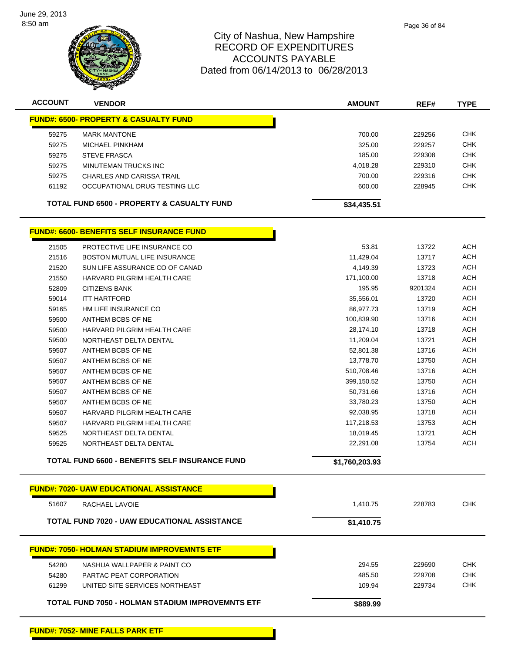

| <b>ACCOUNT</b>                                   | <b>VENDOR</b>                                       | <b>AMOUNT</b>  | REF#    | <b>TYPE</b> |
|--------------------------------------------------|-----------------------------------------------------|----------------|---------|-------------|
| <b>FUND#: 6500- PROPERTY &amp; CASUALTY FUND</b> |                                                     |                |         |             |
| 59275                                            | <b>MARK MANTONE</b>                                 | 700.00         | 229256  | <b>CHK</b>  |
| 59275                                            | <b>MICHAEL PINKHAM</b>                              | 325.00         | 229257  | <b>CHK</b>  |
| 59275                                            | <b>STEVE FRASCA</b>                                 | 185.00         | 229308  | <b>CHK</b>  |
| 59275                                            | MINUTEMAN TRUCKS INC                                | 4,018.28       | 229310  | <b>CHK</b>  |
| 59275                                            | <b>CHARLES AND CARISSA TRAIL</b>                    | 700.00         | 229316  | <b>CHK</b>  |
| 61192                                            | OCCUPATIONAL DRUG TESTING LLC                       | 600.00         | 228945  | <b>CHK</b>  |
|                                                  | TOTAL FUND 6500 - PROPERTY & CASUALTY FUND          | \$34,435.51    |         |             |
|                                                  | <b>FUND#: 6600- BENEFITS SELF INSURANCE FUND</b>    |                |         |             |
| 21505                                            | PROTECTIVE LIFE INSURANCE CO                        | 53.81          | 13722   | <b>ACH</b>  |
| 21516                                            | <b>BOSTON MUTUAL LIFE INSURANCE</b>                 | 11,429.04      | 13717   | <b>ACH</b>  |
| 21520                                            | SUN LIFE ASSURANCE CO OF CANAD                      | 4,149.39       | 13723   | <b>ACH</b>  |
| 21550                                            | HARVARD PILGRIM HEALTH CARE                         | 171,100.00     | 13718   | <b>ACH</b>  |
| 52809                                            | <b>CITIZENS BANK</b>                                | 195.95         | 9201324 | <b>ACH</b>  |
| 59014                                            | <b>ITT HARTFORD</b>                                 | 35,556.01      | 13720   | <b>ACH</b>  |
| 59165                                            | HM LIFE INSURANCE CO                                | 86,977.73      | 13719   | <b>ACH</b>  |
| 59500                                            | ANTHEM BCBS OF NE                                   | 100,839.90     | 13716   | <b>ACH</b>  |
| 59500                                            | HARVARD PILGRIM HEALTH CARE                         | 28,174.10      | 13718   | <b>ACH</b>  |
| 59500                                            | NORTHEAST DELTA DENTAL                              | 11,209.04      | 13721   | <b>ACH</b>  |
| 59507                                            | ANTHEM BCBS OF NE                                   | 52,801.38      | 13716   | <b>ACH</b>  |
| 59507                                            | ANTHEM BCBS OF NE                                   | 13,778.70      | 13750   | <b>ACH</b>  |
| 59507                                            | ANTHEM BCBS OF NE                                   | 510,708.46     | 13716   | ACH         |
| 59507                                            | ANTHEM BCBS OF NE                                   | 399,150.52     | 13750   | <b>ACH</b>  |
| 59507                                            | ANTHEM BCBS OF NE                                   | 50,731.66      | 13716   | <b>ACH</b>  |
| 59507                                            | ANTHEM BCBS OF NE                                   | 33,780.23      | 13750   | <b>ACH</b>  |
| 59507                                            | HARVARD PILGRIM HEALTH CARE                         | 92,038.95      | 13718   | <b>ACH</b>  |
| 59507                                            | HARVARD PILGRIM HEALTH CARE                         | 117,218.53     | 13753   | <b>ACH</b>  |
| 59525                                            | NORTHEAST DELTA DENTAL                              | 18,019.45      | 13721   | <b>ACH</b>  |
| 59525                                            | NORTHEAST DELTA DENTAL                              | 22,291.08      | 13754   | <b>ACH</b>  |
|                                                  | TOTAL FUND 6600 - BENEFITS SELF INSURANCE FUND      | \$1,760,203.93 |         |             |
|                                                  | <u> FUND#: 7020- UAW EDUCATIONAL ASSISTANCE</u>     |                |         |             |
| 51607                                            | RACHAEL LAVOIE                                      | 1,410.75       | 228783  | <b>CHK</b>  |
|                                                  | <b>TOTAL FUND 7020 - UAW EDUCATIONAL ASSISTANCE</b> | \$1,410.75     |         |             |
|                                                  | <b>FUND#: 7050- HOLMAN STADIUM IMPROVEMNTS ETF</b>  |                |         |             |
|                                                  |                                                     |                |         |             |
| 54280                                            | NASHUA WALLPAPER & PAINT CO                         | 294.55         | 229690  | <b>CHK</b>  |
| 54280                                            | PARTAC PEAT CORPORATION                             | 485.50         | 229708  | CHK         |
| 61299                                            | UNITED SITE SERVICES NORTHEAST                      | 109.94         | 229734  | <b>CHK</b>  |
|                                                  | TOTAL FUND 7050 - HOLMAN STADIUM IMPROVEMNTS ETF    | \$889.99       |         |             |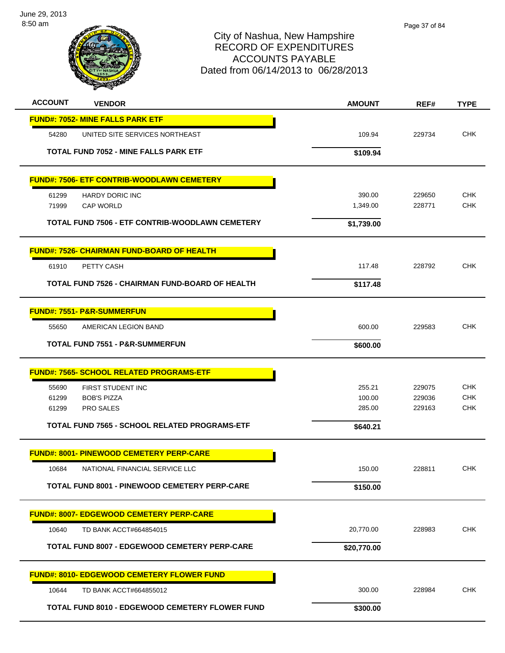

# City of Nashua, New Hampshire RECORD OF EXPENDITURES ACCOUNTS PAYABLE Dated from 06/14/2013 to 06/28/2013

| <b>ACCOUNT</b> | <b>VENDOR</b>                                          | <b>AMOUNT</b>    | REF#             | <b>TYPE</b>       |
|----------------|--------------------------------------------------------|------------------|------------------|-------------------|
|                | <b>FUND#: 7052- MINE FALLS PARK ETF</b>                |                  |                  |                   |
| 54280          | UNITED SITE SERVICES NORTHEAST                         | 109.94           | 229734           | <b>CHK</b>        |
|                | <b>TOTAL FUND 7052 - MINE FALLS PARK ETF</b>           | \$109.94         |                  |                   |
|                | <b>FUND#: 7506- ETF CONTRIB-WOODLAWN CEMETERY</b>      |                  |                  |                   |
| 61299          | <b>HARDY DORIC INC</b>                                 | 390.00           | 229650           | <b>CHK</b>        |
| 71999          | <b>CAP WORLD</b>                                       | 1,349.00         | 228771           | <b>CHK</b>        |
|                | <b>TOTAL FUND 7506 - ETF CONTRIB-WOODLAWN CEMETERY</b> | \$1,739.00       |                  |                   |
|                | <b>FUND#: 7526- CHAIRMAN FUND-BOARD OF HEALTH</b>      |                  |                  |                   |
| 61910          | PETTY CASH                                             | 117.48           | 228792           | <b>CHK</b>        |
|                | TOTAL FUND 7526 - CHAIRMAN FUND-BOARD OF HEALTH        | \$117.48         |                  |                   |
|                | <b>FUND#: 7551- P&amp;R-SUMMERFUN</b>                  |                  |                  |                   |
| 55650          | AMERICAN LEGION BAND                                   | 600.00           | 229583           | <b>CHK</b>        |
|                | <b>TOTAL FUND 7551 - P&amp;R-SUMMERFUN</b>             | \$600.00         |                  |                   |
|                | <b>FUND#: 7565- SCHOOL RELATED PROGRAMS-ETF</b>        |                  |                  |                   |
| 55690          | FIRST STUDENT INC                                      | 255.21           | 229075           | <b>CHK</b>        |
| 61299<br>61299 | <b>BOB'S PIZZA</b><br>PRO SALES                        | 100.00<br>285.00 | 229036<br>229163 | <b>CHK</b><br>CHK |
|                | <b>TOTAL FUND 7565 - SCHOOL RELATED PROGRAMS-ETF</b>   | \$640.21         |                  |                   |
|                | <b>FUND#: 8001- PINEWOOD CEMETERY PERP-CARE</b>        |                  |                  |                   |
| 10684          | NATIONAL FINANCIAL SERVICE LLC                         | 150.00           | 228811           | <b>CHK</b>        |
|                | <b>TOTAL FUND 8001 - PINEWOOD CEMETERY PERP-CARE</b>   | \$150.00         |                  |                   |
|                | <b>FUND#: 8007- EDGEWOOD CEMETERY PERP-CARE</b>        |                  |                  |                   |
| 10640          | TD BANK ACCT#664854015                                 | 20,770.00        | 228983           | <b>CHK</b>        |
|                | <b>TOTAL FUND 8007 - EDGEWOOD CEMETERY PERP-CARE</b>   | \$20,770.00      |                  |                   |
|                | <b>FUND#: 8010- EDGEWOOD CEMETERY FLOWER FUND</b>      |                  |                  |                   |
| 10644          | TD BANK ACCT#664855012                                 | 300.00           | 228984           | <b>CHK</b>        |
|                | TOTAL FUND 8010 - EDGEWOOD CEMETERY FLOWER FUND        | \$300.00         |                  |                   |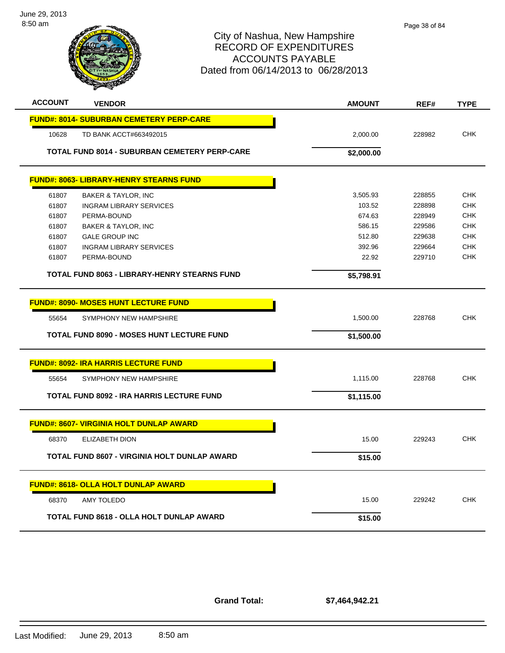



# City of Nashua, New Hampshire RECORD OF EXPENDITURES ACCOUNTS PAYABLE Dated from 06/14/2013 to 06/28/2013

| <b>ACCOUNT</b> | <b>VENDOR</b>                                        | <b>AMOUNT</b> | REF#   | <b>TYPE</b> |
|----------------|------------------------------------------------------|---------------|--------|-------------|
|                | <b>FUND#: 8014- SUBURBAN CEMETERY PERP-CARE</b>      |               |        |             |
| 10628          | TD BANK ACCT#663492015                               | 2,000.00      | 228982 | <b>CHK</b>  |
|                | <b>TOTAL FUND 8014 - SUBURBAN CEMETERY PERP-CARE</b> | \$2,000.00    |        |             |
|                | <b>FUND#: 8063- LIBRARY-HENRY STEARNS FUND</b>       |               |        |             |
| 61807          | BAKER & TAYLOR, INC                                  | 3,505.93      | 228855 | <b>CHK</b>  |
| 61807          | <b>INGRAM LIBRARY SERVICES</b>                       | 103.52        | 228898 | <b>CHK</b>  |
| 61807          | PERMA-BOUND                                          | 674.63        | 228949 | <b>CHK</b>  |
| 61807          | <b>BAKER &amp; TAYLOR, INC</b>                       | 586.15        | 229586 | <b>CHK</b>  |
| 61807          | <b>GALE GROUP INC</b>                                | 512.80        | 229638 | <b>CHK</b>  |
| 61807          | <b>INGRAM LIBRARY SERVICES</b>                       | 392.96        | 229664 | <b>CHK</b>  |
| 61807          | PERMA-BOUND                                          | 22.92         | 229710 | <b>CHK</b>  |
|                | <b>TOTAL FUND 8063 - LIBRARY-HENRY STEARNS FUND</b>  | \$5,798.91    |        |             |
|                |                                                      |               |        |             |
|                | <b>FUND#: 8090- MOSES HUNT LECTURE FUND</b>          |               |        |             |
| 55654          | SYMPHONY NEW HAMPSHIRE                               | 1,500.00      | 228768 | <b>CHK</b>  |
|                | <b>TOTAL FUND 8090 - MOSES HUNT LECTURE FUND</b>     | \$1,500.00    |        |             |
|                | <b>FUND#: 8092- IRA HARRIS LECTURE FUND</b>          |               |        |             |
| 55654          | SYMPHONY NEW HAMPSHIRE                               | 1,115.00      | 228768 | <b>CHK</b>  |
|                | <b>TOTAL FUND 8092 - IRA HARRIS LECTURE FUND</b>     | \$1,115.00    |        |             |
|                |                                                      |               |        |             |
|                | <b>FUND#: 8607- VIRGINIA HOLT DUNLAP AWARD</b>       |               |        |             |
| 68370          | <b>ELIZABETH DION</b>                                | 15.00         | 229243 | CHK         |
|                | <b>TOTAL FUND 8607 - VIRGINIA HOLT DUNLAP AWARD</b>  | \$15.00       |        |             |
|                | <b>FUND#: 8618- OLLA HOLT DUNLAP AWARD</b>           |               |        |             |
|                |                                                      |               |        |             |
| 68370          | <b>AMY TOLEDO</b>                                    | 15.00         | 229242 | <b>CHK</b>  |
|                | TOTAL FUND 8618 - OLLA HOLT DUNLAP AWARD             | \$15.00       |        |             |
|                |                                                      |               |        |             |

**Grand Total:**

**\$7,464,942.21**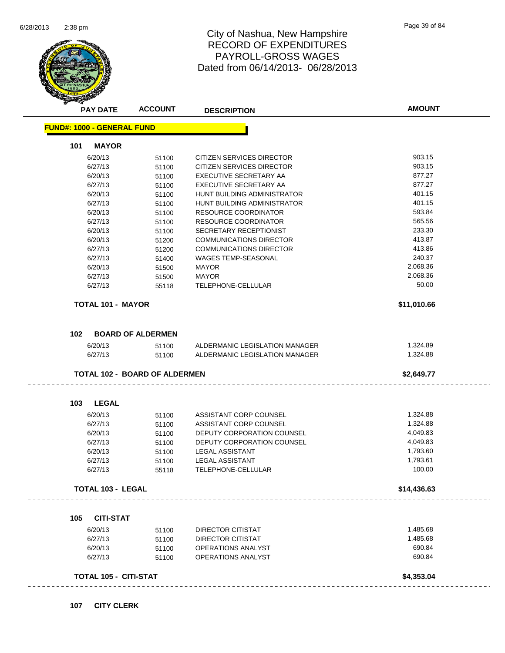

|                                   | <b>PAY DATE</b>                      | <b>DESCRIPTION</b>                                               | <b>AMOUNT</b>        |
|-----------------------------------|--------------------------------------|------------------------------------------------------------------|----------------------|
| <b>FUND#: 1000 - GENERAL FUND</b> |                                      |                                                                  |                      |
| 101<br><b>MAYOR</b>               |                                      |                                                                  |                      |
| 6/20/13                           | 51100                                | <b>CITIZEN SERVICES DIRECTOR</b>                                 | 903.15               |
| 6/27/13                           | 51100                                | <b>CITIZEN SERVICES DIRECTOR</b>                                 | 903.15               |
| 6/20/13                           | 51100                                | EXECUTIVE SECRETARY AA                                           | 877.27               |
| 6/27/13                           | 51100                                | EXECUTIVE SECRETARY AA                                           | 877.27               |
| 6/20/13                           | 51100                                | HUNT BUILDING ADMINISTRATOR                                      | 401.15               |
| 6/27/13                           | 51100                                | HUNT BUILDING ADMINISTRATOR                                      | 401.15               |
| 6/20/13                           | 51100                                | RESOURCE COORDINATOR                                             | 593.84               |
| 6/27/13                           | 51100                                | <b>RESOURCE COORDINATOR</b>                                      | 565.56               |
| 6/20/13                           | 51100                                | SECRETARY RECEPTIONIST                                           | 233.30               |
| 6/20/13                           | 51200                                | <b>COMMUNICATIONS DIRECTOR</b>                                   | 413.87               |
| 6/27/13                           | 51200                                | <b>COMMUNICATIONS DIRECTOR</b>                                   | 413.86               |
| 6/27/13                           | 51400                                | <b>WAGES TEMP-SEASONAL</b>                                       | 240.37               |
| 6/20/13                           | 51500                                | <b>MAYOR</b>                                                     | 2,068.36             |
| 6/27/13                           | 51500                                | <b>MAYOR</b>                                                     | 2,068.36             |
| 6/27/13                           | 55118                                | TELEPHONE-CELLULAR                                               | 50.00                |
| <b>TOTAL 101 - MAYOR</b>          |                                      |                                                                  | \$11,010.66          |
|                                   |                                      |                                                                  |                      |
| 102                               | <b>BOARD OF ALDERMEN</b>             |                                                                  |                      |
| 6/20/13<br>6/27/13                | 51100<br>51100                       | ALDERMANIC LEGISLATION MANAGER<br>ALDERMANIC LEGISLATION MANAGER | 1,324.89<br>1,324.88 |
|                                   |                                      |                                                                  |                      |
|                                   |                                      |                                                                  |                      |
|                                   | <b>TOTAL 102 - BOARD OF ALDERMEN</b> |                                                                  | \$2,649.77           |
|                                   |                                      |                                                                  |                      |
| <b>LEGAL</b><br>103               |                                      |                                                                  | 1,324.88             |
| 6/20/13                           | 51100                                | ASSISTANT CORP COUNSEL                                           |                      |
| 6/27/13                           | 51100                                | ASSISTANT CORP COUNSEL                                           | 1,324.88             |
| 6/20/13                           | 51100                                | DEPUTY CORPORATION COUNSEL<br>DEPUTY CORPORATION COUNSEL         | 4,049.83<br>4,049.83 |
| 6/27/13                           | 51100                                |                                                                  |                      |
| 6/20/13                           | 51100                                | LEGAL ASSISTANT                                                  | 1,793.60             |
| 6/27/13<br>6/27/13                | 51100<br>55118                       | <b>LEGAL ASSISTANT</b><br>TELEPHONE-CELLULAR                     | 1,793.61<br>100.00   |
| <b>TOTAL 103 - LEGAL</b>          |                                      |                                                                  | \$14,436.63          |
|                                   |                                      |                                                                  |                      |
| <b>CITI-STAT</b><br>105           |                                      |                                                                  |                      |
| 6/20/13                           | 51100                                | <b>DIRECTOR CITISTAT</b>                                         | 1,485.68             |
| 6/27/13                           | 51100                                | DIRECTOR CITISTAT                                                | 1,485.68             |
| 6/20/13                           | 51100                                | <b>OPERATIONS ANALYST</b>                                        | 690.84               |
| 6/27/13                           | 51100                                | OPERATIONS ANALYST                                               | 690.84               |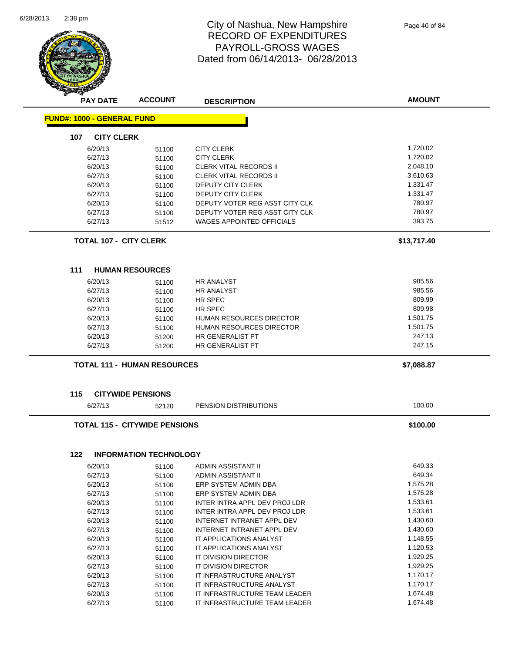

|                                   | <b>ACCOUNT</b>                       | <b>DESCRIPTION</b>                                         | <b>AMOUNT</b>        |
|-----------------------------------|--------------------------------------|------------------------------------------------------------|----------------------|
| <b>FUND#: 1000 - GENERAL FUND</b> |                                      |                                                            |                      |
| 107<br><b>CITY CLERK</b>          |                                      |                                                            |                      |
| 6/20/13                           | 51100                                | <b>CITY CLERK</b>                                          | 1,720.02             |
| 6/27/13                           | 51100                                | <b>CITY CLERK</b>                                          | 1,720.02             |
| 6/20/13                           | 51100                                | <b>CLERK VITAL RECORDS II</b>                              | 2,048.10             |
| 6/27/13                           | 51100                                | <b>CLERK VITAL RECORDS II</b>                              | 3,610.63             |
| 6/20/13                           | 51100                                | DEPUTY CITY CLERK                                          | 1,331.47             |
| 6/27/13                           | 51100                                | DEPUTY CITY CLERK                                          | 1,331.47             |
| 6/20/13                           | 51100                                | DEPUTY VOTER REG ASST CITY CLK                             | 780.97               |
| 6/27/13                           | 51100                                | DEPUTY VOTER REG ASST CITY CLK                             | 780.97               |
| 6/27/13                           | 51512                                | <b>WAGES APPOINTED OFFICIALS</b>                           | 393.75               |
| <b>TOTAL 107 - CITY CLERK</b>     |                                      |                                                            | \$13,717.40          |
| 111                               | <b>HUMAN RESOURCES</b>               |                                                            |                      |
| 6/20/13                           | 51100                                | <b>HR ANALYST</b>                                          | 985.56               |
| 6/27/13                           | 51100                                | <b>HR ANALYST</b>                                          | 985.56               |
| 6/20/13                           | 51100                                | HR SPEC                                                    | 809.99               |
| 6/27/13                           | 51100                                | HR SPEC                                                    | 809.98               |
| 6/20/13                           | 51100                                | <b>HUMAN RESOURCES DIRECTOR</b>                            | 1,501.75             |
| 6/27/13                           | 51100                                | <b>HUMAN RESOURCES DIRECTOR</b>                            | 1,501.75             |
| 6/20/13                           |                                      | HR GENERALIST PT                                           | 247.13               |
| 6/27/13                           | 51200<br>51200                       | HR GENERALIST PT                                           | 247.15               |
|                                   |                                      |                                                            |                      |
|                                   | <b>TOTAL 111 - HUMAN RESOURCES</b>   |                                                            | \$7,088.87           |
|                                   |                                      |                                                            |                      |
| 115                               | <b>CITYWIDE PENSIONS</b>             |                                                            |                      |
| 6/27/13                           | 52120                                | PENSION DISTRIBUTIONS                                      | 100.00               |
|                                   | <b>TOTAL 115 - CITYWIDE PENSIONS</b> |                                                            | \$100.00             |
| 122                               | <b>INFORMATION TECHNOLOGY</b>        |                                                            |                      |
|                                   |                                      |                                                            | 649.33               |
| 6/20/13                           | 51100                                | <b>ADMIN ASSISTANT II</b>                                  |                      |
| 6/27/13                           | 51100                                | ADMIN ASSISTANT II                                         | 649.34               |
| 6/20/13                           | 51100                                | ERP SYSTEM ADMIN DBA                                       | 1,575.28             |
| 6/27/13                           | 51100                                | ERP SYSTEM ADMIN DBA                                       | 1,575.28             |
| 6/20/13                           | 51100                                | INTER INTRA APPL DEV PROJ LDR                              | 1,533.61             |
| 6/27/13                           | 51100                                | INTER INTRA APPL DEV PROJ LDR                              | 1,533.61             |
| 6/20/13                           | 51100                                | INTERNET INTRANET APPL DEV                                 | 1,430.60             |
| 6/27/13                           | 51100                                | INTERNET INTRANET APPL DEV                                 | 1,430.60             |
| 6/20/13                           | 51100                                | IT APPLICATIONS ANALYST                                    | 1,148.55             |
| 6/27/13                           | 51100                                | IT APPLICATIONS ANALYST                                    | 1,120.53             |
| 6/20/13                           | 51100                                | IT DIVISION DIRECTOR                                       | 1,929.25             |
| 6/27/13                           | 51100                                | IT DIVISION DIRECTOR                                       | 1,929.25             |
| 6/20/13                           | 51100                                | IT INFRASTRUCTURE ANALYST                                  | 1,170.17             |
| 6/27/13<br>6/20/13                | 51100<br>51100                       | IT INFRASTRUCTURE ANALYST<br>IT INFRASTRUCTURE TEAM LEADER | 1,170.17<br>1,674.48 |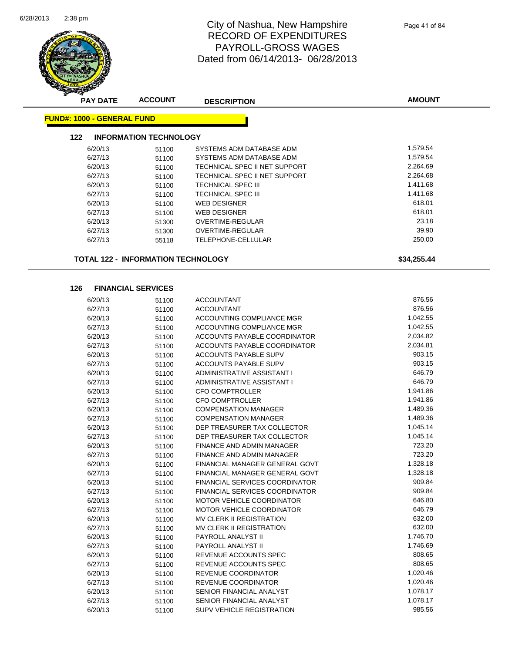

| ≖<br><b>PAY DATE</b>              | <b>ACCOUNT</b>                | <b>DESCRIPTION</b>            | <b>AMOUNT</b> |
|-----------------------------------|-------------------------------|-------------------------------|---------------|
| <b>FUND#: 1000 - GENERAL FUND</b> |                               |                               |               |
| 122                               | <b>INFORMATION TECHNOLOGY</b> |                               |               |
| 6/20/13                           | 51100                         | SYSTEMS ADM DATABASE ADM      | 1,579.54      |
| 6/27/13                           | 51100                         | SYSTEMS ADM DATABASE ADM      | 1,579.54      |
| 6/20/13                           | 51100                         | TECHNICAL SPEC II NET SUPPORT | 2,264.69      |
| 6/27/13                           | 51100                         | TECHNICAL SPEC II NET SUPPORT | 2,264.68      |
| 6/20/13                           | 51100                         | TECHNICAL SPEC III            | 1,411.68      |
| 6/27/13                           | 51100                         | TECHNICAL SPEC III            | 1,411.68      |
| 6/20/13                           | 51100                         | <b>WEB DESIGNER</b>           | 618.01        |
| 6/27/13                           | 51100                         | <b>WEB DESIGNER</b>           | 618.01        |
| 6/20/13                           | 51300                         | OVERTIME-REGULAR              | 23.18         |
| 6/27/13                           | 51300                         | OVERTIME-REGULAR              | 39.90         |
| 6/27/13                           | 55118                         | TELEPHONE-CELLULAR            | 250.00        |

**TOTAL 122 - INFORMATION TECHNOLOGY \$34,255.44**

#### **126 FINANCIAL SERVICES**

| 6/20/13 | 51100 | <b>ACCOUNTANT</b>                     | 876.56   |
|---------|-------|---------------------------------------|----------|
| 6/27/13 | 51100 | <b>ACCOUNTANT</b>                     | 876.56   |
| 6/20/13 | 51100 | ACCOUNTING COMPLIANCE MGR             | 1,042.55 |
| 6/27/13 | 51100 | ACCOUNTING COMPLIANCE MGR             | 1,042.55 |
| 6/20/13 | 51100 | ACCOUNTS PAYABLE COORDINATOR          | 2,034.82 |
| 6/27/13 | 51100 | ACCOUNTS PAYABLE COORDINATOR          | 2,034.81 |
| 6/20/13 | 51100 | ACCOUNTS PAYABLE SUPV                 | 903.15   |
| 6/27/13 | 51100 | <b>ACCOUNTS PAYABLE SUPV</b>          | 903.15   |
| 6/20/13 | 51100 | ADMINISTRATIVE ASSISTANT I            | 646.79   |
| 6/27/13 | 51100 | ADMINISTRATIVE ASSISTANT I            | 646.79   |
| 6/20/13 | 51100 | <b>CFO COMPTROLLER</b>                | 1,941.86 |
| 6/27/13 | 51100 | <b>CFO COMPTROLLER</b>                | 1,941.86 |
| 6/20/13 | 51100 | <b>COMPENSATION MANAGER</b>           | 1,489.36 |
| 6/27/13 | 51100 | <b>COMPENSATION MANAGER</b>           | 1,489.36 |
| 6/20/13 | 51100 | DEP TREASURER TAX COLLECTOR           | 1,045.14 |
| 6/27/13 | 51100 | DEP TREASURER TAX COLLECTOR           | 1,045.14 |
| 6/20/13 | 51100 | <b>FINANCE AND ADMIN MANAGER</b>      | 723.20   |
| 6/27/13 | 51100 | <b>FINANCE AND ADMIN MANAGER</b>      | 723.20   |
| 6/20/13 | 51100 | FINANCIAL MANAGER GENERAL GOVT        | 1,328.18 |
| 6/27/13 | 51100 | FINANCIAL MANAGER GENERAL GOVT        | 1,328.18 |
| 6/20/13 | 51100 | <b>FINANCIAL SERVICES COORDINATOR</b> | 909.84   |
| 6/27/13 | 51100 | <b>FINANCIAL SERVICES COORDINATOR</b> | 909.84   |
| 6/20/13 | 51100 | <b>MOTOR VEHICLE COORDINATOR</b>      | 646.80   |
| 6/27/13 | 51100 | MOTOR VEHICLE COORDINATOR             | 646.79   |
| 6/20/13 | 51100 | MV CLERK II REGISTRATION              | 632.00   |
| 6/27/13 | 51100 | MV CLERK II REGISTRATION              | 632.00   |
| 6/20/13 | 51100 | PAYROLL ANALYST II                    | 1,746.70 |
| 6/27/13 | 51100 | <b>PAYROLL ANALYST II</b>             | 1,746.69 |
| 6/20/13 | 51100 | REVENUE ACCOUNTS SPEC                 | 808.65   |
| 6/27/13 | 51100 | REVENUE ACCOUNTS SPEC                 | 808.65   |
| 6/20/13 | 51100 | <b>REVENUE COORDINATOR</b>            | 1,020.46 |
| 6/27/13 | 51100 | <b>REVENUE COORDINATOR</b>            | 1,020.46 |
| 6/20/13 | 51100 | SENIOR FINANCIAL ANALYST              | 1,078.17 |
| 6/27/13 | 51100 | SENIOR FINANCIAL ANALYST              | 1,078.17 |
| 6/20/13 | 51100 | <b>SUPV VEHICLE REGISTRATION</b>      | 985.56   |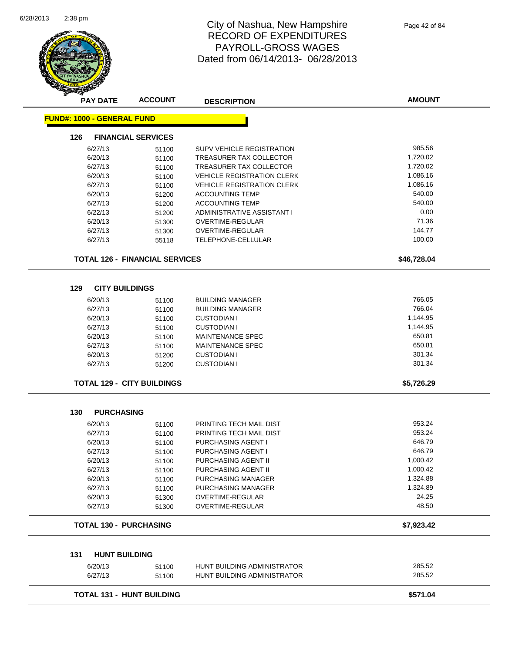Ē,



| <b>PAY DATE</b>                   | <b>ACCOUNT</b>                        | <b>DESCRIPTION</b>                | <b>AMOUNT</b> |
|-----------------------------------|---------------------------------------|-----------------------------------|---------------|
| <b>FUND#: 1000 - GENERAL FUND</b> |                                       |                                   |               |
| 126                               | <b>FINANCIAL SERVICES</b>             |                                   |               |
| 6/27/13                           | 51100                                 | <b>SUPV VEHICLE REGISTRATION</b>  | 985.56        |
| 6/20/13                           | 51100                                 | TREASURER TAX COLLECTOR           | 1,720.02      |
| 6/27/13                           | 51100                                 | TREASURER TAX COLLECTOR           | 1,720.02      |
| 6/20/13                           | 51100                                 | <b>VEHICLE REGISTRATION CLERK</b> | 1,086.16      |
| 6/27/13                           | 51100                                 | <b>VEHICLE REGISTRATION CLERK</b> | 1,086.16      |
| 6/20/13                           | 51200                                 | <b>ACCOUNTING TEMP</b>            | 540.00        |
| 6/27/13                           | 51200                                 | <b>ACCOUNTING TEMP</b>            | 540.00        |
| 6/22/13                           | 51200                                 | ADMINISTRATIVE ASSISTANT I        | 0.00          |
| 6/20/13                           | 51300                                 | OVERTIME-REGULAR                  | 71.36         |
| 6/27/13                           | 51300                                 | OVERTIME-REGULAR                  | 144.77        |
| 6/27/13                           | 55118                                 | TELEPHONE-CELLULAR                | 100.00        |
|                                   |                                       |                                   |               |
|                                   | <b>TOTAL 126 - FINANCIAL SERVICES</b> |                                   | \$46,728.04   |
|                                   |                                       |                                   |               |
| <b>CITY BUILDINGS</b><br>129      |                                       |                                   |               |
| 6/20/13                           | 51100                                 | <b>BUILDING MANAGER</b>           | 766.05        |
| 6/27/13                           | 51100                                 | <b>BUILDING MANAGER</b>           | 766.04        |
| 6/20/13                           | 51100                                 | <b>CUSTODIAN I</b>                | 1,144.95      |
| 6/27/13                           | 51100                                 | <b>CUSTODIAN I</b>                | 1,144.95      |
| 6/20/13                           | 51100                                 | <b>MAINTENANCE SPEC</b>           | 650.81        |
| 6/27/13                           | 51100                                 | <b>MAINTENANCE SPEC</b>           | 650.81        |
| 6/20/13                           | 51200                                 | <b>CUSTODIAN I</b>                | 301.34        |
| 6/27/13                           | 51200                                 | <b>CUSTODIAN I</b>                | 301.34        |
|                                   | <b>TOTAL 129 - CITY BUILDINGS</b>     |                                   | \$5,726.29    |
| 130<br><b>PURCHASING</b>          |                                       |                                   |               |
| 6/20/13                           | 51100                                 | PRINTING TECH MAIL DIST           | 953.24        |
| 6/27/13                           | 51100                                 | PRINTING TECH MAIL DIST           | 953.24        |
| 6/20/13                           | 51100                                 | PURCHASING AGENT I                | 646.79        |
| 6/27/13                           | 51100                                 | PURCHASING AGENT I                | 646.79        |
| 6/20/13                           |                                       | PURCHASING AGENT II               | 1,000.42      |
| 6/27/13                           | 51100                                 | PURCHASING AGENT II               | 1,000.42      |
|                                   | 51100                                 |                                   | 1,324.88      |
| 6/20/13                           | 51100                                 | PURCHASING MANAGER                |               |
| 6/27/13                           | 51100                                 | <b>PURCHASING MANAGER</b>         | 1,324.89      |
| 6/20/13                           | 51300                                 | <b>OVERTIME-REGULAR</b>           | 24.25         |
| 6/27/13                           | 51300                                 | OVERTIME-REGULAR                  | 48.50         |
| <b>TOTAL 130 - PURCHASING</b>     |                                       |                                   | \$7,923.42    |
| 131<br><b>HUNT BUILDING</b>       |                                       |                                   |               |
| 6/20/13                           |                                       | HUNT BUILDING ADMINISTRATOR       | 285.52        |
| 6/27/13                           | 51100                                 | HUNT BUILDING ADMINISTRATOR       | 285.52        |
|                                   | 51100                                 |                                   |               |
|                                   | <b>TOTAL 131 - HUNT BUILDING</b>      |                                   | \$571.04      |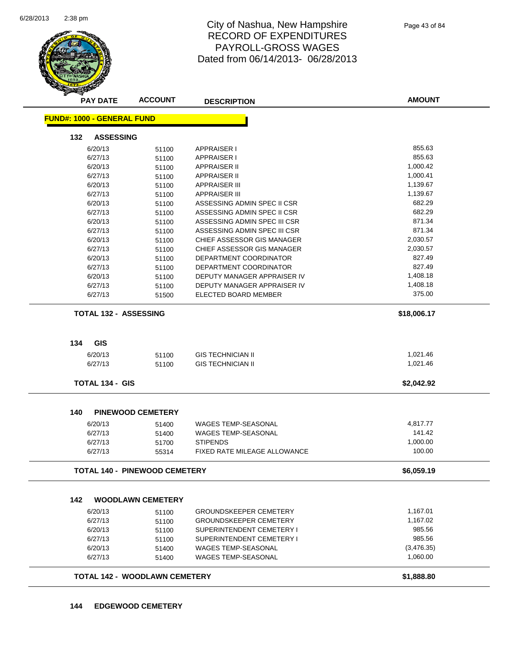

| <b>PAY DATE</b>                   | <b>ACCOUNT</b>                       | <b>DESCRIPTION</b>            | <b>AMOUNT</b> |
|-----------------------------------|--------------------------------------|-------------------------------|---------------|
| <b>FUND#: 1000 - GENERAL FUND</b> |                                      |                               |               |
| 132<br><b>ASSESSING</b>           |                                      |                               |               |
| 6/20/13                           | 51100                                | <b>APPRAISER I</b>            | 855.63        |
| 6/27/13                           | 51100                                | <b>APPRAISER I</b>            | 855.63        |
| 6/20/13                           | 51100                                | <b>APPRAISER II</b>           | 1,000.42      |
| 6/27/13                           | 51100                                | <b>APPRAISER II</b>           | 1,000.41      |
| 6/20/13                           | 51100                                | <b>APPRAISER III</b>          | 1,139.67      |
| 6/27/13                           | 51100                                | <b>APPRAISER III</b>          | 1,139.67      |
| 6/20/13                           | 51100                                | ASSESSING ADMIN SPEC II CSR   | 682.29        |
| 6/27/13                           | 51100                                | ASSESSING ADMIN SPEC II CSR   | 682.29        |
| 6/20/13                           | 51100                                | ASSESSING ADMIN SPEC III CSR  | 871.34        |
| 6/27/13                           | 51100                                | ASSESSING ADMIN SPEC III CSR  | 871.34        |
| 6/20/13                           | 51100                                | CHIEF ASSESSOR GIS MANAGER    | 2,030.57      |
| 6/27/13                           | 51100                                | CHIEF ASSESSOR GIS MANAGER    | 2,030.57      |
| 6/20/13                           | 51100                                | DEPARTMENT COORDINATOR        | 827.49        |
| 6/27/13                           | 51100                                | DEPARTMENT COORDINATOR        | 827.49        |
| 6/20/13                           | 51100                                | DEPUTY MANAGER APPRAISER IV   | 1,408.18      |
| 6/27/13                           | 51100                                | DEPUTY MANAGER APPRAISER IV   | 1,408.18      |
| 6/27/13                           | 51500                                | <b>ELECTED BOARD MEMBER</b>   | 375.00        |
| <b>TOTAL 132 - ASSESSING</b>      |                                      |                               | \$18,006.17   |
|                                   |                                      |                               |               |
| <b>GIS</b><br>134                 |                                      |                               |               |
| 6/20/13                           | 51100                                | <b>GIS TECHNICIAN II</b>      | 1,021.46      |
| 6/27/13                           | 51100                                | <b>GIS TECHNICIAN II</b>      | 1,021.46      |
| <b>TOTAL 134 - GIS</b>            |                                      |                               | \$2,042.92    |
| 140                               | <b>PINEWOOD CEMETERY</b>             |                               |               |
| 6/20/13                           | 51400                                | <b>WAGES TEMP-SEASONAL</b>    | 4,817.77      |
| 6/27/13                           | 51400                                | <b>WAGES TEMP-SEASONAL</b>    | 141.42        |
| 6/27/13                           | 51700                                | <b>STIPENDS</b>               | 1,000.00      |
| 6/27/13                           | 55314                                | FIXED RATE MILEAGE ALLOWANCE  | 100.00        |
|                                   | <b>TOTAL 140 - PINEWOOD CEMETERY</b> |                               | \$6,059.19    |
|                                   |                                      |                               |               |
| 142                               | <b>WOODLAWN CEMETERY</b>             |                               |               |
| 6/20/13                           | 51100                                | <b>GROUNDSKEEPER CEMETERY</b> | 1,167.01      |
| 6/27/13                           | 51100                                | <b>GROUNDSKEEPER CEMETERY</b> | 1,167.02      |
| 6/20/13                           | 51100                                | SUPERINTENDENT CEMETERY I     | 985.56        |
| 6/27/13                           | 51100                                | SUPERINTENDENT CEMETERY I     | 985.56        |
| 6/20/13                           | 51400                                | <b>WAGES TEMP-SEASONAL</b>    | (3,476.35)    |
| 6/27/13                           | 51400                                | WAGES TEMP-SEASONAL           | 1,060.00      |
|                                   |                                      |                               |               |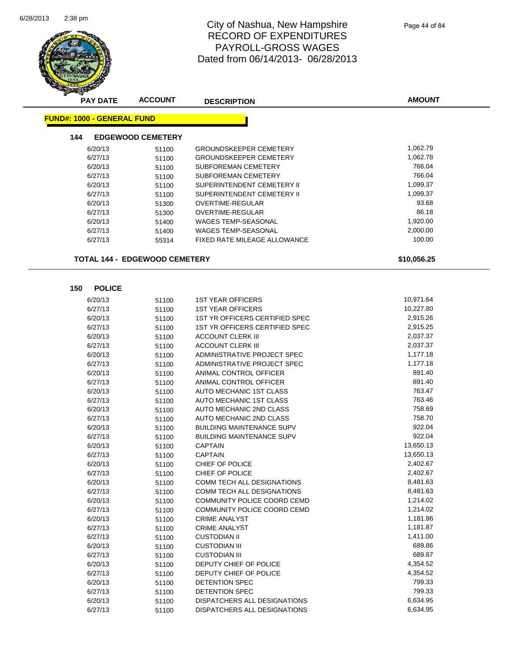

| <b>PAY DATE</b>                      | <b>ACCOUNT</b>           | <b>DESCRIPTION</b>                    | <b>AMOUNT</b> |
|--------------------------------------|--------------------------|---------------------------------------|---------------|
| <u> FUND#: 1000 - GENERAL FUND</u>   |                          |                                       |               |
|                                      |                          |                                       |               |
| 144                                  | <b>EDGEWOOD CEMETERY</b> |                                       |               |
| 6/20/13                              | 51100                    | <b>GROUNDSKEEPER CEMETERY</b>         | 1,062.79      |
| 6/27/13                              | 51100                    | <b>GROUNDSKEEPER CEMETERY</b>         | 1,062.78      |
| 6/20/13                              | 51100                    | SUBFOREMAN CEMETERY                   | 766.04        |
| 6/27/13                              | 51100                    | SUBFOREMAN CEMETERY                   | 766.04        |
| 6/20/13                              | 51100                    | SUPERINTENDENT CEMETERY II            | 1,099.37      |
| 6/27/13                              | 51100                    | SUPERINTENDENT CEMETERY II            | 1,099.37      |
| 6/20/13                              | 51300                    | OVERTIME-REGULAR                      | 93.68         |
| 6/27/13                              | 51300                    | <b>OVERTIME-REGULAR</b>               | 86.18         |
| 6/20/13                              | 51400                    | WAGES TEMP-SEASONAL                   | 1,920.00      |
| 6/27/13                              | 51400                    | <b>WAGES TEMP-SEASONAL</b>            | 2,000.00      |
| 6/27/13                              | 55314                    | FIXED RATE MILEAGE ALLOWANCE          | 100.00        |
| <b>TOTAL 144 - EDGEWOOD CEMETERY</b> |                          |                                       | \$10,056.25   |
|                                      |                          |                                       |               |
|                                      |                          |                                       |               |
| <b>POLICE</b><br>150                 |                          |                                       |               |
| 6/20/13                              | 51100                    | <b>1ST YEAR OFFICERS</b>              | 10,971.64     |
| 6/27/13                              | 51100                    | <b>1ST YEAR OFFICERS</b>              | 10,227.80     |
| 6/20/13                              | 51100                    | <b>1ST YR OFFICERS CERTIFIED SPEC</b> | 2,915.26      |
| 6/27/13                              | 51100                    | <b>1ST YR OFFICERS CERTIFIED SPEC</b> | 2,915.25      |
| 6/20/13                              | 51100                    | <b>ACCOUNT CLERK III</b>              | 2,037.37      |
| 6/27/13                              | 51100                    | <b>ACCOUNT CLERK III</b>              | 2,037.37      |
| 6/20/13                              | 51100                    | ADMINISTRATIVE PROJECT SPEC           | 1,177.18      |
| 6/27/13                              | 51100                    | ADMINISTRATIVE PROJECT SPEC           | 1,177.18      |
| 6/20/13                              | 51100                    | ANIMAL CONTROL OFFICER                | 891.40        |
| 6/27/13                              | 51100                    | ANIMAL CONTROL OFFICER                | 891.40        |
| 6/20/13                              | 51100                    | AUTO MECHANIC 1ST CLASS               | 763.47        |
| 6/27/13                              | 51100                    | AUTO MECHANIC 1ST CLASS               | 763.46        |
| 6/20/13                              | 51100                    | AUTO MECHANIC 2ND CLASS               | 758.69        |
| 6/27/13                              | 51100                    | AUTO MECHANIC 2ND CLASS               | 758.70        |
| 6/20/13                              | 51100                    | <b>BUILDING MAINTENANCE SUPV</b>      | 922.04        |
| 6/27/13                              | 51100                    | <b>BUILDING MAINTENANCE SUPV</b>      | 922.04        |
| 6/20/13                              | 51100                    | <b>CAPTAIN</b>                        | 13,650.13     |
| 6/27/13                              | 51100                    | <b>CAPTAIN</b>                        | 13,650.13     |
| 6/20/13                              | 51100                    | CHIEF OF POLICE                       | 2,402.67      |
| 6/27/13                              | 51100                    | CHIEF OF POLICE                       | 2,402.67      |
| 6/20/13                              | 51100                    | COMM TECH ALL DESIGNATIONS            | 8,481.63      |
| 6/27/13                              | 51100                    | COMM TECH ALL DESIGNATIONS            | 8,481.63      |
| 6/20/13                              | 51100                    | COMMUNITY POLICE COORD CEMD           | 1,214.02      |
| 6/27/13                              | 51100                    | COMMUNITY POLICE COORD CEMD           | 1,214.02      |
| 6/20/13                              | 51100                    | <b>CRIME ANALYST</b>                  | 1,181.86      |
| 6/27/13                              | 51100                    | <b>CRIME ANALYST</b>                  | 1,181.87      |
| 6/27/13                              | 51100                    | <b>CUSTODIAN II</b>                   | 1,411.00      |
| 6/20/13                              | 51100                    | <b>CUSTODIAN III</b>                  | 689.86        |
| 6/27/13                              | 51100                    | <b>CUSTODIAN III</b>                  | 689.87        |
| 6/20/13                              | 51100                    | DEPUTY CHIEF OF POLICE                | 4,354.52      |
| 6/27/13                              | 51100                    | DEPUTY CHIEF OF POLICE                | 4,354.52      |
| 6/20/13                              | 51100                    | DETENTION SPEC                        | 799.33        |
| 6/27/13                              | 51100                    | DETENTION SPEC                        | 799.33        |
| 6/20/13                              | 51100                    | DISPATCHERS ALL DESIGNATIONS          | 6,634.95      |
| 6/27/13                              | 51100                    | DISPATCHERS ALL DESIGNATIONS          | 6,634.95      |

6/27/13 51100 DISPATCHERS ALL DESIGNATIONS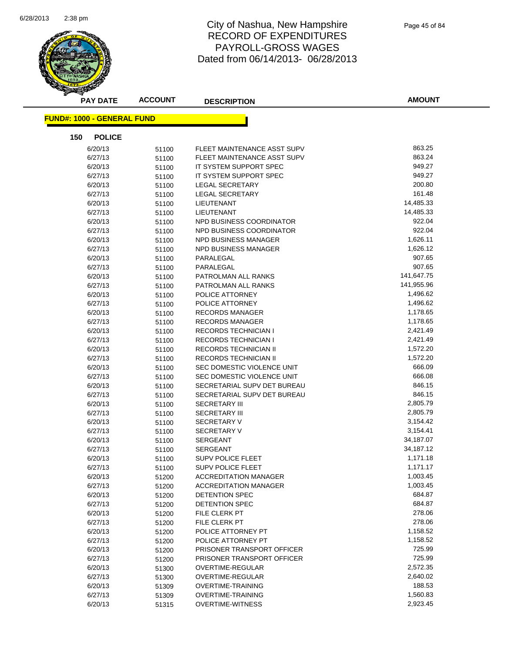

| <b>PAY DATE</b>                   | <b>ACCOUNT</b> | <b>DESCRIPTION</b>           | <b>AMOUNT</b> |
|-----------------------------------|----------------|------------------------------|---------------|
| <b>FUND#: 1000 - GENERAL FUND</b> |                |                              |               |
| 150<br><b>POLICE</b>              |                |                              |               |
| 6/20/13                           | 51100          | FLEET MAINTENANCE ASST SUPV  | 863.25        |
| 6/27/13                           | 51100          | FLEET MAINTENANCE ASST SUPV  | 863.24        |
| 6/20/13                           | 51100          | IT SYSTEM SUPPORT SPEC       | 949.27        |
| 6/27/13                           | 51100          | IT SYSTEM SUPPORT SPEC       | 949.27        |
| 6/20/13                           | 51100          | LEGAL SECRETARY              | 200.80        |
| 6/27/13                           | 51100          | <b>LEGAL SECRETARY</b>       | 161.48        |
| 6/20/13                           | 51100          | LIEUTENANT                   | 14,485.33     |
| 6/27/13                           | 51100          | LIEUTENANT                   | 14,485.33     |
| 6/20/13                           | 51100          | NPD BUSINESS COORDINATOR     | 922.04        |
| 6/27/13                           | 51100          | NPD BUSINESS COORDINATOR     | 922.04        |
| 6/20/13                           | 51100          | NPD BUSINESS MANAGER         | 1,626.11      |
| 6/27/13                           | 51100          | NPD BUSINESS MANAGER         | 1,626.12      |
| 6/20/13                           | 51100          | PARALEGAL                    | 907.65        |
| 6/27/13                           | 51100          | PARALEGAL                    | 907.65        |
| 6/20/13                           | 51100          | PATROLMAN ALL RANKS          | 141,647.75    |
| 6/27/13                           | 51100          | PATROLMAN ALL RANKS          | 141,955.96    |
| 6/20/13                           | 51100          | POLICE ATTORNEY              | 1,496.62      |
| 6/27/13                           | 51100          | POLICE ATTORNEY              | 1,496.62      |
| 6/20/13                           | 51100          | <b>RECORDS MANAGER</b>       | 1,178.65      |
| 6/27/13                           | 51100          | <b>RECORDS MANAGER</b>       | 1,178.65      |
| 6/20/13                           | 51100          | <b>RECORDS TECHNICIAN I</b>  | 2,421.49      |
| 6/27/13                           | 51100          | <b>RECORDS TECHNICIAN I</b>  | 2,421.49      |
| 6/20/13                           | 51100          | <b>RECORDS TECHNICIAN II</b> | 1,572.20      |
| 6/27/13                           | 51100          | <b>RECORDS TECHNICIAN II</b> | 1,572.20      |
| 6/20/13                           | 51100          | SEC DOMESTIC VIOLENCE UNIT   | 666.09        |
| 6/27/13                           | 51100          | SEC DOMESTIC VIOLENCE UNIT   | 666.08        |
| 6/20/13                           | 51100          | SECRETARIAL SUPV DET BUREAU  | 846.15        |
| 6/27/13                           | 51100          | SECRETARIAL SUPV DET BUREAU  | 846.15        |
| 6/20/13                           | 51100          | <b>SECRETARY III</b>         | 2,805.79      |
| 6/27/13                           | 51100          | <b>SECRETARY III</b>         | 2,805.79      |
| 6/20/13                           | 51100          | <b>SECRETARY V</b>           | 3,154.42      |
| 6/27/13                           | 51100          | <b>SECRETARY V</b>           | 3,154.41      |
| 6/20/13                           | 51100          | <b>SERGEANT</b>              | 34,187.07     |
| 6/27/13                           | 51100          | SERGEANT                     | 34,187.12     |
| 6/20/13                           | 51100          | <b>SUPV POLICE FLEET</b>     | 1,171.18      |
| 6/27/13                           | 51100          | <b>SUPV POLICE FLEET</b>     | 1,171.17      |
| 6/20/13                           | 51200          | <b>ACCREDITATION MANAGER</b> | 1,003.45      |
| 6/27/13                           | 51200          | <b>ACCREDITATION MANAGER</b> | 1,003.45      |
| 6/20/13                           | 51200          | DETENTION SPEC               | 684.87        |
| 6/27/13                           | 51200          | DETENTION SPEC               | 684.87        |
| 6/20/13                           | 51200          | <b>FILE CLERK PT</b>         | 278.06        |
| 6/27/13                           | 51200          | FILE CLERK PT                | 278.06        |
| 6/20/13                           | 51200          | POLICE ATTORNEY PT           | 1,158.52      |
| 6/27/13                           | 51200          | POLICE ATTORNEY PT           | 1,158.52      |
| 6/20/13                           | 51200          | PRISONER TRANSPORT OFFICER   | 725.99        |
| 6/27/13                           | 51200          | PRISONER TRANSPORT OFFICER   | 725.99        |
| 6/20/13                           | 51300          | OVERTIME-REGULAR             | 2,572.35      |
| 6/27/13                           | 51300          | OVERTIME-REGULAR             | 2,640.02      |
| 6/20/13                           | 51309          | OVERTIME-TRAINING            | 188.53        |
| 6/27/13                           | 51309          | <b>OVERTIME-TRAINING</b>     | 1,560.83      |
| 6/20/13                           | 51315          | <b>OVERTIME-WITNESS</b>      | 2,923.45      |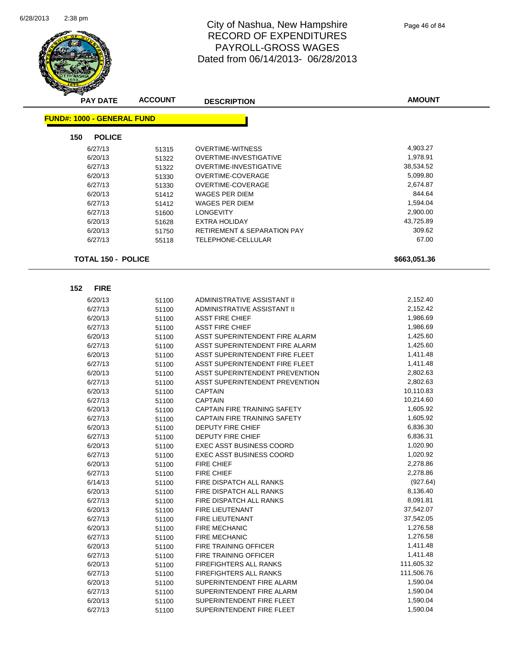

| <b>PAY DATE</b>                   | <b>ACCOUNT</b> | <b>DESCRIPTION</b>                                | <b>AMOUNT</b>         |
|-----------------------------------|----------------|---------------------------------------------------|-----------------------|
| <b>FUND#: 1000 - GENERAL FUND</b> |                |                                                   |                       |
| 150<br><b>POLICE</b>              |                |                                                   |                       |
|                                   |                |                                                   | 4,903.27              |
| 6/27/13<br>6/20/13                | 51315          | <b>OVERTIME-WITNESS</b><br>OVERTIME-INVESTIGATIVE | 1,978.91              |
| 6/27/13                           | 51322          | OVERTIME-INVESTIGATIVE                            | 38,534.52             |
| 6/20/13                           | 51322          | OVERTIME-COVERAGE                                 | 5,099.80              |
| 6/27/13                           | 51330<br>51330 | OVERTIME-COVERAGE                                 | 2,674.87              |
| 6/20/13                           |                | WAGES PER DIEM                                    | 844.64                |
| 6/27/13                           | 51412<br>51412 | WAGES PER DIEM                                    | 1,594.04              |
| 6/27/13                           | 51600          | <b>LONGEVITY</b>                                  | 2,900.00              |
| 6/20/13                           | 51628          | <b>EXTRA HOLIDAY</b>                              | 43,725.89             |
| 6/20/13                           | 51750          | <b>RETIREMENT &amp; SEPARATION PAY</b>            | 309.62                |
| 6/27/13                           | 55118          | TELEPHONE-CELLULAR                                | 67.00                 |
|                                   |                |                                                   |                       |
| <b>TOTAL 150 - POLICE</b>         |                |                                                   | \$663,051.36          |
|                                   |                |                                                   |                       |
| <b>FIRE</b><br>152                |                |                                                   |                       |
| 6/20/13                           | 51100          | ADMINISTRATIVE ASSISTANT II                       | 2,152.40              |
| 6/27/13                           | 51100          | ADMINISTRATIVE ASSISTANT II                       | 2,152.42              |
| 6/20/13                           | 51100          | ASST FIRE CHIEF                                   | 1,986.69              |
| 6/27/13                           | 51100          | ASST FIRE CHIEF                                   | 1,986.69              |
| 6/20/13                           | 51100          | ASST SUPERINTENDENT FIRE ALARM                    | 1,425.60              |
| 6/27/13                           | 51100          | ASST SUPERINTENDENT FIRE ALARM                    | 1,425.60              |
| 6/20/13                           | 51100          | ASST SUPERINTENDENT FIRE FLEET                    | 1,411.48              |
| 6/27/13                           | 51100          | ASST SUPERINTENDENT FIRE FLEET                    | 1,411.48              |
| 6/20/13                           | 51100          | ASST SUPERINTENDENT PREVENTION                    | 2,802.63              |
| 6/27/13                           | 51100          | ASST SUPERINTENDENT PREVENTION                    | 2,802.63              |
| 6/20/13                           | 51100          | CAPTAIN                                           | 10,110.83             |
| 6/27/13                           | 51100          | CAPTAIN                                           | 10,214.60             |
| 6/20/13                           | 51100          | <b>CAPTAIN FIRE TRAINING SAFETY</b>               | 1,605.92              |
| 6/27/13                           | 51100          | <b>CAPTAIN FIRE TRAINING SAFETY</b>               | 1,605.92              |
| 6/20/13                           | 51100          | DEPUTY FIRE CHIEF                                 | 6,836.30              |
| 6/27/13                           | 51100          | <b>DEPUTY FIRE CHIEF</b>                          | 6,836.31              |
| 6/20/13                           | 51100          | <b>EXEC ASST BUSINESS COORD</b>                   | 1,020.90              |
| 6/27/13                           | 51100          | <b>EXEC ASST BUSINESS COORD</b>                   | 1,020.92              |
| 6/20/13                           | 51100          | FIRE CHIEF                                        | 2,278.86              |
| 6/27/13                           | 51100          | <b>FIRE CHIEF</b>                                 | 2,278.86              |
| 6/14/13                           | 51100          | FIRE DISPATCH ALL RANKS                           | (927.64)              |
| 6/20/13                           | 51100          | FIRE DISPATCH ALL RANKS                           | 8,136.40<br>8,091.81  |
| 6/27/13                           | 51100          | <b>FIRE DISPATCH ALL RANKS</b>                    |                       |
| 6/20/13                           | 51100          | FIRE LIEUTENANT                                   | 37,542.07             |
| 6/27/13                           | 51100          | FIRE LIEUTENANT                                   | 37,542.05<br>1,276.58 |
| 6/20/13                           | 51100          | FIRE MECHANIC                                     | 1,276.58              |
| 6/27/13<br>6/20/13                | 51100          | <b>FIRE MECHANIC</b><br>FIRE TRAINING OFFICER     | 1,411.48              |
| 6/27/13                           | 51100          | FIRE TRAINING OFFICER                             | 1,411.48              |
| 6/20/13                           | 51100          | FIREFIGHTERS ALL RANKS                            | 111,605.32            |
| 6/27/13                           | 51100          | FIREFIGHTERS ALL RANKS                            | 111,506.76            |
|                                   | 51100          | SUPERINTENDENT FIRE ALARM                         | 1,590.04              |
| 6/20/13<br>6/27/13                | 51100          | SUPERINTENDENT FIRE ALARM                         | 1,590.04              |
| 6/20/13                           | 51100          | SUPERINTENDENT FIRE FLEET                         | 1,590.04              |
|                                   | 51100          |                                                   | 1,590.04              |
| 6/27/13                           | 51100          | SUPERINTENDENT FIRE FLEET                         |                       |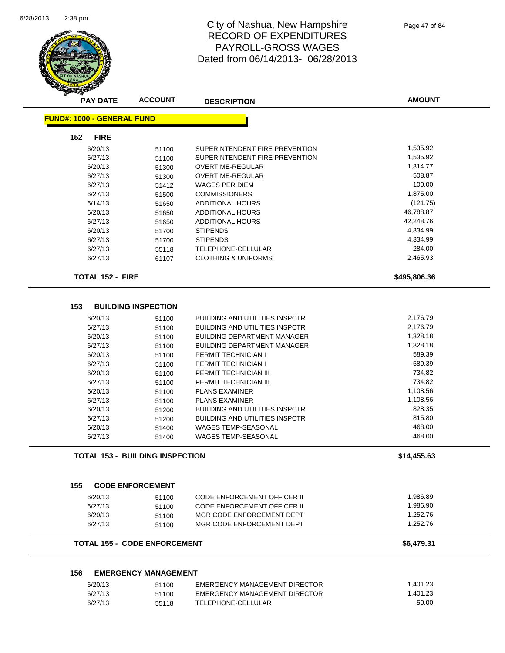

| <b>PAY DATE</b>                   | <b>ACCOUNT</b>                         | <b>DESCRIPTION</b>                    | <b>AMOUNT</b> |
|-----------------------------------|----------------------------------------|---------------------------------------|---------------|
| <b>FUND#: 1000 - GENERAL FUND</b> |                                        |                                       |               |
| <b>FIRE</b><br>152                |                                        |                                       |               |
| 6/20/13                           | 51100                                  | SUPERINTENDENT FIRE PREVENTION        | 1,535.92      |
| 6/27/13                           | 51100                                  | SUPERINTENDENT FIRE PREVENTION        | 1,535.92      |
| 6/20/13                           | 51300                                  | <b>OVERTIME-REGULAR</b>               | 1,314.77      |
| 6/27/13                           | 51300                                  | OVERTIME-REGULAR                      | 508.87        |
| 6/27/13                           | 51412                                  | WAGES PER DIEM                        | 100.00        |
| 6/27/13                           | 51500                                  | <b>COMMISSIONERS</b>                  | 1,875.00      |
| 6/14/13                           | 51650                                  | <b>ADDITIONAL HOURS</b>               | (121.75)      |
| 6/20/13                           | 51650                                  | ADDITIONAL HOURS                      | 46,788.87     |
| 6/27/13                           | 51650                                  | <b>ADDITIONAL HOURS</b>               | 42,248.76     |
| 6/20/13                           | 51700                                  | <b>STIPENDS</b>                       | 4,334.99      |
| 6/27/13                           | 51700                                  | <b>STIPENDS</b>                       | 4,334.99      |
| 6/27/13                           | 55118                                  | TELEPHONE-CELLULAR                    | 284.00        |
| 6/27/13                           | 61107                                  | <b>CLOTHING &amp; UNIFORMS</b>        | 2,465.93      |
| <b>TOTAL 152 - FIRE</b>           |                                        |                                       | \$495,806.36  |
| 153                               | <b>BUILDING INSPECTION</b>             |                                       |               |
| 6/20/13                           | 51100                                  | <b>BUILDING AND UTILITIES INSPCTR</b> | 2,176.79      |
| 6/27/13                           | 51100                                  | <b>BUILDING AND UTILITIES INSPCTR</b> | 2,176.79      |
| 6/20/13                           | 51100                                  | <b>BUILDING DEPARTMENT MANAGER</b>    | 1,328.18      |
| 6/27/13                           | 51100                                  | <b>BUILDING DEPARTMENT MANAGER</b>    | 1,328.18      |
| 6/20/13                           | 51100                                  | PERMIT TECHNICIAN I                   | 589.39        |
| 6/27/13                           | 51100                                  | PERMIT TECHNICIAN I                   | 589.39        |
| 6/20/13                           | 51100                                  | PERMIT TECHNICIAN III                 | 734.82        |
| 6/27/13                           |                                        | PERMIT TECHNICIAN III                 | 734.82        |
| 6/20/13                           | 51100                                  | <b>PLANS EXAMINER</b>                 | 1,108.56      |
| 6/27/13                           | 51100                                  | <b>PLANS EXAMINER</b>                 | 1,108.56      |
|                                   | 51100                                  |                                       | 828.35        |
| 6/20/13                           | 51200                                  | <b>BUILDING AND UTILITIES INSPCTR</b> |               |
| 6/27/13                           | 51200                                  | <b>BUILDING AND UTILITIES INSPCTR</b> | 815.80        |
| 6/20/13                           | 51400                                  | <b>WAGES TEMP-SEASONAL</b>            | 468.00        |
| 6/27/13                           | 51400                                  | WAGES TEMP-SEASONAL                   | 468.00        |
|                                   | <b>TOTAL 153 - BUILDING INSPECTION</b> |                                       | \$14,455.63   |
| 155                               | <b>CODE ENFORCEMENT</b>                |                                       |               |
| 6/20/13                           | 51100                                  | <b>CODE ENFORCEMENT OFFICER II</b>    | 1,986.89      |
| 6/27/13                           | 51100                                  | <b>CODE ENFORCEMENT OFFICER II</b>    | 1,986.90      |
| 6/20/13                           | 51100                                  | MGR CODE ENFORCEMENT DEPT             | 1,252.76      |
| 6/27/13                           | 51100                                  | MGR CODE ENFORCEMENT DEPT             | 1,252.76      |
|                                   | <b>TOTAL 155 - CODE ENFORCEMENT</b>    |                                       | \$6,479.31    |
|                                   |                                        |                                       |               |
| 156                               | <b>EMERGENCY MANAGEMENT</b>            |                                       |               |
| 6/20/13                           | 51100                                  | EMERGENCY MANAGEMENT DIRECTOR         | 1,401.23      |
| 6/27/13                           | 51100                                  | EMERGENCY MANAGEMENT DIRECTOR         | 1,401.23      |
| 6/27/13                           | 55118                                  | TELEPHONE-CELLULAR                    | 50.00         |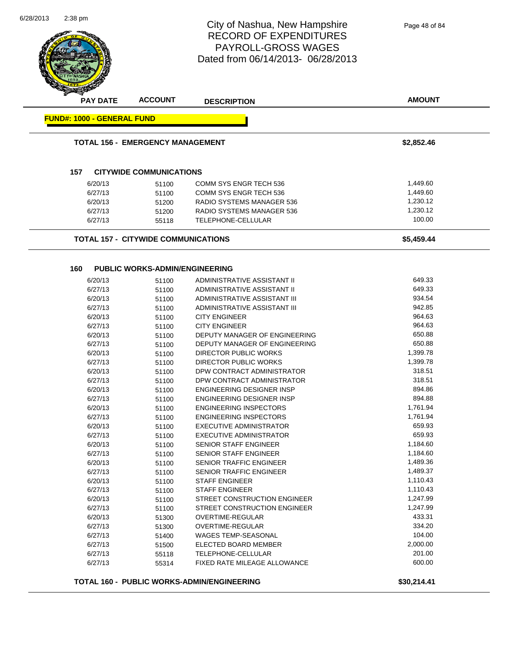**AMOUNT** City of Nashua, New Hampshire RECORD OF EXPENDITURES PAYROLL-GROSS WAGES Dated from 06/14/2013- 06/28/2013 **PAY DATE ACCOUNT DESCRIPTION FUND#: 1000 - GENERAL FUND TOTAL 156 - EMERGENCY MANAGEMENT \$2,852.46 157 CITYWIDE COMMUNICATIONS** 6/20/13 51100 COMM SYS ENGR TECH 536 1,449.60 6/27/13 51100 COMM SYS ENGR TECH 536 57100 51100 6/20/13 51200 RADIO SYSTEMS MANAGER 536 1,230.12 6/27/13 51200 RADIO SYSTEMS MANAGER 536 1,230.12 6/27/13 55118 TELEPHONE-CELLULAR 100.00 **TOTAL 157 - CITYWIDE COMMUNICATIONS \$5,459.44 160 PUBLIC WORKS-ADMIN/ENGINEERING** 6/20/13 51100 ADMINISTRATIVE ASSISTANT II 649.33 6/27/13 51100 ADMINISTRATIVE ASSISTANT II 649.33 6/20/13 51100 ADMINISTRATIVE ASSISTANT III 934.54 6/27/13 51100 ADMINISTRATIVE ASSISTANT III 942.85 6/20/13 51100 CITY ENGINEER 964.63 6/27/13 51100 CITY ENGINEER 964.63 6/20/13 51100 DEPUTY MANAGER OF ENGINEERING 650.88 6/27/13 51100 DEPUTY MANAGER OF ENGINEERING 650.88 6/20/13 51100 DIRECTOR PUBLIC WORKS 1,399.78 6/27/13 51100 DIRECTOR PUBLIC WORKS 1,399.78 6/20/13 51100 DPW CONTRACT ADMINISTRATOR 318.51 6/27/13 51100 DPW CONTRACT ADMINISTRATOR 318.51 6/20/13 51100 ENGINEERING DESIGNER INSP 894.86 6/27/13 51100 ENGINEERING DESIGNER INSP 894.88 6/20/13 51100 ENGINEERING INSPECTORS 6/20/13 1,761.94<br>6/27/13 51100 FNGINFERING INSPECTORS 1.761.94 6/27/13 51100 ENGINEERING INSPECTORS 6/20/13 51100 EXECUTIVE ADMINISTRATOR 659.93 6/27/13 51100 EXECUTIVE ADMINISTRATOR 659.93 6/20/13 51100 SENIOR STAFF ENGINEER 1,184.60 6/27/13 51100 SENIOR STAFF ENGINEER 1,184.60 6/20/13 51100 SENIOR TRAFFIC ENGINEER 56/20/13 51100 6/27/13 51100 SENIOR TRAFFIC ENGINEER 51100 5ENIOR TRAFFIC ENGINEER 6/20/13 51100 STAFF ENGINEER 1,110.43 6/27/13 51100 STAFF ENGINEER 1,110.43 6/20/13 51100 STREET CONSTRUCTION ENGINEER 1,247.99 6/27/13 51100 STREET CONSTRUCTION ENGINEER 1,247.99 6/20/13 51300 OVERTIME-REGULAR 433.31 6/27/13 51300 OVERTIME-REGULAR 334.20 6/27/13 51400 WAGES TEMP-SEASONAL 104.00 6/27/13 51500 ELECTED BOARD MEMBER 2,000.00  $\frac{6}{27/13}$  55118 TELEPHONE-CELLULAR<br> $\frac{6}{27/13}$  55314 FIXED RATE MII FAGE ALLOWANCE Page 48 of 84

**TOTAL 160 - PUBLIC WORKS-ADMIN/ENGINEERING \$30,214.41**

6/27/13 55314 FIXED RATE MILEAGE ALLOWANCE

6/28/2013

2:38 pm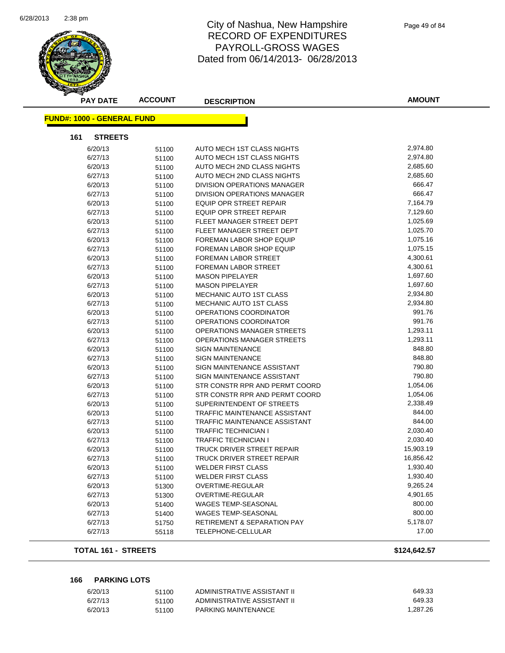

| <b>PAY DATE</b>                   | <b>ACCOUNT</b> | <b>DESCRIPTION</b>                     | <b>AMOUNT</b> |  |  |  |
|-----------------------------------|----------------|----------------------------------------|---------------|--|--|--|
| <b>FUND#: 1000 - GENERAL FUND</b> |                |                                        |               |  |  |  |
|                                   |                |                                        |               |  |  |  |
| <b>STREETS</b><br>161             |                |                                        |               |  |  |  |
| 6/20/13                           | 51100          | AUTO MECH 1ST CLASS NIGHTS             | 2,974.80      |  |  |  |
| 6/27/13                           | 51100          | AUTO MECH 1ST CLASS NIGHTS             | 2,974.80      |  |  |  |
| 6/20/13                           | 51100          | AUTO MECH 2ND CLASS NIGHTS             | 2,685.60      |  |  |  |
| 6/27/13                           | 51100          | AUTO MECH 2ND CLASS NIGHTS             | 2,685.60      |  |  |  |
| 6/20/13                           | 51100          | DIVISION OPERATIONS MANAGER            | 666.47        |  |  |  |
| 6/27/13                           | 51100          | DIVISION OPERATIONS MANAGER            | 666.47        |  |  |  |
| 6/20/13                           | 51100          | <b>EQUIP OPR STREET REPAIR</b>         | 7,164.79      |  |  |  |
| 6/27/13                           | 51100          | <b>EQUIP OPR STREET REPAIR</b>         | 7,129.60      |  |  |  |
| 6/20/13                           | 51100          | FLEET MANAGER STREET DEPT              | 1,025.69      |  |  |  |
| 6/27/13                           | 51100          | FLEET MANAGER STREET DEPT              | 1,025.70      |  |  |  |
| 6/20/13                           | 51100          | FOREMAN LABOR SHOP EQUIP               | 1,075.16      |  |  |  |
| 6/27/13                           | 51100          | FOREMAN LABOR SHOP EQUIP               | 1,075.15      |  |  |  |
| 6/20/13                           | 51100          | FOREMAN LABOR STREET                   | 4,300.61      |  |  |  |
| 6/27/13                           | 51100          | FOREMAN LABOR STREET                   | 4,300.61      |  |  |  |
| 6/20/13                           | 51100          | <b>MASON PIPELAYER</b>                 | 1,697.60      |  |  |  |
| 6/27/13                           | 51100          | <b>MASON PIPELAYER</b>                 | 1,697.60      |  |  |  |
| 6/20/13                           | 51100          | MECHANIC AUTO 1ST CLASS                | 2,934.80      |  |  |  |
| 6/27/13                           | 51100          | MECHANIC AUTO 1ST CLASS                | 2,934.80      |  |  |  |
| 6/20/13                           | 51100          | OPERATIONS COORDINATOR                 | 991.76        |  |  |  |
| 6/27/13                           | 51100          | OPERATIONS COORDINATOR                 | 991.76        |  |  |  |
| 6/20/13                           | 51100          | OPERATIONS MANAGER STREETS             | 1,293.11      |  |  |  |
| 6/27/13                           | 51100          | OPERATIONS MANAGER STREETS             | 1,293.11      |  |  |  |
| 6/20/13                           | 51100          | <b>SIGN MAINTENANCE</b>                | 848.80        |  |  |  |
| 6/27/13                           | 51100          | <b>SIGN MAINTENANCE</b>                | 848.80        |  |  |  |
| 6/20/13                           | 51100          | SIGN MAINTENANCE ASSISTANT             | 790.80        |  |  |  |
| 6/27/13                           | 51100          | SIGN MAINTENANCE ASSISTANT             | 790.80        |  |  |  |
| 6/20/13                           | 51100          | STR CONSTR RPR AND PERMT COORD         | 1,054.06      |  |  |  |
| 6/27/13                           | 51100          | STR CONSTR RPR AND PERMT COORD         | 1,054.06      |  |  |  |
| 6/20/13                           | 51100          | SUPERINTENDENT OF STREETS              | 2,338.49      |  |  |  |
| 6/20/13                           | 51100          | <b>TRAFFIC MAINTENANCE ASSISTANT</b>   | 844.00        |  |  |  |
| 6/27/13                           | 51100          | TRAFFIC MAINTENANCE ASSISTANT          | 844.00        |  |  |  |
| 6/20/13                           | 51100          | TRAFFIC TECHNICIAN I                   | 2,030.40      |  |  |  |
| 6/27/13                           | 51100          | <b>TRAFFIC TECHNICIAN I</b>            | 2,030.40      |  |  |  |
| 6/20/13                           | 51100          | TRUCK DRIVER STREET REPAIR             | 15,903.19     |  |  |  |
| 6/27/13                           | 51100          | TRUCK DRIVER STREET REPAIR             | 16,856.42     |  |  |  |
| 6/20/13                           | 51100          | <b>WELDER FIRST CLASS</b>              | 1,930.40      |  |  |  |
| 6/27/13                           | 51100          | <b>WELDER FIRST CLASS</b>              | 1,930.40      |  |  |  |
| 6/20/13                           | 51300          | OVERTIME-REGULAR                       | 9,265.24      |  |  |  |
| 6/27/13                           | 51300          | OVERTIME-REGULAR                       | 4,901.65      |  |  |  |
| 6/20/13                           | 51400          | WAGES TEMP-SEASONAL                    | 800.00        |  |  |  |
| 6/27/13                           | 51400          | <b>WAGES TEMP-SEASONAL</b>             | 800.00        |  |  |  |
| 6/27/13                           | 51750          | <b>RETIREMENT &amp; SEPARATION PAY</b> | 5,178.07      |  |  |  |
| 6/27/13                           | 55118          | TELEPHONE-CELLULAR                     | 17.00         |  |  |  |

**TOTAL 161 - STREETS** \$124,642.57

#### **166 PARKING LOTS**

| 6/20/13 | 51100 | ADMINISTRATIVE ASSISTANT II | 649.33   |
|---------|-------|-----------------------------|----------|
| 6/27/13 | 51100 | ADMINISTRATIVE ASSISTANT II | 649.33   |
| 6/20/13 | 51100 | PARKING MAINTENANCE         | 1.287.26 |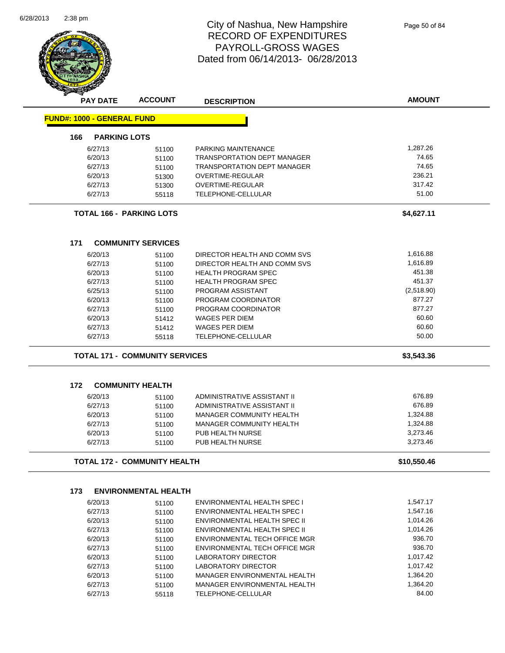

Page 50 of 84

| <b>PAY DATE</b>                   | <b>ACCOUNT</b>                        | <b>DESCRIPTION</b>                                           | <b>AMOUNT</b>        |
|-----------------------------------|---------------------------------------|--------------------------------------------------------------|----------------------|
| <b>FUND#: 1000 - GENERAL FUND</b> |                                       |                                                              |                      |
| 166                               | <b>PARKING LOTS</b>                   |                                                              |                      |
| 6/27/13                           | 51100                                 | PARKING MAINTENANCE                                          | 1,287.26             |
| 6/20/13                           | 51100                                 | <b>TRANSPORTATION DEPT MANAGER</b>                           | 74.65                |
| 6/27/13                           | 51100                                 | <b>TRANSPORTATION DEPT MANAGER</b>                           | 74.65                |
| 6/20/13                           | 51300                                 | OVERTIME-REGULAR                                             | 236.21               |
| 6/27/13                           | 51300                                 | OVERTIME-REGULAR                                             | 317.42               |
| 6/27/13                           | 55118                                 | <b>TELEPHONE-CELLULAR</b>                                    | 51.00                |
|                                   | <b>TOTAL 166 - PARKING LOTS</b>       |                                                              | \$4,627.11           |
| 171                               | <b>COMMUNITY SERVICES</b>             |                                                              |                      |
| 6/20/13                           | 51100                                 | DIRECTOR HEALTH AND COMM SVS                                 | 1,616.88             |
| 6/27/13                           | 51100                                 | DIRECTOR HEALTH AND COMM SVS                                 | 1,616.89             |
| 6/20/13                           | 51100                                 | <b>HEALTH PROGRAM SPEC</b>                                   | 451.38               |
| 6/27/13                           | 51100                                 | <b>HEALTH PROGRAM SPEC</b>                                   | 451.37               |
| 6/25/13                           | 51100                                 | PROGRAM ASSISTANT                                            | (2,518.90)           |
| 6/20/13                           | 51100                                 | PROGRAM COORDINATOR                                          | 877.27               |
| 6/27/13                           | 51100                                 | PROGRAM COORDINATOR                                          | 877.27               |
| 6/20/13                           | 51412                                 | <b>WAGES PER DIEM</b>                                        | 60.60                |
| 6/27/13                           | 51412                                 | <b>WAGES PER DIEM</b>                                        | 60.60                |
| 6/27/13                           | 55118                                 | TELEPHONE-CELLULAR                                           | 50.00                |
|                                   | <b>TOTAL 171 - COMMUNITY SERVICES</b> |                                                              | \$3,543.36           |
|                                   |                                       |                                                              |                      |
|                                   |                                       |                                                              |                      |
| 172                               | <b>COMMUNITY HEALTH</b>               |                                                              |                      |
| 6/20/13                           | 51100                                 | ADMINISTRATIVE ASSISTANT II                                  | 676.89               |
| 6/27/13                           | 51100                                 | ADMINISTRATIVE ASSISTANT II                                  | 676.89               |
| 6/20/13                           | 51100                                 | MANAGER COMMUNITY HEALTH                                     | 1,324.88             |
| 6/27/13                           | 51100                                 | <b>MANAGER COMMUNITY HEALTH</b>                              | 1,324.88             |
| 6/20/13<br>6/27/13                | 51100<br>51100                        | PUB HEALTH NURSE<br>PUB HEALTH NURSE                         | 3,273.46<br>3,273.46 |
|                                   | <b>TOTAL 172 - COMMUNITY HEALTH</b>   |                                                              | \$10,550.46          |
|                                   |                                       |                                                              |                      |
| 173                               | <b>ENVIRONMENTAL HEALTH</b>           |                                                              |                      |
| 6/20/13                           | 51100                                 | ENVIRONMENTAL HEALTH SPEC I                                  | 1,547.17             |
| 6/27/13                           | 51100                                 | ENVIRONMENTAL HEALTH SPEC I                                  | 1,547.16             |
| 6/20/13                           | 51100                                 | ENVIRONMENTAL HEALTH SPEC II                                 | 1,014.26             |
| 6/27/13                           | 51100                                 | ENVIRONMENTAL HEALTH SPEC II                                 | 1.014.26             |
| 6/20/13                           | 51100                                 | ENVIRONMENTAL TECH OFFICE MGR                                | 936.70               |
| 6/27/13                           | 51100                                 | ENVIRONMENTAL TECH OFFICE MGR                                | 936.70               |
| 6/20/13                           | 51100                                 | LABORATORY DIRECTOR                                          | 1,017.42             |
| 6/27/13                           | 51100                                 | <b>LABORATORY DIRECTOR</b>                                   | 1,017.42             |
| 6/20/13<br>6/27/13                | 51100<br>51100                        | MANAGER ENVIRONMENTAL HEALTH<br>MANAGER ENVIRONMENTAL HEALTH | 1,364.20<br>1,364.20 |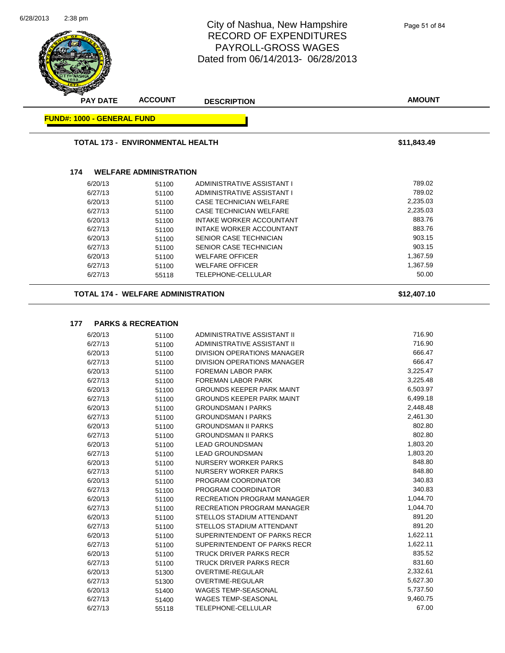

6/27/13 51400 WAGES TEMP-SEASONAL 6/27/13 9,460.75 6/27/13 55118 TELEPHONE-CELLULAR 67.00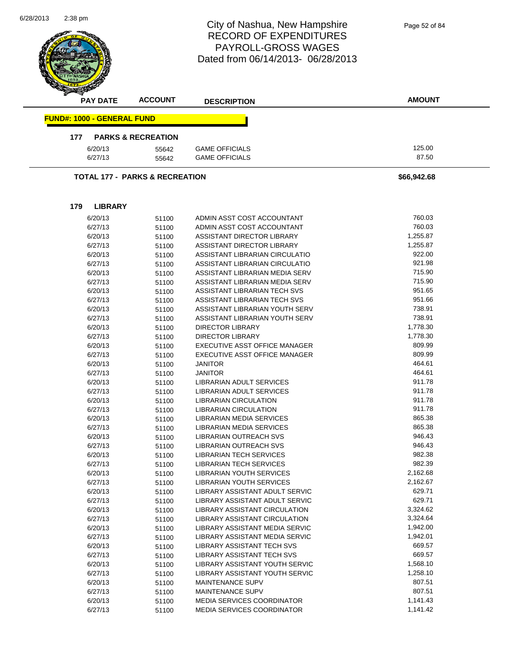| 6/28/2013 | 2:38 pm |                                   |                                           | City of Nashua, New Hampshire<br><b>RECORD OF EXPENDITURES</b><br><b>PAYROLL-GROSS WAGES</b><br>Dated from 06/14/2013-06/28/2013 | Page 52 of 84    |
|-----------|---------|-----------------------------------|-------------------------------------------|----------------------------------------------------------------------------------------------------------------------------------|------------------|
|           |         | <b>PAY DATE</b>                   | <b>ACCOUNT</b>                            | <b>DESCRIPTION</b>                                                                                                               | <b>AMOUNT</b>    |
|           |         | <b>FUND#: 1000 - GENERAL FUND</b> |                                           |                                                                                                                                  |                  |
|           | 177     |                                   | <b>PARKS &amp; RECREATION</b>             |                                                                                                                                  |                  |
|           |         | 6/20/13<br>6/27/13                | 55642<br>55642                            | <b>GAME OFFICIALS</b><br><b>GAME OFFICIALS</b>                                                                                   | 125.00<br>87.50  |
|           |         |                                   | <b>TOTAL 177 - PARKS &amp; RECREATION</b> |                                                                                                                                  | \$66,942.68      |
|           | 179     | <b>LIBRARY</b>                    |                                           |                                                                                                                                  |                  |
|           |         | 6/20/13                           |                                           | ADMIN ASST COST ACCOUNTANT                                                                                                       | 760.03           |
|           |         | 6/27/13                           | 51100<br>51100                            | ADMIN ASST COST ACCOUNTANT                                                                                                       | 760.03           |
|           |         | 6/20/13                           | 51100                                     | ASSISTANT DIRECTOR LIBRARY                                                                                                       | 1,255.87         |
|           |         | 6/27/13                           | 51100                                     | <b>ASSISTANT DIRECTOR LIBRARY</b>                                                                                                | 1,255.87         |
|           |         | 6/20/13                           | 51100                                     | ASSISTANT LIBRARIAN CIRCULATIO                                                                                                   | 922.00           |
|           |         | 6/27/13                           | 51100                                     | ASSISTANT LIBRARIAN CIRCULATIO                                                                                                   | 921.98           |
|           |         | 6/20/13                           | 51100                                     | ASSISTANT LIBRARIAN MEDIA SERV                                                                                                   | 715.90           |
|           |         | 6/27/13                           | 51100                                     | ASSISTANT LIBRARIAN MEDIA SERV                                                                                                   | 715.90           |
|           |         | 6/20/13                           | 51100                                     | ASSISTANT LIBRARIAN TECH SVS                                                                                                     | 951.65           |
|           |         | 6/27/13                           | 51100                                     | ASSISTANT LIBRARIAN TECH SVS                                                                                                     | 951.66           |
|           |         | 6/20/13                           | 51100                                     | ASSISTANT LIBRARIAN YOUTH SERV                                                                                                   | 738.91           |
|           |         | 6/27/13                           | 51100                                     | ASSISTANT LIBRARIAN YOUTH SERV                                                                                                   | 738.91           |
|           |         | 6/20/13                           | 51100                                     | <b>DIRECTOR LIBRARY</b>                                                                                                          | 1,778.30         |
|           |         | 6/27/13                           | 51100                                     | <b>DIRECTOR LIBRARY</b>                                                                                                          | 1,778.30         |
|           |         | 6/20/13                           | 51100                                     | EXECUTIVE ASST OFFICE MANAGER                                                                                                    | 809.99           |
|           |         | 6/27/13                           | 51100                                     | EXECUTIVE ASST OFFICE MANAGER                                                                                                    | 809.99           |
|           |         | 6/20/13                           | 51100                                     | <b>JANITOR</b>                                                                                                                   | 464.61           |
|           |         | 6/27/13                           | 51100                                     | JANITOR                                                                                                                          | 464.61           |
|           |         | 6/20/13                           | 51100                                     | LIBRARIAN ADULT SERVICES                                                                                                         | 911.78           |
|           |         | 6/27/13                           | 51100                                     | LIBRARIAN ADULT SERVICES                                                                                                         | 911.78<br>911.78 |
|           |         | 6/20/13<br>6/27/13                | 51100                                     | LIBRARIAN CIRCULATION<br><b>LIBRARIAN CIRCULATION</b>                                                                            | 911.78           |
|           |         | 6/20/13                           | 51100                                     | <b>LIBRARIAN MEDIA SERVICES</b>                                                                                                  | 865.38           |
|           |         | 6/27/13                           | 51100<br>51100                            | <b>LIBRARIAN MEDIA SERVICES</b>                                                                                                  | 865.38           |
|           |         | 6/20/13                           | 51100                                     | LIBRARIAN OUTREACH SVS                                                                                                           | 946.43           |
|           |         | 6/27/13                           | 51100                                     | LIBRARIAN OUTREACH SVS                                                                                                           | 946.43           |
|           |         | 6/20/13                           | 51100                                     | <b>LIBRARIAN TECH SERVICES</b>                                                                                                   | 982.38           |
|           |         | 6/27/13                           | 51100                                     | LIBRARIAN TECH SERVICES                                                                                                          | 982.39           |
|           |         | 6/20/13                           | 51100                                     | <b>LIBRARIAN YOUTH SERVICES</b>                                                                                                  | 2,162.68         |
|           |         | 6/27/13                           | 51100                                     | LIBRARIAN YOUTH SERVICES                                                                                                         | 2,162.67         |
|           |         | 6/20/13                           | 51100                                     | LIBRARY ASSISTANT ADULT SERVIC                                                                                                   | 629.71           |
|           |         | 6/27/13                           | 51100                                     | LIBRARY ASSISTANT ADULT SERVIC                                                                                                   | 629.71           |
|           |         | 6/20/13                           | 51100                                     | LIBRARY ASSISTANT CIRCULATION                                                                                                    | 3,324.62         |
|           |         | 6/27/13                           | 51100                                     | LIBRARY ASSISTANT CIRCULATION                                                                                                    | 3,324.64         |
|           |         | 6/20/13                           | 51100                                     | LIBRARY ASSISTANT MEDIA SERVIC                                                                                                   | 1,942.00         |
|           |         | 6/27/13                           | 51100                                     | LIBRARY ASSISTANT MEDIA SERVIC                                                                                                   | 1,942.01         |
|           |         | 6/20/13                           | 51100                                     | LIBRARY ASSISTANT TECH SVS                                                                                                       | 669.57           |
|           |         | 6/27/13                           | 51100                                     | <b>LIBRARY ASSISTANT TECH SVS</b>                                                                                                | 669.57           |
|           |         | 6/20/13                           | 51100                                     | LIBRARY ASSISTANT YOUTH SERVIC                                                                                                   | 1,568.10         |
|           |         | 6/27/13                           | 51100                                     | LIBRARY ASSISTANT YOUTH SERVIC                                                                                                   | 1,258.10         |
|           |         | 6/20/13                           | 51100                                     | <b>MAINTENANCE SUPV</b>                                                                                                          | 807.51           |
|           |         | 6/27/13                           | 51100                                     | MAINTENANCE SUPV                                                                                                                 | 807.51           |
|           |         | 6/20/13                           | 51100                                     | <b>MEDIA SERVICES COORDINATOR</b>                                                                                                | 1,141.43         |
|           |         | 6/27/13                           | 51100                                     | <b>MEDIA SERVICES COORDINATOR</b>                                                                                                | 1,141.42         |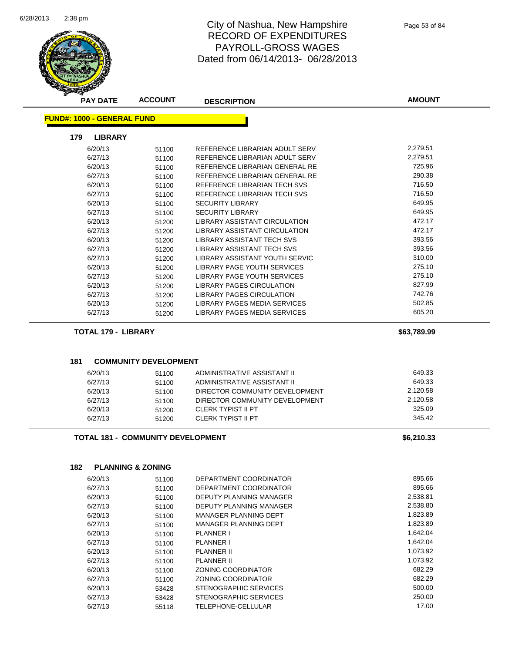Ē,



# City of Nashua, New Hampshire RECORD OF EXPENDITURES PAYROLL-GROSS WAGES Dated from 06/14/2013- 06/28/2013

|                                   | <b>ACCOUNT</b>                           | <b>DESCRIPTION</b>                                     | <b>AMOUNT</b>    |
|-----------------------------------|------------------------------------------|--------------------------------------------------------|------------------|
| <b>FUND#: 1000 - GENERAL FUND</b> |                                          |                                                        |                  |
| 179<br><b>LIBRARY</b>             |                                          |                                                        |                  |
| 6/20/13                           | 51100                                    | REFERENCE LIBRARIAN ADULT SERV                         | 2,279.51         |
| 6/27/13                           | 51100                                    | REFERENCE LIBRARIAN ADULT SERV                         | 2,279.51         |
| 6/20/13                           | 51100                                    | REFERENCE LIBRARIAN GENERAL RE                         | 725.96           |
| 6/27/13                           | 51100                                    | REFERENCE LIBRARIAN GENERAL RE                         | 290.38           |
| 6/20/13                           | 51100                                    | REFERENCE LIBRARIAN TECH SVS                           | 716.50           |
| 6/27/13                           | 51100                                    | REFERENCE LIBRARIAN TECH SVS                           | 716.50           |
| 6/20/13                           | 51100                                    | <b>SECURITY LIBRARY</b>                                | 649.95           |
| 6/27/13                           | 51100                                    | <b>SECURITY LIBRARY</b>                                | 649.95           |
| 6/20/13                           | 51200                                    | LIBRARY ASSISTANT CIRCULATION                          | 472.17           |
| 6/27/13                           | 51200                                    | LIBRARY ASSISTANT CIRCULATION                          | 472.17           |
| 6/20/13                           | 51200                                    | LIBRARY ASSISTANT TECH SVS                             | 393.56           |
| 6/27/13                           | 51200                                    | <b>LIBRARY ASSISTANT TECH SVS</b>                      | 393.56           |
| 6/27/13                           | 51200                                    | LIBRARY ASSISTANT YOUTH SERVIC                         | 310.00           |
| 6/20/13                           | 51200                                    | LIBRARY PAGE YOUTH SERVICES                            | 275.10           |
| 6/27/13                           | 51200                                    | LIBRARY PAGE YOUTH SERVICES                            | 275.10           |
| 6/20/13                           | 51200                                    | LIBRARY PAGES CIRCULATION                              | 827.99           |
| 6/27/13                           | 51200                                    | <b>LIBRARY PAGES CIRCULATION</b>                       | 742.76           |
| 6/20/13                           | 51200                                    | LIBRARY PAGES MEDIA SERVICES                           | 502.85           |
| 6/27/13                           | 51200                                    | LIBRARY PAGES MEDIA SERVICES                           | 605.20           |
| <b>TOTAL 179 - LIBRARY</b>        |                                          |                                                        | \$63,789.99      |
|                                   |                                          |                                                        |                  |
| 181<br>6/20/13                    | <b>COMMUNITY DEVELOPMENT</b>             | ADMINISTRATIVE ASSISTANT II                            | 649.33           |
| 6/27/13                           | 51100<br>51100                           | ADMINISTRATIVE ASSISTANT II                            | 649.33           |
| 6/20/13                           | 51100                                    | DIRECTOR COMMUNITY DEVELOPMENT                         |                  |
|                                   |                                          |                                                        |                  |
|                                   |                                          |                                                        | 2,120.58         |
| 6/27/13                           | 51100                                    | DIRECTOR COMMUNITY DEVELOPMENT                         | 2,120.58         |
| 6/20/13<br>6/27/13                | 51200                                    | <b>CLERK TYPIST II PT</b><br><b>CLERK TYPIST II PT</b> | 325.09<br>345.42 |
|                                   | 51200                                    |                                                        |                  |
|                                   | <b>TOTAL 181 - COMMUNITY DEVELOPMENT</b> |                                                        | \$6,210.33       |
|                                   |                                          |                                                        |                  |
| 182<br>6/20/13                    | <b>PLANNING &amp; ZONING</b>             | DEPARTMENT COORDINATOR                                 | 895.66           |
|                                   | 51100                                    | DEPARTMENT COORDINATOR                                 | 895.66           |
| 6/27/13                           | 51100                                    | DEPUTY PLANNING MANAGER                                | 2,538.81         |
| 6/20/13                           | 51100                                    | DEPUTY PLANNING MANAGER                                | 2,538.80         |
| 6/27/13                           | 51100                                    | MANAGER PLANNING DEPT                                  | 1,823.89         |
| 6/20/13<br>6/27/13                | 51100                                    | MANAGER PLANNING DEPT                                  | 1,823.89         |
|                                   | 51100                                    | <b>PLANNER I</b>                                       | 1,642.04         |
| 6/20/13                           | 51100                                    | <b>PLANNER I</b>                                       | 1,642.04         |
| 6/27/13                           | 51100                                    | PLANNER II                                             | 1,073.92         |
| 6/20/13<br>6/27/13                | 51100                                    | <b>PLANNER II</b>                                      | 1,073.92         |
| 6/20/13                           | 51100<br>51100                           | ZONING COORDINATOR                                     | 682.29           |

6/20/13 53428 STENOGRAPHIC SERVICES 500.00 6/27/13 53428 STENOGRAPHIC SERVICES 250.00 6/27/13 55118 TELEPHONE-CELLULAR 17.00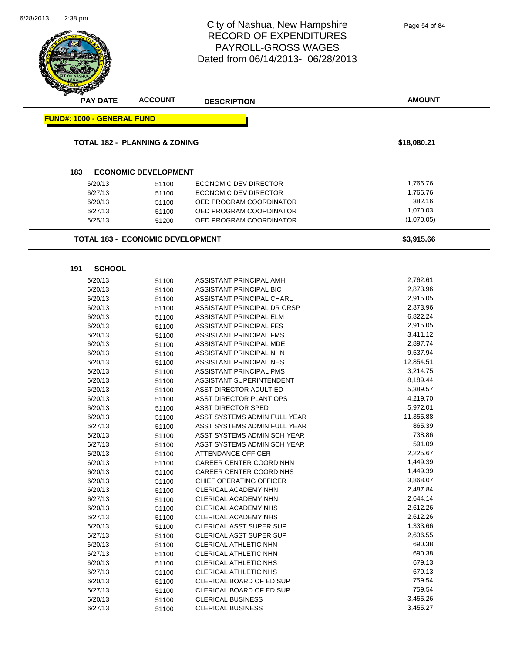**AMOUNT** 2:38 pm City of Nashua, New Hampshire RECORD OF EXPENDITURES PAYROLL-GROSS WAGES Dated from 06/14/2013- 06/28/2013 **PAY DATE ACCOUNT DESCRIPTION FUND#: 1000 - GENERAL FUND TOTAL 182 - PLANNING & ZONING \$18,080.21 183 ECONOMIC DEVELOPMENT** 6/20/13 51100 ECONOMIC DEV DIRECTOR 1,766.76 6/27/13 51100 ECONOMIC DEV DIRECTOR 51766.76 6/20/13 51100 OED PROGRAM COORDINATOR 382.16 6/27/13 51100 OED PROGRAM COORDINATOR 6/27/13 1,070.03 6/25/13 51200 OED PROGRAM COORDINATOR (1,070.05) **TOTAL 183 - ECONOMIC DEVELOPMENT \$3,915.66 191 SCHOOL** 6/20/13 51100 ASSISTANT PRINCIPAL AMH 5/762.61 6/20/13 51100 ASSISTANT PRINCIPAL BIC 2,873.96 6/20/13 51100 ASSISTANT PRINCIPAL CHARL 2,915.05 6/20/13 51100 ASSISTANT PRINCIPAL DR CRSP 2,873.96 6/20/13 51100 ASSISTANT PRINCIPAL ELM 6,822.24 6/20/13 51100 ASSISTANT PRINCIPAL FES 2,915.05 6/20/13 51100 ASSISTANT PRINCIPAL FMS 5,411.12 6/20/13 51100 ASSISTANT PRINCIPAL MDE 56/20/13 2,897.74 6/20/13 51100 ASSISTANT PRINCIPAL NHN 9,537.94 6/20/13 51100 ASSISTANT PRINCIPAL NHS 12,854.51 6/20/13 51100 ASSISTANT PRINCIPAL PMS 6/20/13 3,214.75 6/20/13 51100 ASSISTANT SUPERINTENDENT 8,189.44 6/20/13 51100 ASST DIRECTOR ADULT ED 5,389.57 6/20/13 51100 ASST DIRECTOR PLANT OPS 4,219.70 6/20/13 51100 ASST DIRECTOR SPED 5,972.01 6/20/13 51100 ASST SYSTEMS ADMIN FULL YEAR 6/27/13 51100 ASST SYSTEMS ADMIN FULL YEAR 865.39 6/20/13 51100 ASST SYSTEMS ADMIN SCH YEAR 738.86 6/27/13 51100 ASST SYSTEMS ADMIN SCH YEAR 591.09 6/20/13 51100 ATTENDANCE OFFICER 2,225.67 6/20/13 51100 CAREER CENTER COORD NHN 551100 6/20/13 51100 CAREER CENTER COORD NHS 1,449.39 6/20/13 51100 CHIEF OPERATING OFFICER 3,868.07 6/20/13 51100 CLERICAL ACADEMY NHN 2,487.84 6/27/13 51100 CLERICAL ACADEMY NHN 2,644.14  $\frac{6}{20/13}$  51100 CLERICAL ACADEMY NHS 2,612.26<br> $\frac{6}{27/13}$  51100 CLERICAL ACADEMY NHS 2.612.26 6/27/13 51100 CLERICAL ACADEMY NHS 6/20/13 51100 CLERICAL ASST SUPER SUP 1,333.66 6/27/13 51100 CLERICAL ASST SUPER SUP 2,636.55 6/20/13 51100 CLERICAL ATHLETIC NHN 690.38 6/27/13 51100 CLERICAL ATHLETIC NHN 690.38 6/20/13 51100 CLERICAL ATHLETIC NHS 679.13 6/27/13 51100 CLERICAL ATHLETIC NHS 679.13 6/20/13 51100 CLERICAL BOARD OF ED SUP 6/20/13 759.54 6/27/13 51100 CLERICAL BOARD OF ED SUP 6/27/13 759.54 Page 54 of 84

> 6/20/13 51100 CLERICAL BUSINESS 51465.26 6/27/13 51100 CLERICAL BUSINESS 3,455.27

6/28/2013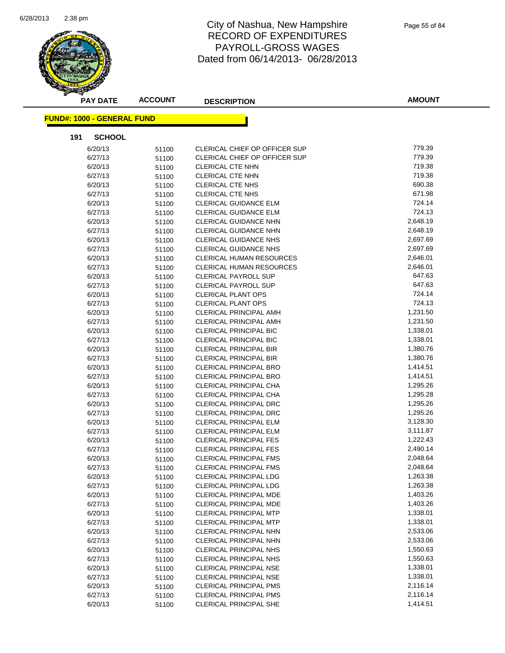

| <b>PAY DATE</b>                   | <b>ACCOUNT</b> | <b>DESCRIPTION</b>                                             | <b>AMOUNT</b>        |
|-----------------------------------|----------------|----------------------------------------------------------------|----------------------|
| <b>FUND#: 1000 - GENERAL FUND</b> |                |                                                                |                      |
| 191<br><b>SCHOOL</b>              |                |                                                                |                      |
| 6/20/13                           | 51100          | CLERICAL CHIEF OP OFFICER SUP                                  | 779.39               |
| 6/27/13                           | 51100          | CLERICAL CHIEF OP OFFICER SUP                                  | 779.39               |
| 6/20/13                           | 51100          | CLERICAL CTE NHN                                               | 719.38               |
| 6/27/13                           | 51100          | CLERICAL CTE NHN                                               | 719.38               |
| 6/20/13                           | 51100          | <b>CLERICAL CTE NHS</b>                                        | 690.38               |
| 6/27/13                           | 51100          | CLERICAL CTE NHS                                               | 671.98               |
| 6/20/13                           | 51100          | <b>CLERICAL GUIDANCE ELM</b>                                   | 724.14               |
| 6/27/13                           | 51100          | <b>CLERICAL GUIDANCE ELM</b>                                   | 724.13               |
| 6/20/13                           | 51100          | <b>CLERICAL GUIDANCE NHN</b>                                   | 2,648.19             |
| 6/27/13                           | 51100          | <b>CLERICAL GUIDANCE NHN</b>                                   | 2,648.19             |
| 6/20/13                           | 51100          | <b>CLERICAL GUIDANCE NHS</b>                                   | 2,697.69             |
| 6/27/13                           | 51100          | <b>CLERICAL GUIDANCE NHS</b>                                   | 2,697.69             |
| 6/20/13                           | 51100          | CLERICAL HUMAN RESOURCES                                       | 2,646.01             |
| 6/27/13                           | 51100          | CLERICAL HUMAN RESOURCES                                       | 2,646.01             |
| 6/20/13                           | 51100          | <b>CLERICAL PAYROLL SUP</b>                                    | 647.63               |
| 6/27/13                           | 51100          | <b>CLERICAL PAYROLL SUP</b>                                    | 647.63               |
| 6/20/13                           | 51100          | <b>CLERICAL PLANT OPS</b>                                      | 724.14               |
| 6/27/13                           | 51100          | <b>CLERICAL PLANT OPS</b>                                      | 724.13               |
| 6/20/13                           |                | <b>CLERICAL PRINCIPAL AMH</b>                                  | 1,231.50             |
| 6/27/13                           | 51100<br>51100 | <b>CLERICAL PRINCIPAL AMH</b>                                  | 1,231.50             |
| 6/20/13                           |                | <b>CLERICAL PRINCIPAL BIC</b>                                  | 1,338.01             |
| 6/27/13                           | 51100          | <b>CLERICAL PRINCIPAL BIC</b>                                  | 1,338.01             |
| 6/20/13                           | 51100          | <b>CLERICAL PRINCIPAL BIR</b>                                  | 1,380.76             |
|                                   | 51100          |                                                                | 1,380.76             |
| 6/27/13<br>6/20/13                | 51100          | <b>CLERICAL PRINCIPAL BIR</b><br><b>CLERICAL PRINCIPAL BRO</b> | 1,414.51             |
|                                   | 51100          |                                                                | 1,414.51             |
| 6/27/13                           | 51100          | <b>CLERICAL PRINCIPAL BRO</b>                                  | 1,295.26             |
| 6/20/13                           | 51100          | <b>CLERICAL PRINCIPAL CHA</b>                                  | 1,295.28             |
| 6/27/13                           | 51100          | <b>CLERICAL PRINCIPAL CHA</b>                                  | 1,295.26             |
| 6/20/13<br>6/27/13                | 51100          | <b>CLERICAL PRINCIPAL DRC</b><br>CLERICAL PRINCIPAL DRC        | 1,295.26             |
| 6/20/13                           | 51100          | <b>CLERICAL PRINCIPAL ELM</b>                                  | 3,128.30             |
| 6/27/13                           | 51100          | <b>CLERICAL PRINCIPAL ELM</b>                                  | 3,111.87             |
|                                   | 51100          |                                                                | 1,222.43             |
| 6/20/13                           | 51100          | <b>CLERICAL PRINCIPAL FES</b>                                  |                      |
| 6/27/13                           | 51100          | <b>CLERICAL PRINCIPAL FES</b>                                  | 2,490.14<br>2,048.64 |
| 6/20/13                           | 51100          | <b>CLERICAL PRINCIPAL FMS</b>                                  |                      |
| 6/27/13                           | 51100          | <b>CLERICAL PRINCIPAL FMS</b>                                  | 2,048.64             |
| 6/20/13                           | 51100          | CLERICAL PRINCIPAL LDG                                         | 1,263.38             |
| 6/27/13                           | 51100          | <b>CLERICAL PRINCIPAL LDG</b>                                  | 1,263.38             |
| 6/20/13                           | 51100          | <b>CLERICAL PRINCIPAL MDE</b>                                  | 1,403.26             |
| 6/27/13                           | 51100          | <b>CLERICAL PRINCIPAL MDE</b>                                  | 1,403.26             |
| 6/20/13                           | 51100          | <b>CLERICAL PRINCIPAL MTP</b>                                  | 1,338.01             |
| 6/27/13                           | 51100          | <b>CLERICAL PRINCIPAL MTP</b>                                  | 1,338.01             |
| 6/20/13                           | 51100          | CLERICAL PRINCIPAL NHN                                         | 2,533.06             |
| 6/27/13                           | 51100          | <b>CLERICAL PRINCIPAL NHN</b>                                  | 2,533.06             |
| 6/20/13                           | 51100          | <b>CLERICAL PRINCIPAL NHS</b>                                  | 1,550.63             |
| 6/27/13                           | 51100          | <b>CLERICAL PRINCIPAL NHS</b>                                  | 1,550.63             |
| 6/20/13                           | 51100          | CLERICAL PRINCIPAL NSE                                         | 1,338.01             |
| 6/27/13                           | 51100          | CLERICAL PRINCIPAL NSE                                         | 1,338.01             |
| 6/20/13                           | 51100          | <b>CLERICAL PRINCIPAL PMS</b>                                  | 2,116.14             |
| 6/27/13                           | 51100          | <b>CLERICAL PRINCIPAL PMS</b>                                  | 2,116.14             |
| 6/20/13                           | 51100          | <b>CLERICAL PRINCIPAL SHE</b>                                  | 1,414.51             |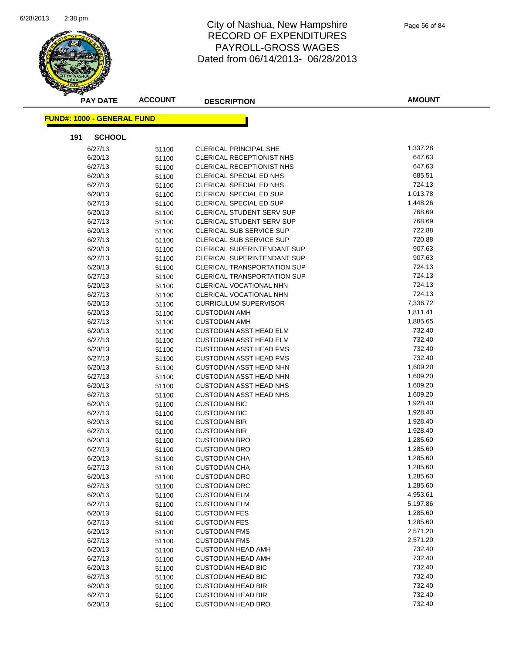

| <b>PAY DATE</b>                   | <b>ACCOUNT</b> | <b>DESCRIPTION</b>                 | <b>AMOUNT</b> |
|-----------------------------------|----------------|------------------------------------|---------------|
| <b>FUND#: 1000 - GENERAL FUND</b> |                |                                    |               |
| 191<br><b>SCHOOL</b>              |                |                                    |               |
|                                   |                |                                    |               |
| 6/27/13                           | 51100          | <b>CLERICAL PRINCIPAL SHE</b>      | 1,337.28      |
| 6/20/13                           | 51100          | CLERICAL RECEPTIONIST NHS          | 647.63        |
| 6/27/13                           | 51100          | CLERICAL RECEPTIONIST NHS          | 647.63        |
| 6/20/13                           | 51100          | <b>CLERICAL SPECIAL ED NHS</b>     | 685.51        |
| 6/27/13                           | 51100          | <b>CLERICAL SPECIAL ED NHS</b>     | 724.13        |
| 6/20/13                           | 51100          | CLERICAL SPECIAL ED SUP            | 1,013.78      |
| 6/27/13                           | 51100          | CLERICAL SPECIAL ED SUP            | 1,448.26      |
| 6/20/13                           | 51100          | <b>CLERICAL STUDENT SERV SUP</b>   | 768.69        |
| 6/27/13                           | 51100          | CLERICAL STUDENT SERV SUP          | 768.69        |
| 6/20/13                           | 51100          | CLERICAL SUB SERVICE SUP           | 722.88        |
| 6/27/13                           | 51100          | CLERICAL SUB SERVICE SUP           | 720.88        |
| 6/20/13                           | 51100          | CLERICAL SUPERINTENDANT SUP        | 907.63        |
| 6/27/13                           | 51100          | CLERICAL SUPERINTENDANT SUP        | 907.63        |
| 6/20/13                           | 51100          | <b>CLERICAL TRANSPORTATION SUP</b> | 724.13        |
| 6/27/13                           | 51100          | CLERICAL TRANSPORTATION SUP        | 724.13        |
| 6/20/13                           | 51100          | CLERICAL VOCATIONAL NHN            | 724.13        |
| 6/27/13                           | 51100          | CLERICAL VOCATIONAL NHN            | 724.13        |
| 6/20/13                           | 51100          | <b>CURRICULUM SUPERVISOR</b>       | 7,336.72      |
| 6/20/13                           | 51100          | <b>CUSTODIAN AMH</b>               | 1,811.41      |
| 6/27/13                           | 51100          | <b>CUSTODIAN AMH</b>               | 1,885.65      |
| 6/20/13                           | 51100          | <b>CUSTODIAN ASST HEAD ELM</b>     | 732.40        |
| 6/27/13                           | 51100          | <b>CUSTODIAN ASST HEAD ELM</b>     | 732.40        |
| 6/20/13                           | 51100          | <b>CUSTODIAN ASST HEAD FMS</b>     | 732.40        |
| 6/27/13                           | 51100          | <b>CUSTODIAN ASST HEAD FMS</b>     | 732.40        |
| 6/20/13                           | 51100          | <b>CUSTODIAN ASST HEAD NHN</b>     | 1,609.20      |
| 6/27/13                           | 51100          | <b>CUSTODIAN ASST HEAD NHN</b>     | 1,609.20      |
| 6/20/13                           | 51100          | <b>CUSTODIAN ASST HEAD NHS</b>     | 1,609.20      |
| 6/27/13                           | 51100          | <b>CUSTODIAN ASST HEAD NHS</b>     | 1,609.20      |
| 6/20/13                           | 51100          | <b>CUSTODIAN BIC</b>               | 1,928.40      |
| 6/27/13                           | 51100          | <b>CUSTODIAN BIC</b>               | 1,928.40      |
| 6/20/13                           | 51100          | <b>CUSTODIAN BIR</b>               | 1,928.40      |
| 6/27/13                           | 51100          | <b>CUSTODIAN BIR</b>               | 1,928.40      |
| 6/20/13                           | 51100          | <b>CUSTODIAN BRO</b>               | 1,285.60      |
| 6/27/13                           | 51100          | <b>CUSTODIAN BRO</b>               | 1,285.60      |
| 6/20/13                           | 51100          | <b>CUSTODIAN CHA</b>               | 1,285.60      |
| 6/27/13                           | 51100          | <b>CUSTODIAN CHA</b>               | 1,285.60      |
| 6/20/13                           | 51100          | <b>CUSTODIAN DRC</b>               | 1,285.60      |
| 6/27/13                           | 51100          | <b>CUSTODIAN DRC</b>               | 1,285.60      |
| 6/20/13                           | 51100          | <b>CUSTODIAN ELM</b>               | 4,953.61      |
| 6/27/13                           | 51100          | <b>CUSTODIAN ELM</b>               | 5,197.86      |
| 6/20/13                           | 51100          | <b>CUSTODIAN FES</b>               | 1,285.60      |
| 6/27/13                           | 51100          | <b>CUSTODIAN FES</b>               | 1,285.60      |
| 6/20/13                           | 51100          | <b>CUSTODIAN FMS</b>               | 2,571.20      |
| 6/27/13                           | 51100          | <b>CUSTODIAN FMS</b>               | 2,571.20      |
| 6/20/13                           | 51100          | <b>CUSTODIAN HEAD AMH</b>          | 732.40        |
| 6/27/13                           | 51100          | <b>CUSTODIAN HEAD AMH</b>          | 732.40        |
| 6/20/13                           | 51100          | <b>CUSTODIAN HEAD BIC</b>          | 732.40        |
| 6/27/13                           | 51100          | <b>CUSTODIAN HEAD BIC</b>          | 732.40        |
| 6/20/13                           | 51100          | <b>CUSTODIAN HEAD BIR</b>          | 732.40        |
| 6/27/13                           | 51100          | <b>CUSTODIAN HEAD BIR</b>          | 732.40        |
| 6/20/13                           | 51100          | <b>CUSTODIAN HEAD BRO</b>          | 732.40        |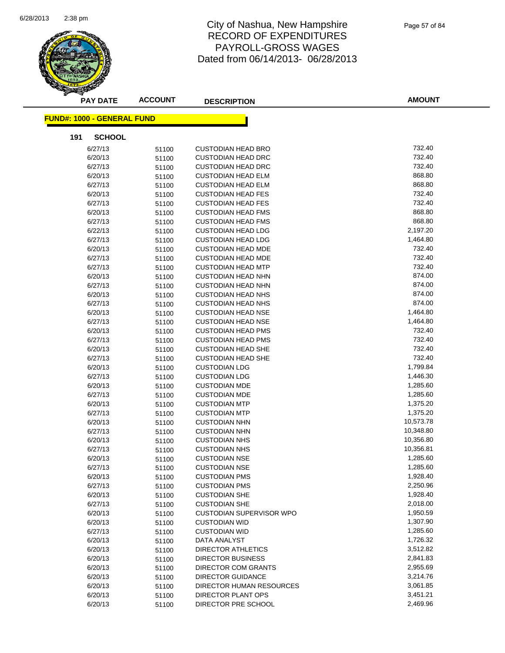

| <b>PAY DATE</b>                   | <b>ACCOUNT</b> | <b>DESCRIPTION</b>              | <b>AMOUNT</b> |
|-----------------------------------|----------------|---------------------------------|---------------|
| <b>FUND#: 1000 - GENERAL FUND</b> |                |                                 |               |
|                                   |                |                                 |               |
| 191<br><b>SCHOOL</b>              |                |                                 |               |
| 6/27/13                           | 51100          | <b>CUSTODIAN HEAD BRO</b>       | 732.40        |
| 6/20/13                           | 51100          | <b>CUSTODIAN HEAD DRC</b>       | 732.40        |
| 6/27/13                           | 51100          | <b>CUSTODIAN HEAD DRC</b>       | 732.40        |
| 6/20/13                           | 51100          | <b>CUSTODIAN HEAD ELM</b>       | 868.80        |
| 6/27/13                           | 51100          | <b>CUSTODIAN HEAD ELM</b>       | 868.80        |
| 6/20/13                           | 51100          | <b>CUSTODIAN HEAD FES</b>       | 732.40        |
| 6/27/13                           | 51100          | <b>CUSTODIAN HEAD FES</b>       | 732.40        |
| 6/20/13                           | 51100          | <b>CUSTODIAN HEAD FMS</b>       | 868.80        |
| 6/27/13                           | 51100          | <b>CUSTODIAN HEAD FMS</b>       | 868.80        |
| 6/22/13                           | 51100          | <b>CUSTODIAN HEAD LDG</b>       | 2,197.20      |
| 6/27/13                           | 51100          | <b>CUSTODIAN HEAD LDG</b>       | 1,464.80      |
| 6/20/13                           | 51100          | <b>CUSTODIAN HEAD MDE</b>       | 732.40        |
| 6/27/13                           | 51100          | <b>CUSTODIAN HEAD MDE</b>       | 732.40        |
| 6/27/13                           | 51100          | <b>CUSTODIAN HEAD MTP</b>       | 732.40        |
| 6/20/13                           | 51100          | <b>CUSTODIAN HEAD NHN</b>       | 874.00        |
| 6/27/13                           | 51100          | <b>CUSTODIAN HEAD NHN</b>       | 874.00        |
| 6/20/13                           | 51100          | <b>CUSTODIAN HEAD NHS</b>       | 874.00        |
| 6/27/13                           | 51100          | <b>CUSTODIAN HEAD NHS</b>       | 874.00        |
| 6/20/13                           | 51100          | <b>CUSTODIAN HEAD NSE</b>       | 1,464.80      |
| 6/27/13                           | 51100          | <b>CUSTODIAN HEAD NSE</b>       | 1,464.80      |
| 6/20/13                           | 51100          | <b>CUSTODIAN HEAD PMS</b>       | 732.40        |
| 6/27/13                           | 51100          | <b>CUSTODIAN HEAD PMS</b>       | 732.40        |
| 6/20/13                           | 51100          | <b>CUSTODIAN HEAD SHE</b>       | 732.40        |
| 6/27/13                           | 51100          | <b>CUSTODIAN HEAD SHE</b>       | 732.40        |
| 6/20/13                           | 51100          | <b>CUSTODIAN LDG</b>            | 1,799.84      |
| 6/27/13                           | 51100          | <b>CUSTODIAN LDG</b>            | 1,446.30      |
| 6/20/13                           | 51100          | <b>CUSTODIAN MDE</b>            | 1,285.60      |
| 6/27/13                           | 51100          | <b>CUSTODIAN MDE</b>            | 1,285.60      |
| 6/20/13                           | 51100          | <b>CUSTODIAN MTP</b>            | 1,375.20      |
| 6/27/13                           | 51100          | <b>CUSTODIAN MTP</b>            | 1,375.20      |
| 6/20/13                           | 51100          | <b>CUSTODIAN NHN</b>            | 10,573.78     |
| 6/27/13                           | 51100          | <b>CUSTODIAN NHN</b>            | 10,348.80     |
| 6/20/13                           | 51100          | <b>CUSTODIAN NHS</b>            | 10,356.80     |
| 6/27/13                           | 51100          | <b>CUSTODIAN NHS</b>            | 10,356.81     |
| 6/20/13                           | 51100          | <b>CUSTODIAN NSE</b>            | 1,285.60      |
| 6/27/13                           | 51100          | <b>CUSTODIAN NSE</b>            | 1,285.60      |
| 6/20/13                           | 51100          | <b>CUSTODIAN PMS</b>            | 1,928.40      |
| 6/27/13                           | 51100          | <b>CUSTODIAN PMS</b>            | 2,250.96      |
| 6/20/13                           | 51100          | <b>CUSTODIAN SHE</b>            | 1,928.40      |
| 6/27/13                           | 51100          | <b>CUSTODIAN SHE</b>            | 2,018.00      |
| 6/20/13                           | 51100          | <b>CUSTODIAN SUPERVISOR WPO</b> | 1,950.59      |
| 6/20/13                           | 51100          | <b>CUSTODIAN WID</b>            | 1,307.90      |
| 6/27/13                           | 51100          | <b>CUSTODIAN WID</b>            | 1,285.60      |
| 6/20/13                           | 51100          | DATA ANALYST                    | 1,726.32      |
| 6/20/13                           | 51100          | DIRECTOR ATHLETICS              | 3,512.82      |
| 6/20/13                           | 51100          | <b>DIRECTOR BUSINESS</b>        | 2,841.83      |
| 6/20/13                           | 51100          | DIRECTOR COM GRANTS             | 2,955.69      |
| 6/20/13                           | 51100          | <b>DIRECTOR GUIDANCE</b>        | 3,214.76      |
| 6/20/13                           | 51100          | DIRECTOR HUMAN RESOURCES        | 3,061.85      |
| 6/20/13                           | 51100          | DIRECTOR PLANT OPS              | 3,451.21      |
| 6/20/13                           | 51100          | DIRECTOR PRE SCHOOL             | 2,469.96      |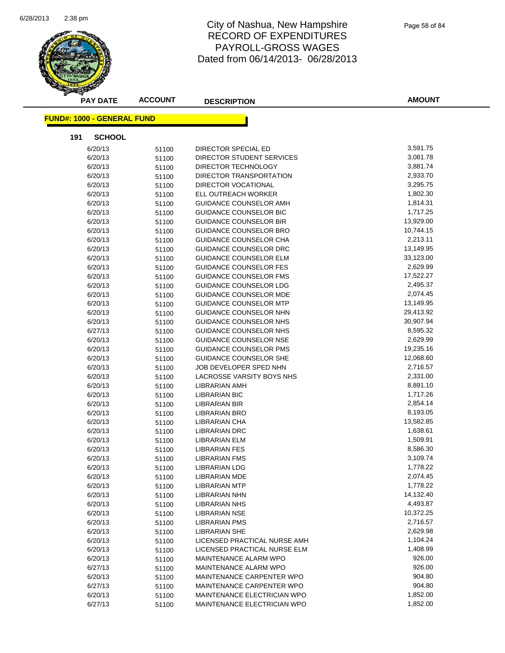

| <b>PAY DATE</b>                   | <b>ACCOUNT</b> | <b>DESCRIPTION</b>            | <b>AMOUNT</b> |
|-----------------------------------|----------------|-------------------------------|---------------|
| <b>FUND#: 1000 - GENERAL FUND</b> |                |                               |               |
| 191<br><b>SCHOOL</b>              |                |                               |               |
| 6/20/13                           | 51100          | <b>DIRECTOR SPECIAL ED</b>    | 3,591.75      |
| 6/20/13                           | 51100          | DIRECTOR STUDENT SERVICES     | 3,081.78      |
| 6/20/13                           | 51100          | DIRECTOR TECHNOLOGY           | 3,881.74      |
| 6/20/13                           | 51100          | DIRECTOR TRANSPORTATION       | 2,933.70      |
| 6/20/13                           | 51100          | DIRECTOR VOCATIONAL           | 3,295.75      |
| 6/20/13                           | 51100          | ELL OUTREACH WORKER           | 1,802.30      |
| 6/20/13                           | 51100          | GUIDANCE COUNSELOR AMH        | 1,814.31      |
| 6/20/13                           | 51100          | GUIDANCE COUNSELOR BIC        | 1,717.25      |
| 6/20/13                           | 51100          | <b>GUIDANCE COUNSELOR BIR</b> | 13,929.00     |
| 6/20/13                           | 51100          | GUIDANCE COUNSELOR BRO        | 10,744.15     |
| 6/20/13                           | 51100          | GUIDANCE COUNSELOR CHA        | 2,213.11      |
| 6/20/13                           | 51100          | GUIDANCE COUNSELOR DRC        | 13,149.95     |
| 6/20/13                           | 51100          | GUIDANCE COUNSELOR ELM        | 33,123.00     |
| 6/20/13                           | 51100          | <b>GUIDANCE COUNSELOR FES</b> | 2,629.99      |
| 6/20/13                           | 51100          | <b>GUIDANCE COUNSELOR FMS</b> | 17,522.27     |
| 6/20/13                           | 51100          | <b>GUIDANCE COUNSELOR LDG</b> | 2,495.37      |
| 6/20/13                           | 51100          | GUIDANCE COUNSELOR MDE        | 2,074.45      |
| 6/20/13                           | 51100          | GUIDANCE COUNSELOR MTP        | 13,149.95     |
| 6/20/13                           | 51100          | GUIDANCE COUNSELOR NHN        | 29,413.92     |
| 6/20/13                           | 51100          | GUIDANCE COUNSELOR NHS        | 30,907.94     |
| 6/27/13                           | 51100          | GUIDANCE COUNSELOR NHS        | 8,595.32      |
| 6/20/13                           | 51100          | GUIDANCE COUNSELOR NSE        | 2,629.99      |
| 6/20/13                           | 51100          | GUIDANCE COUNSELOR PMS        | 19,235.16     |
| 6/20/13                           | 51100          | GUIDANCE COUNSELOR SHE        | 12,068.60     |
| 6/20/13                           | 51100          | JOB DEVELOPER SPED NHN        | 2,716.57      |
| 6/20/13                           | 51100          | LACROSSE VARSITY BOYS NHS     | 2,331.00      |
| 6/20/13                           | 51100          | LIBRARIAN AMH                 | 8,891.10      |
| 6/20/13                           | 51100          | LIBRARIAN BIC                 | 1,717.26      |
| 6/20/13                           | 51100          | <b>LIBRARIAN BIR</b>          | 2,854.14      |
| 6/20/13                           | 51100          | <b>LIBRARIAN BRO</b>          | 8,193.05      |
| 6/20/13                           | 51100          | <b>LIBRARIAN CHA</b>          | 13,582.85     |
| 6/20/13                           | 51100          | <b>LIBRARIAN DRC</b>          | 1,638.61      |
| 6/20/13                           | 51100          | <b>LIBRARIAN ELM</b>          | 1,509.91      |
| 6/20/13                           | 51100          | LIBRARIAN FES                 | 8,586.30      |
| 6/20/13                           | 51100          | <b>LIBRARIAN FMS</b>          | 3,109.74      |
| 6/20/13                           | 51100          | <b>LIBRARIAN LDG</b>          | 1,778.22      |
| 6/20/13                           | 51100          | LIBRARIAN MDE                 | 2,074.45      |
| 6/20/13                           | 51100          | <b>LIBRARIAN MTP</b>          | 1,778.22      |
| 6/20/13                           | 51100          | <b>LIBRARIAN NHN</b>          | 14,132.40     |
| 6/20/13                           | 51100          | <b>LIBRARIAN NHS</b>          | 4,493.87      |
| 6/20/13                           | 51100          | <b>LIBRARIAN NSE</b>          | 10,372.25     |
| 6/20/13                           | 51100          | <b>LIBRARIAN PMS</b>          | 2,716.57      |
| 6/20/13                           | 51100          | LIBRARIAN SHE                 | 2,629.98      |
| 6/20/13                           | 51100          | LICENSED PRACTICAL NURSE AMH  | 1,104.24      |
| 6/20/13                           | 51100          | LICENSED PRACTICAL NURSE ELM  | 1,408.99      |
| 6/20/13                           | 51100          | MAINTENANCE ALARM WPO         | 926.00        |
| 6/27/13                           | 51100          | MAINTENANCE ALARM WPO         | 926.00        |
| 6/20/13                           | 51100          | MAINTENANCE CARPENTER WPO     | 904.80        |
| 6/27/13                           | 51100          | MAINTENANCE CARPENTER WPO     | 904.80        |
| 6/20/13                           | 51100          | MAINTENANCE ELECTRICIAN WPO   | 1,852.00      |
| 6/27/13                           | 51100          | MAINTENANCE ELECTRICIAN WPO   | 1,852.00      |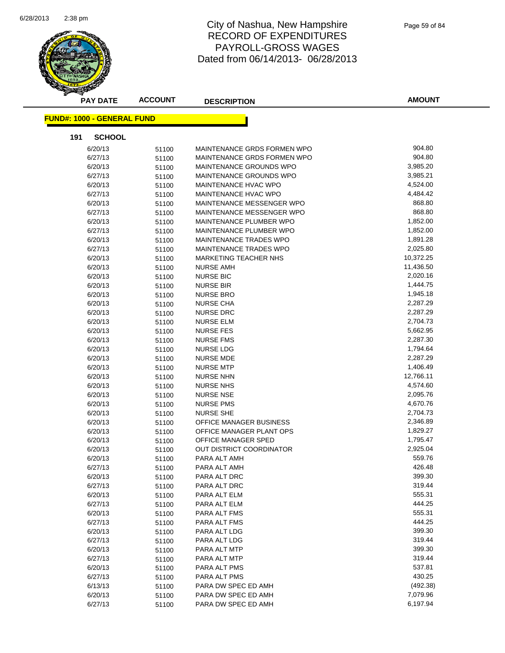

| <b>PAY DATE</b>                   | <b>ACCOUNT</b> | <b>DESCRIPTION</b>                  | <b>AMOUNT</b>    |
|-----------------------------------|----------------|-------------------------------------|------------------|
| <b>FUND#: 1000 - GENERAL FUND</b> |                |                                     |                  |
| 191<br><b>SCHOOL</b>              |                |                                     |                  |
| 6/20/13                           | 51100          | MAINTENANCE GRDS FORMEN WPO         | 904.80           |
| 6/27/13                           | 51100          | MAINTENANCE GRDS FORMEN WPO         | 904.80           |
| 6/20/13                           | 51100          | MAINTENANCE GROUNDS WPO             | 3,985.20         |
| 6/27/13                           | 51100          | MAINTENANCE GROUNDS WPO             | 3,985.21         |
| 6/20/13                           | 51100          | <b>MAINTENANCE HVAC WPO</b>         | 4,524.00         |
| 6/27/13                           | 51100          | <b>MAINTENANCE HVAC WPO</b>         | 4,484.42         |
| 6/20/13                           | 51100          | <b>MAINTENANCE MESSENGER WPO</b>    | 868.80           |
| 6/27/13                           | 51100          | MAINTENANCE MESSENGER WPO           | 868.80           |
| 6/20/13                           | 51100          | MAINTENANCE PLUMBER WPO             | 1,852.00         |
| 6/27/13                           | 51100          | MAINTENANCE PLUMBER WPO             | 1,852.00         |
| 6/20/13                           | 51100          | MAINTENANCE TRADES WPO              | 1,891.28         |
| 6/27/13                           | 51100          | MAINTENANCE TRADES WPO              | 2,025.80         |
| 6/20/13                           | 51100          | <b>MARKETING TEACHER NHS</b>        | 10,372.25        |
| 6/20/13                           | 51100          | <b>NURSE AMH</b>                    | 11,436.50        |
| 6/20/13                           | 51100          | <b>NURSE BIC</b>                    | 2,020.16         |
| 6/20/13                           | 51100          | <b>NURSE BIR</b>                    | 1,444.75         |
| 6/20/13                           | 51100          | <b>NURSE BRO</b>                    | 1,945.18         |
| 6/20/13                           | 51100          | <b>NURSE CHA</b>                    | 2,287.29         |
| 6/20/13                           | 51100          | <b>NURSE DRC</b>                    | 2,287.29         |
| 6/20/13                           | 51100          | <b>NURSE ELM</b>                    | 2,704.73         |
| 6/20/13                           | 51100          | <b>NURSE FES</b>                    | 5,662.95         |
| 6/20/13                           | 51100          | <b>NURSE FMS</b>                    | 2,287.30         |
| 6/20/13                           | 51100          | <b>NURSE LDG</b>                    | 1,794.64         |
| 6/20/13                           | 51100          | <b>NURSE MDE</b>                    | 2,287.29         |
| 6/20/13                           | 51100          | <b>NURSE MTP</b>                    | 1,406.49         |
| 6/20/13                           | 51100          | <b>NURSE NHN</b>                    | 12,766.11        |
| 6/20/13                           | 51100          | <b>NURSE NHS</b>                    | 4,574.60         |
| 6/20/13                           | 51100          | <b>NURSE NSE</b>                    | 2,095.76         |
| 6/20/13                           | 51100          | <b>NURSE PMS</b>                    | 4,670.76         |
| 6/20/13                           | 51100          | <b>NURSE SHE</b>                    | 2,704.73         |
| 6/20/13                           | 51100          | OFFICE MANAGER BUSINESS             | 2,346.89         |
| 6/20/13                           | 51100          | OFFICE MANAGER PLANT OPS            | 1,829.27         |
| 6/20/13                           | 51100          | OFFICE MANAGER SPED                 | 1,795.47         |
| 6/20/13                           | 51100          | OUT DISTRICT COORDINATOR            | 2,925.04         |
| 6/20/13                           | 51100          | PARA ALT AMH                        | 559.76           |
| 6/27/13                           | 51100          | PARA ALT AMH                        | 426.48           |
| 6/20/13                           | 51100          | PARA ALT DRC                        | 399.30           |
| 6/27/13                           | 51100          | PARA ALT DRC                        | 319.44           |
| 6/20/13                           | 51100          | PARA ALT ELM                        | 555.31           |
| 6/27/13                           | 51100          | PARA ALT ELM                        | 444.25           |
| 6/20/13                           | 51100          | PARA ALT FMS                        | 555.31           |
| 6/27/13                           | 51100          | PARA ALT FMS                        | 444.25           |
| 6/20/13                           | 51100          | PARA ALT LDG                        | 399.30<br>319.44 |
| 6/27/13                           | 51100          | PARA ALT LDG<br>PARA ALT MTP        | 399.30           |
| 6/20/13                           | 51100          | PARA ALT MTP                        | 319.44           |
| 6/27/13<br>6/20/13                | 51100          |                                     | 537.81           |
|                                   | 51100          | PARA ALT PMS                        | 430.25           |
| 6/27/13                           | 51100          | PARA ALT PMS<br>PARA DW SPEC ED AMH | (492.38)         |
| 6/13/13<br>6/20/13                | 51100<br>51100 | PARA DW SPEC ED AMH                 | 7,079.96         |
| 6/27/13                           | 51100          | PARA DW SPEC ED AMH                 | 6,197.94         |
|                                   |                |                                     |                  |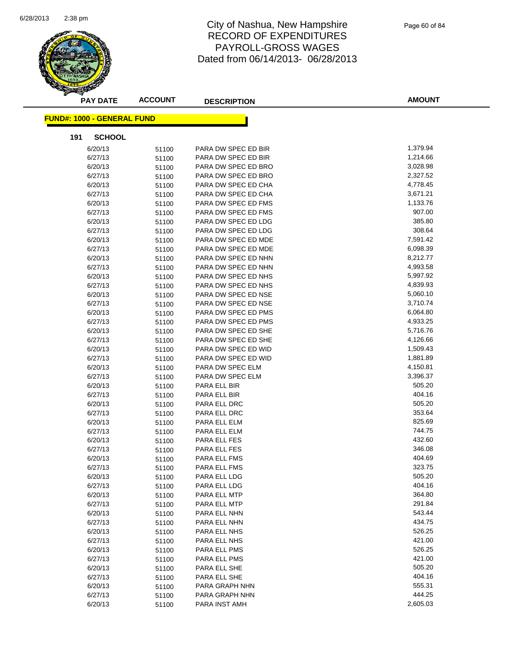

| <b>PAY DATE</b>                   | <b>ACCOUNT</b> | <b>DESCRIPTION</b>                         | <b>AMOUNT</b>        |
|-----------------------------------|----------------|--------------------------------------------|----------------------|
| <b>FUND#: 1000 - GENERAL FUND</b> |                |                                            |                      |
| 191<br><b>SCHOOL</b>              |                |                                            |                      |
|                                   |                |                                            |                      |
| 6/20/13                           | 51100          | PARA DW SPEC ED BIR                        | 1,379.94             |
| 6/27/13                           | 51100          | PARA DW SPEC ED BIR                        | 1,214.66             |
| 6/20/13                           | 51100          | PARA DW SPEC ED BRO                        | 3,028.98             |
| 6/27/13                           | 51100          | PARA DW SPEC ED BRO                        | 2,327.52             |
| 6/20/13                           | 51100          | PARA DW SPEC ED CHA                        | 4,778.45             |
| 6/27/13                           | 51100          | PARA DW SPEC ED CHA<br>PARA DW SPEC ED FMS | 3,671.21<br>1,133.76 |
| 6/20/13                           | 51100          | PARA DW SPEC ED FMS                        | 907.00               |
| 6/27/13<br>6/20/13                | 51100          | PARA DW SPEC ED LDG                        | 385.80               |
|                                   | 51100          |                                            | 308.64               |
| 6/27/13<br>6/20/13                | 51100          | PARA DW SPEC ED LDG<br>PARA DW SPEC ED MDE | 7,591.42             |
| 6/27/13                           | 51100          | PARA DW SPEC ED MDE                        | 6,098.39             |
| 6/20/13                           | 51100          | PARA DW SPEC ED NHN                        | 8,212.77             |
| 6/27/13                           | 51100          | PARA DW SPEC ED NHN                        | 4,993.58             |
| 6/20/13                           | 51100          | PARA DW SPEC ED NHS                        | 5,997.92             |
|                                   | 51100          |                                            | 4,839.93             |
| 6/27/13<br>6/20/13                | 51100          | PARA DW SPEC ED NHS<br>PARA DW SPEC ED NSE | 5,060.10             |
| 6/27/13                           | 51100          | PARA DW SPEC ED NSE                        | 3,710.74             |
|                                   | 51100          | PARA DW SPEC ED PMS                        | 6,064.80             |
| 6/20/13<br>6/27/13                | 51100          | PARA DW SPEC ED PMS                        | 4,933.25             |
| 6/20/13                           | 51100          | PARA DW SPEC ED SHE                        | 5,716.76             |
| 6/27/13                           | 51100<br>51100 | PARA DW SPEC ED SHE                        | 4,126.66             |
| 6/20/13                           |                | PARA DW SPEC ED WID                        | 1,509.43             |
| 6/27/13                           | 51100<br>51100 | PARA DW SPEC ED WID                        | 1,881.89             |
| 6/20/13                           | 51100          | PARA DW SPEC ELM                           | 4,150.81             |
| 6/27/13                           | 51100          | PARA DW SPEC ELM                           | 3,396.37             |
| 6/20/13                           | 51100          | PARA ELL BIR                               | 505.20               |
| 6/27/13                           | 51100          | PARA ELL BIR                               | 404.16               |
| 6/20/13                           | 51100          | PARA ELL DRC                               | 505.20               |
| 6/27/13                           | 51100          | PARA ELL DRC                               | 353.64               |
| 6/20/13                           | 51100          | PARA ELL ELM                               | 825.69               |
| 6/27/13                           | 51100          | PARA ELL ELM                               | 744.75               |
| 6/20/13                           | 51100          | PARA ELL FES                               | 432.60               |
| 6/27/13                           | 51100          | PARA ELL FES                               | 346.08               |
| 6/20/13                           | 51100          | PARA ELL FMS                               | 404.69               |
| 6/27/13                           | 51100          | PARA ELL FMS                               | 323.75               |
| 6/20/13                           | 51100          | PARA ELL LDG                               | 505.20               |
| 6/27/13                           | 51100          | PARA ELL LDG                               | 404.16               |
| 6/20/13                           | 51100          | PARA ELL MTP                               | 364.80               |
| 6/27/13                           | 51100          | PARA ELL MTP                               | 291.84               |
| 6/20/13                           | 51100          | PARA ELL NHN                               | 543.44               |
| 6/27/13                           | 51100          | PARA ELL NHN                               | 434.75               |
| 6/20/13                           | 51100          | PARA ELL NHS                               | 526.25               |
| 6/27/13                           | 51100          | PARA ELL NHS                               | 421.00               |
| 6/20/13                           | 51100          | PARA ELL PMS                               | 526.25               |
| 6/27/13                           | 51100          | PARA ELL PMS                               | 421.00               |
| 6/20/13                           | 51100          | PARA ELL SHE                               | 505.20               |
| 6/27/13                           | 51100          | PARA ELL SHE                               | 404.16               |
| 6/20/13                           | 51100          | PARA GRAPH NHN                             | 555.31               |
| 6/27/13                           | 51100          | PARA GRAPH NHN                             | 444.25               |
| 6/20/13                           | 51100          | PARA INST AMH                              | 2,605.03             |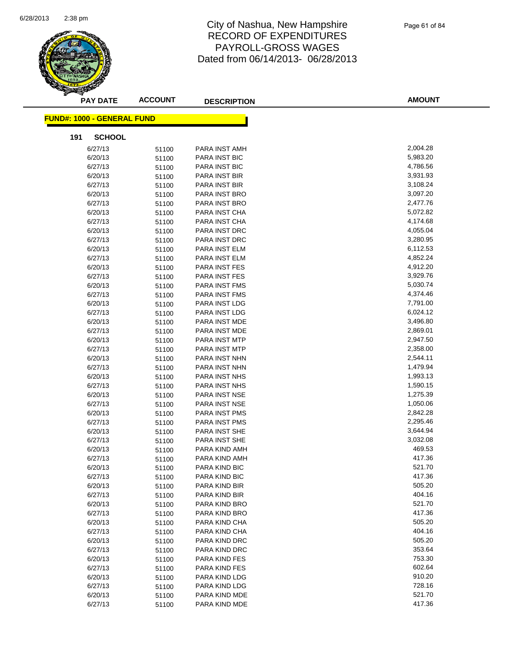

| <b>PAY DATE</b>                   | <b>ACCOUNT</b> | <b>DESCRIPTION</b>             | <b>AMOUNT</b>        |
|-----------------------------------|----------------|--------------------------------|----------------------|
| <b>FUND#: 1000 - GENERAL FUND</b> |                |                                |                      |
|                                   |                |                                |                      |
| <b>SCHOOL</b><br>191              |                |                                |                      |
| 6/27/13                           | 51100          | PARA INST AMH                  | 2,004.28             |
| 6/20/13                           | 51100          | PARA INST BIC                  | 5,983.20             |
| 6/27/13                           | 51100          | PARA INST BIC                  | 4,786.56             |
| 6/20/13                           | 51100          | PARA INST BIR                  | 3,931.93             |
| 6/27/13                           | 51100          | PARA INST BIR                  | 3,108.24             |
| 6/20/13                           | 51100          | PARA INST BRO                  | 3,097.20             |
| 6/27/13                           | 51100          | PARA INST BRO                  | 2,477.76             |
| 6/20/13                           | 51100          | PARA INST CHA                  | 5,072.82             |
| 6/27/13                           | 51100          | PARA INST CHA                  | 4,174.68             |
| 6/20/13                           | 51100          | PARA INST DRC                  | 4,055.04             |
| 6/27/13                           | 51100          | PARA INST DRC                  | 3,280.95             |
| 6/20/13                           | 51100          | PARA INST ELM                  | 6,112.53             |
| 6/27/13                           | 51100          | PARA INST ELM                  | 4,852.24             |
| 6/20/13                           | 51100          | <b>PARA INST FES</b>           | 4,912.20             |
| 6/27/13                           | 51100          | PARA INST FES                  | 3,929.76             |
| 6/20/13                           | 51100          | <b>PARA INST FMS</b>           | 5,030.74             |
| 6/27/13                           | 51100          | <b>PARA INST FMS</b>           | 4,374.46             |
| 6/20/13                           | 51100          | PARA INST LDG                  | 7,791.00             |
| 6/27/13                           | 51100          | PARA INST LDG                  | 6,024.12             |
| 6/20/13                           | 51100          | PARA INST MDE                  | 3,496.80             |
| 6/27/13                           | 51100          | PARA INST MDE                  | 2,869.01             |
| 6/20/13                           | 51100          | PARA INST MTP                  | 2,947.50             |
| 6/27/13                           | 51100          | PARA INST MTP                  | 2,358.00             |
| 6/20/13                           | 51100          | PARA INST NHN                  | 2,544.11<br>1,479.94 |
| 6/27/13                           | 51100          | PARA INST NHN                  | 1,993.13             |
| 6/20/13<br>6/27/13                | 51100          | PARA INST NHS<br>PARA INST NHS | 1,590.15             |
| 6/20/13                           | 51100<br>51100 | PARA INST NSE                  | 1,275.39             |
| 6/27/13                           | 51100          | PARA INST NSE                  | 1,050.06             |
| 6/20/13                           | 51100          | PARA INST PMS                  | 2,842.28             |
| 6/27/13                           | 51100          | PARA INST PMS                  | 2,295.46             |
| 6/20/13                           | 51100          | PARA INST SHE                  | 3,644.94             |
| 6/27/13                           | 51100          | <b>PARA INST SHE</b>           | 3,032.08             |
| 6/20/13                           | 51100          | PARA KIND AMH                  | 469.53               |
| 6/27/13                           | 51100          | PARA KIND AMH                  | 417.36               |
| 6/20/13                           | 51100          | PARA KIND BIC                  | 521.70               |
| 6/27/13                           | 51100          | PARA KIND BIC                  | 417.36               |
| 6/20/13                           | 51100          | PARA KIND BIR                  | 505.20               |
| 6/27/13                           | 51100          | PARA KIND BIR                  | 404.16               |
| 6/20/13                           | 51100          | PARA KIND BRO                  | 521.70               |
| 6/27/13                           | 51100          | PARA KIND BRO                  | 417.36               |
| 6/20/13                           | 51100          | PARA KIND CHA                  | 505.20               |
| 6/27/13                           | 51100          | PARA KIND CHA                  | 404.16               |
| 6/20/13                           | 51100          | PARA KIND DRC                  | 505.20               |
| 6/27/13                           | 51100          | PARA KIND DRC                  | 353.64               |
| 6/20/13                           | 51100          | PARA KIND FES                  | 753.30               |
| 6/27/13                           | 51100          | PARA KIND FES                  | 602.64               |
| 6/20/13                           | 51100          | PARA KIND LDG                  | 910.20               |
| 6/27/13                           | 51100          | PARA KIND LDG                  | 728.16               |
| 6/20/13                           | 51100          | PARA KIND MDE                  | 521.70               |
| 6/27/13                           | 51100          | PARA KIND MDE                  | 417.36               |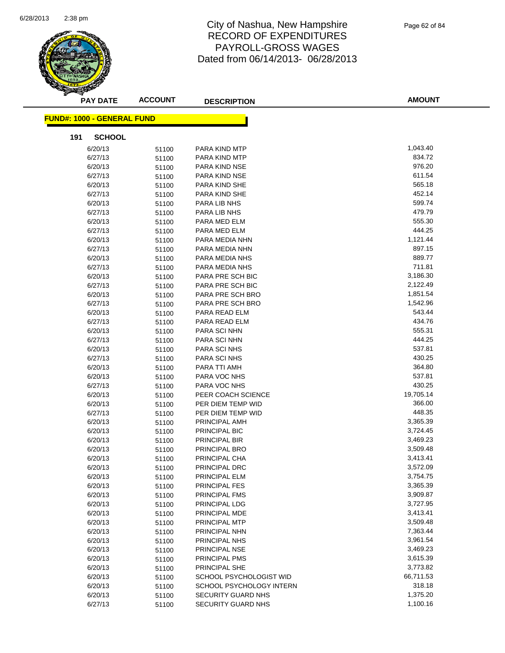

| <b>PAY DATE</b>                   | <b>ACCOUNT</b> | <b>DESCRIPTION</b>                                  | <b>AMOUNT</b>         |
|-----------------------------------|----------------|-----------------------------------------------------|-----------------------|
| <b>FUND#: 1000 - GENERAL FUND</b> |                |                                                     |                       |
| 191<br><b>SCHOOL</b>              |                |                                                     |                       |
| 6/20/13                           | 51100          | PARA KIND MTP                                       | 1,043.40              |
| 6/27/13                           | 51100          | PARA KIND MTP                                       | 834.72                |
| 6/20/13                           | 51100          | PARA KIND NSE                                       | 976.20                |
| 6/27/13                           | 51100          | PARA KIND NSE                                       | 611.54                |
| 6/20/13                           | 51100          | PARA KIND SHE                                       | 565.18                |
| 6/27/13                           | 51100          | PARA KIND SHE                                       | 452.14                |
| 6/20/13                           | 51100          | PARA LIB NHS                                        | 599.74                |
| 6/27/13                           | 51100          | PARA LIB NHS                                        | 479.79                |
| 6/20/13                           | 51100          | PARA MED ELM                                        | 555.30                |
| 6/27/13                           | 51100          | PARA MED ELM                                        | 444.25                |
| 6/20/13                           | 51100          | PARA MEDIA NHN                                      | 1,121.44              |
| 6/27/13                           | 51100          | PARA MEDIA NHN                                      | 897.15                |
| 6/20/13                           | 51100          | PARA MEDIA NHS                                      | 889.77                |
| 6/27/13                           | 51100          | PARA MEDIA NHS                                      | 711.81                |
| 6/20/13                           | 51100          | PARA PRE SCH BIC                                    | 3,186.30              |
| 6/27/13                           | 51100          | PARA PRE SCH BIC                                    | 2,122.49              |
| 6/20/13                           | 51100          | PARA PRE SCH BRO                                    | 1,851.54              |
| 6/27/13                           | 51100          | PARA PRE SCH BRO                                    | 1,542.96              |
| 6/20/13                           | 51100          | PARA READ ELM                                       | 543.44                |
| 6/27/13                           | 51100          | PARA READ ELM                                       | 434.76                |
| 6/20/13                           | 51100          | PARA SCI NHN                                        | 555.31                |
| 6/27/13                           | 51100          | PARA SCI NHN                                        | 444.25                |
| 6/20/13                           | 51100          | PARA SCI NHS                                        | 537.81                |
| 6/27/13                           | 51100          | <b>PARA SCINHS</b>                                  | 430.25                |
| 6/20/13                           | 51100          | PARA TTI AMH                                        | 364.80                |
| 6/20/13                           | 51100          | PARA VOC NHS                                        | 537.81                |
| 6/27/13                           | 51100          | PARA VOC NHS                                        | 430.25                |
| 6/20/13                           | 51100          | PEER COACH SCIENCE                                  | 19,705.14             |
| 6/20/13                           | 51100          | PER DIEM TEMP WID                                   | 366.00                |
| 6/27/13                           | 51100          | PER DIEM TEMP WID                                   | 448.35                |
| 6/20/13                           | 51100          | PRINCIPAL AMH                                       | 3,365.39              |
| 6/20/13                           | 51100          | PRINCIPAL BIC                                       | 3,724.45              |
| 6/20/13                           | 51100          | PRINCIPAL BIR                                       | 3,469.23              |
| 6/20/13                           | 51100          | PRINCIPAL BRO                                       | 3,509.48              |
| 6/20/13                           | 51100          | PRINCIPAL CHA                                       | 3,413.41              |
| 6/20/13                           | 51100          | PRINCIPAL DRC                                       | 3,572.09              |
| 6/20/13                           | 51100          | PRINCIPAL ELM                                       | 3,754.75              |
| 6/20/13                           | 51100          | PRINCIPAL FES                                       | 3,365.39              |
| 6/20/13                           | 51100          | <b>PRINCIPAL FMS</b>                                | 3,909.87              |
| 6/20/13                           | 51100          | PRINCIPAL LDG                                       | 3,727.95              |
| 6/20/13                           | 51100          | PRINCIPAL MDE                                       | 3,413.41              |
| 6/20/13                           | 51100          | PRINCIPAL MTP                                       | 3,509.48              |
| 6/20/13                           | 51100          | PRINCIPAL NHN                                       | 7,363.44              |
| 6/20/13                           | 51100          | PRINCIPAL NHS                                       | 3,961.54<br>3,469.23  |
| 6/20/13                           | 51100          | PRINCIPAL NSE                                       |                       |
| 6/20/13                           | 51100          | PRINCIPAL PMS                                       | 3,615.39              |
| 6/20/13                           | 51100          | PRINCIPAL SHE                                       | 3,773.82<br>66,711.53 |
| 6/20/13<br>6/20/13                | 51100          | SCHOOL PSYCHOLOGIST WID<br>SCHOOL PSYCHOLOGY INTERN | 318.18                |
|                                   | 51100          | <b>SECURITY GUARD NHS</b>                           | 1,375.20              |
| 6/20/13<br>6/27/13                | 51100<br>51100 | SECURITY GUARD NHS                                  | 1,100.16              |
|                                   |                |                                                     |                       |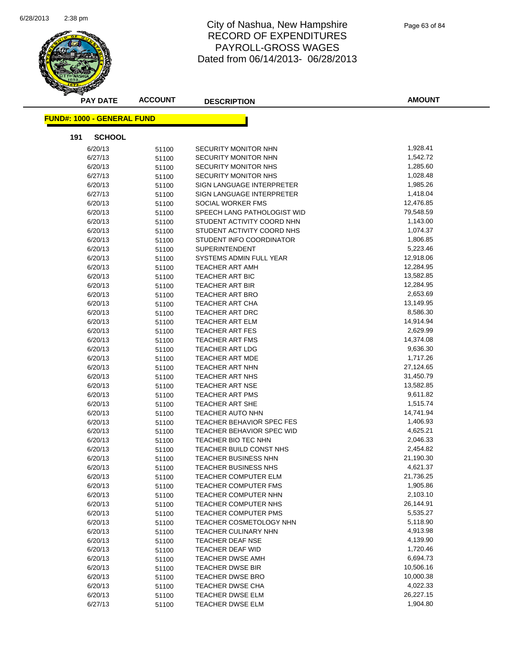

| <b>PAY DATE</b>                   | <b>ACCOUNT</b> | <b>DESCRIPTION</b>             | <b>AMOUNT</b> |
|-----------------------------------|----------------|--------------------------------|---------------|
| <b>FUND#: 1000 - GENERAL FUND</b> |                |                                |               |
| 191<br><b>SCHOOL</b>              |                |                                |               |
| 6/20/13                           | 51100          | <b>SECURITY MONITOR NHN</b>    | 1,928.41      |
| 6/27/13                           | 51100          | SECURITY MONITOR NHN           | 1,542.72      |
| 6/20/13                           | 51100          | SECURITY MONITOR NHS           | 1,285.60      |
| 6/27/13                           | 51100          | SECURITY MONITOR NHS           | 1,028.48      |
| 6/20/13                           | 51100          | SIGN LANGUAGE INTERPRETER      | 1,985.26      |
| 6/27/13                           | 51100          | SIGN LANGUAGE INTERPRETER      | 1,418.04      |
| 6/20/13                           | 51100          | SOCIAL WORKER FMS              | 12,476.85     |
| 6/20/13                           | 51100          | SPEECH LANG PATHOLOGIST WID    | 79,548.59     |
| 6/20/13                           | 51100          | STUDENT ACTIVITY COORD NHN     | 1,143.00      |
| 6/20/13                           | 51100          | STUDENT ACTIVITY COORD NHS     | 1,074.37      |
| 6/20/13                           | 51100          | STUDENT INFO COORDINATOR       | 1,806.85      |
| 6/20/13                           | 51100          | <b>SUPERINTENDENT</b>          | 5,223.46      |
| 6/20/13                           | 51100          | SYSTEMS ADMIN FULL YEAR        | 12,918.06     |
| 6/20/13                           | 51100          | <b>TEACHER ART AMH</b>         | 12,284.95     |
| 6/20/13                           | 51100          | <b>TEACHER ART BIC</b>         | 13,582.85     |
| 6/20/13                           | 51100          | TEACHER ART BIR                | 12,284.95     |
| 6/20/13                           | 51100          | <b>TEACHER ART BRO</b>         | 2,653.69      |
| 6/20/13                           | 51100          | TEACHER ART CHA                | 13,149.95     |
| 6/20/13                           | 51100          | <b>TEACHER ART DRC</b>         | 8,586.30      |
| 6/20/13                           | 51100          | TEACHER ART ELM                | 14,914.94     |
| 6/20/13                           | 51100          | TEACHER ART FES                | 2,629.99      |
| 6/20/13                           | 51100          | <b>TEACHER ART FMS</b>         | 14,374.08     |
| 6/20/13                           | 51100          | TEACHER ART LDG                | 9,636.30      |
| 6/20/13                           | 51100          | TEACHER ART MDE                | 1,717.26      |
| 6/20/13                           | 51100          | TEACHER ART NHN                | 27,124.65     |
| 6/20/13                           | 51100          | TEACHER ART NHS                | 31,450.79     |
| 6/20/13                           | 51100          | <b>TEACHER ART NSE</b>         | 13,582.85     |
| 6/20/13                           | 51100          | <b>TEACHER ART PMS</b>         | 9,611.82      |
| 6/20/13                           | 51100          | TEACHER ART SHE                | 1,515.74      |
| 6/20/13                           | 51100          | <b>TEACHER AUTO NHN</b>        | 14,741.94     |
| 6/20/13                           | 51100          | TEACHER BEHAVIOR SPEC FES      | 1,406.93      |
| 6/20/13                           | 51100          | TEACHER BEHAVIOR SPEC WID      | 4,625.21      |
| 6/20/13                           | 51100          | <b>TEACHER BIO TEC NHN</b>     | 2,046.33      |
| 6/20/13                           | 51100          | TEACHER BUILD CONST NHS        | 2,454.82      |
| 6/20/13                           | 51100          | <b>TEACHER BUSINESS NHN</b>    | 21,190.30     |
| 6/20/13                           | 51100          | TEACHER BUSINESS NHS           | 4,621.37      |
| 6/20/13                           | 51100          | TEACHER COMPUTER ELM           | 21,736.25     |
| 6/20/13                           | 51100          | TEACHER COMPUTER FMS           | 1,905.86      |
| 6/20/13                           | 51100          | TEACHER COMPUTER NHN           | 2,103.10      |
| 6/20/13                           | 51100          | TEACHER COMPUTER NHS           | 26,144.91     |
| 6/20/13                           | 51100          | TEACHER COMPUTER PMS           | 5,535.27      |
| 6/20/13                           | 51100          | <b>TEACHER COSMETOLOGY NHN</b> | 5,118.90      |
| 6/20/13                           | 51100          | TEACHER CULINARY NHN           | 4,913.98      |
| 6/20/13                           | 51100          | TEACHER DEAF NSE               | 4,139.90      |
| 6/20/13                           | 51100          | TEACHER DEAF WID               | 1,720.46      |
| 6/20/13                           | 51100          | TEACHER DWSE AMH               | 6,694.73      |
| 6/20/13                           | 51100          | TEACHER DWSE BIR               | 10,506.16     |
| 6/20/13                           | 51100          | <b>TEACHER DWSE BRO</b>        | 10,000.38     |
| 6/20/13                           | 51100          | TEACHER DWSE CHA               | 4,022.33      |
| 6/20/13                           | 51100          | TEACHER DWSE ELM               | 26,227.15     |
| 6/27/13                           | 51100          | TEACHER DWSE ELM               | 1,904.80      |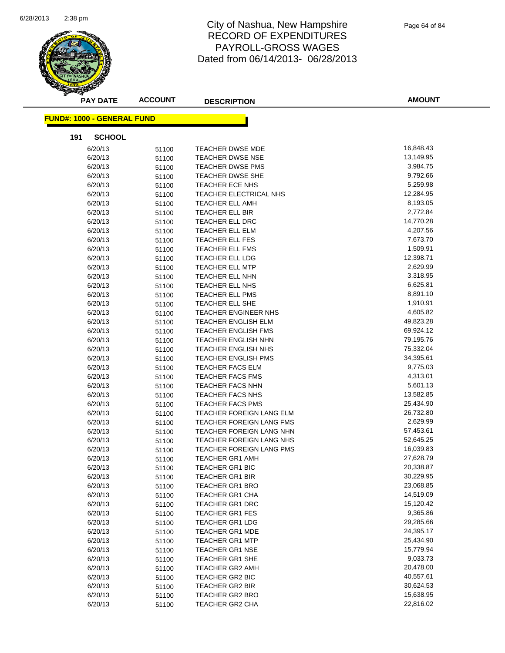

| <b>PAY DATE</b>                   | <b>ACCOUNT</b> | <b>DESCRIPTION</b>              | <b>AMOUNT</b> |
|-----------------------------------|----------------|---------------------------------|---------------|
| <b>FUND#: 1000 - GENERAL FUND</b> |                |                                 |               |
|                                   |                |                                 |               |
| 191<br><b>SCHOOL</b>              |                |                                 |               |
| 6/20/13                           | 51100          | <b>TEACHER DWSE MDE</b>         | 16,848.43     |
| 6/20/13                           | 51100          | <b>TEACHER DWSE NSE</b>         | 13,149.95     |
| 6/20/13                           | 51100          | <b>TEACHER DWSE PMS</b>         | 3,984.75      |
| 6/20/13                           | 51100          | <b>TEACHER DWSE SHE</b>         | 9,792.66      |
| 6/20/13                           | 51100          | TEACHER ECE NHS                 | 5,259.98      |
| 6/20/13                           | 51100          | TEACHER ELECTRICAL NHS          | 12,284.95     |
| 6/20/13                           | 51100          | <b>TEACHER ELL AMH</b>          | 8,193.05      |
| 6/20/13                           | 51100          | TEACHER ELL BIR                 | 2,772.84      |
| 6/20/13                           | 51100          | TEACHER ELL DRC                 | 14,770.28     |
| 6/20/13                           | 51100          | <b>TEACHER ELL ELM</b>          | 4,207.56      |
| 6/20/13                           | 51100          | TEACHER ELL FES                 | 7,673.70      |
| 6/20/13                           | 51100          | TEACHER ELL FMS                 | 1,509.91      |
| 6/20/13                           | 51100          | TEACHER ELL LDG                 | 12,398.71     |
| 6/20/13                           | 51100          | TEACHER ELL MTP                 | 2,629.99      |
| 6/20/13                           | 51100          | TEACHER ELL NHN                 | 3,318.95      |
| 6/20/13                           | 51100          | TEACHER ELL NHS                 | 6,625.81      |
| 6/20/13                           | 51100          | TEACHER ELL PMS                 | 8,891.10      |
| 6/20/13                           | 51100          | TEACHER ELL SHE                 | 1,910.91      |
| 6/20/13                           | 51100          | TEACHER ENGINEER NHS            | 4,605.82      |
| 6/20/13                           | 51100          | TEACHER ENGLISH ELM             | 49,823.28     |
| 6/20/13                           | 51100          | TEACHER ENGLISH FMS             | 69,924.12     |
| 6/20/13                           | 51100          | <b>TEACHER ENGLISH NHN</b>      | 79,195.76     |
| 6/20/13                           | 51100          | <b>TEACHER ENGLISH NHS</b>      | 75,332.04     |
| 6/20/13                           | 51100          | TEACHER ENGLISH PMS             | 34,395.61     |
| 6/20/13                           | 51100          | TEACHER FACS ELM                | 9,775.03      |
| 6/20/13                           | 51100          | TEACHER FACS FMS                | 4,313.01      |
| 6/20/13                           | 51100          | TEACHER FACS NHN                | 5,601.13      |
| 6/20/13                           | 51100          | TEACHER FACS NHS                | 13,582.85     |
| 6/20/13                           | 51100          | <b>TEACHER FACS PMS</b>         | 25,434.90     |
| 6/20/13                           | 51100          | TEACHER FOREIGN LANG ELM        | 26,732.80     |
| 6/20/13                           | 51100          | <b>TEACHER FOREIGN LANG FMS</b> | 2,629.99      |
| 6/20/13                           | 51100          | TEACHER FOREIGN LANG NHN        | 57,453.61     |
| 6/20/13                           | 51100          | TEACHER FOREIGN LANG NHS        | 52,645.25     |
| 6/20/13                           | 51100          | TEACHER FOREIGN LANG PMS        | 16,039.83     |
| 6/20/13                           | 51100          | <b>TEACHER GR1 AMH</b>          | 27,628.79     |
| 6/20/13                           | 51100          | TEACHER GR1 BIC                 | 20,338.87     |
| 6/20/13                           | 51100          | <b>TEACHER GR1 BIR</b>          | 30,229.95     |
| 6/20/13                           | 51100          | <b>TEACHER GR1 BRO</b>          | 23,068.85     |
| 6/20/13                           | 51100          | TEACHER GR1 CHA                 | 14,519.09     |
| 6/20/13                           | 51100          | <b>TEACHER GR1 DRC</b>          | 15,120.42     |
| 6/20/13                           | 51100          | <b>TEACHER GR1 FES</b>          | 9,365.86      |
| 6/20/13                           | 51100          | <b>TEACHER GR1 LDG</b>          | 29,285.66     |
| 6/20/13                           | 51100          | <b>TEACHER GR1 MDE</b>          | 24,395.17     |
| 6/20/13                           | 51100          | <b>TEACHER GR1 MTP</b>          | 25,434.90     |
| 6/20/13                           | 51100          | <b>TEACHER GR1 NSE</b>          | 15,779.94     |
| 6/20/13                           | 51100          | TEACHER GR1 SHE                 | 9,033.73      |
| 6/20/13                           | 51100          | <b>TEACHER GR2 AMH</b>          | 20,478.00     |
| 6/20/13                           | 51100          | TEACHER GR2 BIC                 | 40,557.61     |
| 6/20/13                           | 51100          | TEACHER GR2 BIR                 | 30,624.53     |
| 6/20/13                           | 51100          | <b>TEACHER GR2 BRO</b>          | 15,638.95     |
| 6/20/13                           | 51100          | TEACHER GR2 CHA                 | 22,816.02     |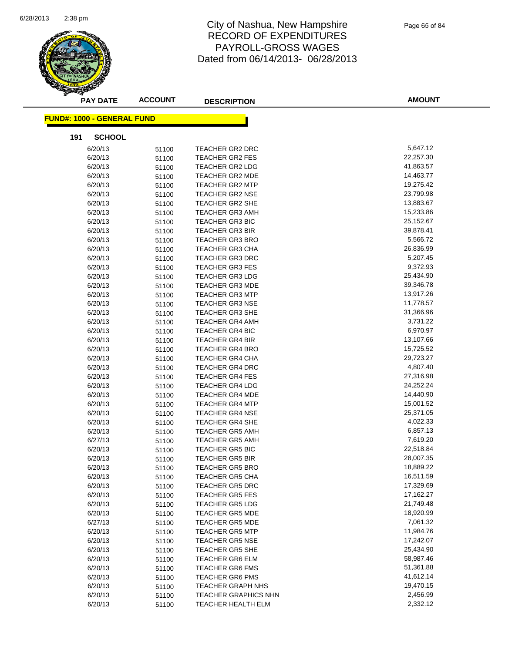

| <b>PAY DATE</b>                   | <b>ACCOUNT</b> | <b>DESCRIPTION</b>          | <b>AMOUNT</b> |
|-----------------------------------|----------------|-----------------------------|---------------|
| <b>FUND#: 1000 - GENERAL FUND</b> |                |                             |               |
| 191<br><b>SCHOOL</b>              |                |                             |               |
| 6/20/13                           | 51100          | <b>TEACHER GR2 DRC</b>      | 5,647.12      |
| 6/20/13                           | 51100          | <b>TEACHER GR2 FES</b>      | 22,257.30     |
| 6/20/13                           | 51100          | TEACHER GR2 LDG             | 41,863.57     |
| 6/20/13                           | 51100          | <b>TEACHER GR2 MDE</b>      | 14,463.77     |
| 6/20/13                           | 51100          | <b>TEACHER GR2 MTP</b>      | 19,275.42     |
| 6/20/13                           | 51100          | <b>TEACHER GR2 NSE</b>      | 23,799.98     |
| 6/20/13                           | 51100          | TEACHER GR2 SHE             | 13,883.67     |
| 6/20/13                           | 51100          | <b>TEACHER GR3 AMH</b>      | 15,233.86     |
| 6/20/13                           | 51100          | <b>TEACHER GR3 BIC</b>      | 25,152.67     |
| 6/20/13                           | 51100          | <b>TEACHER GR3 BIR</b>      | 39,878.41     |
| 6/20/13                           | 51100          | <b>TEACHER GR3 BRO</b>      | 5,566.72      |
| 6/20/13                           | 51100          | <b>TEACHER GR3 CHA</b>      | 26,836.99     |
| 6/20/13                           | 51100          | <b>TEACHER GR3 DRC</b>      | 5,207.45      |
| 6/20/13                           | 51100          | <b>TEACHER GR3 FES</b>      | 9,372.93      |
| 6/20/13                           | 51100          | <b>TEACHER GR3 LDG</b>      | 25,434.90     |
| 6/20/13                           | 51100          | <b>TEACHER GR3 MDE</b>      | 39,346.78     |
| 6/20/13                           | 51100          | <b>TEACHER GR3 MTP</b>      | 13,917.26     |
| 6/20/13                           | 51100          | <b>TEACHER GR3 NSE</b>      | 11,778.57     |
| 6/20/13                           | 51100          | <b>TEACHER GR3 SHE</b>      | 31,366.96     |
| 6/20/13                           | 51100          | <b>TEACHER GR4 AMH</b>      | 3,731.22      |
| 6/20/13                           | 51100          | <b>TEACHER GR4 BIC</b>      | 6,970.97      |
| 6/20/13                           | 51100          | TEACHER GR4 BIR             | 13,107.66     |
| 6/20/13                           | 51100          | <b>TEACHER GR4 BRO</b>      | 15,725.52     |
| 6/20/13                           | 51100          | <b>TEACHER GR4 CHA</b>      | 29,723.27     |
| 6/20/13                           | 51100          | <b>TEACHER GR4 DRC</b>      | 4,807.40      |
| 6/20/13                           | 51100          | <b>TEACHER GR4 FES</b>      | 27,316.98     |
| 6/20/13                           | 51100          | <b>TEACHER GR4 LDG</b>      | 24,252.24     |
| 6/20/13                           | 51100          | <b>TEACHER GR4 MDE</b>      | 14,440.90     |
| 6/20/13                           | 51100          | <b>TEACHER GR4 MTP</b>      | 15,001.52     |
| 6/20/13                           | 51100          | <b>TEACHER GR4 NSE</b>      | 25,371.05     |
| 6/20/13                           | 51100          | <b>TEACHER GR4 SHE</b>      | 4,022.33      |
| 6/20/13                           | 51100          | <b>TEACHER GR5 AMH</b>      | 6,857.13      |
| 6/27/13                           | 51100          | <b>TEACHER GR5 AMH</b>      | 7,619.20      |
| 6/20/13                           | 51100          | <b>TEACHER GR5 BIC</b>      | 22,518.84     |
| 6/20/13                           | 51100          | <b>TEACHER GR5 BIR</b>      | 28,007.35     |
| 6/20/13                           | 51100          | <b>TEACHER GR5 BRO</b>      | 18,889.22     |
| 6/20/13                           | 51100          | <b>TEACHER GR5 CHA</b>      | 16,511.59     |
| 6/20/13                           | 51100          | <b>TEACHER GR5 DRC</b>      | 17,329.69     |
| 6/20/13                           | 51100          | <b>TEACHER GR5 FES</b>      | 17,162.27     |
| 6/20/13                           | 51100          | <b>TEACHER GR5 LDG</b>      | 21,749.48     |
| 6/20/13                           | 51100          | <b>TEACHER GR5 MDE</b>      | 18,920.99     |
| 6/27/13                           | 51100          | <b>TEACHER GR5 MDE</b>      | 7,061.32      |
| 6/20/13                           | 51100          | <b>TEACHER GR5 MTP</b>      | 11,984.76     |
| 6/20/13                           | 51100          | <b>TEACHER GR5 NSE</b>      | 17,242.07     |
| 6/20/13                           | 51100          | <b>TEACHER GR5 SHE</b>      | 25,434.90     |
| 6/20/13                           | 51100          | TEACHER GR6 ELM             | 58,987.46     |
| 6/20/13                           | 51100          | <b>TEACHER GR6 FMS</b>      | 51,361.88     |
| 6/20/13                           | 51100          | <b>TEACHER GR6 PMS</b>      | 41,612.14     |
| 6/20/13                           | 51100          | <b>TEACHER GRAPH NHS</b>    | 19,470.15     |
| 6/20/13                           | 51100          | <b>TEACHER GRAPHICS NHN</b> | 2,456.99      |
| 6/20/13                           | 51100          | TEACHER HEALTH ELM          | 2,332.12      |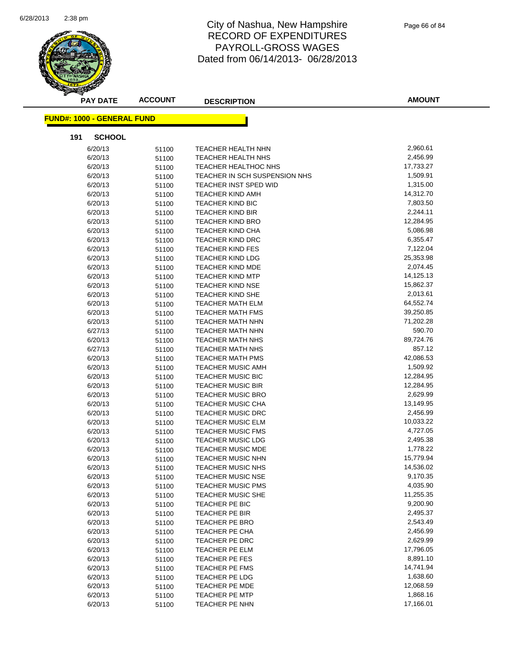

| <b>PAY DATE</b>                   | <b>ACCOUNT</b> | <b>DESCRIPTION</b>                                           | <b>AMOUNT</b>         |
|-----------------------------------|----------------|--------------------------------------------------------------|-----------------------|
| <b>FUND#: 1000 - GENERAL FUND</b> |                |                                                              |                       |
| 191<br><b>SCHOOL</b>              |                |                                                              |                       |
| 6/20/13                           |                |                                                              | 2,960.61              |
|                                   | 51100          | TEACHER HEALTH NHN                                           | 2,456.99              |
| 6/20/13                           | 51100          | <b>TEACHER HEALTH NHS</b>                                    | 17,733.27             |
| 6/20/13<br>6/20/13                | 51100          | <b>TEACHER HEALTHOC NHS</b><br>TEACHER IN SCH SUSPENSION NHS | 1,509.91              |
|                                   | 51100          |                                                              | 1,315.00              |
| 6/20/13                           | 51100          | TEACHER INST SPED WID                                        |                       |
| 6/20/13                           | 51100          | <b>TEACHER KIND AMH</b>                                      | 14,312.70<br>7,803.50 |
| 6/20/13                           | 51100          | <b>TEACHER KIND BIC</b>                                      | 2,244.11              |
| 6/20/13                           | 51100          | <b>TEACHER KIND BIR</b>                                      |                       |
| 6/20/13                           | 51100          | <b>TEACHER KIND BRO</b>                                      | 12,284.95<br>5,086.98 |
| 6/20/13                           | 51100          | <b>TEACHER KIND CHA</b>                                      | 6,355.47              |
| 6/20/13                           | 51100          | <b>TEACHER KIND DRC</b>                                      |                       |
| 6/20/13                           | 51100          | <b>TEACHER KIND FES</b>                                      | 7,122.04<br>25,353.98 |
| 6/20/13                           | 51100          | <b>TEACHER KIND LDG</b>                                      | 2,074.45              |
| 6/20/13                           | 51100          | <b>TEACHER KIND MDE</b>                                      |                       |
| 6/20/13                           | 51100          | <b>TEACHER KIND MTP</b>                                      | 14,125.13             |
| 6/20/13                           | 51100          | <b>TEACHER KIND NSE</b>                                      | 15,862.37             |
| 6/20/13                           | 51100          | <b>TEACHER KIND SHE</b>                                      | 2,013.61              |
| 6/20/13                           | 51100          | <b>TEACHER MATH ELM</b>                                      | 64,552.74             |
| 6/20/13                           | 51100          | <b>TEACHER MATH FMS</b>                                      | 39,250.85             |
| 6/20/13                           | 51100          | <b>TEACHER MATH NHN</b>                                      | 71,202.28             |
| 6/27/13                           | 51100          | <b>TEACHER MATH NHN</b>                                      | 590.70                |
| 6/20/13                           | 51100          | <b>TEACHER MATH NHS</b>                                      | 89,724.76             |
| 6/27/13                           | 51100          | <b>TEACHER MATH NHS</b>                                      | 857.12                |
| 6/20/13                           | 51100          | <b>TEACHER MATH PMS</b>                                      | 42,086.53             |
| 6/20/13                           | 51100          | TEACHER MUSIC AMH                                            | 1,509.92              |
| 6/20/13                           | 51100          | <b>TEACHER MUSIC BIC</b>                                     | 12,284.95             |
| 6/20/13                           | 51100          | <b>TEACHER MUSIC BIR</b>                                     | 12,284.95             |
| 6/20/13                           | 51100          | <b>TEACHER MUSIC BRO</b>                                     | 2,629.99              |
| 6/20/13                           | 51100          | <b>TEACHER MUSIC CHA</b>                                     | 13,149.95             |
| 6/20/13                           | 51100          | <b>TEACHER MUSIC DRC</b>                                     | 2,456.99              |
| 6/20/13                           | 51100          | TEACHER MUSIC ELM                                            | 10,033.22             |
| 6/20/13                           | 51100          | <b>TEACHER MUSIC FMS</b>                                     | 4,727.05              |
| 6/20/13                           | 51100          | TEACHER MUSIC LDG                                            | 2,495.38              |
| 6/20/13                           | 51100          | <b>TEACHER MUSIC MDE</b>                                     | 1,778.22              |
| 6/20/13                           | 51100          | <b>TEACHER MUSIC NHN</b>                                     | 15,779.94             |
| 6/20/13                           | 51100          | TEACHER MUSIC NHS                                            | 14,536.02             |
| 6/20/13                           | 51100          | <b>TEACHER MUSIC NSE</b>                                     | 9,170.35              |
| 6/20/13                           | 51100          | <b>TEACHER MUSIC PMS</b>                                     | 4,035.90              |
| 6/20/13                           | 51100          | <b>TEACHER MUSIC SHE</b>                                     | 11,255.35             |
| 6/20/13                           | 51100          | TEACHER PE BIC                                               | 9,200.90              |
| 6/20/13                           | 51100          | TEACHER PE BIR                                               | 2,495.37              |
| 6/20/13                           | 51100          | TEACHER PE BRO                                               | 2,543.49              |
| 6/20/13                           | 51100          | TEACHER PE CHA                                               | 2,456.99              |
| 6/20/13                           | 51100          | TEACHER PE DRC                                               | 2,629.99              |
| 6/20/13                           | 51100          | TEACHER PE ELM                                               | 17,796.05             |
| 6/20/13                           | 51100          | TEACHER PE FES                                               | 8,891.10              |
| 6/20/13                           | 51100          | TEACHER PE FMS                                               | 14,741.94             |
| 6/20/13                           | 51100          | TEACHER PE LDG                                               | 1,638.60              |
| 6/20/13                           | 51100          | TEACHER PE MDE                                               | 12,068.59             |
| 6/20/13                           | 51100          | TEACHER PE MTP                                               | 1,868.16              |
| 6/20/13                           | 51100          | TEACHER PE NHN                                               | 17,166.01             |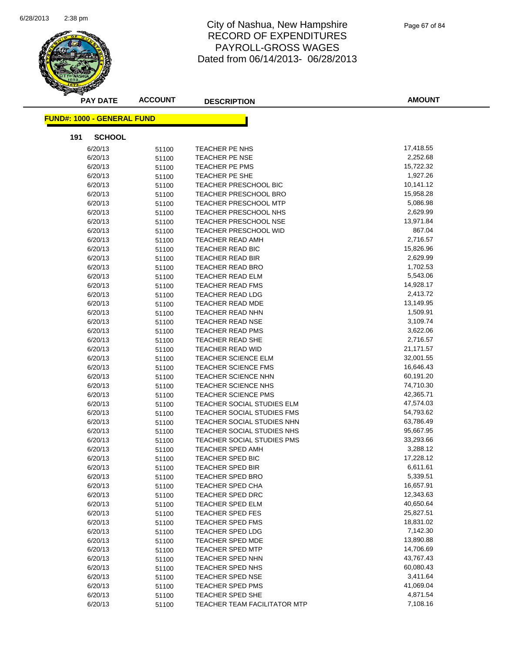

Page 67 of 84

| <b>PAY DATE</b>                   | <b>ACCOUNT</b> | <b>DESCRIPTION</b>                | <b>AMOUNT</b>       |
|-----------------------------------|----------------|-----------------------------------|---------------------|
| <b>FUND#: 1000 - GENERAL FUND</b> |                |                                   |                     |
|                                   |                |                                   |                     |
| <b>SCHOOL</b><br>191              |                |                                   |                     |
| 6/20/13                           | 51100          | TEACHER PE NHS                    | 17,418.55           |
| 6/20/13                           | 51100          | TEACHER PE NSE                    | 2,252.68            |
| 6/20/13                           | 51100          | TEACHER PE PMS                    | 15,722.32           |
| 6/20/13                           | 51100          | TEACHER PE SHE                    | 1,927.26            |
| 6/20/13                           | 51100          | <b>TEACHER PRESCHOOL BIC</b>      | 10,141.12           |
| 6/20/13                           | 51100          | TEACHER PRESCHOOL BRO             | 15,958.28           |
| 6/20/13                           | 51100          | TEACHER PRESCHOOL MTP             | 5,086.98            |
| 6/20/13                           | 51100          | TEACHER PRESCHOOL NHS             | 2,629.99            |
| 6/20/13                           | 51100          | TEACHER PRESCHOOL NSE             | 13,971.84<br>867.04 |
| 6/20/13                           | 51100          | TEACHER PRESCHOOL WID             |                     |
| 6/20/13                           | 51100          | TEACHER READ AMH                  | 2,716.57            |
| 6/20/13                           | 51100          | TEACHER READ BIC                  | 15,826.96           |
| 6/20/13                           | 51100          | TEACHER READ BIR                  | 2,629.99            |
| 6/20/13                           | 51100          | TEACHER READ BRO                  | 1,702.53            |
| 6/20/13                           | 51100          | TEACHER READ ELM                  | 5,543.06            |
| 6/20/13                           | 51100          | TEACHER READ FMS                  | 14,928.17           |
| 6/20/13                           | 51100          | TEACHER READ LDG                  | 2,413.72            |
| 6/20/13                           | 51100          | <b>TEACHER READ MDE</b>           | 13,149.95           |
| 6/20/13                           | 51100          | TEACHER READ NHN                  | 1,509.91            |
| 6/20/13                           | 51100          | TEACHER READ NSE                  | 3,109.74            |
| 6/20/13                           | 51100          | TEACHER READ PMS                  | 3,622.06            |
| 6/20/13                           | 51100          | <b>TEACHER READ SHE</b>           | 2,716.57            |
| 6/20/13                           | 51100          | TEACHER READ WID                  | 21,171.57           |
| 6/20/13                           | 51100          | <b>TEACHER SCIENCE ELM</b>        | 32,001.55           |
| 6/20/13                           | 51100          | TEACHER SCIENCE FMS               | 16,646.43           |
| 6/20/13                           | 51100          | TEACHER SCIENCE NHN               | 60,191.20           |
| 6/20/13                           | 51100          | <b>TEACHER SCIENCE NHS</b>        | 74,710.30           |
| 6/20/13                           | 51100          | <b>TEACHER SCIENCE PMS</b>        | 42,365.71           |
| 6/20/13                           | 51100          | TEACHER SOCIAL STUDIES ELM        | 47,574.03           |
| 6/20/13                           | 51100          | TEACHER SOCIAL STUDIES FMS        | 54,793.62           |
| 6/20/13                           | 51100          | <b>TEACHER SOCIAL STUDIES NHN</b> | 63,786.49           |
| 6/20/13                           | 51100          | TEACHER SOCIAL STUDIES NHS        | 95,667.95           |
| 6/20/13                           | 51100          | <b>TEACHER SOCIAL STUDIES PMS</b> | 33,293.66           |
| 6/20/13                           | 51100          | TEACHER SPED AMH                  | 3,288.12            |
| 6/20/13                           | 51100          | <b>TEACHER SPED BIC</b>           | 17,228.12           |
| 6/20/13                           | 51100          | TEACHER SPED BIR                  | 6,611.61            |
| 6/20/13                           | 51100          | <b>TEACHER SPED BRO</b>           | 5,339.51            |
| 6/20/13                           | 51100          | TEACHER SPED CHA                  | 16,657.91           |
| 6/20/13                           | 51100          | TEACHER SPED DRC                  | 12,343.63           |
| 6/20/13                           | 51100          | TEACHER SPED ELM                  | 40,650.64           |
| 6/20/13                           | 51100          | TEACHER SPED FES                  | 25,827.51           |
| 6/20/13                           | 51100          | TEACHER SPED FMS                  | 18,831.02           |
| 6/20/13                           | 51100          | TEACHER SPED LDG                  | 7,142.30            |
| 6/20/13                           | 51100          | <b>TEACHER SPED MDE</b>           | 13,890.88           |
| 6/20/13                           | 51100          | <b>TEACHER SPED MTP</b>           | 14,706.69           |
| 6/20/13                           | 51100          | <b>TEACHER SPED NHN</b>           | 43,767.43           |
| 6/20/13                           | 51100          | TEACHER SPED NHS                  | 60,080.43           |
| 6/20/13                           | 51100          | TEACHER SPED NSE                  | 3,411.64            |
| 6/20/13                           | 51100          | TEACHER SPED PMS                  | 41,069.04           |
| 6/20/13                           | 51100          | TEACHER SPED SHE                  | 4,871.54            |
| 6/20/13                           | 51100          | TEACHER TEAM FACILITATOR MTP      | 7,108.16            |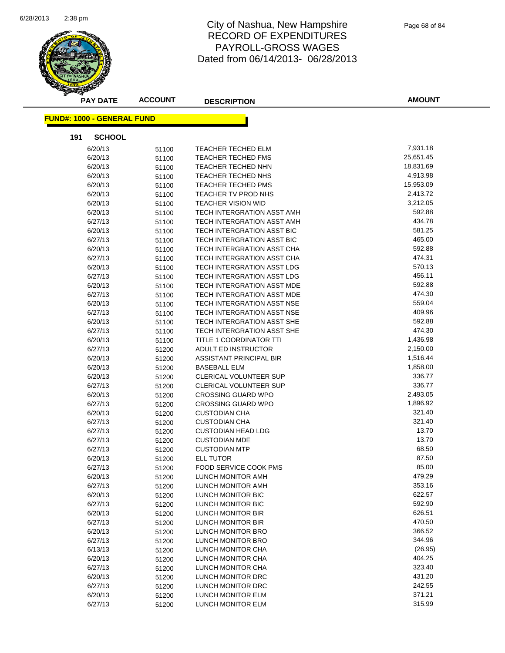

| <b>PAY DATE</b>                   | <b>ACCOUNT</b> | <b>DESCRIPTION</b>                | <b>AMOUNT</b> |
|-----------------------------------|----------------|-----------------------------------|---------------|
| <b>FUND#: 1000 - GENERAL FUND</b> |                |                                   |               |
| <b>SCHOOL</b><br>191              |                |                                   |               |
| 6/20/13                           | 51100          | <b>TEACHER TECHED ELM</b>         | 7,931.18      |
| 6/20/13                           | 51100          | TEACHER TECHED FMS                | 25,651.45     |
| 6/20/13                           | 51100          | TEACHER TECHED NHN                | 18,831.69     |
| 6/20/13                           | 51100          | TEACHER TECHED NHS                | 4,913.98      |
| 6/20/13                           | 51100          | <b>TEACHER TECHED PMS</b>         | 15,953.09     |
| 6/20/13                           | 51100          | TEACHER TV PROD NHS               | 2,413.72      |
| 6/20/13                           | 51100          | <b>TEACHER VISION WID</b>         | 3,212.05      |
| 6/20/13                           | 51100          | TECH INTERGRATION ASST AMH        | 592.88        |
| 6/27/13                           | 51100          | TECH INTERGRATION ASST AMH        | 434.78        |
| 6/20/13                           | 51100          | TECH INTERGRATION ASST BIC        | 581.25        |
| 6/27/13                           | 51100          | TECH INTERGRATION ASST BIC        | 465.00        |
| 6/20/13                           | 51100          | TECH INTERGRATION ASST CHA        | 592.88        |
| 6/27/13                           | 51100          | TECH INTERGRATION ASST CHA        | 474.31        |
| 6/20/13                           | 51100          | TECH INTERGRATION ASST LDG        | 570.13        |
| 6/27/13                           | 51100          | TECH INTERGRATION ASST LDG        | 456.11        |
| 6/20/13                           | 51100          | TECH INTERGRATION ASST MDE        | 592.88        |
| 6/27/13                           | 51100          | TECH INTERGRATION ASST MDE        | 474.30        |
| 6/20/13                           | 51100          | TECH INTERGRATION ASST NSE        | 559.04        |
| 6/27/13                           | 51100          | <b>TECH INTERGRATION ASST NSE</b> | 409.96        |
| 6/20/13                           | 51100          | TECH INTERGRATION ASST SHE        | 592.88        |
| 6/27/13                           | 51100          | TECH INTERGRATION ASST SHE        | 474.30        |
| 6/20/13                           | 51100          | TITLE 1 COORDINATOR TTI           | 1,436.98      |
| 6/27/13                           | 51200          | ADULT ED INSTRUCTOR               | 2,150.00      |
| 6/20/13                           | 51200          | ASSISTANT PRINCIPAL BIR           | 1,516.44      |
| 6/20/13                           | 51200          | <b>BASEBALL ELM</b>               | 1,858.00      |
| 6/20/13                           | 51200          | CLERICAL VOLUNTEER SUP            | 336.77        |
| 6/27/13                           | 51200          | <b>CLERICAL VOLUNTEER SUP</b>     | 336.77        |
| 6/20/13                           | 51200          | <b>CROSSING GUARD WPO</b>         | 2,493.05      |
| 6/27/13                           | 51200          | <b>CROSSING GUARD WPO</b>         | 1,896.92      |
| 6/20/13                           | 51200          | <b>CUSTODIAN CHA</b>              | 321.40        |
| 6/27/13                           | 51200          | <b>CUSTODIAN CHA</b>              | 321.40        |
| 6/27/13                           | 51200          | <b>CUSTODIAN HEAD LDG</b>         | 13.70         |
| 6/27/13                           | 51200          | <b>CUSTODIAN MDE</b>              | 13.70         |
| 6/27/13                           | 51200          | <b>CUSTODIAN MTP</b>              | 68.50         |
| 6/20/13                           | 51200          | <b>ELL TUTOR</b>                  | 87.50         |
| 6/27/13                           | 51200          | <b>FOOD SERVICE COOK PMS</b>      | 85.00         |
| 6/20/13                           | 51200          | LUNCH MONITOR AMH                 | 479.29        |
| 6/27/13                           | 51200          | LUNCH MONITOR AMH                 | 353.16        |
| 6/20/13                           | 51200          | LUNCH MONITOR BIC                 | 622.57        |
| 6/27/13                           | 51200          | LUNCH MONITOR BIC                 | 592.90        |
| 6/20/13                           | 51200          | LUNCH MONITOR BIR                 | 626.51        |
| 6/27/13                           | 51200          | LUNCH MONITOR BIR                 | 470.50        |
| 6/20/13                           | 51200          | LUNCH MONITOR BRO                 | 366.52        |
| 6/27/13                           | 51200          | LUNCH MONITOR BRO                 | 344.96        |
| 6/13/13                           | 51200          | LUNCH MONITOR CHA                 | (26.95)       |
| 6/20/13                           | 51200          | LUNCH MONITOR CHA                 | 404.25        |
| 6/27/13                           | 51200          | LUNCH MONITOR CHA                 | 323.40        |
| 6/20/13                           | 51200          | LUNCH MONITOR DRC                 | 431.20        |
| 6/27/13                           | 51200          | LUNCH MONITOR DRC                 | 242.55        |
| 6/20/13                           | 51200          | LUNCH MONITOR ELM                 | 371.21        |
| 6/27/13                           | 51200          | LUNCH MONITOR ELM                 | 315.99        |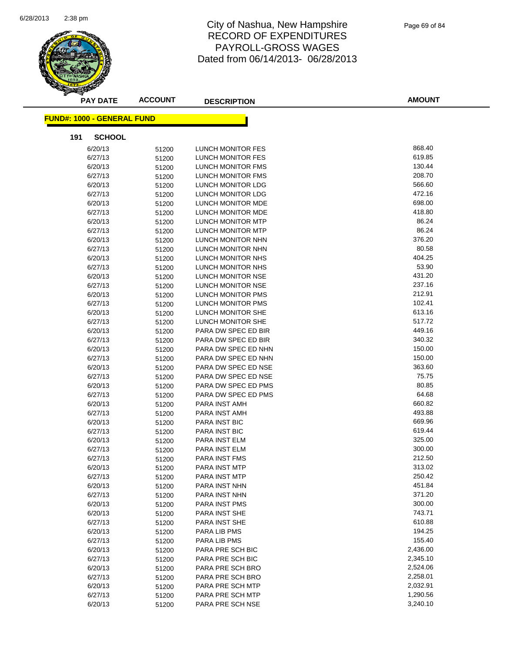

| <b>PAY DATE</b>                   | <b>ACCOUNT</b> | <b>DESCRIPTION</b>       | <b>AMOUNT</b> |
|-----------------------------------|----------------|--------------------------|---------------|
| <b>FUND#: 1000 - GENERAL FUND</b> |                |                          |               |
|                                   |                |                          |               |
| 191<br><b>SCHOOL</b>              |                |                          |               |
| 6/20/13                           | 51200          | LUNCH MONITOR FES        | 868.40        |
| 6/27/13                           | 51200          | LUNCH MONITOR FES        | 619.85        |
| 6/20/13                           | 51200          | LUNCH MONITOR FMS        | 130.44        |
| 6/27/13                           | 51200          | LUNCH MONITOR FMS        | 208.70        |
| 6/20/13                           | 51200          | LUNCH MONITOR LDG        | 566.60        |
| 6/27/13                           | 51200          | LUNCH MONITOR LDG        | 472.16        |
| 6/20/13                           | 51200          | LUNCH MONITOR MDE        | 698.00        |
| 6/27/13                           | 51200          | LUNCH MONITOR MDE        | 418.80        |
| 6/20/13                           | 51200          | LUNCH MONITOR MTP        | 86.24         |
| 6/27/13                           | 51200          | LUNCH MONITOR MTP        | 86.24         |
| 6/20/13                           | 51200          | LUNCH MONITOR NHN        | 376.20        |
| 6/27/13                           | 51200          | LUNCH MONITOR NHN        | 80.58         |
| 6/20/13                           | 51200          | LUNCH MONITOR NHS        | 404.25        |
| 6/27/13                           | 51200          | LUNCH MONITOR NHS        | 53.90         |
| 6/20/13                           | 51200          | LUNCH MONITOR NSE        | 431.20        |
| 6/27/13                           | 51200          | LUNCH MONITOR NSE        | 237.16        |
| 6/20/13                           | 51200          | LUNCH MONITOR PMS        | 212.91        |
| 6/27/13                           | 51200          | <b>LUNCH MONITOR PMS</b> | 102.41        |
| 6/20/13                           | 51200          | LUNCH MONITOR SHE        | 613.16        |
| 6/27/13                           | 51200          | LUNCH MONITOR SHE        | 517.72        |
| 6/20/13                           | 51200          | PARA DW SPEC ED BIR      | 449.16        |
| 6/27/13                           | 51200          | PARA DW SPEC ED BIR      | 340.32        |
| 6/20/13                           | 51200          | PARA DW SPEC ED NHN      | 150.00        |
| 6/27/13                           | 51200          | PARA DW SPEC ED NHN      | 150.00        |
| 6/20/13                           | 51200          | PARA DW SPEC ED NSE      | 363.60        |
| 6/27/13                           | 51200          | PARA DW SPEC ED NSE      | 75.75         |
| 6/20/13                           | 51200          | PARA DW SPEC ED PMS      | 80.85         |
| 6/27/13                           | 51200          | PARA DW SPEC ED PMS      | 64.68         |
| 6/20/13                           | 51200          | PARA INST AMH            | 660.82        |
| 6/27/13                           | 51200          | PARA INST AMH            | 493.88        |
| 6/20/13                           | 51200          | PARA INST BIC            | 669.96        |
| 6/27/13                           | 51200          | PARA INST BIC            | 619.44        |
| 6/20/13                           | 51200          | PARA INST ELM            | 325.00        |
| 6/27/13                           | 51200          | PARA INST ELM            | 300.00        |
| 6/27/13                           | 51200          | PARA INST FMS            | 212.50        |
| 6/20/13                           | 51200          | PARA INST MTP            | 313.02        |
| 6/27/13                           | 51200          | PARA INST MTP            | 250.42        |
| 6/20/13                           | 51200          | PARA INST NHN            | 451.84        |
| 6/27/13                           | 51200          | PARA INST NHN            | 371.20        |
| 6/20/13                           | 51200          | PARA INST PMS            | 300.00        |
| 6/20/13                           | 51200          | PARA INST SHE            | 743.71        |
| 6/27/13                           | 51200          | PARA INST SHE            | 610.88        |
| 6/20/13                           | 51200          | PARA LIB PMS             | 194.25        |
| 6/27/13                           | 51200          | PARA LIB PMS             | 155.40        |
| 6/20/13                           | 51200          | PARA PRE SCH BIC         | 2,436.00      |
| 6/27/13                           | 51200          | PARA PRE SCH BIC         | 2,345.10      |
| 6/20/13                           | 51200          | PARA PRE SCH BRO         | 2,524.06      |
| 6/27/13                           | 51200          | PARA PRE SCH BRO         | 2,258.01      |
| 6/20/13                           | 51200          | PARA PRE SCH MTP         | 2,032.91      |
| 6/27/13                           | 51200          | PARA PRE SCH MTP         | 1,290.56      |
| 6/20/13                           | 51200          | PARA PRE SCH NSE         | 3,240.10      |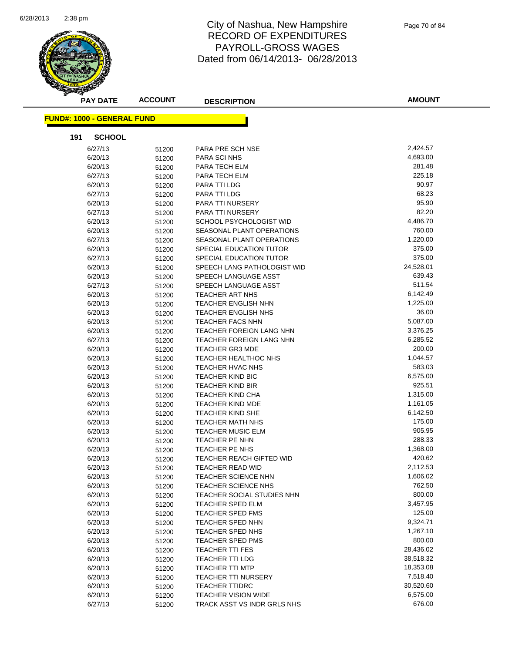

Page 70 of 84

| <b>PAY DATE</b>                   | <b>ACCOUNT</b> | <b>DESCRIPTION</b>               | <b>AMOUNT</b> |
|-----------------------------------|----------------|----------------------------------|---------------|
| <b>FUND#: 1000 - GENERAL FUND</b> |                |                                  |               |
| 191<br><b>SCHOOL</b>              |                |                                  |               |
|                                   |                |                                  | 2,424.57      |
| 6/27/13<br>6/20/13                | 51200          | PARA PRE SCH NSE<br>PARA SCI NHS | 4,693.00      |
|                                   | 51200          |                                  | 281.48        |
| 6/20/13<br>6/27/13                | 51200          | PARA TECH ELM<br>PARA TECH ELM   | 225.18        |
|                                   | 51200          |                                  | 90.97         |
| 6/20/13                           | 51200          | PARA TTI LDG                     | 68.23         |
| 6/27/13<br>6/20/13                | 51200          | PARA TTI LDG                     | 95.90         |
|                                   | 51200          | PARA TTI NURSERY                 | 82.20         |
| 6/27/13                           | 51200          | PARA TTI NURSERY                 | 4,486.70      |
| 6/20/13                           | 51200          | SCHOOL PSYCHOLOGIST WID          | 760.00        |
| 6/20/13                           | 51200          | SEASONAL PLANT OPERATIONS        | 1,220.00      |
| 6/27/13                           | 51200          | SEASONAL PLANT OPERATIONS        | 375.00        |
| 6/20/13                           | 51200          | SPECIAL EDUCATION TUTOR          |               |
| 6/27/13                           | 51200          | SPECIAL EDUCATION TUTOR          | 375.00        |
| 6/20/13                           | 51200          | SPEECH LANG PATHOLOGIST WID      | 24,528.01     |
| 6/20/13                           | 51200          | SPEECH LANGUAGE ASST             | 639.43        |
| 6/27/13                           | 51200          | SPEECH LANGUAGE ASST             | 511.54        |
| 6/20/13                           | 51200          | TEACHER ART NHS                  | 6,142.49      |
| 6/20/13                           | 51200          | <b>TEACHER ENGLISH NHN</b>       | 1,225.00      |
| 6/20/13                           | 51200          | TEACHER ENGLISH NHS              | 36.00         |
| 6/20/13                           | 51200          | <b>TEACHER FACS NHN</b>          | 5,087.00      |
| 6/20/13                           | 51200          | <b>TEACHER FOREIGN LANG NHN</b>  | 3,376.25      |
| 6/27/13                           | 51200          | TEACHER FOREIGN LANG NHN         | 6,285.52      |
| 6/20/13                           | 51200          | TEACHER GR3 MDE                  | 200.00        |
| 6/20/13                           | 51200          | TEACHER HEALTHOC NHS             | 1,044.57      |
| 6/20/13                           | 51200          | TEACHER HVAC NHS                 | 583.03        |
| 6/20/13                           | 51200          | <b>TEACHER KIND BIC</b>          | 6,575.00      |
| 6/20/13                           | 51200          | TEACHER KIND BIR                 | 925.51        |
| 6/20/13                           | 51200          | <b>TEACHER KIND CHA</b>          | 1,315.00      |
| 6/20/13                           | 51200          | <b>TEACHER KIND MDE</b>          | 1,161.05      |
| 6/20/13                           | 51200          | TEACHER KIND SHE                 | 6,142.50      |
| 6/20/13                           | 51200          | <b>TEACHER MATH NHS</b>          | 175.00        |
| 6/20/13                           | 51200          | TEACHER MUSIC ELM                | 905.95        |
| 6/20/13                           | 51200          | TEACHER PE NHN                   | 288.33        |
| 6/20/13                           | 51200          | TEACHER PE NHS                   | 1,368.00      |
| 6/20/13                           | 51200          | <b>TEACHER REACH GIFTED WID</b>  | 420.62        |
| 6/20/13                           | 51200          | TEACHER READ WID                 | 2,112.53      |
| 6/20/13                           | 51200          | TEACHER SCIENCE NHN              | 1,606.02      |
| 6/20/13                           | 51200          | TEACHER SCIENCE NHS              | 762.50        |
| 6/20/13                           | 51200          | TEACHER SOCIAL STUDIES NHN       | 800.00        |
| 6/20/13                           | 51200          | TEACHER SPED ELM                 | 3,457.95      |
| 6/20/13                           | 51200          | TEACHER SPED FMS                 | 125.00        |
| 6/20/13                           | 51200          | TEACHER SPED NHN                 | 9,324.71      |
| 6/20/13                           | 51200          | TEACHER SPED NHS                 | 1,267.10      |
| 6/20/13                           | 51200          | TEACHER SPED PMS                 | 800.00        |
| 6/20/13                           | 51200          | <b>TEACHER TTI FES</b>           | 28,436.02     |
| 6/20/13                           | 51200          | TEACHER TTI LDG                  | 38,518.32     |
| 6/20/13                           | 51200          | <b>TEACHER TTI MTP</b>           | 18,353.08     |
| 6/20/13                           | 51200          | <b>TEACHER TTI NURSERY</b>       | 7,518.40      |
| 6/20/13                           | 51200          | <b>TEACHER TTIDRC</b>            | 30,520.60     |
| 6/20/13                           | 51200          | <b>TEACHER VISION WIDE</b>       | 6,575.00      |
| 6/27/13                           | 51200          | TRACK ASST VS INDR GRLS NHS      | 676.00        |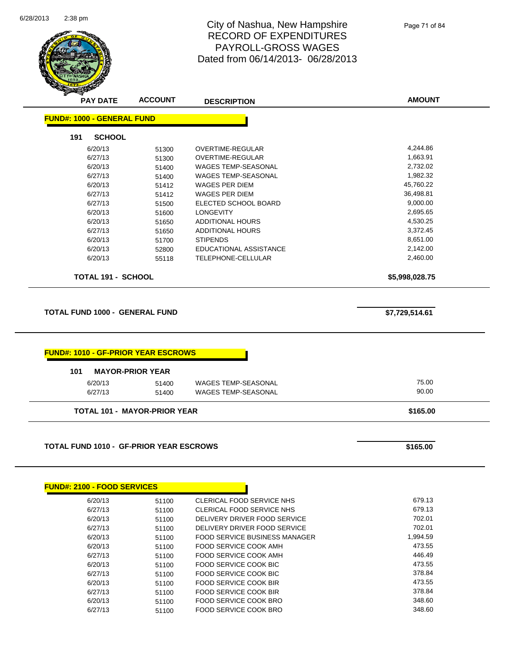

Page 71 of 84

|                                                                                              | <b>ACCOUNT</b>                      | <b>DESCRIPTION</b>                   |                  |
|----------------------------------------------------------------------------------------------|-------------------------------------|--------------------------------------|------------------|
| <b>FUND#: 1000 - GENERAL FUND</b>                                                            |                                     |                                      |                  |
| 191<br><b>SCHOOL</b>                                                                         |                                     |                                      |                  |
| 6/20/13                                                                                      | 51300                               | <b>OVERTIME-REGULAR</b>              | 4,244.86         |
| 6/27/13                                                                                      | 51300                               | OVERTIME-REGULAR                     | 1,663.91         |
| 6/20/13                                                                                      | 51400                               | WAGES TEMP-SEASONAL                  | 2,732.02         |
| 6/27/13                                                                                      | 51400                               | <b>WAGES TEMP-SEASONAL</b>           | 1,982.32         |
| 6/20/13                                                                                      | 51412                               | <b>WAGES PER DIEM</b>                | 45,760.22        |
| 6/27/13                                                                                      | 51412                               | WAGES PER DIEM                       | 36,498.81        |
| 6/27/13                                                                                      | 51500                               | ELECTED SCHOOL BOARD                 | 9,000.00         |
| 6/20/13                                                                                      | 51600                               | <b>LONGEVITY</b>                     | 2,695.65         |
| 6/20/13                                                                                      | 51650                               | <b>ADDITIONAL HOURS</b>              | 4,530.25         |
| 6/27/13                                                                                      | 51650                               | <b>ADDITIONAL HOURS</b>              | 3,372.45         |
| 6/20/13                                                                                      | 51700                               | <b>STIPENDS</b>                      | 8,651.00         |
| 6/20/13                                                                                      | 52800                               | EDUCATIONAL ASSISTANCE               | 2,142.00         |
| 6/20/13                                                                                      | 55118                               | <b>TELEPHONE-CELLULAR</b>            | 2,460.00         |
| <b>TOTAL 191 - SCHOOL</b>                                                                    |                                     |                                      | \$5,998,028.75   |
|                                                                                              |                                     |                                      |                  |
|                                                                                              |                                     |                                      |                  |
| 101                                                                                          | <b>MAYOR-PRIOR YEAR</b>             |                                      |                  |
| 6/20/13                                                                                      | 51400                               | WAGES TEMP-SEASONAL                  | 75.00            |
| 6/27/13                                                                                      | 51400                               | WAGES TEMP-SEASONAL                  | 90.00            |
|                                                                                              | <b>TOTAL 101 - MAYOR-PRIOR YEAR</b> |                                      | \$165.00         |
| <b>FUND#: 1010 - GF-PRIOR YEAR ESCROWS</b><br><b>TOTAL FUND 1010 - GF-PRIOR YEAR ESCROWS</b> |                                     |                                      |                  |
|                                                                                              |                                     |                                      | \$165.00         |
|                                                                                              |                                     |                                      |                  |
| 6/20/13                                                                                      | 51100                               | CLERICAL FOOD SERVICE NHS            | 679.13           |
| 6/27/13                                                                                      | 51100                               | <b>CLERICAL FOOD SERVICE NHS</b>     | 679.13           |
| 6/20/13                                                                                      | 51100                               | DELIVERY DRIVER FOOD SERVICE         | 702.01           |
| 6/27/13                                                                                      | 51100                               | DELIVERY DRIVER FOOD SERVICE         | 702.01           |
| <b>FUND#: 2100 - FOOD SERVICES</b><br>6/20/13                                                | 51100                               | <b>FOOD SERVICE BUSINESS MANAGER</b> | 1,994.59         |
| 6/20/13                                                                                      | 51100                               | FOOD SERVICE COOK AMH                | 473.55           |
| 6/27/13                                                                                      | 51100                               | <b>FOOD SERVICE COOK AMH</b>         | 446.49           |
| 6/20/13                                                                                      | 51100                               | FOOD SERVICE COOK BIC                | 473.55           |
| 6/27/13                                                                                      | 51100                               | FOOD SERVICE COOK BIC                | 378.84<br>473.55 |

6/27/13 51100 FOOD SERVICE COOK BIR 578.84 6/20/13 51100 FOOD SERVICE COOK BRO 348.60 6/27/13 51100 FOOD SERVICE COOK BRO 57713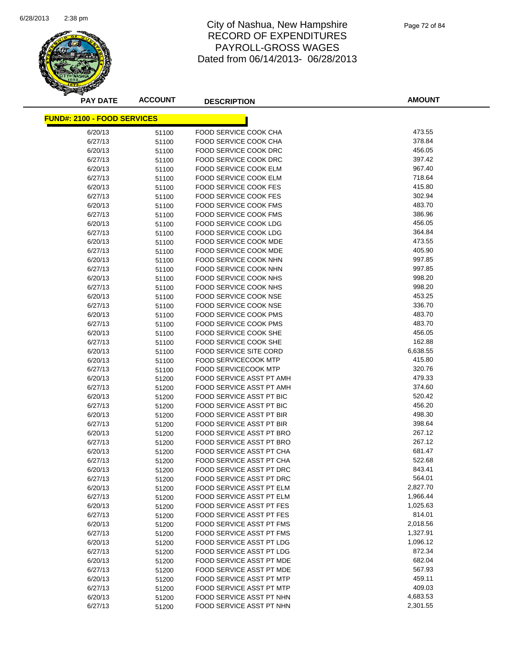

Page 72 of 84

| <b>PAY DATE</b>                    | <b>ACCOUNT</b> | <b>DESCRIPTION</b>                                   | <b>AMOUNT</b>    |
|------------------------------------|----------------|------------------------------------------------------|------------------|
| <b>FUND#: 2100 - FOOD SERVICES</b> |                |                                                      |                  |
| 6/20/13                            | 51100          | FOOD SERVICE COOK CHA                                | 473.55           |
| 6/27/13                            | 51100          | <b>FOOD SERVICE COOK CHA</b>                         | 378.84           |
| 6/20/13                            | 51100          | FOOD SERVICE COOK DRC                                | 456.05           |
| 6/27/13                            | 51100          | FOOD SERVICE COOK DRC                                | 397.42           |
| 6/20/13                            | 51100          | <b>FOOD SERVICE COOK ELM</b>                         | 967.40           |
| 6/27/13                            | 51100          | FOOD SERVICE COOK ELM                                | 718.64           |
| 6/20/13                            | 51100          | <b>FOOD SERVICE COOK FES</b>                         | 415.80           |
| 6/27/13                            | 51100          | FOOD SERVICE COOK FES                                | 302.94           |
| 6/20/13                            | 51100          | <b>FOOD SERVICE COOK FMS</b>                         | 483.70           |
| 6/27/13                            | 51100          | FOOD SERVICE COOK FMS                                | 386.96           |
| 6/20/13                            | 51100          | FOOD SERVICE COOK LDG                                | 456.05           |
| 6/27/13                            | 51100          | FOOD SERVICE COOK LDG                                | 364.84           |
| 6/20/13                            | 51100          | FOOD SERVICE COOK MDE                                | 473.55           |
| 6/27/13                            | 51100          | FOOD SERVICE COOK MDE                                | 405.90           |
| 6/20/13                            | 51100          | <b>FOOD SERVICE COOK NHN</b>                         | 997.85           |
| 6/27/13                            | 51100          | FOOD SERVICE COOK NHN                                | 997.85           |
| 6/20/13                            | 51100          | <b>FOOD SERVICE COOK NHS</b>                         | 998.20           |
| 6/27/13                            | 51100          | <b>FOOD SERVICE COOK NHS</b>                         | 998.20           |
| 6/20/13                            | 51100          | <b>FOOD SERVICE COOK NSE</b>                         | 453.25           |
| 6/27/13                            | 51100          | FOOD SERVICE COOK NSE                                | 336.70           |
| 6/20/13                            | 51100          | <b>FOOD SERVICE COOK PMS</b>                         | 483.70           |
| 6/27/13                            | 51100          | FOOD SERVICE COOK PMS                                | 483.70           |
| 6/20/13                            | 51100          | FOOD SERVICE COOK SHE                                | 456.05           |
| 6/27/13                            | 51100          | FOOD SERVICE COOK SHE                                | 162.88           |
| 6/20/13                            | 51100          | FOOD SERVICE SITE CORD                               | 6,638.55         |
| 6/20/13                            | 51100          | FOOD SERVICECOOK MTP                                 | 415.80           |
| 6/27/13                            | 51100          | <b>FOOD SERVICECOOK MTP</b>                          | 320.76           |
| 6/20/13                            | 51200          | FOOD SERVICE ASST PT AMH                             | 479.33           |
| 6/27/13                            | 51200          | FOOD SERVICE ASST PT AMH                             | 374.60           |
| 6/20/13                            | 51200          | FOOD SERVICE ASST PT BIC                             | 520.42           |
| 6/27/13                            | 51200          | FOOD SERVICE ASST PT BIC                             | 456.20           |
| 6/20/13                            | 51200          | FOOD SERVICE ASST PT BIR                             | 498.30           |
| 6/27/13                            | 51200          | <b>FOOD SERVICE ASST PT BIR</b>                      | 398.64           |
| 6/20/13                            | 51200          | FOOD SERVICE ASST PT BRO                             | 267.12           |
| 6/27/13                            | 51200          | FOOD SERVICE ASST PT BRO                             | 267.12           |
| 6/20/13                            | 51200          | FOOD SERVICE ASST PT CHA                             | 681.47           |
| 6/27/13                            | 51200          | <b>FOOD SERVICE ASST PT CHA</b>                      | 522.68           |
| 6/20/13                            | 51200          | <b>FOOD SERVICE ASST PT DRC</b>                      | 843.41           |
| 6/27/13                            | 51200          | FOOD SERVICE ASST PT DRC                             | 564.01           |
| 6/20/13                            | 51200          | FOOD SERVICE ASST PT ELM                             | 2,827.70         |
| 6/27/13                            | 51200          | FOOD SERVICE ASST PT ELM                             | 1,966.44         |
| 6/20/13                            | 51200          | FOOD SERVICE ASST PT FES                             | 1,025.63         |
| 6/27/13                            | 51200          | FOOD SERVICE ASST PT FES                             | 814.01           |
| 6/20/13                            | 51200          | FOOD SERVICE ASST PT FMS                             | 2,018.56         |
| 6/27/13                            | 51200          | FOOD SERVICE ASST PT FMS                             | 1,327.91         |
| 6/20/13                            | 51200          | FOOD SERVICE ASST PT LDG                             | 1,096.12         |
| 6/27/13                            | 51200          | FOOD SERVICE ASST PT LDG                             | 872.34           |
| 6/20/13                            | 51200          | FOOD SERVICE ASST PT MDE                             | 682.04           |
| 6/27/13                            | 51200          | FOOD SERVICE ASST PT MDE                             | 567.93<br>459.11 |
| 6/20/13                            | 51200          | FOOD SERVICE ASST PT MTP<br>FOOD SERVICE ASST PT MTP | 409.03           |
| 6/27/13<br>6/20/13                 | 51200          | FOOD SERVICE ASST PT NHN                             | 4,683.53         |
| 6/27/13                            | 51200<br>51200 | FOOD SERVICE ASST PT NHN                             | 2,301.55         |
|                                    |                |                                                      |                  |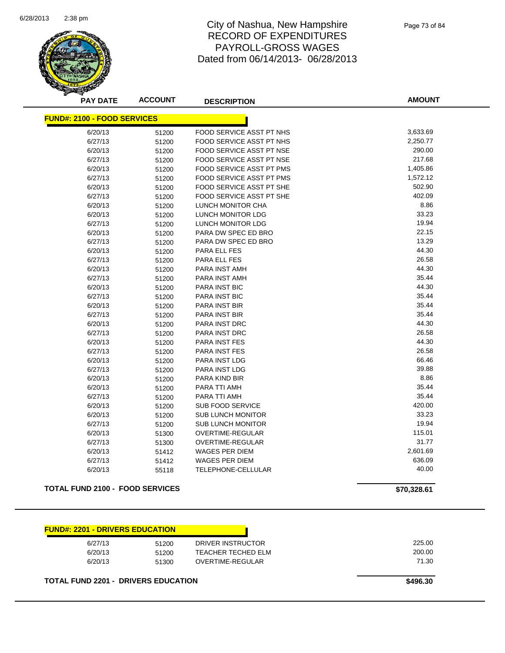

Page 73 of 84

| <b>PAY DATE</b>                    | <b>ACCOUNT</b> | <b>DESCRIPTION</b>              | <b>AMOUNT</b> |
|------------------------------------|----------------|---------------------------------|---------------|
| <b>FUND#: 2100 - FOOD SERVICES</b> |                |                                 |               |
| 6/20/13                            | 51200          | <b>FOOD SERVICE ASST PT NHS</b> | 3,633.69      |
| 6/27/13                            | 51200          | FOOD SERVICE ASST PT NHS        | 2,250.77      |
| 6/20/13                            | 51200          | FOOD SERVICE ASST PT NSE        | 290.00        |
| 6/27/13                            | 51200          | FOOD SERVICE ASST PT NSE        | 217.68        |
| 6/20/13                            | 51200          | FOOD SERVICE ASST PT PMS        | 1,405.86      |
| 6/27/13                            | 51200          | <b>FOOD SERVICE ASST PT PMS</b> | 1,572.12      |
| 6/20/13                            | 51200          | FOOD SERVICE ASST PT SHE        | 502.90        |
| 6/27/13                            | 51200          | FOOD SERVICE ASST PT SHE        | 402.09        |
| 6/20/13                            | 51200          | LUNCH MONITOR CHA               | 8.86          |
| 6/20/13                            | 51200          | LUNCH MONITOR LDG               | 33.23         |
| 6/27/13                            | 51200          | LUNCH MONITOR LDG               | 19.94         |
| 6/20/13                            | 51200          | PARA DW SPEC ED BRO             | 22.15         |
| 6/27/13                            | 51200          | PARA DW SPEC ED BRO             | 13.29         |
| 6/20/13                            | 51200          | PARA ELL FES                    | 44.30         |
| 6/27/13                            | 51200          | PARA ELL FES                    | 26.58         |
| 6/20/13                            | 51200          | PARA INST AMH                   | 44.30         |
| 6/27/13                            | 51200          | PARA INST AMH                   | 35.44         |
| 6/20/13                            | 51200          | PARA INST BIC                   | 44.30         |
| 6/27/13                            | 51200          | <b>PARA INST BIC</b>            | 35.44         |
| 6/20/13                            | 51200          | <b>PARA INST BIR</b>            | 35.44         |
| 6/27/13                            | 51200          | <b>PARA INST BIR</b>            | 35.44         |
| 6/20/13                            | 51200          | PARA INST DRC                   | 44.30         |
| 6/27/13                            | 51200          | PARA INST DRC                   | 26.58         |
| 6/20/13                            | 51200          | PARA INST FES                   | 44.30         |
| 6/27/13                            | 51200          | <b>PARA INST FES</b>            | 26.58         |
| 6/20/13                            | 51200          | <b>PARA INST LDG</b>            | 66.46         |
| 6/27/13                            | 51200          | <b>PARA INST LDG</b>            | 39.88         |
| 6/20/13                            | 51200          | <b>PARA KIND BIR</b>            | 8.86          |
| 6/20/13                            | 51200          | PARA TTI AMH                    | 35.44         |
| 6/27/13                            | 51200          | PARA TTI AMH                    | 35.44         |
| 6/20/13                            | 51200          | <b>SUB FOOD SERVICE</b>         | 420.00        |
| 6/20/13                            | 51200          | <b>SUB LUNCH MONITOR</b>        | 33.23         |
| 6/27/13                            | 51200          | <b>SUB LUNCH MONITOR</b>        | 19.94         |
| 6/20/13                            | 51300          | OVERTIME-REGULAR                | 115.01        |
| 6/27/13                            | 51300          | <b>OVERTIME-REGULAR</b>         | 31.77         |
| 6/20/13                            | 51412          | <b>WAGES PER DIEM</b>           | 2,601.69      |
| 6/27/13                            | 51412          | <b>WAGES PER DIEM</b>           | 636.09        |
| 6/20/13                            | 55118          | TELEPHONE-CELLULAR              | 40.00         |

#### **TOTAL FUND 2100 - FOOD SERVICES \$70,328.61**

| <b>FUND#: 2201 - DRIVERS EDUCATION</b> |       |                    |  |
|----------------------------------------|-------|--------------------|--|
| 6/27/13                                | 51200 | DRIVER INSTRUCTOR  |  |
| 6/20/13                                | 51200 | TEACHER TECHED ELM |  |
| 6/20/13                                | 51300 | OVERTIME-REGULAR   |  |

**TOTAL FUND 2201 - DRIVERS EDUCATION 100 CM 2201 - CONTRACT 100 CM 2496.30**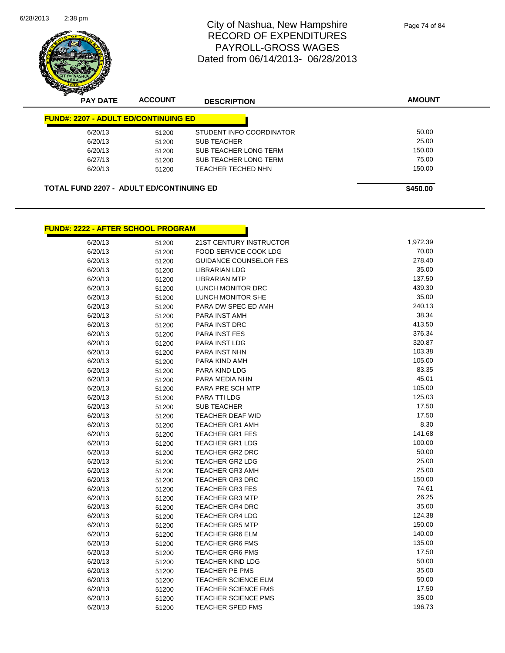

| <b>PAY DATE</b>                                 | <b>ACCOUNT</b> | <b>DESCRIPTION</b>       | <b>AMOUNT</b> |
|-------------------------------------------------|----------------|--------------------------|---------------|
| <b>FUND#: 2207 - ADULT ED/CONTINUING ED</b>     |                |                          |               |
| 6/20/13                                         | 51200          | STUDENT INFO COORDINATOR | 50.00         |
| 6/20/13                                         | 51200          | <b>SUB TEACHER</b>       | 25.00         |
| 6/20/13                                         | 51200          | SUB TEACHER LONG TERM    | 150.00        |
| 6/27/13                                         | 51200          | SUB TEACHER LONG TERM    | 75.00         |
| 6/20/13                                         | 51200          | TEACHER TECHED NHN       | 150.00        |
| <b>TOTAL FUND 2207 - ADULT ED/CONTINUING ED</b> |                |                          | \$450.00      |

n

# **FUND#: 2222 - AFTER SCHOOL PROGRAM**

| 6/20/13 | 51200 | 21ST CENTURY INSTRUCTOR       | 1,972.39 |
|---------|-------|-------------------------------|----------|
| 6/20/13 | 51200 | FOOD SERVICE COOK LDG         | 70.00    |
| 6/20/13 | 51200 | <b>GUIDANCE COUNSELOR FES</b> | 278.40   |
| 6/20/13 | 51200 | <b>LIBRARIAN LDG</b>          | 35.00    |
| 6/20/13 | 51200 | <b>LIBRARIAN MTP</b>          | 137.50   |
| 6/20/13 | 51200 | LUNCH MONITOR DRC             | 439.30   |
| 6/20/13 | 51200 | LUNCH MONITOR SHE             | 35.00    |
| 6/20/13 | 51200 | PARA DW SPEC ED AMH           | 240.13   |
| 6/20/13 | 51200 | PARA INST AMH                 | 38.34    |
| 6/20/13 | 51200 | PARA INST DRC                 | 413.50   |
| 6/20/13 | 51200 | <b>PARA INST FES</b>          | 376.34   |
| 6/20/13 | 51200 | PARA INST LDG                 | 320.87   |
| 6/20/13 | 51200 | <b>PARA INST NHN</b>          | 103.38   |
| 6/20/13 | 51200 | PARA KIND AMH                 | 105.00   |
| 6/20/13 | 51200 | PARA KIND LDG                 | 83.35    |
| 6/20/13 | 51200 | PARA MEDIA NHN                | 45.01    |
| 6/20/13 | 51200 | PARA PRE SCH MTP              | 105.00   |
| 6/20/13 | 51200 | PARA TTI LDG                  | 125.03   |
| 6/20/13 | 51200 | <b>SUB TEACHER</b>            | 17.50    |
| 6/20/13 | 51200 | TEACHER DEAF WID              | 17.50    |
| 6/20/13 | 51200 | <b>TEACHER GR1 AMH</b>        | 8.30     |
| 6/20/13 | 51200 | <b>TEACHER GR1 FES</b>        | 141.68   |
| 6/20/13 | 51200 | <b>TEACHER GR1 LDG</b>        | 100.00   |
| 6/20/13 | 51200 | TEACHER GR2 DRC               | 50.00    |
| 6/20/13 | 51200 | <b>TEACHER GR2 LDG</b>        | 25.00    |
| 6/20/13 | 51200 | TEACHER GR3 AMH               | 25.00    |
| 6/20/13 | 51200 | <b>TEACHER GR3 DRC</b>        | 150.00   |
| 6/20/13 | 51200 | <b>TEACHER GR3 FES</b>        | 74.61    |
| 6/20/13 | 51200 | <b>TEACHER GR3 MTP</b>        | 26.25    |
| 6/20/13 | 51200 | <b>TEACHER GR4 DRC</b>        | 35.00    |
| 6/20/13 | 51200 | <b>TEACHER GR4 LDG</b>        | 124.38   |
| 6/20/13 | 51200 | <b>TEACHER GR5 MTP</b>        | 150.00   |
| 6/20/13 | 51200 | <b>TEACHER GR6 ELM</b>        | 140.00   |
| 6/20/13 | 51200 | <b>TEACHER GR6 FMS</b>        | 135.00   |
| 6/20/13 | 51200 | <b>TEACHER GR6 PMS</b>        | 17.50    |
| 6/20/13 | 51200 | <b>TEACHER KIND LDG</b>       | 50.00    |
| 6/20/13 | 51200 | <b>TEACHER PE PMS</b>         | 35.00    |
| 6/20/13 | 51200 | <b>TEACHER SCIENCE ELM</b>    | 50.00    |
| 6/20/13 | 51200 | <b>TEACHER SCIENCE FMS</b>    | 17.50    |
| 6/20/13 | 51200 | <b>TEACHER SCIENCE PMS</b>    | 35.00    |
| 6/20/13 | 51200 | <b>TEACHER SPED FMS</b>       | 196.73   |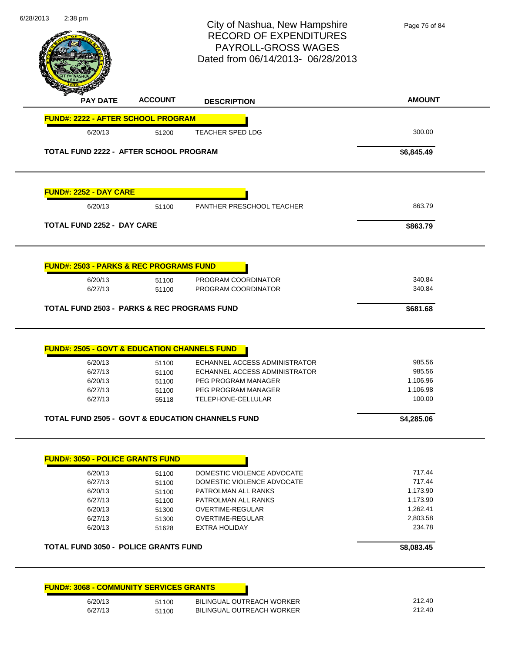| 6/28/2013<br>2:38 pm              |                                                                          | City of Nashua, New Hampshire<br><b>RECORD OF EXPENDITURES</b><br>PAYROLL-GROSS WAGES<br>Dated from 06/14/2013-06/28/2013 | Page 75 of 84                |
|-----------------------------------|--------------------------------------------------------------------------|---------------------------------------------------------------------------------------------------------------------------|------------------------------|
| <b>PAY DATE</b>                   | <b>ACCOUNT</b>                                                           | <b>DESCRIPTION</b>                                                                                                        | <b>AMOUNT</b>                |
|                                   | <b>FUND#: 2222 - AFTER SCHOOL PROGRAM</b>                                |                                                                                                                           |                              |
| 6/20/13                           | 51200                                                                    | <b>TEACHER SPED LDG</b>                                                                                                   | 300.00                       |
|                                   | TOTAL FUND 2222 - AFTER SCHOOL PROGRAM                                   |                                                                                                                           | \$6,845.49                   |
| <b>FUND#: 2252 - DAY CARE</b>     |                                                                          |                                                                                                                           |                              |
| 6/20/13                           | 51100                                                                    | PANTHER PRESCHOOL TEACHER                                                                                                 | 863.79                       |
| <b>TOTAL FUND 2252 - DAY CARE</b> |                                                                          |                                                                                                                           | \$863.79                     |
| 6/20/13<br>6/27/13                | 51100<br>51100<br><b>TOTAL FUND 2503 - PARKS &amp; REC PROGRAMS FUND</b> | PROGRAM COORDINATOR<br>PROGRAM COORDINATOR                                                                                | 340.84<br>340.84<br>\$681.68 |
|                                   | <b>FUND#: 2505 - GOVT &amp; EDUCATION CHANNELS FUND</b>                  |                                                                                                                           |                              |
| 6/20/13                           | 51100                                                                    | ECHANNEL ACCESS ADMINISTRATOR                                                                                             | 985.56                       |
| 6/27/13                           | 51100                                                                    | ECHANNEL ACCESS ADMINISTRATOR                                                                                             | 985.56                       |
| 6/20/13                           | 51100                                                                    | PEG PROGRAM MANAGER                                                                                                       | 1,106.96                     |
| 6/27/13<br>6/27/13                | 51100<br>55118                                                           | PEG PROGRAM MANAGER<br>TELEPHONE-CELLULAR                                                                                 | 1,106.98<br>100.00           |
|                                   |                                                                          | <b>TOTAL FUND 2505 - GOVT &amp; EDUCATION CHANNELS FUND</b>                                                               | \$4,285.06                   |
|                                   |                                                                          |                                                                                                                           |                              |
|                                   | <b>FUND#: 3050 - POLICE GRANTS FUND</b>                                  |                                                                                                                           |                              |
| 6/20/13                           | 51100                                                                    | DOMESTIC VIOLENCE ADVOCATE                                                                                                | 717.44                       |
| 6/27/13                           | 51100                                                                    | DOMESTIC VIOLENCE ADVOCATE                                                                                                | 717.44                       |
| 6/20/13                           | 51100                                                                    | PATROLMAN ALL RANKS                                                                                                       | 1,173.90                     |
| 6/27/13                           | 51100                                                                    | PATROLMAN ALL RANKS                                                                                                       | 1,173.90                     |
| 6/20/13                           | 51300                                                                    | OVERTIME-REGULAR                                                                                                          | 1,262.41                     |
| 6/27/13                           | 51300                                                                    | OVERTIME-REGULAR                                                                                                          | 2,803.58                     |
| 6/20/13                           | 51628                                                                    | <b>EXTRA HOLIDAY</b>                                                                                                      | 234.78                       |
|                                   | <b>TOTAL FUND 3050 - POLICE GRANTS FUND</b>                              |                                                                                                                           | \$8,083.45                   |
|                                   | <b>FUND#: 3068 - COMMUNITY SERVICES GRANTS</b>                           |                                                                                                                           |                              |
| 6/20/13                           | 51100                                                                    | BILINGUAL OUTREACH WORKER                                                                                                 | 212.40                       |
| 6/27/13                           | 51100                                                                    | BILINGUAL OUTREACH WORKER                                                                                                 | 212.40                       |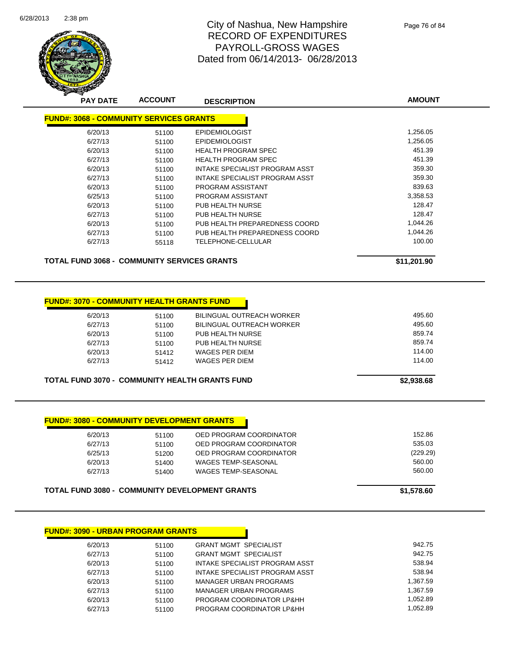

| <b>PAY DATE</b> | <b>ACCOUNT</b>                                     | <b>DESCRIPTION</b>             | <b>AMOUNT</b> |
|-----------------|----------------------------------------------------|--------------------------------|---------------|
|                 | <b>FUND#: 3068 - COMMUNITY SERVICES GRANTS</b>     |                                |               |
|                 |                                                    |                                |               |
| 6/20/13         | 51100                                              | <b>EPIDEMIOLOGIST</b>          | 1,256.05      |
| 6/27/13         | 51100                                              | <b>EPIDEMIOLOGIST</b>          | 1,256.05      |
| 6/20/13         | 51100                                              | HEALTH PROGRAM SPEC            | 451.39        |
| 6/27/13         | 51100                                              | <b>HEALTH PROGRAM SPEC</b>     | 451.39        |
| 6/20/13         | 51100                                              | INTAKE SPECIALIST PROGRAM ASST | 359.30        |
| 6/27/13         | 51100                                              | INTAKE SPECIALIST PROGRAM ASST | 359.30        |
| 6/20/13         | 51100                                              | PROGRAM ASSISTANT              | 839.63        |
| 6/25/13         | 51100                                              | PROGRAM ASSISTANT              | 3,358.53      |
| 6/20/13         | 51100                                              | PUB HEALTH NURSE               | 128.47        |
| 6/27/13         | 51100                                              | PUB HEALTH NURSE               | 128.47        |
| 6/20/13         | 51100                                              | PUB HEALTH PREPAREDNESS COORD  | 1,044.26      |
| 6/27/13         | 51100                                              | PUB HEALTH PREPAREDNESS COORD  | 1,044.26      |
| 6/27/13         | 55118                                              | TELEPHONE-CELLULAR             | 100.00        |
|                 | <b>TOTAL FUND 3068 - COMMUNITY SERVICES GRANTS</b> |                                | \$11,201.90   |

### **FUND#: 3070 - COMMUNITY HEALTH GRANTS FUND**

| 6/20/13 | 51100 | <b>BILINGUAL OUTREACH WORKER</b> |
|---------|-------|----------------------------------|
| 6/27/13 | 51100 | BILINGUAL OUTREACH WORKER        |
| 6/20/13 | 51100 | PUB HEALTH NURSE                 |
| 6/27/13 | 51100 | PUB HEALTH NURSE                 |
| 6/20/13 | 51412 | WAGES PER DIEM                   |
| 6/27/13 | 51412 | WAGES PER DIEM                   |
|         |       |                                  |

#### **TOTAL FUND 3070 - COMMUNITY HEALTH GRANTS FUND \$2,938.68**

**FUND#: 3080 - COMMUNITY DEVELOPMENT GRANTS**

| 6/20/13 | 51100 | OED PROGRAM COORDINATOR    | 152.86   |
|---------|-------|----------------------------|----------|
| 6/27/13 | 51100 | OED PROGRAM COORDINATOR    | 535.03   |
| 6/25/13 | 51200 | OED PROGRAM COORDINATOR    | (229.29) |
| 6/20/13 | 51400 | <b>WAGES TEMP-SEASONAL</b> | 560.00   |
| 6/27/13 | 51400 | WAGES TEMP-SEASONAL        | 560.00   |
|         |       |                            |          |
|         |       |                            |          |

| TOTAL FUND 3080 - COMMUNITY DEVELOPMENT GRANTS | \$1,578.60 |
|------------------------------------------------|------------|
|                                                |            |

| 6/20/13 | 51100 | <b>GRANT MGMT SPECIALIST</b>   | 942.75   |
|---------|-------|--------------------------------|----------|
| 6/27/13 | 51100 | <b>GRANT MGMT SPECIALIST</b>   | 942.75   |
| 6/20/13 | 51100 | INTAKE SPECIALIST PROGRAM ASST | 538.94   |
| 6/27/13 | 51100 | INTAKE SPECIALIST PROGRAM ASST | 538.94   |
| 6/20/13 | 51100 | <b>MANAGER URBAN PROGRAMS</b>  | 1.367.59 |
| 6/27/13 | 51100 | MANAGER URBAN PROGRAMS         | 1.367.59 |
| 6/20/13 | 51100 | PROGRAM COORDINATOR LP&HH      | 1.052.89 |
| 6/27/13 | 51100 | PROGRAM COORDINATOR LP&HH      | 1.052.89 |
|         |       |                                |          |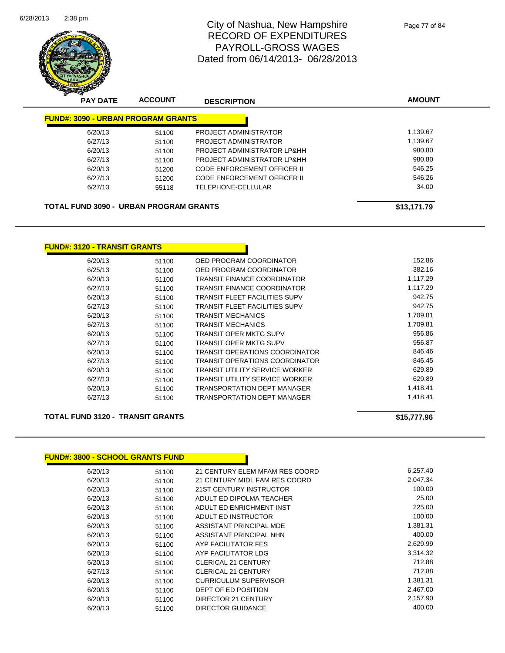

| $\,$<br>∼<br><b>PAY DATE</b>                  | <b>ACCOUNT</b> | <b>DESCRIPTION</b>          | <b>AMOUNT</b> |
|-----------------------------------------------|----------------|-----------------------------|---------------|
| <b>FUND#: 3090 - URBAN PROGRAM GRANTS</b>     |                |                             |               |
| 6/20/13                                       | 51100          | PROJECT ADMINISTRATOR       | 1.139.67      |
| 6/27/13                                       | 51100          | PROJECT ADMINISTRATOR       | 1,139.67      |
| 6/20/13                                       | 51100          | PROJECT ADMINISTRATOR LP&HH | 980.80        |
| 6/27/13                                       | 51100          | PROJECT ADMINISTRATOR LP&HH | 980.80        |
| 6/20/13                                       | 51200          | CODE ENFORCEMENT OFFICER II | 546.25        |
| 6/27/13                                       | 51200          | CODE ENFORCEMENT OFFICER II | 546.26        |
| 6/27/13                                       | 55118          | TELEPHONE-CELLULAR          | 34.00         |
| <b>TOTAL FUND 3090 - URBAN PROGRAM GRANTS</b> |                |                             | \$13,171.79   |

| <u> FUND#: 3120 - TRANSIT GRANTS</u> |       |                                       |          |
|--------------------------------------|-------|---------------------------------------|----------|
| 6/20/13                              | 51100 | OED PROGRAM COORDINATOR               | 152.86   |
| 6/25/13                              | 51100 | OED PROGRAM COORDINATOR               | 382.16   |
| 6/20/13                              | 51100 | <b>TRANSIT FINANCE COORDINATOR</b>    | 1.117.29 |
| 6/27/13                              | 51100 | <b>TRANSIT FINANCE COORDINATOR</b>    | 1,117.29 |
| 6/20/13                              | 51100 | <b>TRANSIT FLEET FACILITIES SUPV</b>  | 942.75   |
| 6/27/13                              | 51100 | <b>TRANSIT FLEET FACILITIES SUPV</b>  | 942.75   |
| 6/20/13                              | 51100 | <b>TRANSIT MECHANICS</b>              | 1,709.81 |
| 6/27/13                              | 51100 | <b>TRANSIT MECHANICS</b>              | 1,709.81 |
| 6/20/13                              | 51100 | <b>TRANSIT OPER MKTG SUPV</b>         | 956.86   |
| 6/27/13                              | 51100 | <b>TRANSIT OPER MKTG SUPV</b>         | 956.87   |
| 6/20/13                              | 51100 | <b>TRANSIT OPERATIONS COORDINATOR</b> | 846.46   |
| 6/27/13                              | 51100 | <b>TRANSIT OPERATIONS COORDINATOR</b> | 846.45   |
| 6/20/13                              | 51100 | <b>TRANSIT UTILITY SERVICE WORKER</b> | 629.89   |
| 6/27/13                              | 51100 | <b>TRANSIT UTILITY SERVICE WORKER</b> | 629.89   |
| 6/20/13                              | 51100 | <b>TRANSPORTATION DEPT MANAGER</b>    | 1,418.41 |
| 6/27/13                              | 51100 | <b>TRANSPORTATION DEPT MANAGER</b>    | 1,418.41 |

#### **TOTAL FUND 3120 - TRANSIT GRANTS 515,777.96**

#### **FUND#: 3800 - SCHOOL GRANTS FUND**

| 6/20/13 | 51100 | 21 CENTURY ELEM MFAM RES COORD | 6,257.40 |
|---------|-------|--------------------------------|----------|
| 6/20/13 | 51100 | 21 CENTURY MIDL FAM RES COORD  | 2.047.34 |
| 6/20/13 | 51100 | 21ST CENTURY INSTRUCTOR        | 100.00   |
| 6/20/13 | 51100 | ADULT ED DIPOLMA TEACHER       | 25.00    |
| 6/20/13 | 51100 | ADULT ED ENRICHMENT INST       | 225.00   |
| 6/20/13 | 51100 | ADULT ED INSTRUCTOR            | 100.00   |
| 6/20/13 | 51100 | ASSISTANT PRINCIPAL MDE        | 1,381.31 |
| 6/20/13 | 51100 | ASSISTANT PRINCIPAL NHN        | 400.00   |
| 6/20/13 | 51100 | AYP FACILITATOR FES            | 2,629.99 |
| 6/20/13 | 51100 | AYP FACILITATOR LDG            | 3,314.32 |
| 6/20/13 | 51100 | <b>CLERICAL 21 CENTURY</b>     | 712.88   |
| 6/27/13 | 51100 | <b>CLERICAL 21 CENTURY</b>     | 712.88   |
| 6/20/13 | 51100 | CURRICULUM SUPERVISOR          | 1,381.31 |
| 6/20/13 | 51100 | DEPT OF ED POSITION            | 2,467.00 |
| 6/20/13 | 51100 | <b>DIRECTOR 21 CENTURY</b>     | 2,157.90 |
| 6/20/13 | 51100 | <b>DIRECTOR GUIDANCE</b>       | 400.00   |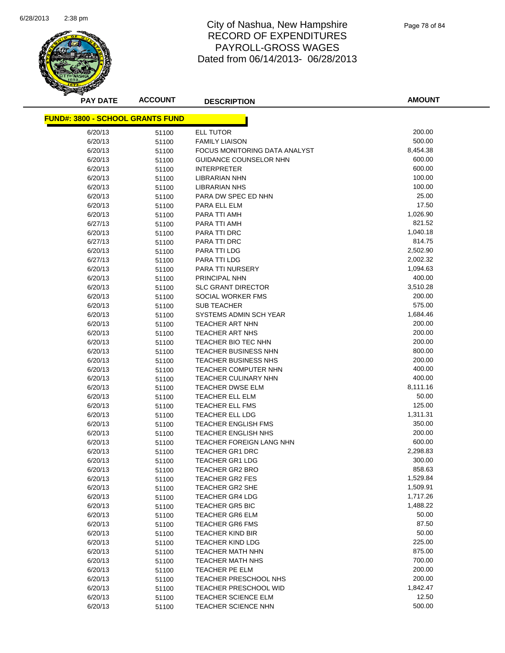

Page 78 of 84

| <b>PAY DATE</b>                         | <b>ACCOUNT</b> | <b>DESCRIPTION</b>            | <b>AMOUNT</b> |
|-----------------------------------------|----------------|-------------------------------|---------------|
| <b>FUND#: 3800 - SCHOOL GRANTS FUND</b> |                |                               |               |
| 6/20/13                                 | 51100          | <b>ELL TUTOR</b>              | 200.00        |
| 6/20/13                                 | 51100          | <b>FAMILY LIAISON</b>         | 500.00        |
| 6/20/13                                 |                | FOCUS MONITORING DATA ANALYST | 8,454.38      |
| 6/20/13                                 | 51100<br>51100 | GUIDANCE COUNSELOR NHN        | 600.00        |
| 6/20/13                                 |                | <b>INTERPRETER</b>            | 600.00        |
| 6/20/13                                 | 51100<br>51100 | <b>LIBRARIAN NHN</b>          | 100.00        |
| 6/20/13                                 | 51100          | <b>LIBRARIAN NHS</b>          | 100.00        |
| 6/20/13                                 | 51100          | PARA DW SPEC ED NHN           | 25.00         |
| 6/20/13                                 | 51100          | PARA ELL ELM                  | 17.50         |
| 6/20/13                                 | 51100          | PARA TTI AMH                  | 1,026.90      |
| 6/27/13                                 | 51100          | PARA TTI AMH                  | 821.52        |
| 6/20/13                                 | 51100          | PARA TTI DRC                  | 1,040.18      |
| 6/27/13                                 | 51100          | PARA TTI DRC                  | 814.75        |
| 6/20/13                                 | 51100          | PARA TTI LDG                  | 2,502.90      |
| 6/27/13                                 | 51100          | PARA TTI LDG                  | 2,002.32      |
| 6/20/13                                 | 51100          | PARA TTI NURSERY              | 1,094.63      |
| 6/20/13                                 | 51100          | PRINCIPAL NHN                 | 400.00        |
| 6/20/13                                 | 51100          | <b>SLC GRANT DIRECTOR</b>     | 3,510.28      |
| 6/20/13                                 | 51100          | SOCIAL WORKER FMS             | 200.00        |
| 6/20/13                                 | 51100          | <b>SUB TEACHER</b>            | 575.00        |
| 6/20/13                                 | 51100          | SYSTEMS ADMIN SCH YEAR        | 1,684.46      |
| 6/20/13                                 | 51100          | TEACHER ART NHN               | 200.00        |
| 6/20/13                                 | 51100          | TEACHER ART NHS               | 200.00        |
| 6/20/13                                 | 51100          | TEACHER BIO TEC NHN           | 200.00        |
| 6/20/13                                 | 51100          | <b>TEACHER BUSINESS NHN</b>   | 800.00        |
| 6/20/13                                 | 51100          | <b>TEACHER BUSINESS NHS</b>   | 200.00        |
| 6/20/13                                 | 51100          | TEACHER COMPUTER NHN          | 400.00        |
| 6/20/13                                 | 51100          | <b>TEACHER CULINARY NHN</b>   | 400.00        |
| 6/20/13                                 | 51100          | TEACHER DWSE ELM              | 8,111.16      |
| 6/20/13                                 | 51100          | TEACHER ELL ELM               | 50.00         |
| 6/20/13                                 | 51100          | TEACHER ELL FMS               | 125.00        |
| 6/20/13                                 | 51100          | TEACHER ELL LDG               | 1,311.31      |
| 6/20/13                                 | 51100          | <b>TEACHER ENGLISH FMS</b>    | 350.00        |
| 6/20/13                                 | 51100          | TEACHER ENGLISH NHS           | 200.00        |
| 6/20/13                                 | 51100          | TEACHER FOREIGN LANG NHN      | 600.00        |
| 6/20/13                                 | 51100          | <b>TEACHER GR1 DRC</b>        | 2,298.83      |
| 6/20/13                                 | 51100          | <b>TEACHER GR1 LDG</b>        | 300.00        |
| 6/20/13                                 | 51100          | <b>TEACHER GR2 BRO</b>        | 858.63        |
| 6/20/13                                 | 51100          | <b>TEACHER GR2 FES</b>        | 1,529.84      |
| 6/20/13                                 | 51100          | TEACHER GR2 SHE               | 1,509.91      |
| 6/20/13                                 | 51100          | <b>TEACHER GR4 LDG</b>        | 1,717.26      |
| 6/20/13                                 | 51100          | <b>TEACHER GR5 BIC</b>        | 1,488.22      |
| 6/20/13                                 | 51100          | TEACHER GR6 ELM               | 50.00         |
| 6/20/13                                 | 51100          | <b>TEACHER GR6 FMS</b>        | 87.50         |
| 6/20/13                                 | 51100          | TEACHER KIND BIR              | 50.00         |
| 6/20/13                                 | 51100          | TEACHER KIND LDG              | 225.00        |
| 6/20/13                                 | 51100          | <b>TEACHER MATH NHN</b>       | 875.00        |
| 6/20/13                                 | 51100          | TEACHER MATH NHS              | 700.00        |
| 6/20/13                                 | 51100          | <b>TEACHER PE ELM</b>         | 200.00        |
| 6/20/13                                 | 51100          | TEACHER PRESCHOOL NHS         | 200.00        |
| 6/20/13                                 | 51100          | <b>TEACHER PRESCHOOL WID</b>  | 1,842.47      |
| 6/20/13                                 | 51100          | <b>TEACHER SCIENCE ELM</b>    | 12.50         |
| 6/20/13                                 | 51100          | TEACHER SCIENCE NHN           | 500.00        |
|                                         |                |                               |               |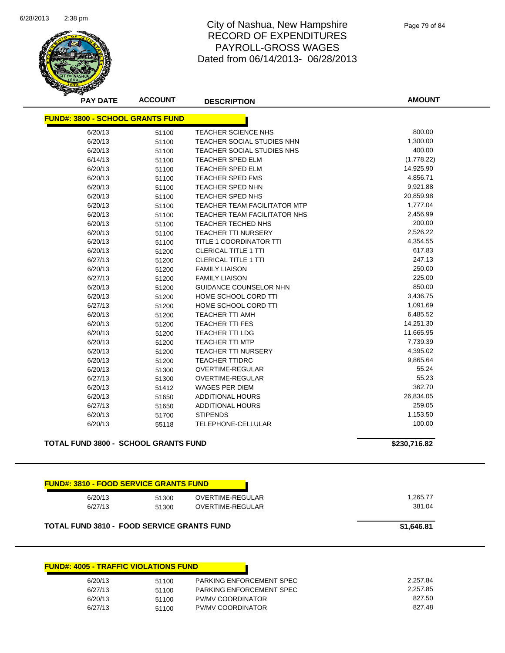

Page 79 of 84

| <b>PAY DATE</b>                                   | <b>ACCOUNT</b> | <b>DESCRIPTION</b>                  | <b>AMOUNT</b> |
|---------------------------------------------------|----------------|-------------------------------------|---------------|
| <b>FUND#: 3800 - SCHOOL GRANTS FUND</b>           |                |                                     |               |
| 6/20/13                                           | 51100          | TEACHER SCIENCE NHS                 | 800.00        |
| 6/20/13                                           | 51100          | TEACHER SOCIAL STUDIES NHN          | 1,300.00      |
| 6/20/13                                           | 51100          | <b>TEACHER SOCIAL STUDIES NHS</b>   | 400.00        |
| 6/14/13                                           | 51100          | <b>TEACHER SPED ELM</b>             | (1,778.22)    |
| 6/20/13                                           | 51100          | <b>TEACHER SPED ELM</b>             | 14,925.90     |
| 6/20/13                                           | 51100          | <b>TEACHER SPED FMS</b>             | 4,856.71      |
| 6/20/13                                           | 51100          | <b>TEACHER SPED NHN</b>             | 9,921.88      |
| 6/20/13                                           | 51100          | TEACHER SPED NHS                    | 20,859.98     |
| 6/20/13                                           | 51100          | <b>TEACHER TEAM FACILITATOR MTP</b> | 1,777.04      |
| 6/20/13                                           | 51100          | TEACHER TEAM FACILITATOR NHS        | 2,456.99      |
| 6/20/13                                           | 51100          | TEACHER TECHED NHS                  | 200.00        |
| 6/20/13                                           | 51100          | <b>TEACHER TTI NURSERY</b>          | 2,526.22      |
| 6/20/13                                           | 51100          | TITLE 1 COORDINATOR TTI             | 4,354.55      |
| 6/20/13                                           | 51200          | <b>CLERICAL TITLE 1 TTI</b>         | 617.83        |
| 6/27/13                                           | 51200          | <b>CLERICAL TITLE 1 TTI</b>         | 247.13        |
| 6/20/13                                           | 51200          | <b>FAMILY LIAISON</b>               | 250.00        |
| 6/27/13                                           | 51200          | <b>FAMILY LIAISON</b>               | 225.00        |
| 6/20/13                                           | 51200          | <b>GUIDANCE COUNSELOR NHN</b>       | 850.00        |
| 6/20/13                                           | 51200          | HOME SCHOOL CORD TTI                | 3,436.75      |
| 6/27/13                                           | 51200          | HOME SCHOOL CORD TTI                | 1,091.69      |
| 6/20/13                                           | 51200          | TEACHER TTI AMH                     | 6,485.52      |
| 6/20/13                                           | 51200          | <b>TEACHER TTI FES</b>              | 14,251.30     |
| 6/20/13                                           | 51200          | <b>TEACHER TTI LDG</b>              | 11,665.95     |
| 6/20/13                                           | 51200          | <b>TEACHER TTI MTP</b>              | 7,739.39      |
| 6/20/13                                           | 51200          | <b>TEACHER TTI NURSERY</b>          | 4,395.02      |
| 6/20/13                                           | 51200          | <b>TEACHER TTIDRC</b>               | 9,865.64      |
| 6/20/13                                           | 51300          | OVERTIME-REGULAR                    | 55.24         |
| 6/27/13                                           | 51300          | OVERTIME-REGULAR                    | 55.23         |
| 6/20/13                                           | 51412          | <b>WAGES PER DIEM</b>               | 362.70        |
| 6/20/13                                           | 51650          | <b>ADDITIONAL HOURS</b>             | 26,834.05     |
| 6/27/13                                           | 51650          | ADDITIONAL HOURS                    | 259.05        |
| 6/20/13                                           | 51700          | <b>STIPENDS</b>                     | 1,153.50      |
| 6/20/13                                           | 55118          | TELEPHONE-CELLULAR                  | 100.00        |
| <b>TOTAL FUND 3800 - SCHOOL GRANTS FUND</b>       |                |                                     | \$230,716.82  |
| <b>FUND#: 3810 - FOOD SERVICE GRANTS FUND</b>     |                |                                     |               |
| 6/20/13                                           | 51300          | <b>OVERTIME-REGULAR</b>             | 1,265.77      |
| 6/27/13                                           | 51300          | OVERTIME-REGULAR                    | 381.04        |
| <b>TOTAL FUND 3810 - FOOD SERVICE GRANTS FUND</b> |                |                                     | \$1,646.81    |
|                                                   |                |                                     |               |

| 6/20/13 | 51100 | PARKING ENFORCEMENT SPEC | 2.257.84 |
|---------|-------|--------------------------|----------|
| 6/27/13 | 51100 | PARKING ENFORCEMENT SPEC | 2.257.85 |
| 6/20/13 | 51100 | <b>PV/MV COORDINATOR</b> | 827.50   |
| 6/27/13 | 51100 | <b>PV/MV COORDINATOR</b> | 827.48   |
|         |       |                          |          |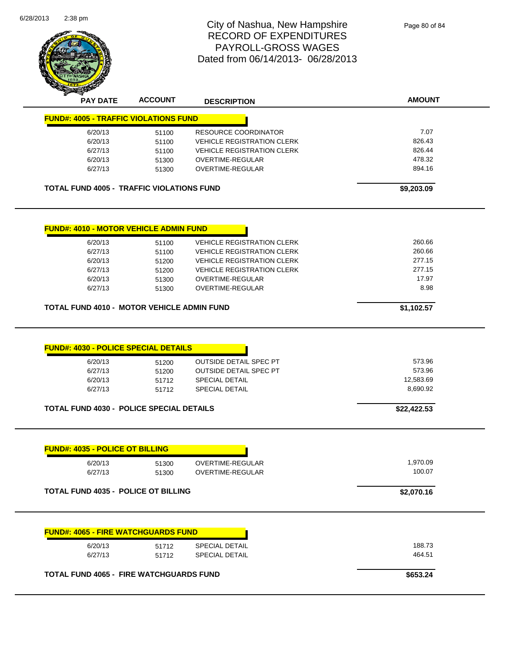| PAYROLL-GROSS WAGES<br>Dated from 06/14/2013- 06/28/2013<br><b>AMOUNT</b><br><b>ACCOUNT</b><br><b>PAY DATE</b><br><b>DESCRIPTION</b><br><b>FUND#: 4005 - TRAFFIC VIOLATIONS FUND</b><br>7.07<br><b>RESOURCE COORDINATOR</b><br>6/20/13<br>51100<br>826.43<br>6/20/13<br><b>VEHICLE REGISTRATION CLERK</b><br>51100<br>826.44<br>6/27/13<br><b>VEHICLE REGISTRATION CLERK</b><br>51100<br>478.32<br>6/20/13<br>OVERTIME-REGULAR<br>51300<br>894.16<br>6/27/13<br>OVERTIME-REGULAR<br>51300<br><b>TOTAL FUND 4005 - TRAFFIC VIOLATIONS FUND</b><br>\$9,203.09<br><b>FUND#: 4010 - MOTOR VEHICLE ADMIN FUND</b><br>260.66<br>6/20/13<br><b>VEHICLE REGISTRATION CLERK</b><br>51100<br>260.66<br>6/27/13<br>VEHICLE REGISTRATION CLERK<br>51100<br>277.15<br>6/20/13<br>51200<br><b>VEHICLE REGISTRATION CLERK</b><br>277.15<br>6/27/13<br><b>VEHICLE REGISTRATION CLERK</b><br>51200<br>17.97<br>6/20/13<br>OVERTIME-REGULAR<br>51300<br>8.98<br>6/27/13<br>51300<br>OVERTIME-REGULAR<br>TOTAL FUND 4010 - MOTOR VEHICLE ADMIN FUND<br>\$1,102.57<br><b>FUND#: 4030 - POLICE SPECIAL DETAILS</b><br><b>OUTSIDE DETAIL SPEC PT</b><br>573.96<br>6/20/13<br>51200<br>573.96<br>6/27/13<br><b>OUTSIDE DETAIL SPEC PT</b><br>51200<br>12,583.69<br>6/20/13<br><b>SPECIAL DETAIL</b><br>51712<br>8,690.92<br><b>SPECIAL DETAIL</b><br>6/27/13<br>51712<br><b>TOTAL FUND 4030 - POLICE SPECIAL DETAILS</b><br>\$22,422.53<br><b>FUND#: 4035 - POLICE OT BILLING</b><br>1,970.09<br>6/20/13<br>OVERTIME-REGULAR<br>51300<br>100.07<br>6/27/13<br>OVERTIME-REGULAR<br>51300<br><b>TOTAL FUND 4035 - POLICE OT BILLING</b><br>\$2,070.16<br><b>FUND#: 4065 - FIRE WATCHGUARDS FUND</b><br>188.73<br>6/20/13<br><b>SPECIAL DETAIL</b><br>51712<br>464.51<br>6/27/13<br><b>SPECIAL DETAIL</b><br>51712 |  | City of Nashua, New Hampshire<br><b>RECORD OF EXPENDITURES</b> | Page 80 of 84 |
|------------------------------------------------------------------------------------------------------------------------------------------------------------------------------------------------------------------------------------------------------------------------------------------------------------------------------------------------------------------------------------------------------------------------------------------------------------------------------------------------------------------------------------------------------------------------------------------------------------------------------------------------------------------------------------------------------------------------------------------------------------------------------------------------------------------------------------------------------------------------------------------------------------------------------------------------------------------------------------------------------------------------------------------------------------------------------------------------------------------------------------------------------------------------------------------------------------------------------------------------------------------------------------------------------------------------------------------------------------------------------------------------------------------------------------------------------------------------------------------------------------------------------------------------------------------------------------------------------------------------------------------------------------------------------------------------------------------------------------------------------------------------------------------|--|----------------------------------------------------------------|---------------|
|                                                                                                                                                                                                                                                                                                                                                                                                                                                                                                                                                                                                                                                                                                                                                                                                                                                                                                                                                                                                                                                                                                                                                                                                                                                                                                                                                                                                                                                                                                                                                                                                                                                                                                                                                                                          |  |                                                                |               |
|                                                                                                                                                                                                                                                                                                                                                                                                                                                                                                                                                                                                                                                                                                                                                                                                                                                                                                                                                                                                                                                                                                                                                                                                                                                                                                                                                                                                                                                                                                                                                                                                                                                                                                                                                                                          |  |                                                                |               |
|                                                                                                                                                                                                                                                                                                                                                                                                                                                                                                                                                                                                                                                                                                                                                                                                                                                                                                                                                                                                                                                                                                                                                                                                                                                                                                                                                                                                                                                                                                                                                                                                                                                                                                                                                                                          |  |                                                                |               |
|                                                                                                                                                                                                                                                                                                                                                                                                                                                                                                                                                                                                                                                                                                                                                                                                                                                                                                                                                                                                                                                                                                                                                                                                                                                                                                                                                                                                                                                                                                                                                                                                                                                                                                                                                                                          |  |                                                                |               |
|                                                                                                                                                                                                                                                                                                                                                                                                                                                                                                                                                                                                                                                                                                                                                                                                                                                                                                                                                                                                                                                                                                                                                                                                                                                                                                                                                                                                                                                                                                                                                                                                                                                                                                                                                                                          |  |                                                                |               |
|                                                                                                                                                                                                                                                                                                                                                                                                                                                                                                                                                                                                                                                                                                                                                                                                                                                                                                                                                                                                                                                                                                                                                                                                                                                                                                                                                                                                                                                                                                                                                                                                                                                                                                                                                                                          |  |                                                                |               |
|                                                                                                                                                                                                                                                                                                                                                                                                                                                                                                                                                                                                                                                                                                                                                                                                                                                                                                                                                                                                                                                                                                                                                                                                                                                                                                                                                                                                                                                                                                                                                                                                                                                                                                                                                                                          |  |                                                                |               |
|                                                                                                                                                                                                                                                                                                                                                                                                                                                                                                                                                                                                                                                                                                                                                                                                                                                                                                                                                                                                                                                                                                                                                                                                                                                                                                                                                                                                                                                                                                                                                                                                                                                                                                                                                                                          |  |                                                                |               |
|                                                                                                                                                                                                                                                                                                                                                                                                                                                                                                                                                                                                                                                                                                                                                                                                                                                                                                                                                                                                                                                                                                                                                                                                                                                                                                                                                                                                                                                                                                                                                                                                                                                                                                                                                                                          |  |                                                                |               |
|                                                                                                                                                                                                                                                                                                                                                                                                                                                                                                                                                                                                                                                                                                                                                                                                                                                                                                                                                                                                                                                                                                                                                                                                                                                                                                                                                                                                                                                                                                                                                                                                                                                                                                                                                                                          |  |                                                                |               |
|                                                                                                                                                                                                                                                                                                                                                                                                                                                                                                                                                                                                                                                                                                                                                                                                                                                                                                                                                                                                                                                                                                                                                                                                                                                                                                                                                                                                                                                                                                                                                                                                                                                                                                                                                                                          |  |                                                                |               |
|                                                                                                                                                                                                                                                                                                                                                                                                                                                                                                                                                                                                                                                                                                                                                                                                                                                                                                                                                                                                                                                                                                                                                                                                                                                                                                                                                                                                                                                                                                                                                                                                                                                                                                                                                                                          |  |                                                                |               |
|                                                                                                                                                                                                                                                                                                                                                                                                                                                                                                                                                                                                                                                                                                                                                                                                                                                                                                                                                                                                                                                                                                                                                                                                                                                                                                                                                                                                                                                                                                                                                                                                                                                                                                                                                                                          |  |                                                                |               |
|                                                                                                                                                                                                                                                                                                                                                                                                                                                                                                                                                                                                                                                                                                                                                                                                                                                                                                                                                                                                                                                                                                                                                                                                                                                                                                                                                                                                                                                                                                                                                                                                                                                                                                                                                                                          |  |                                                                |               |
|                                                                                                                                                                                                                                                                                                                                                                                                                                                                                                                                                                                                                                                                                                                                                                                                                                                                                                                                                                                                                                                                                                                                                                                                                                                                                                                                                                                                                                                                                                                                                                                                                                                                                                                                                                                          |  |                                                                |               |
|                                                                                                                                                                                                                                                                                                                                                                                                                                                                                                                                                                                                                                                                                                                                                                                                                                                                                                                                                                                                                                                                                                                                                                                                                                                                                                                                                                                                                                                                                                                                                                                                                                                                                                                                                                                          |  |                                                                |               |
|                                                                                                                                                                                                                                                                                                                                                                                                                                                                                                                                                                                                                                                                                                                                                                                                                                                                                                                                                                                                                                                                                                                                                                                                                                                                                                                                                                                                                                                                                                                                                                                                                                                                                                                                                                                          |  |                                                                |               |
|                                                                                                                                                                                                                                                                                                                                                                                                                                                                                                                                                                                                                                                                                                                                                                                                                                                                                                                                                                                                                                                                                                                                                                                                                                                                                                                                                                                                                                                                                                                                                                                                                                                                                                                                                                                          |  |                                                                |               |
|                                                                                                                                                                                                                                                                                                                                                                                                                                                                                                                                                                                                                                                                                                                                                                                                                                                                                                                                                                                                                                                                                                                                                                                                                                                                                                                                                                                                                                                                                                                                                                                                                                                                                                                                                                                          |  |                                                                |               |
|                                                                                                                                                                                                                                                                                                                                                                                                                                                                                                                                                                                                                                                                                                                                                                                                                                                                                                                                                                                                                                                                                                                                                                                                                                                                                                                                                                                                                                                                                                                                                                                                                                                                                                                                                                                          |  |                                                                |               |
|                                                                                                                                                                                                                                                                                                                                                                                                                                                                                                                                                                                                                                                                                                                                                                                                                                                                                                                                                                                                                                                                                                                                                                                                                                                                                                                                                                                                                                                                                                                                                                                                                                                                                                                                                                                          |  |                                                                |               |
|                                                                                                                                                                                                                                                                                                                                                                                                                                                                                                                                                                                                                                                                                                                                                                                                                                                                                                                                                                                                                                                                                                                                                                                                                                                                                                                                                                                                                                                                                                                                                                                                                                                                                                                                                                                          |  |                                                                |               |
|                                                                                                                                                                                                                                                                                                                                                                                                                                                                                                                                                                                                                                                                                                                                                                                                                                                                                                                                                                                                                                                                                                                                                                                                                                                                                                                                                                                                                                                                                                                                                                                                                                                                                                                                                                                          |  |                                                                |               |
|                                                                                                                                                                                                                                                                                                                                                                                                                                                                                                                                                                                                                                                                                                                                                                                                                                                                                                                                                                                                                                                                                                                                                                                                                                                                                                                                                                                                                                                                                                                                                                                                                                                                                                                                                                                          |  |                                                                |               |
|                                                                                                                                                                                                                                                                                                                                                                                                                                                                                                                                                                                                                                                                                                                                                                                                                                                                                                                                                                                                                                                                                                                                                                                                                                                                                                                                                                                                                                                                                                                                                                                                                                                                                                                                                                                          |  |                                                                |               |
|                                                                                                                                                                                                                                                                                                                                                                                                                                                                                                                                                                                                                                                                                                                                                                                                                                                                                                                                                                                                                                                                                                                                                                                                                                                                                                                                                                                                                                                                                                                                                                                                                                                                                                                                                                                          |  |                                                                |               |
|                                                                                                                                                                                                                                                                                                                                                                                                                                                                                                                                                                                                                                                                                                                                                                                                                                                                                                                                                                                                                                                                                                                                                                                                                                                                                                                                                                                                                                                                                                                                                                                                                                                                                                                                                                                          |  |                                                                |               |
|                                                                                                                                                                                                                                                                                                                                                                                                                                                                                                                                                                                                                                                                                                                                                                                                                                                                                                                                                                                                                                                                                                                                                                                                                                                                                                                                                                                                                                                                                                                                                                                                                                                                                                                                                                                          |  |                                                                |               |
|                                                                                                                                                                                                                                                                                                                                                                                                                                                                                                                                                                                                                                                                                                                                                                                                                                                                                                                                                                                                                                                                                                                                                                                                                                                                                                                                                                                                                                                                                                                                                                                                                                                                                                                                                                                          |  |                                                                |               |
|                                                                                                                                                                                                                                                                                                                                                                                                                                                                                                                                                                                                                                                                                                                                                                                                                                                                                                                                                                                                                                                                                                                                                                                                                                                                                                                                                                                                                                                                                                                                                                                                                                                                                                                                                                                          |  |                                                                |               |
|                                                                                                                                                                                                                                                                                                                                                                                                                                                                                                                                                                                                                                                                                                                                                                                                                                                                                                                                                                                                                                                                                                                                                                                                                                                                                                                                                                                                                                                                                                                                                                                                                                                                                                                                                                                          |  |                                                                |               |
|                                                                                                                                                                                                                                                                                                                                                                                                                                                                                                                                                                                                                                                                                                                                                                                                                                                                                                                                                                                                                                                                                                                                                                                                                                                                                                                                                                                                                                                                                                                                                                                                                                                                                                                                                                                          |  |                                                                |               |
|                                                                                                                                                                                                                                                                                                                                                                                                                                                                                                                                                                                                                                                                                                                                                                                                                                                                                                                                                                                                                                                                                                                                                                                                                                                                                                                                                                                                                                                                                                                                                                                                                                                                                                                                                                                          |  |                                                                |               |
|                                                                                                                                                                                                                                                                                                                                                                                                                                                                                                                                                                                                                                                                                                                                                                                                                                                                                                                                                                                                                                                                                                                                                                                                                                                                                                                                                                                                                                                                                                                                                                                                                                                                                                                                                                                          |  |                                                                |               |
|                                                                                                                                                                                                                                                                                                                                                                                                                                                                                                                                                                                                                                                                                                                                                                                                                                                                                                                                                                                                                                                                                                                                                                                                                                                                                                                                                                                                                                                                                                                                                                                                                                                                                                                                                                                          |  |                                                                |               |
|                                                                                                                                                                                                                                                                                                                                                                                                                                                                                                                                                                                                                                                                                                                                                                                                                                                                                                                                                                                                                                                                                                                                                                                                                                                                                                                                                                                                                                                                                                                                                                                                                                                                                                                                                                                          |  |                                                                |               |
|                                                                                                                                                                                                                                                                                                                                                                                                                                                                                                                                                                                                                                                                                                                                                                                                                                                                                                                                                                                                                                                                                                                                                                                                                                                                                                                                                                                                                                                                                                                                                                                                                                                                                                                                                                                          |  |                                                                |               |
|                                                                                                                                                                                                                                                                                                                                                                                                                                                                                                                                                                                                                                                                                                                                                                                                                                                                                                                                                                                                                                                                                                                                                                                                                                                                                                                                                                                                                                                                                                                                                                                                                                                                                                                                                                                          |  |                                                                |               |
|                                                                                                                                                                                                                                                                                                                                                                                                                                                                                                                                                                                                                                                                                                                                                                                                                                                                                                                                                                                                                                                                                                                                                                                                                                                                                                                                                                                                                                                                                                                                                                                                                                                                                                                                                                                          |  |                                                                |               |
|                                                                                                                                                                                                                                                                                                                                                                                                                                                                                                                                                                                                                                                                                                                                                                                                                                                                                                                                                                                                                                                                                                                                                                                                                                                                                                                                                                                                                                                                                                                                                                                                                                                                                                                                                                                          |  |                                                                |               |
|                                                                                                                                                                                                                                                                                                                                                                                                                                                                                                                                                                                                                                                                                                                                                                                                                                                                                                                                                                                                                                                                                                                                                                                                                                                                                                                                                                                                                                                                                                                                                                                                                                                                                                                                                                                          |  |                                                                |               |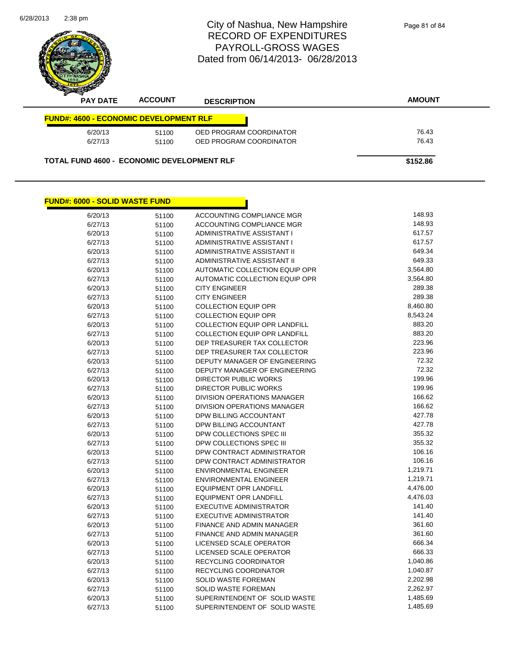| 6/28/2013 | $2:38$ pm                                     |                | City of Nashua, New Hampshire<br><b>RECORD OF EXPENDITURES</b><br><b>PAYROLL-GROSS WAGES</b><br>Dated from 06/14/2013-06/28/2013 | Page 81 of 84 |
|-----------|-----------------------------------------------|----------------|----------------------------------------------------------------------------------------------------------------------------------|---------------|
|           | <b>PAY DATE</b>                               | <b>ACCOUNT</b> | <b>DESCRIPTION</b>                                                                                                               | <b>AMOUNT</b> |
|           |                                               |                |                                                                                                                                  |               |
|           | <b>FUND#: 4600 - ECONOMIC DEVELOPMENT RLF</b> |                |                                                                                                                                  |               |
|           | 6/20/13                                       | 51100          | OED PROGRAM COORDINATOR                                                                                                          | 76.43         |
|           | 6/27/13                                       | 51100          | OED PROGRAM COORDINATOR                                                                                                          | 76.43         |

| <b>FUND#: 6000 - SOLID WASTE FUND</b> |       |                                    |          |
|---------------------------------------|-------|------------------------------------|----------|
| 6/20/13                               | 51100 | ACCOUNTING COMPLIANCE MGR          | 148.93   |
| 6/27/13                               | 51100 | ACCOUNTING COMPLIANCE MGR          | 148.93   |
| 6/20/13                               | 51100 | ADMINISTRATIVE ASSISTANT I         | 617.57   |
| 6/27/13                               | 51100 | ADMINISTRATIVE ASSISTANT I         | 617.57   |
| 6/20/13                               | 51100 | ADMINISTRATIVE ASSISTANT II        | 649.34   |
| 6/27/13                               | 51100 | <b>ADMINISTRATIVE ASSISTANT II</b> | 649.33   |
| 6/20/13                               | 51100 | AUTOMATIC COLLECTION EQUIP OPR     | 3,564.80 |
| 6/27/13                               | 51100 | AUTOMATIC COLLECTION EQUIP OPR     | 3,564.80 |
| 6/20/13                               | 51100 | <b>CITY ENGINEER</b>               | 289.38   |
| 6/27/13                               | 51100 | <b>CITY ENGINEER</b>               | 289.38   |
| 6/20/13                               | 51100 | <b>COLLECTION EQUIP OPR</b>        | 8,460.80 |
| 6/27/13                               | 51100 | <b>COLLECTION EQUIP OPR</b>        | 8,543.24 |
| 6/20/13                               | 51100 | COLLECTION EQUIP OPR LANDFILL      | 883.20   |
| 6/27/13                               | 51100 | COLLECTION EQUIP OPR LANDFILL      | 883.20   |
| 6/20/13                               | 51100 | DEP TREASURER TAX COLLECTOR        | 223.96   |
| 6/27/13                               | 51100 | DEP TREASURER TAX COLLECTOR        | 223.96   |
| 6/20/13                               | 51100 | DEPUTY MANAGER OF ENGINEERING      | 72.32    |
| 6/27/13                               | 51100 | DEPUTY MANAGER OF ENGINEERING      | 72.32    |
| 6/20/13                               | 51100 | <b>DIRECTOR PUBLIC WORKS</b>       | 199.96   |
| 6/27/13                               | 51100 | <b>DIRECTOR PUBLIC WORKS</b>       | 199.96   |
| 6/20/13                               | 51100 | <b>DIVISION OPERATIONS MANAGER</b> | 166.62   |
| 6/27/13                               | 51100 | DIVISION OPERATIONS MANAGER        | 166.62   |
| 6/20/13                               | 51100 | DPW BILLING ACCOUNTANT             | 427.78   |
| 6/27/13                               | 51100 | DPW BILLING ACCOUNTANT             | 427.78   |
| 6/20/13                               | 51100 | DPW COLLECTIONS SPEC III           | 355.32   |
| 6/27/13                               | 51100 | DPW COLLECTIONS SPEC III           | 355.32   |
| 6/20/13                               | 51100 | DPW CONTRACT ADMINISTRATOR         | 106.16   |
| 6/27/13                               | 51100 | DPW CONTRACT ADMINISTRATOR         | 106.16   |
| 6/20/13                               | 51100 | <b>ENVIRONMENTAL ENGINEER</b>      | 1,219.71 |
| 6/27/13                               | 51100 | <b>ENVIRONMENTAL ENGINEER</b>      | 1,219.71 |
| 6/20/13                               | 51100 | <b>EQUIPMENT OPR LANDFILL</b>      | 4,476.00 |
| 6/27/13                               | 51100 | <b>EQUIPMENT OPR LANDFILL</b>      | 4,476.03 |
| 6/20/13                               | 51100 | EXECUTIVE ADMINISTRATOR            | 141.40   |
| 6/27/13                               | 51100 | <b>EXECUTIVE ADMINISTRATOR</b>     | 141.40   |
| 6/20/13                               | 51100 | FINANCE AND ADMIN MANAGER          | 361.60   |
| 6/27/13                               | 51100 | <b>FINANCE AND ADMIN MANAGER</b>   | 361.60   |
| 6/20/13                               | 51100 | LICENSED SCALE OPERATOR            | 666.34   |
| 6/27/13                               | 51100 | LICENSED SCALE OPERATOR            | 666.33   |
| 6/20/13                               | 51100 | RECYCLING COORDINATOR              | 1,040.86 |
| 6/27/13                               | 51100 | RECYCLING COORDINATOR              | 1,040.87 |
| 6/20/13                               | 51100 | <b>SOLID WASTE FOREMAN</b>         | 2,202.98 |
| 6/27/13                               | 51100 | SOLID WASTE FOREMAN                | 2,262.97 |
| 6/20/13                               | 51100 | SUPERINTENDENT OF SOLID WASTE      | 1,485.69 |
| 6/27/13                               | 51100 | SUPERINTENDENT OF SOLID WASTE      | 1,485.69 |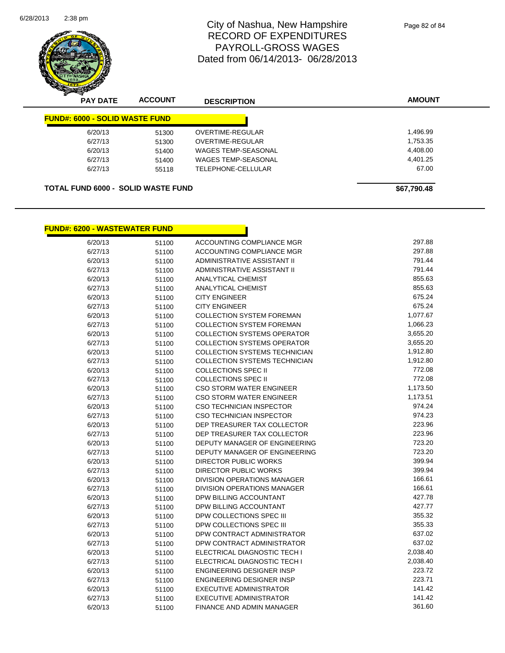

Page 82 of 84

| <b>PAY DATE</b> | <b>ACCOUNT</b> | <b>DESCRIPTION</b>                    | <b>AMOUNT</b>                             |
|-----------------|----------------|---------------------------------------|-------------------------------------------|
|                 |                |                                       |                                           |
| 6/20/13         | 51300          | OVERTIME-REGULAR                      | 1,496.99                                  |
| 6/27/13         | 51300          | OVERTIME-REGULAR                      | 1,753.35                                  |
| 6/20/13         | 51400          | <b>WAGES TEMP-SEASONAL</b>            | 4,408.00                                  |
| 6/27/13         | 51400          | <b>WAGES TEMP-SEASONAL</b>            | 4.401.25                                  |
| 6/27/13         | 55118          | TELEPHONE-CELLULAR                    | 67.00                                     |
|                 |                |                                       |                                           |
|                 |                |                                       | \$67,790.48                               |
|                 |                | <b>FUND#: 6000 - SOLID WASTE FUND</b> | <b>TOTAL FUND 6000 - SOLID WASTE FUND</b> |

n

#### **FUND#: 6200 - WASTEWATER FUND**

| 6/20/13 | 51100 | ACCOUNTING COMPLIANCE MGR            | 297.88   |
|---------|-------|--------------------------------------|----------|
| 6/27/13 | 51100 | ACCOUNTING COMPLIANCE MGR            | 297.88   |
| 6/20/13 | 51100 | ADMINISTRATIVE ASSISTANT II          | 791.44   |
| 6/27/13 | 51100 | ADMINISTRATIVE ASSISTANT II          | 791.44   |
| 6/20/13 | 51100 | <b>ANALYTICAL CHEMIST</b>            | 855.63   |
| 6/27/13 | 51100 | <b>ANALYTICAL CHEMIST</b>            | 855.63   |
| 6/20/13 | 51100 | <b>CITY ENGINEER</b>                 | 675.24   |
| 6/27/13 | 51100 | <b>CITY ENGINEER</b>                 | 675.24   |
| 6/20/13 | 51100 | COLLECTION SYSTEM FOREMAN            | 1,077.67 |
| 6/27/13 | 51100 | <b>COLLECTION SYSTEM FOREMAN</b>     | 1,066.23 |
| 6/20/13 | 51100 | <b>COLLECTION SYSTEMS OPERATOR</b>   | 3,655.20 |
| 6/27/13 | 51100 | <b>COLLECTION SYSTEMS OPERATOR</b>   | 3,655.20 |
| 6/20/13 | 51100 | <b>COLLECTION SYSTEMS TECHNICIAN</b> | 1,912.80 |
| 6/27/13 | 51100 | <b>COLLECTION SYSTEMS TECHNICIAN</b> | 1,912.80 |
| 6/20/13 | 51100 | <b>COLLECTIONS SPEC II</b>           | 772.08   |
| 6/27/13 | 51100 | <b>COLLECTIONS SPEC II</b>           | 772.08   |
| 6/20/13 | 51100 | <b>CSO STORM WATER ENGINEER</b>      | 1,173.50 |
| 6/27/13 | 51100 | <b>CSO STORM WATER ENGINEER</b>      | 1,173.51 |
| 6/20/13 | 51100 | <b>CSO TECHNICIAN INSPECTOR</b>      | 974.24   |
| 6/27/13 | 51100 | <b>CSO TECHNICIAN INSPECTOR</b>      | 974.23   |
| 6/20/13 | 51100 | DEP TREASURER TAX COLLECTOR          | 223.96   |
| 6/27/13 | 51100 | DEP TREASURER TAX COLLECTOR          | 223.96   |
| 6/20/13 | 51100 | DEPUTY MANAGER OF ENGINEERING        | 723.20   |
| 6/27/13 | 51100 | DEPUTY MANAGER OF ENGINEERING        | 723.20   |
| 6/20/13 | 51100 | <b>DIRECTOR PUBLIC WORKS</b>         | 399.94   |
| 6/27/13 | 51100 | <b>DIRECTOR PUBLIC WORKS</b>         | 399.94   |
| 6/20/13 | 51100 | <b>DIVISION OPERATIONS MANAGER</b>   | 166.61   |
| 6/27/13 | 51100 | DIVISION OPERATIONS MANAGER          | 166.61   |
| 6/20/13 | 51100 | DPW BILLING ACCOUNTANT               | 427.78   |
| 6/27/13 | 51100 | DPW BILLING ACCOUNTANT               | 427.77   |
| 6/20/13 | 51100 | DPW COLLECTIONS SPEC III             | 355.32   |
| 6/27/13 | 51100 | DPW COLLECTIONS SPEC III             | 355.33   |
| 6/20/13 | 51100 | DPW CONTRACT ADMINISTRATOR           | 637.02   |
| 6/27/13 | 51100 | DPW CONTRACT ADMINISTRATOR           | 637.02   |
| 6/20/13 | 51100 | ELECTRICAL DIAGNOSTIC TECH I         | 2,038.40 |
| 6/27/13 | 51100 | ELECTRICAL DIAGNOSTIC TECH I         | 2,038.40 |
| 6/20/13 | 51100 | <b>ENGINEERING DESIGNER INSP</b>     | 223.72   |
| 6/27/13 | 51100 | ENGINEERING DESIGNER INSP            | 223.71   |
| 6/20/13 | 51100 | <b>EXECUTIVE ADMINISTRATOR</b>       | 141.42   |
| 6/27/13 | 51100 | <b>EXECUTIVE ADMINISTRATOR</b>       | 141.42   |
| 6/20/13 | 51100 | FINANCE AND ADMIN MANAGER            | 361.60   |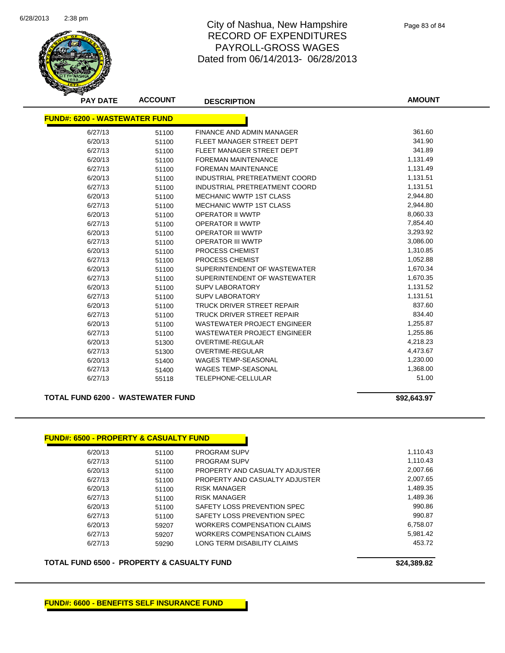

Page 83 of 84

|                                      | <b>PAY DATE</b> | <b>ACCOUNT</b> | <b>DESCRIPTION</b>                 | <b>AMOUNT</b> |
|--------------------------------------|-----------------|----------------|------------------------------------|---------------|
| <b>FUND#: 6200 - WASTEWATER FUND</b> |                 |                |                                    |               |
|                                      | 6/27/13         | 51100          | <b>FINANCE AND ADMIN MANAGER</b>   | 361.60        |
|                                      | 6/20/13         | 51100          | FLEET MANAGER STREET DEPT          | 341.90        |
|                                      | 6/27/13         | 51100          | FLEET MANAGER STREET DEPT          | 341.89        |
|                                      | 6/20/13         | 51100          | <b>FOREMAN MAINTENANCE</b>         | 1,131.49      |
|                                      | 6/27/13         | 51100          | <b>FOREMAN MAINTENANCE</b>         | 1,131.49      |
|                                      | 6/20/13         | 51100          | INDUSTRIAL PRETREATMENT COORD      | 1,131.51      |
|                                      | 6/27/13         | 51100          | INDUSTRIAL PRETREATMENT COORD      | 1,131.51      |
|                                      | 6/20/13         | 51100          | <b>MECHANIC WWTP 1ST CLASS</b>     | 2,944.80      |
|                                      | 6/27/13         | 51100          | <b>MECHANIC WWTP 1ST CLASS</b>     | 2,944.80      |
|                                      | 6/20/13         | 51100          | <b>OPERATOR II WWTP</b>            | 8,060.33      |
|                                      | 6/27/13         | 51100          | <b>OPERATOR II WWTP</b>            | 7,854.40      |
|                                      | 6/20/13         | 51100          | <b>OPERATOR III WWTP</b>           | 3,293.92      |
|                                      | 6/27/13         | 51100          | <b>OPERATOR III WWTP</b>           | 3,086.00      |
|                                      | 6/20/13         | 51100          | PROCESS CHEMIST                    | 1,310.85      |
|                                      | 6/27/13         | 51100          | PROCESS CHEMIST                    | 1,052.88      |
|                                      | 6/20/13         | 51100          | SUPERINTENDENT OF WASTEWATER       | 1,670.34      |
|                                      | 6/27/13         | 51100          | SUPERINTENDENT OF WASTEWATER       | 1,670.35      |
|                                      | 6/20/13         | 51100          | <b>SUPV LABORATORY</b>             | 1,131.52      |
|                                      | 6/27/13         | 51100          | <b>SUPV LABORATORY</b>             | 1,131.51      |
|                                      | 6/20/13         | 51100          | TRUCK DRIVER STREET REPAIR         | 837.60        |
|                                      | 6/27/13         | 51100          | TRUCK DRIVER STREET REPAIR         | 834.40        |
|                                      | 6/20/13         | 51100          | <b>WASTEWATER PROJECT ENGINEER</b> | 1,255.87      |
|                                      | 6/27/13         | 51100          | <b>WASTEWATER PROJECT ENGINEER</b> | 1,255.86      |
|                                      | 6/20/13         | 51300          | <b>OVERTIME-REGULAR</b>            | 4,218.23      |
|                                      | 6/27/13         | 51300          | <b>OVERTIME-REGULAR</b>            | 4,473.67      |
|                                      | 6/20/13         | 51400          | <b>WAGES TEMP-SEASONAL</b>         | 1,230.00      |
|                                      | 6/27/13         | 51400          | <b>WAGES TEMP-SEASONAL</b>         | 1,368.00      |
|                                      | 6/27/13         | 55118          | TELEPHONE-CELLULAR                 | 51.00         |

#### **TOTAL FUND 6200 - WASTEWATER FUND 100 CM 200 CM 200 CM 392,643.97**

| <b>FUND#: 6500 - PROPERTY &amp; CASUALTY FUND</b> |       |                                |          |
|---------------------------------------------------|-------|--------------------------------|----------|
| 6/20/13                                           | 51100 | <b>PROGRAM SUPV</b>            | 1,110.43 |
| 6/27/13                                           | 51100 | <b>PROGRAM SUPV</b>            | 1.110.43 |
| 6/20/13                                           | 51100 | PROPERTY AND CASUALTY ADJUSTER | 2,007.66 |
| 6/27/13                                           | 51100 | PROPERTY AND CASUALTY ADJUSTER | 2,007.65 |
| 6/20/13                                           | 51100 | RISK MANAGER                   | 1,489.35 |
| 6/27/13                                           | 51100 | <b>RISK MANAGER</b>            | 1,489.36 |
| 6/20/13                                           | 51100 | SAFETY LOSS PREVENTION SPEC    | 990.86   |
| 6/27/13                                           | 51100 | SAFETY LOSS PREVENTION SPEC    | 990.87   |
| 6/20/13                                           | 59207 | WORKERS COMPENSATION CLAIMS    | 6,758.07 |
| 6/27/13                                           | 59207 | WORKERS COMPENSATION CLAIMS    | 5.981.42 |
| 6/27/13                                           | 59290 | LONG TERM DISABILITY CLAIMS    | 453.72   |

#### TOTAL FUND 6500 - PROPERTY & CASUALTY FUND<br>
\$24,389.82